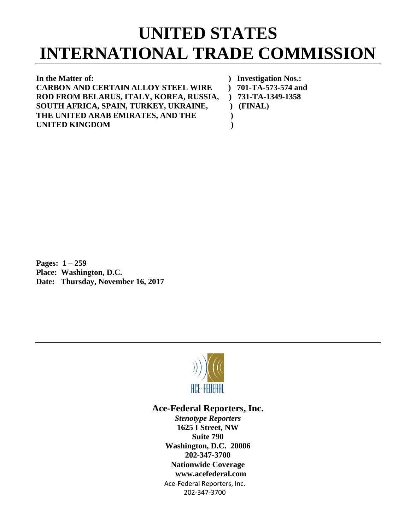## **UNITED STATES INTERNATIONAL TRADE COMMISSION**

**In the Matter of: ) Investigation Nos.: CARBON AND CERTAIN ALLOY STEEL WIRE ) 701-TA-573-574 and ROD FROM BELARUS, ITALY, KOREA, RUSSIA, ) 731-TA-1349-1358 SOUTH AFRICA, SPAIN, TURKEY, UKRAINE, ) (FINAL) THE UNITED ARAB EMIRATES, AND THE ) UNITED KINGDOM )**

**Pages: 1 – 259 Place: Washington, D.C. Date: Thursday, November 16, 2017**



## **Ace-Federal Reporters, Inc.**

Ace-Federal Reporters, Inc. 202-347-3700 *Stenotype Reporters* **1625 I Street, NW Suite 790 Washington, D.C. 20006 202-347-3700 Nationwide Coverage www.acefederal.com**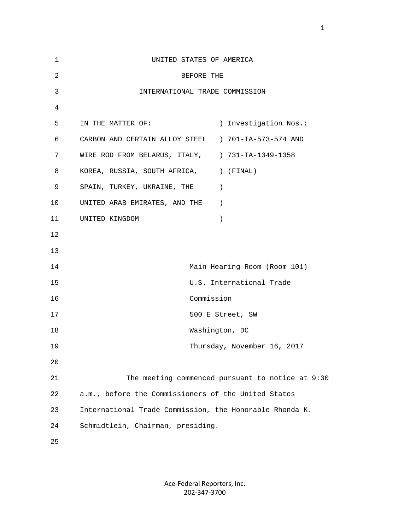| $\mathbf{1}$   | UNITED STATES OF AMERICA                                |                                                  |
|----------------|---------------------------------------------------------|--------------------------------------------------|
| 2              | BEFORE THE                                              |                                                  |
| $\mathfrak{Z}$ | INTERNATIONAL TRADE COMMISSION                          |                                                  |
| 4              |                                                         |                                                  |
| 5              | IN THE MATTER OF:                                       | ) Investigation Nos.:                            |
| 6              | CARBON AND CERTAIN ALLOY STEEL ) 701-TA-573-574 AND     |                                                  |
| 7              | WIRE ROD FROM BELARUS, ITALY, ) 731-TA-1349-1358        |                                                  |
| 8              | KOREA, RUSSIA, SOUTH AFRICA, ) (FINAL)                  |                                                  |
| 9              | SPAIN, TURKEY, UKRAINE, THE                             | $\rightarrow$                                    |
| 10             | UNITED ARAB EMIRATES, AND THE                           | $\rightarrow$                                    |
| 11             | UNITED KINGDOM                                          | $\lambda$                                        |
| 12             |                                                         |                                                  |
| 13             |                                                         |                                                  |
| 14             |                                                         | Main Hearing Room (Room 101)                     |
| 15             |                                                         | U.S. International Trade                         |
| 16             |                                                         | Commission                                       |
| 17             |                                                         | 500 E Street, SW                                 |
| 18             |                                                         | Washington, DC                                   |
| 19             |                                                         | Thursday, November 16, 2017                      |
| 20             |                                                         |                                                  |
| 21             |                                                         | The meeting commenced pursuant to notice at 9:30 |
| 22             | a.m., before the Commissioners of the United States     |                                                  |
| 23             | International Trade Commission, the Honorable Rhonda K. |                                                  |
| 24             | Schmidtlein, Chairman, presiding.                       |                                                  |
| 25             |                                                         |                                                  |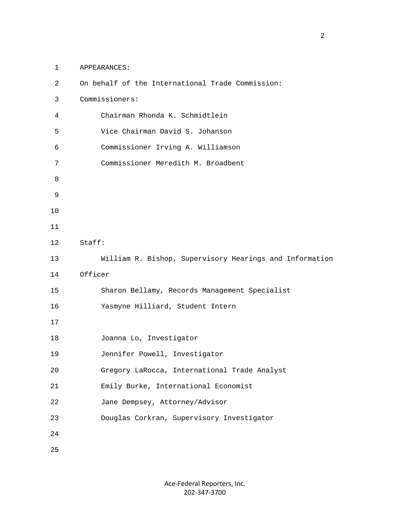1 APPEARANCES:

| 2  | On behalf of the International Trade Commission:        |
|----|---------------------------------------------------------|
| 3  | Commissioners:                                          |
| 4  | Chairman Rhonda K. Schmidtlein                          |
| 5  | Vice Chairman David S. Johanson                         |
| 6  | Commissioner Irving A. Williamson                       |
| 7  | Commissioner Meredith M. Broadbent                      |
| 8  |                                                         |
| 9  |                                                         |
| 10 |                                                         |
| 11 |                                                         |
| 12 | Staff:                                                  |
| 13 | William R. Bishop, Supervisory Hearings and Information |
| 14 | Officer                                                 |
| 15 | Sharon Bellamy, Records Management Specialist           |
| 16 | Yasmyne Hilliard, Student Intern                        |
| 17 |                                                         |
| 18 | Joanna Lo, Investigator                                 |
| 19 | Jennifer Powell, Investigator                           |
| 20 | Gregory LaRocca, International Trade Analyst            |
| 21 | Emily Burke, International Economist                    |
| 22 | Jane Dempsey, Attorney/Advisor                          |
| 23 | Douglas Corkran, Supervisory Investigator               |
| 24 |                                                         |
| 25 |                                                         |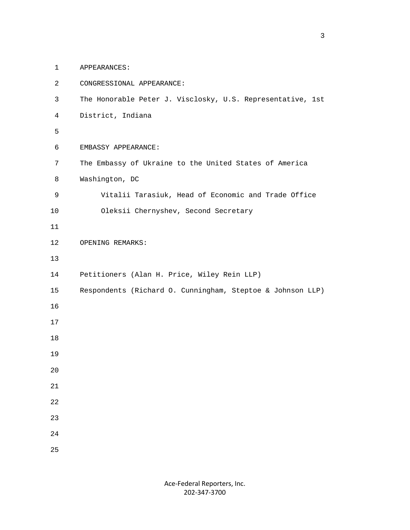1 APPEARANCES:

| $\overline{2}$ | CONGRESSIONAL APPEARANCE:                                  |
|----------------|------------------------------------------------------------|
| 3              | The Honorable Peter J. Visclosky, U.S. Representative, 1st |
| 4              | District, Indiana                                          |
| 5              |                                                            |
| 6              | EMBASSY APPEARANCE:                                        |
| 7              | The Embassy of Ukraine to the United States of America     |
| 8              | Washington, DC                                             |
| 9              | Vitalii Tarasiuk, Head of Economic and Trade Office        |
| 10             | Oleksii Chernyshev, Second Secretary                       |
| 11             |                                                            |
| 12             | OPENING REMARKS:                                           |
| 13             |                                                            |
| 14             | Petitioners (Alan H. Price, Wiley Rein LLP)                |
| 15             | Respondents (Richard O. Cunningham, Steptoe & Johnson LLP) |
| 16             |                                                            |
| 17             |                                                            |
| 18             |                                                            |
| 19             |                                                            |
| 20             |                                                            |
| 21             |                                                            |
| 22             |                                                            |
| 23             |                                                            |
| 24             |                                                            |
| 25             |                                                            |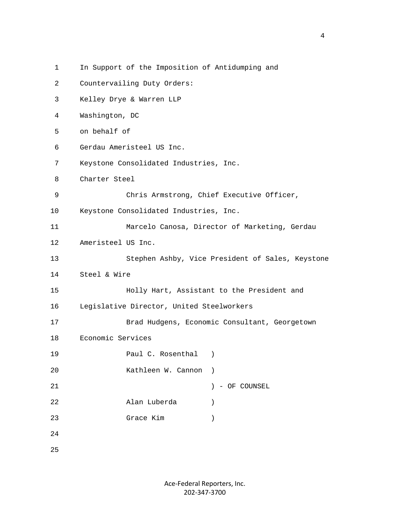| $\mathbf 1$ |                    | In Support of the Imposition of Antidumping and |                                                  |
|-------------|--------------------|-------------------------------------------------|--------------------------------------------------|
| 2           |                    | Countervailing Duty Orders:                     |                                                  |
| 3           |                    | Kelley Drye & Warren LLP                        |                                                  |
| 4           | Washington, DC     |                                                 |                                                  |
| 5           | on behalf of       |                                                 |                                                  |
| 6           |                    | Gerdau Ameristeel US Inc.                       |                                                  |
| 7           |                    | Keystone Consolidated Industries, Inc.          |                                                  |
| 8           | Charter Steel      |                                                 |                                                  |
| 9           |                    |                                                 | Chris Armstrong, Chief Executive Officer,        |
| 10          |                    | Keystone Consolidated Industries, Inc.          |                                                  |
| 11          |                    |                                                 | Marcelo Canosa, Director of Marketing, Gerdau    |
| 12          | Ameristeel US Inc. |                                                 |                                                  |
| 13          |                    |                                                 | Stephen Ashby, Vice President of Sales, Keystone |
| 14          | Steel & Wire       |                                                 |                                                  |
| 15          |                    |                                                 | Holly Hart, Assistant to the President and       |
| 16          |                    | Legislative Director, United Steelworkers       |                                                  |
| 17          |                    |                                                 | Brad Hudgens, Economic Consultant, Georgetown    |
| 18          | Economic Services  |                                                 |                                                  |
| 19          |                    | Paul C. Rosenthal                               | $\rightarrow$                                    |
| 20          |                    | Kathleen W. Cannon                              |                                                  |
| 21          |                    |                                                 | - OF COUNSEL                                     |
| 22          |                    | Alan Luberda                                    | $\lambda$                                        |
| 23          |                    | Grace Kim                                       |                                                  |
| 24          |                    |                                                 |                                                  |
| 25          |                    |                                                 |                                                  |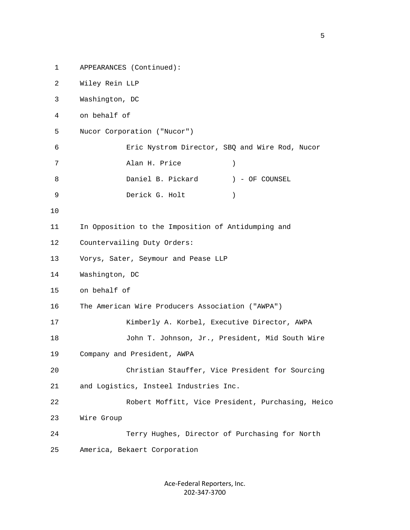1 APPEARANCES (Continued): 2 Wiley Rein LLP 3 Washington, DC 4 on behalf of 5 Nucor Corporation ("Nucor") 6 Eric Nystrom Director, SBQ and Wire Rod, Nucor 7 Alan H. Price ) 8 Daniel B. Pickard ) - OF COUNSEL 9 Derick G. Holt ) 10 11 In Opposition to the Imposition of Antidumping and 12 Countervailing Duty Orders: 13 Vorys, Sater, Seymour and Pease LLP 14 Washington, DC 15 on behalf of 16 The American Wire Producers Association ("AWPA") 17 Kimberly A. Korbel, Executive Director, AWPA 18 John T. Johnson, Jr., President, Mid South Wire 19 Company and President, AWPA 20 Christian Stauffer, Vice President for Sourcing 21 and Logistics, Insteel Industries Inc. 22 Robert Moffitt, Vice President, Purchasing, Heico 23 Wire Group 24 Terry Hughes, Director of Purchasing for North 25 America, Bekaert Corporation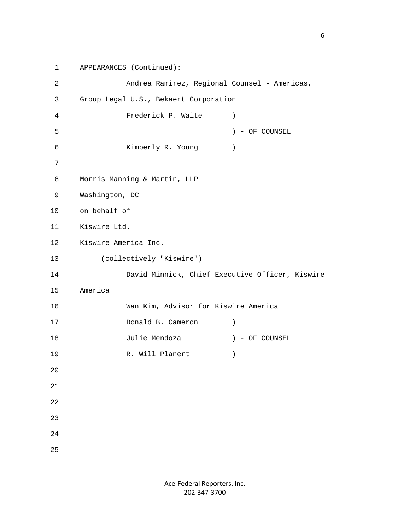```
 1 APPEARANCES (Continued):
        2 Andrea Ramirez, Regional Counsel - Americas,
        3 Group Legal U.S., Bekaert Corporation
        4 Frederick P. Waite )
        5 ) - OF COUNSEL
        6 Kimberly R. Young )
 7
        8 Morris Manning & Martin, LLP
        9 Washington, DC
       10 on behalf of
       11 Kiswire Ltd.
       12 Kiswire America Inc.
       13 (collectively "Kiswire")
       14 David Minnick, Chief Executive Officer, Kiswire
       15 America
       16 Wan Kim, Advisor for Kiswire America
       17 Donald B. Cameron ) 
       18 Julie Mendoza ) - OF COUNSEL
      19 R. Will Planert (1988)
        20
        21
        22
        23
        24
        25
```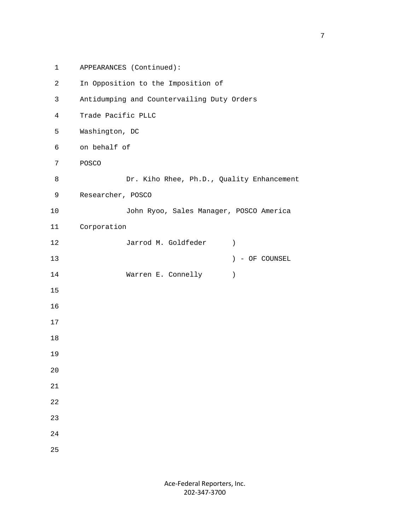```
 1 APPEARANCES (Continued):
 2 In Opposition to the Imposition of
 3 Antidumping and Countervailing Duty Orders
 4 Trade Pacific PLLC
 5 Washington, DC
 6 on behalf of
 7 POSCO
8 Dr. Kiho Rhee, Ph.D., Quality Enhancement
 9 Researcher, POSCO
 10 John Ryoo, Sales Manager, POSCO America
 11 Corporation
 12 Jarrod M. Goldfeder )
 13 ) - OF COUNSEL
14 Warren E. Connelly (1990)
 15
 16
 17
 18
 19
 20
 21
 22
 23
 24
 25
```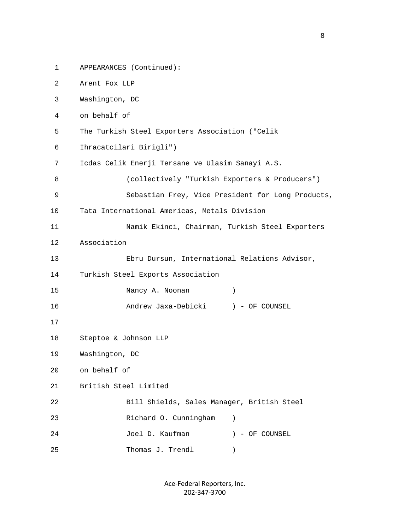```
 1 APPEARANCES (Continued):
 2 Arent Fox LLP
 3 Washington, DC
 4 on behalf of
 5 The Turkish Steel Exporters Association ("Celik
 6 Ihracatcilari Birigli")
 7 Icdas Celik Enerji Tersane ve Ulasim Sanayi A.S.
 8 (collectively "Turkish Exporters & Producers")
 9 Sebastian Frey, Vice President for Long Products,
 10 Tata International Americas, Metals Division
 11 Namik Ekinci, Chairman, Turkish Steel Exporters
 12 Association
 13 Ebru Dursun, International Relations Advisor,
 14 Turkish Steel Exports Association
 15 Nancy A. Noonan )
 16 Andrew Jaxa-Debicki ) - OF COUNSEL
 17
 18 Steptoe & Johnson LLP
 19 Washington, DC
 20 on behalf of
 21 British Steel Limited
 22 Bill Shields, Sales Manager, British Steel
 23 Richard O. Cunningham )
 24 Joel D. Kaufman ) - OF COUNSEL
 25 Thomas J. Trendl )
```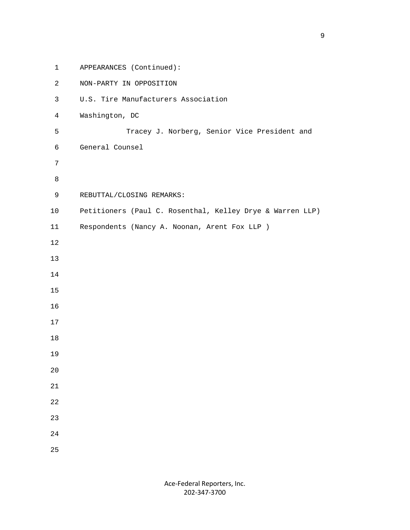1 APPEARANCES (Continued): 2 NON-PARTY IN OPPOSITION 3 U.S. Tire Manufacturers Association 4 Washington, DC 5 Tracey J. Norberg, Senior Vice President and 6 General Counsel 7 8 9 REBUTTAL/CLOSING REMARKS: 10 Petitioners (Paul C. Rosenthal, Kelley Drye & Warren LLP) 11 Respondents (Nancy A. Noonan, Arent Fox LLP ) 12 13 14 15 16 17 18 19 20 21 22 23 24 25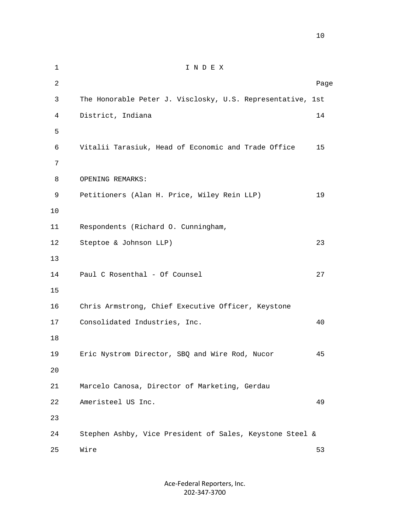| $\mathbf 1$    | INDEX                                                      |      |
|----------------|------------------------------------------------------------|------|
| $\overline{a}$ |                                                            | Page |
| 3              | The Honorable Peter J. Visclosky, U.S. Representative, 1st |      |
| 4              | District, Indiana                                          | 14   |
| 5              |                                                            |      |
| 6              | Vitalii Tarasiuk, Head of Economic and Trade Office        | 15   |
| 7              |                                                            |      |
| 8              | OPENING REMARKS:                                           |      |
| 9              | Petitioners (Alan H. Price, Wiley Rein LLP)                | 19   |
| 10             |                                                            |      |
| 11             | Respondents (Richard O. Cunningham,                        |      |
| 12             | Steptoe & Johnson LLP)                                     | 23   |
| 13             |                                                            |      |
| 14             | Paul C Rosenthal - Of Counsel                              | 27   |
| 15             |                                                            |      |
| 16             | Chris Armstrong, Chief Executive Officer, Keystone         |      |
| 17             | Consolidated Industries, Inc.                              | 40   |
| 18             |                                                            |      |
| 19             | Eric Nystrom Director, SBQ and Wire Rod, Nucor             | 45   |
| 20             |                                                            |      |
| 21             | Marcelo Canosa, Director of Marketing, Gerdau              |      |
| 22             | Ameristeel US Inc.                                         | 49   |
| 23             |                                                            |      |
| 24             | Stephen Ashby, Vice President of Sales, Keystone Steel &   |      |
| 25             | Wire                                                       | 53   |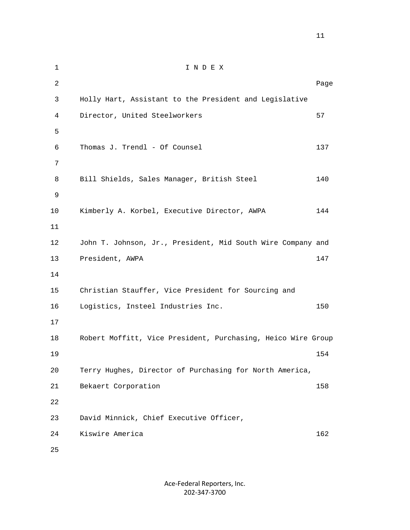1 I N D E X 2 Dage of the state of the state of the state of the state of the state of the state of the state of the state of the state of the state of the state of the state of the state of the state of the state of the state of the 3 Holly Hart, Assistant to the President and Legislative 4 Director, United Steelworkers 67 5 6 Thomas J. Trendl - Of Counsel 137 7 8 Bill Shields, Sales Manager, British Steel 140 9 10 Kimberly A. Korbel, Executive Director, AWPA 144 11 12 John T. Johnson, Jr., President, Mid South Wire Company and 13 President, AWPA 147 14 15 Christian Stauffer, Vice President for Sourcing and 16 Logistics, Insteel Industries Inc. 150 17 18 Robert Moffitt, Vice President, Purchasing, Heico Wire Group 19 154 20 Terry Hughes, Director of Purchasing for North America, 21 Bekaert Corporation 158 22 23 David Minnick, Chief Executive Officer, 24 Kiswire America 162 25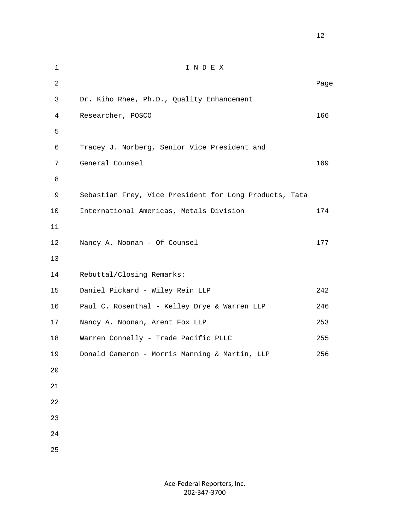1 I N D E X 2 Dage of the state of the state of the state of the state of the state of the state of the state of the state of the state of the state of the state of the state of the state of the state of the state of the state of the 3 Dr. Kiho Rhee, Ph.D., Quality Enhancement 4 Researcher, POSCO 166 5 6 Tracey J. Norberg, Senior Vice President and 7 General Counsel 169 8 9 Sebastian Frey, Vice President for Long Products, Tata 10 International Americas, Metals Division 174 11 12 Nancy A. Noonan - Of Counsel 177 13 14 Rebuttal/Closing Remarks: 15 Daniel Pickard - Wiley Rein LLP 242 16 Paul C. Rosenthal - Kelley Drye & Warren LLP 246 17 Nancy A. Noonan, Arent Fox LLP 253 18 Warren Connelly - Trade Pacific PLLC 255 19 Donald Cameron - Morris Manning & Martin, LLP 256 20 21 22 23 24 25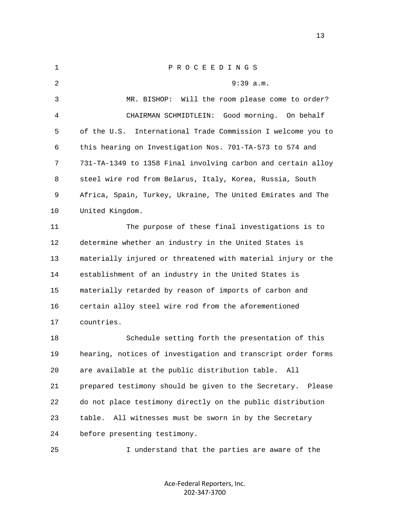| 1  | P R O C E E D I N G S                                          |
|----|----------------------------------------------------------------|
| 2  | $9:39$ a.m.                                                    |
| 3  | Will the room please come to order?<br>MR. BISHOP:             |
| 4  | CHAIRMAN SCHMIDTLEIN: Good morning.<br>On behalf               |
| 5  | International Trade Commission I welcome you to<br>of the U.S. |
| 6  | this hearing on Investigation Nos. 701-TA-573 to 574 and       |
| 7  | 731-TA-1349 to 1358 Final involving carbon and certain alloy   |
| 8  | steel wire rod from Belarus, Italy, Korea, Russia, South       |
| 9  | Africa, Spain, Turkey, Ukraine, The United Emirates and The    |
| 10 | United Kingdom.                                                |
| 11 | The purpose of these final investigations is to                |
| 12 | determine whether an industry in the United States is          |
| 13 | materially injured or threatened with material injury or the   |
| 14 | establishment of an industry in the United States is           |
| 15 | materially retarded by reason of imports of carbon and         |
| 16 | certain alloy steel wire rod from the aforementioned           |
| 17 | countries.                                                     |
| 18 | Schedule setting forth the presentation of this                |
| 19 | hearing, notices of investigation and transcript order forms   |
| 20 | are available at the public distribution table. All            |
| 21 | prepared testimony should be given to the Secretary.<br>Please |
| 22 | do not place testimony directly on the public distribution     |
| 23 | All witnesses must be sworn in by the Secretary<br>table.      |
| 24 | before presenting testimony.                                   |
| 25 | I understand that the parties are aware of the                 |

Ace-Federal Reporters, Inc. 202-347-3700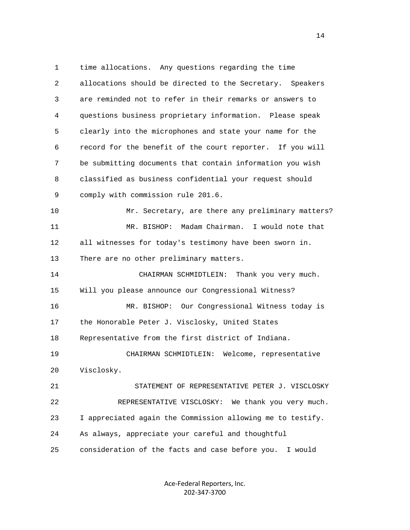1 time allocations. Any questions regarding the time 2 allocations should be directed to the Secretary. Speakers 3 are reminded not to refer in their remarks or answers to 4 questions business proprietary information. Please speak 5 clearly into the microphones and state your name for the 6 record for the benefit of the court reporter. If you will 7 be submitting documents that contain information you wish 8 classified as business confidential your request should 9 comply with commission rule 201.6. 10 Mr. Secretary, are there any preliminary matters? 11 MR. BISHOP: Madam Chairman. I would note that 12 all witnesses for today's testimony have been sworn in. 13 There are no other preliminary matters. 14 CHAIRMAN SCHMIDTLEIN: Thank you very much. 15 Will you please announce our Congressional Witness? 16 MR. BISHOP: Our Congressional Witness today is 17 the Honorable Peter J. Visclosky, United States 18 Representative from the first district of Indiana. 19 CHAIRMAN SCHMIDTLEIN: Welcome, representative 20 Visclosky. 21 STATEMENT OF REPRESENTATIVE PETER J. VISCLOSKY 22 REPRESENTATIVE VISCLOSKY: We thank you very much. 23 I appreciated again the Commission allowing me to testify. 24 As always, appreciate your careful and thoughtful 25 consideration of the facts and case before you. I would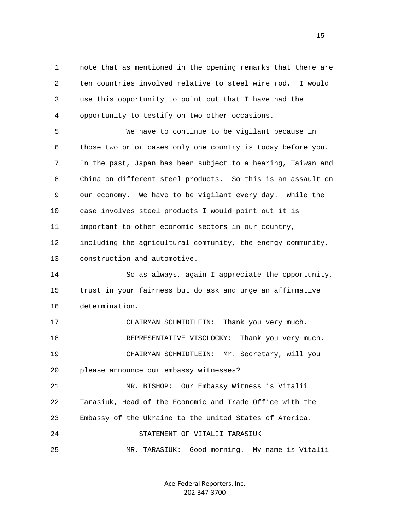1 note that as mentioned in the opening remarks that there are 2 ten countries involved relative to steel wire rod. I would 3 use this opportunity to point out that I have had the 4 opportunity to testify on two other occasions.

 5 We have to continue to be vigilant because in 6 those two prior cases only one country is today before you. 7 In the past, Japan has been subject to a hearing, Taiwan and 8 China on different steel products. So this is an assault on 9 our economy. We have to be vigilant every day. While the 10 case involves steel products I would point out it is 11 important to other economic sectors in our country, 12 including the agricultural community, the energy community, 13 construction and automotive.

 14 So as always, again I appreciate the opportunity, 15 trust in your fairness but do ask and urge an affirmative 16 determination.

 17 CHAIRMAN SCHMIDTLEIN: Thank you very much. 18 REPRESENTATIVE VISCLOCKY: Thank you very much. 19 CHAIRMAN SCHMIDTLEIN: Mr. Secretary, will you 20 please announce our embassy witnesses?

 21 MR. BISHOP: Our Embassy Witness is Vitalii 22 Tarasiuk, Head of the Economic and Trade Office with the 23 Embassy of the Ukraine to the United States of America. 24 STATEMENT OF VITALII TARASIUK

25 MR. TARASIUK: Good morning. My name is Vitalii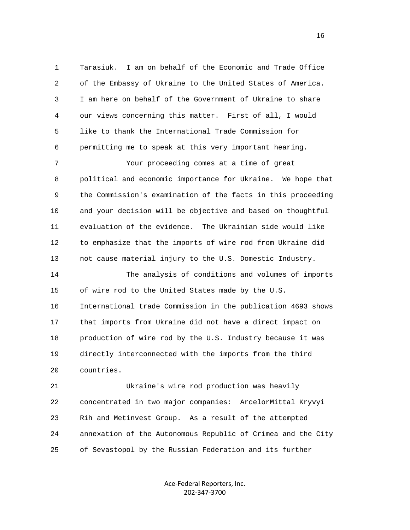1 Tarasiuk. I am on behalf of the Economic and Trade Office 2 of the Embassy of Ukraine to the United States of America. 3 I am here on behalf of the Government of Ukraine to share 4 our views concerning this matter. First of all, I would 5 like to thank the International Trade Commission for 6 permitting me to speak at this very important hearing.

 7 Your proceeding comes at a time of great 8 political and economic importance for Ukraine. We hope that 9 the Commission's examination of the facts in this proceeding 10 and your decision will be objective and based on thoughtful 11 evaluation of the evidence. The Ukrainian side would like 12 to emphasize that the imports of wire rod from Ukraine did 13 not cause material injury to the U.S. Domestic Industry.

 14 The analysis of conditions and volumes of imports 15 of wire rod to the United States made by the U.S. 16 International trade Commission in the publication 4693 shows 17 that imports from Ukraine did not have a direct impact on 18 production of wire rod by the U.S. Industry because it was 19 directly interconnected with the imports from the third 20 countries.

 21 Ukraine's wire rod production was heavily 22 concentrated in two major companies: ArcelorMittal Kryvyi 23 Rih and Metinvest Group. As a result of the attempted 24 annexation of the Autonomous Republic of Crimea and the City 25 of Sevastopol by the Russian Federation and its further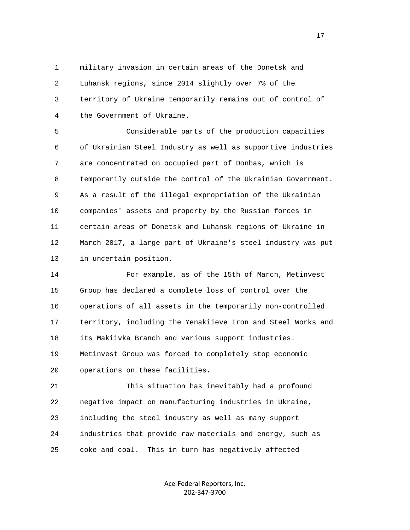1 military invasion in certain areas of the Donetsk and 2 Luhansk regions, since 2014 slightly over 7% of the 3 territory of Ukraine temporarily remains out of control of 4 the Government of Ukraine.

 5 Considerable parts of the production capacities 6 of Ukrainian Steel Industry as well as supportive industries 7 are concentrated on occupied part of Donbas, which is 8 temporarily outside the control of the Ukrainian Government. 9 As a result of the illegal expropriation of the Ukrainian 10 companies' assets and property by the Russian forces in 11 certain areas of Donetsk and Luhansk regions of Ukraine in 12 March 2017, a large part of Ukraine's steel industry was put 13 in uncertain position.

 14 For example, as of the 15th of March, Metinvest 15 Group has declared a complete loss of control over the 16 operations of all assets in the temporarily non-controlled 17 territory, including the Yenakiieve Iron and Steel Works and 18 its Makiivka Branch and various support industries. 19 Metinvest Group was forced to completely stop economic 20 operations on these facilities.

 21 This situation has inevitably had a profound 22 negative impact on manufacturing industries in Ukraine, 23 including the steel industry as well as many support 24 industries that provide raw materials and energy, such as 25 coke and coal. This in turn has negatively affected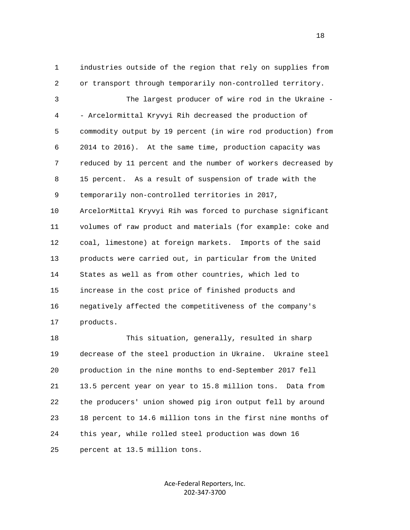1 industries outside of the region that rely on supplies from 2 or transport through temporarily non-controlled territory. 3 The largest producer of wire rod in the Ukraine - 4 - Arcelormittal Kryvyi Rih decreased the production of 5 commodity output by 19 percent (in wire rod production) from 6 2014 to 2016). At the same time, production capacity was 7 reduced by 11 percent and the number of workers decreased by 8 15 percent. As a result of suspension of trade with the 9 temporarily non-controlled territories in 2017, 10 ArcelorMittal Kryvyi Rih was forced to purchase significant 11 volumes of raw product and materials (for example: coke and 12 coal, limestone) at foreign markets. Imports of the said 13 products were carried out, in particular from the United 14 States as well as from other countries, which led to 15 increase in the cost price of finished products and 16 negatively affected the competitiveness of the company's 17 products.

 18 This situation, generally, resulted in sharp 19 decrease of the steel production in Ukraine. Ukraine steel 20 production in the nine months to end-September 2017 fell 21 13.5 percent year on year to 15.8 million tons. Data from 22 the producers' union showed pig iron output fell by around 23 18 percent to 14.6 million tons in the first nine months of 24 this year, while rolled steel production was down 16 25 percent at 13.5 million tons.

> Ace-Federal Reporters, Inc. 202-347-3700

n 18 ann an 18 an t-Iomraid ann an 18 an 18 an 18 an 18 an 18 an 18 an 18 an 18 an 18 an 18 an 18 an 18 an 18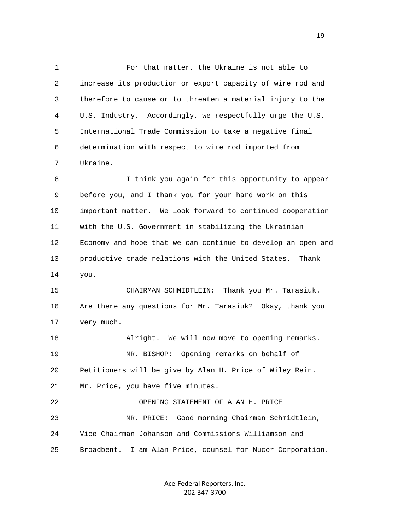1 For that matter, the Ukraine is not able to 2 increase its production or export capacity of wire rod and 3 therefore to cause or to threaten a material injury to the 4 U.S. Industry. Accordingly, we respectfully urge the U.S. 5 International Trade Commission to take a negative final 6 determination with respect to wire rod imported from 7 Ukraine.

 8 I think you again for this opportunity to appear 9 before you, and I thank you for your hard work on this 10 important matter. We look forward to continued cooperation 11 with the U.S. Government in stabilizing the Ukrainian 12 Economy and hope that we can continue to develop an open and 13 productive trade relations with the United States. Thank 14 you.

 15 CHAIRMAN SCHMIDTLEIN: Thank you Mr. Tarasiuk. 16 Are there any questions for Mr. Tarasiuk? Okay, thank you 17 very much.

 18 Alright. We will now move to opening remarks. 19 MR. BISHOP: Opening remarks on behalf of 20 Petitioners will be give by Alan H. Price of Wiley Rein. 21 Mr. Price, you have five minutes. 22 OPENING STATEMENT OF ALAN H. PRICE 23 MR. PRICE: Good morning Chairman Schmidtlein, 24 Vice Chairman Johanson and Commissions Williamson and

25 Broadbent. I am Alan Price, counsel for Nucor Corporation.

Ace-Federal Reporters, Inc. 202-347-3700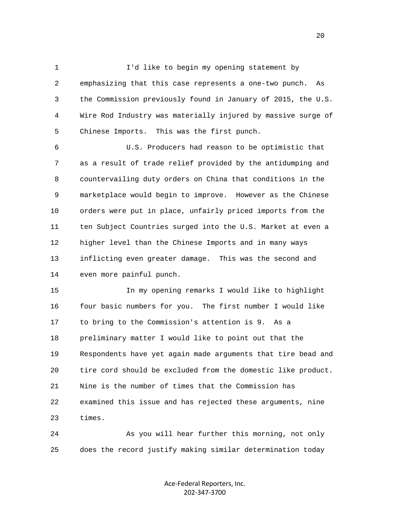1 I'd like to begin my opening statement by 2 emphasizing that this case represents a one-two punch. As 3 the Commission previously found in January of 2015, the U.S. 4 Wire Rod Industry was materially injured by massive surge of 5 Chinese Imports. This was the first punch.

 6 U.S. Producers had reason to be optimistic that 7 as a result of trade relief provided by the antidumping and 8 countervailing duty orders on China that conditions in the 9 marketplace would begin to improve. However as the Chinese 10 orders were put in place, unfairly priced imports from the 11 ten Subject Countries surged into the U.S. Market at even a 12 higher level than the Chinese Imports and in many ways 13 inflicting even greater damage. This was the second and 14 even more painful punch.

 15 In my opening remarks I would like to highlight 16 four basic numbers for you. The first number I would like 17 to bring to the Commission's attention is 9. As a 18 preliminary matter I would like to point out that the 19 Respondents have yet again made arguments that tire bead and 20 tire cord should be excluded from the domestic like product. 21 Nine is the number of times that the Commission has 22 examined this issue and has rejected these arguments, nine 23 times.

 24 As you will hear further this morning, not only 25 does the record justify making similar determination today

> Ace-Federal Reporters, Inc. 202-347-3700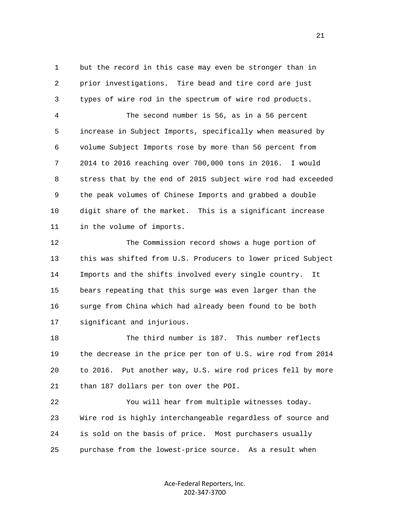1 but the record in this case may even be stronger than in 2 prior investigations. Tire bead and tire cord are just 3 types of wire rod in the spectrum of wire rod products.

 4 The second number is 56, as in a 56 percent 5 increase in Subject Imports, specifically when measured by 6 volume Subject Imports rose by more than 56 percent from 7 2014 to 2016 reaching over 700,000 tons in 2016. I would 8 stress that by the end of 2015 subject wire rod had exceeded 9 the peak volumes of Chinese Imports and grabbed a double 10 digit share of the market. This is a significant increase 11 in the volume of imports.

 12 The Commission record shows a huge portion of 13 this was shifted from U.S. Producers to lower priced Subject 14 Imports and the shifts involved every single country. It 15 bears repeating that this surge was even larger than the 16 surge from China which had already been found to be both 17 significant and injurious.

 18 The third number is 187. This number reflects 19 the decrease in the price per ton of U.S. wire rod from 2014 20 to 2016. Put another way, U.S. wire rod prices fell by more 21 than 187 dollars per ton over the POI.

 22 You will hear from multiple witnesses today. 23 Wire rod is highly interchangeable regardless of source and 24 is sold on the basis of price. Most purchasers usually 25 purchase from the lowest-price source. As a result when

> Ace-Federal Reporters, Inc. 202-347-3700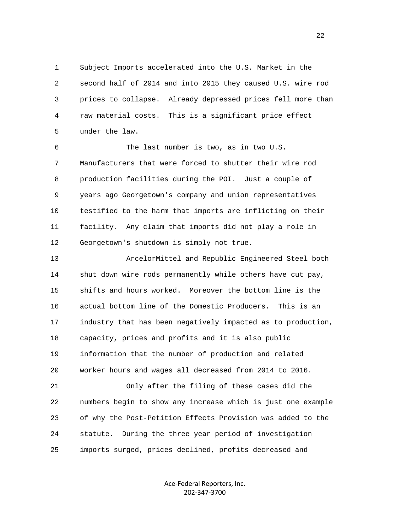1 Subject Imports accelerated into the U.S. Market in the 2 second half of 2014 and into 2015 they caused U.S. wire rod 3 prices to collapse. Already depressed prices fell more than 4 raw material costs. This is a significant price effect 5 under the law.

 6 The last number is two, as in two U.S. 7 Manufacturers that were forced to shutter their wire rod 8 production facilities during the POI. Just a couple of 9 years ago Georgetown's company and union representatives 10 testified to the harm that imports are inflicting on their 11 facility. Any claim that imports did not play a role in 12 Georgetown's shutdown is simply not true.

 13 ArcelorMittel and Republic Engineered Steel both 14 shut down wire rods permanently while others have cut pay, 15 shifts and hours worked. Moreover the bottom line is the 16 actual bottom line of the Domestic Producers. This is an 17 industry that has been negatively impacted as to production, 18 capacity, prices and profits and it is also public 19 information that the number of production and related 20 worker hours and wages all decreased from 2014 to 2016.

 21 Only after the filing of these cases did the 22 numbers begin to show any increase which is just one example 23 of why the Post-Petition Effects Provision was added to the 24 statute. During the three year period of investigation 25 imports surged, prices declined, profits decreased and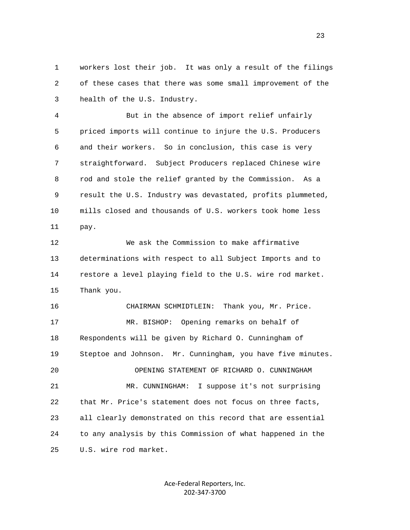1 workers lost their job. It was only a result of the filings 2 of these cases that there was some small improvement of the 3 health of the U.S. Industry.

 4 But in the absence of import relief unfairly 5 priced imports will continue to injure the U.S. Producers 6 and their workers. So in conclusion, this case is very 7 straightforward. Subject Producers replaced Chinese wire 8 rod and stole the relief granted by the Commission. As a 9 result the U.S. Industry was devastated, profits plummeted, 10 mills closed and thousands of U.S. workers took home less 11 pay.

 12 We ask the Commission to make affirmative 13 determinations with respect to all Subject Imports and to 14 restore a level playing field to the U.S. wire rod market. 15 Thank you.

 16 CHAIRMAN SCHMIDTLEIN: Thank you, Mr. Price. 17 MR. BISHOP: Opening remarks on behalf of 18 Respondents will be given by Richard O. Cunningham of 19 Steptoe and Johnson. Mr. Cunningham, you have five minutes. 20 OPENING STATEMENT OF RICHARD O. CUNNINGHAM 21 MR. CUNNINGHAM: I suppose it's not surprising 22 that Mr. Price's statement does not focus on three facts, 23 all clearly demonstrated on this record that are essential 24 to any analysis by this Commission of what happened in the 25 U.S. wire rod market.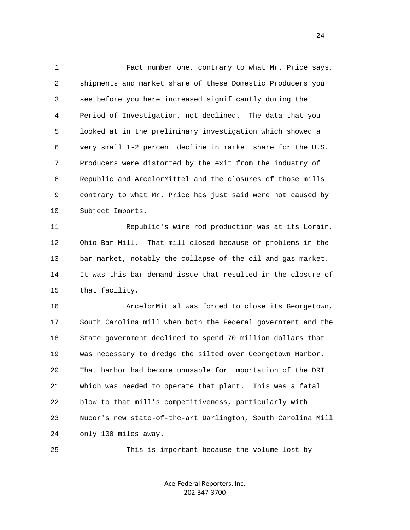1 Fact number one, contrary to what Mr. Price says, 2 shipments and market share of these Domestic Producers you 3 see before you here increased significantly during the 4 Period of Investigation, not declined. The data that you 5 looked at in the preliminary investigation which showed a 6 very small 1-2 percent decline in market share for the U.S. 7 Producers were distorted by the exit from the industry of 8 Republic and ArcelorMittel and the closures of those mills 9 contrary to what Mr. Price has just said were not caused by 10 Subject Imports.

 11 Republic's wire rod production was at its Lorain, 12 Ohio Bar Mill. That mill closed because of problems in the 13 bar market, notably the collapse of the oil and gas market. 14 It was this bar demand issue that resulted in the closure of 15 that facility.

 16 ArcelorMittal was forced to close its Georgetown, 17 South Carolina mill when both the Federal government and the 18 State government declined to spend 70 million dollars that 19 was necessary to dredge the silted over Georgetown Harbor. 20 That harbor had become unusable for importation of the DRI 21 which was needed to operate that plant. This was a fatal 22 blow to that mill's competitiveness, particularly with 23 Nucor's new state-of-the-art Darlington, South Carolina Mill 24 only 100 miles away.

25 This is important because the volume lost by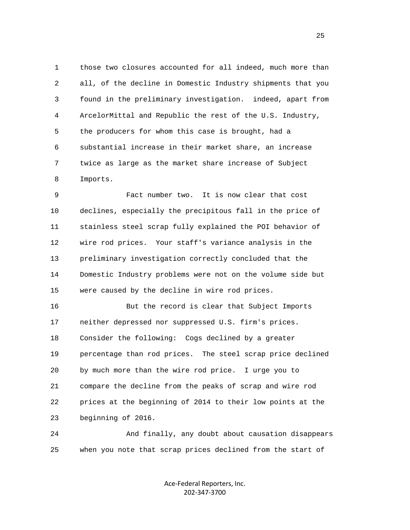1 those two closures accounted for all indeed, much more than 2 all, of the decline in Domestic Industry shipments that you 3 found in the preliminary investigation. indeed, apart from 4 ArcelorMittal and Republic the rest of the U.S. Industry, 5 the producers for whom this case is brought, had a 6 substantial increase in their market share, an increase 7 twice as large as the market share increase of Subject 8 Imports.

 9 Fact number two. It is now clear that cost 10 declines, especially the precipitous fall in the price of 11 stainless steel scrap fully explained the POI behavior of 12 wire rod prices. Your staff's variance analysis in the 13 preliminary investigation correctly concluded that the 14 Domestic Industry problems were not on the volume side but 15 were caused by the decline in wire rod prices.

 16 But the record is clear that Subject Imports 17 neither depressed nor suppressed U.S. firm's prices. 18 Consider the following: Cogs declined by a greater 19 percentage than rod prices. The steel scrap price declined 20 by much more than the wire rod price. I urge you to 21 compare the decline from the peaks of scrap and wire rod 22 prices at the beginning of 2014 to their low points at the 23 beginning of 2016.

 24 And finally, any doubt about causation disappears 25 when you note that scrap prices declined from the start of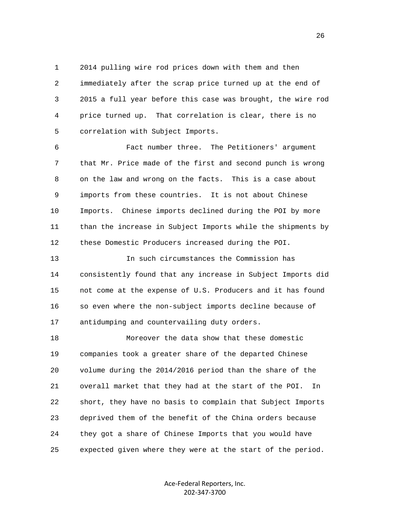1 2014 pulling wire rod prices down with them and then 2 immediately after the scrap price turned up at the end of 3 2015 a full year before this case was brought, the wire rod 4 price turned up. That correlation is clear, there is no 5 correlation with Subject Imports.

 6 Fact number three. The Petitioners' argument 7 that Mr. Price made of the first and second punch is wrong 8 on the law and wrong on the facts. This is a case about 9 imports from these countries. It is not about Chinese 10 Imports. Chinese imports declined during the POI by more 11 than the increase in Subject Imports while the shipments by 12 these Domestic Producers increased during the POI.

 13 In such circumstances the Commission has 14 consistently found that any increase in Subject Imports did 15 not come at the expense of U.S. Producers and it has found 16 so even where the non-subject imports decline because of 17 antidumping and countervailing duty orders.

 18 Moreover the data show that these domestic 19 companies took a greater share of the departed Chinese 20 volume during the 2014/2016 period than the share of the 21 overall market that they had at the start of the POI. In 22 short, they have no basis to complain that Subject Imports 23 deprived them of the benefit of the China orders because 24 they got a share of Chinese Imports that you would have 25 expected given where they were at the start of the period.

> Ace-Federal Reporters, Inc. 202-347-3700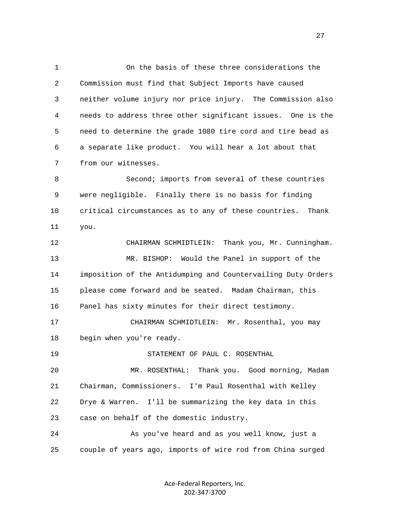1 On the basis of these three considerations the 2 Commission must find that Subject Imports have caused 3 neither volume injury nor price injury. The Commission also 4 needs to address three other significant issues. One is the 5 need to determine the grade 1080 tire cord and tire bead as 6 a separate like product. You will hear a lot about that 7 from our witnesses. 8 Second; imports from several of these countries 9 were negligible. Finally there is no basis for finding 10 critical circumstances as to any of these countries. Thank

 12 CHAIRMAN SCHMIDTLEIN: Thank you, Mr. Cunningham. 13 MR. BISHOP: Would the Panel in support of the 14 imposition of the Antidumping and Countervailing Duty Orders 15 please come forward and be seated. Madam Chairman, this 16 Panel has sixty minutes for their direct testimony.

 17 CHAIRMAN SCHMIDTLEIN: Mr. Rosenthal, you may 18 begin when you're ready.

19 STATEMENT OF PAUL C. ROSENTHAL

11 you.

 20 MR. ROSENTHAL: Thank you. Good morning, Madam 21 Chairman, Commissioners. I'm Paul Rosenthal with Kelley 22 Drye & Warren. I'll be summarizing the key data in this 23 case on behalf of the domestic industry.

 24 As you've heard and as you well know, just a 25 couple of years ago, imports of wire rod from China surged

> Ace-Federal Reporters, Inc. 202-347-3700

27 and 27 and 27 and 27 and 27 and 27 and 27 and 27 and 27 and 27 and 27 and 27 and 27 and 27 and 27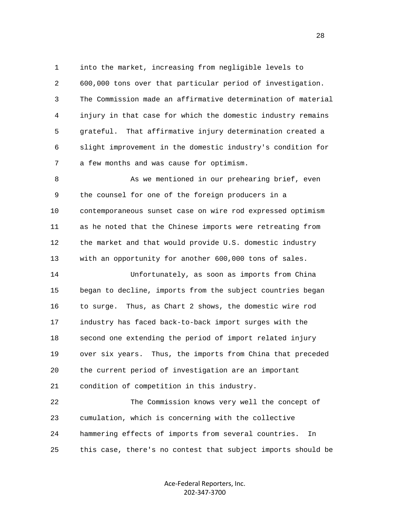1 into the market, increasing from negligible levels to 2 600,000 tons over that particular period of investigation. 3 The Commission made an affirmative determination of material 4 injury in that case for which the domestic industry remains 5 grateful. That affirmative injury determination created a 6 slight improvement in the domestic industry's condition for 7 a few months and was cause for optimism.

8 As we mentioned in our prehearing brief, even 9 the counsel for one of the foreign producers in a 10 contemporaneous sunset case on wire rod expressed optimism 11 as he noted that the Chinese imports were retreating from 12 the market and that would provide U.S. domestic industry 13 with an opportunity for another 600,000 tons of sales.

 14 Unfortunately, as soon as imports from China 15 began to decline, imports from the subject countries began 16 to surge. Thus, as Chart 2 shows, the domestic wire rod 17 industry has faced back-to-back import surges with the 18 second one extending the period of import related injury 19 over six years. Thus, the imports from China that preceded 20 the current period of investigation are an important 21 condition of competition in this industry.

 22 The Commission knows very well the concept of 23 cumulation, which is concerning with the collective 24 hammering effects of imports from several countries. In 25 this case, there's no contest that subject imports should be

> Ace-Federal Reporters, Inc. 202-347-3700

<u>28 and 28</u>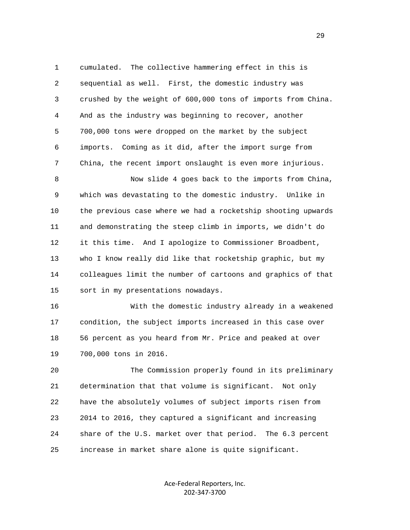1 cumulated. The collective hammering effect in this is 2 sequential as well. First, the domestic industry was 3 crushed by the weight of 600,000 tons of imports from China. 4 And as the industry was beginning to recover, another 5 700,000 tons were dropped on the market by the subject 6 imports. Coming as it did, after the import surge from 7 China, the recent import onslaught is even more injurious.

 8 Now slide 4 goes back to the imports from China, 9 which was devastating to the domestic industry. Unlike in 10 the previous case where we had a rocketship shooting upwards 11 and demonstrating the steep climb in imports, we didn't do 12 it this time. And I apologize to Commissioner Broadbent, 13 who I know really did like that rocketship graphic, but my 14 colleagues limit the number of cartoons and graphics of that 15 sort in my presentations nowadays.

 16 With the domestic industry already in a weakened 17 condition, the subject imports increased in this case over 18 56 percent as you heard from Mr. Price and peaked at over 19 700,000 tons in 2016.

 20 The Commission properly found in its preliminary 21 determination that that volume is significant. Not only 22 have the absolutely volumes of subject imports risen from 23 2014 to 2016, they captured a significant and increasing 24 share of the U.S. market over that period. The 6.3 percent 25 increase in market share alone is quite significant.

> Ace-Federal Reporters, Inc. 202-347-3700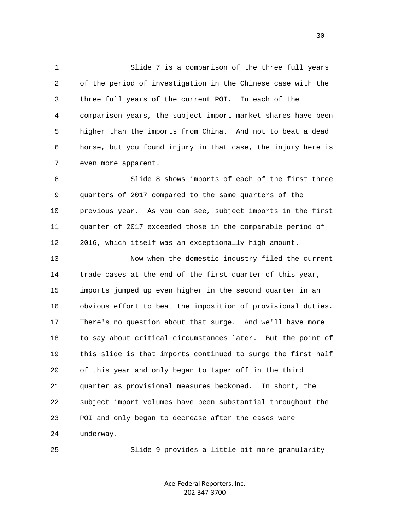1 Slide 7 is a comparison of the three full years 2 of the period of investigation in the Chinese case with the 3 three full years of the current POI. In each of the 4 comparison years, the subject import market shares have been 5 higher than the imports from China. And not to beat a dead 6 horse, but you found injury in that case, the injury here is 7 even more apparent.

 8 Slide 8 shows imports of each of the first three 9 quarters of 2017 compared to the same quarters of the 10 previous year. As you can see, subject imports in the first 11 quarter of 2017 exceeded those in the comparable period of 12 2016, which itself was an exceptionally high amount.

 13 Now when the domestic industry filed the current 14 trade cases at the end of the first quarter of this year, 15 imports jumped up even higher in the second quarter in an 16 obvious effort to beat the imposition of provisional duties. 17 There's no question about that surge. And we'll have more 18 to say about critical circumstances later. But the point of 19 this slide is that imports continued to surge the first half 20 of this year and only began to taper off in the third 21 quarter as provisional measures beckoned. In short, the 22 subject import volumes have been substantial throughout the 23 POI and only began to decrease after the cases were 24 underway.

25 Slide 9 provides a little bit more granularity

Ace-Federal Reporters, Inc. 202-347-3700

 $30<sup>2</sup>$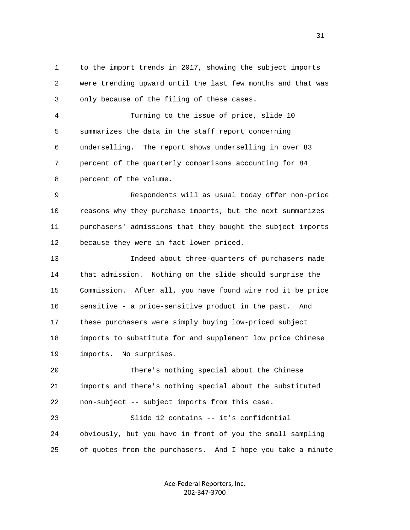1 to the import trends in 2017, showing the subject imports 2 were trending upward until the last few months and that was 3 only because of the filing of these cases.

 4 Turning to the issue of price, slide 10 5 summarizes the data in the staff report concerning 6 underselling. The report shows underselling in over 83 7 percent of the quarterly comparisons accounting for 84 8 percent of the volume.

 9 Respondents will as usual today offer non-price 10 reasons why they purchase imports, but the next summarizes 11 purchasers' admissions that they bought the subject imports 12 because they were in fact lower priced.

 13 Indeed about three-quarters of purchasers made 14 that admission. Nothing on the slide should surprise the 15 Commission. After all, you have found wire rod it be price 16 sensitive - a price-sensitive product in the past. And 17 these purchasers were simply buying low-priced subject 18 imports to substitute for and supplement low price Chinese 19 imports. No surprises.

 20 There's nothing special about the Chinese 21 imports and there's nothing special about the substituted 22 non-subject -- subject imports from this case.

 23 Slide 12 contains -- it's confidential 24 obviously, but you have in front of you the small sampling 25 of quotes from the purchasers. And I hope you take a minute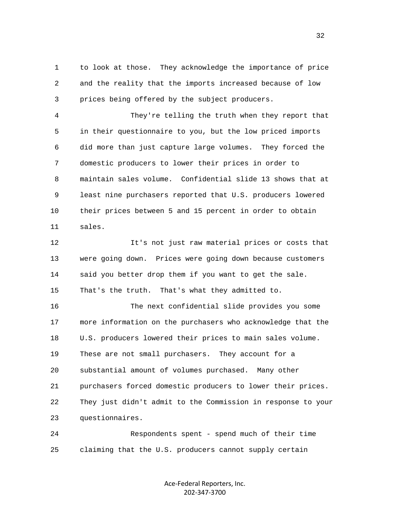1 to look at those. They acknowledge the importance of price 2 and the reality that the imports increased because of low 3 prices being offered by the subject producers.

 4 They're telling the truth when they report that 5 in their questionnaire to you, but the low priced imports 6 did more than just capture large volumes. They forced the 7 domestic producers to lower their prices in order to 8 maintain sales volume. Confidential slide 13 shows that at 9 least nine purchasers reported that U.S. producers lowered 10 their prices between 5 and 15 percent in order to obtain 11 sales.

 12 It's not just raw material prices or costs that 13 were going down. Prices were going down because customers 14 said you better drop them if you want to get the sale. 15 That's the truth. That's what they admitted to.

 16 The next confidential slide provides you some 17 more information on the purchasers who acknowledge that the 18 U.S. producers lowered their prices to main sales volume. 19 These are not small purchasers. They account for a 20 substantial amount of volumes purchased. Many other 21 purchasers forced domestic producers to lower their prices. 22 They just didn't admit to the Commission in response to your 23 questionnaires.

 24 Respondents spent - spend much of their time 25 claiming that the U.S. producers cannot supply certain

> Ace-Federal Reporters, Inc. 202-347-3700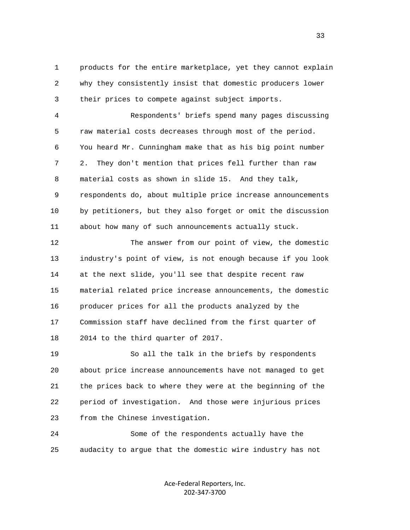1 products for the entire marketplace, yet they cannot explain 2 why they consistently insist that domestic producers lower 3 their prices to compete against subject imports.

 4 Respondents' briefs spend many pages discussing 5 raw material costs decreases through most of the period. 6 You heard Mr. Cunningham make that as his big point number 7 2. They don't mention that prices fell further than raw 8 material costs as shown in slide 15. And they talk, 9 respondents do, about multiple price increase announcements 10 by petitioners, but they also forget or omit the discussion 11 about how many of such announcements actually stuck.

 12 The answer from our point of view, the domestic 13 industry's point of view, is not enough because if you look 14 at the next slide, you'll see that despite recent raw 15 material related price increase announcements, the domestic 16 producer prices for all the products analyzed by the 17 Commission staff have declined from the first quarter of 18 2014 to the third quarter of 2017.

 19 So all the talk in the briefs by respondents 20 about price increase announcements have not managed to get 21 the prices back to where they were at the beginning of the 22 period of investigation. And those were injurious prices 23 from the Chinese investigation.

 24 Some of the respondents actually have the 25 audacity to argue that the domestic wire industry has not

> Ace-Federal Reporters, Inc. 202-347-3700

<u>33</u>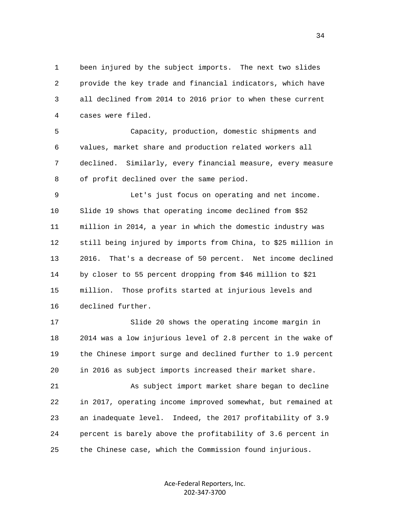1 been injured by the subject imports. The next two slides 2 provide the key trade and financial indicators, which have 3 all declined from 2014 to 2016 prior to when these current 4 cases were filed.

 5 Capacity, production, domestic shipments and 6 values, market share and production related workers all 7 declined. Similarly, every financial measure, every measure 8 of profit declined over the same period.

 9 Let's just focus on operating and net income. 10 Slide 19 shows that operating income declined from \$52 11 million in 2014, a year in which the domestic industry was 12 still being injured by imports from China, to \$25 million in 13 2016. That's a decrease of 50 percent. Net income declined 14 by closer to 55 percent dropping from \$46 million to \$21 15 million. Those profits started at injurious levels and 16 declined further.

 17 Slide 20 shows the operating income margin in 18 2014 was a low injurious level of 2.8 percent in the wake of 19 the Chinese import surge and declined further to 1.9 percent 20 in 2016 as subject imports increased their market share.

 21 As subject import market share began to decline 22 in 2017, operating income improved somewhat, but remained at 23 an inadequate level. Indeed, the 2017 profitability of 3.9 24 percent is barely above the profitability of 3.6 percent in 25 the Chinese case, which the Commission found injurious.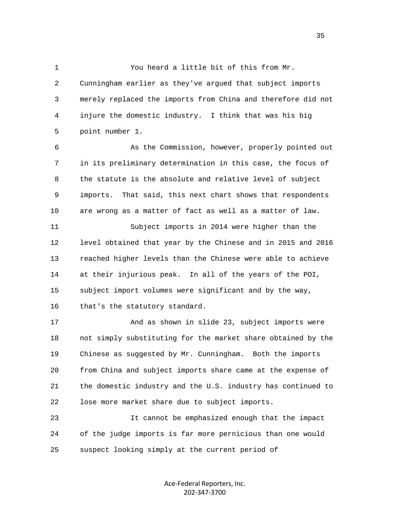1 You heard a little bit of this from Mr.

 2 Cunningham earlier as they've argued that subject imports 3 merely replaced the imports from China and therefore did not 4 injure the domestic industry. I think that was his big 5 point number 1.

 6 As the Commission, however, properly pointed out 7 in its preliminary determination in this case, the focus of 8 the statute is the absolute and relative level of subject 9 imports. That said, this next chart shows that respondents 10 are wrong as a matter of fact as well as a matter of law.

 11 Subject imports in 2014 were higher than the 12 level obtained that year by the Chinese and in 2015 and 2016 13 reached higher levels than the Chinese were able to achieve 14 at their injurious peak. In all of the years of the POI, 15 subject import volumes were significant and by the way, 16 that's the statutory standard.

 17 And as shown in slide 23, subject imports were 18 not simply substituting for the market share obtained by the 19 Chinese as suggested by Mr. Cunningham. Both the imports 20 from China and subject imports share came at the expense of 21 the domestic industry and the U.S. industry has continued to 22 lose more market share due to subject imports.

 23 It cannot be emphasized enough that the impact 24 of the judge imports is far more pernicious than one would 25 suspect looking simply at the current period of

> Ace-Federal Reporters, Inc. 202-347-3700

<u>35</u>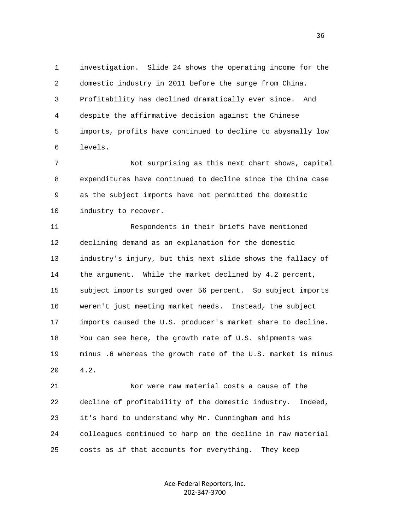1 investigation. Slide 24 shows the operating income for the 2 domestic industry in 2011 before the surge from China. 3 Profitability has declined dramatically ever since. And 4 despite the affirmative decision against the Chinese 5 imports, profits have continued to decline to abysmally low 6 levels.

 7 Not surprising as this next chart shows, capital 8 expenditures have continued to decline since the China case 9 as the subject imports have not permitted the domestic 10 industry to recover.

 11 Respondents in their briefs have mentioned 12 declining demand as an explanation for the domestic 13 industry's injury, but this next slide shows the fallacy of 14 the argument. While the market declined by 4.2 percent, 15 subject imports surged over 56 percent. So subject imports 16 weren't just meeting market needs. Instead, the subject 17 imports caused the U.S. producer's market share to decline. 18 You can see here, the growth rate of U.S. shipments was 19 minus .6 whereas the growth rate of the U.S. market is minus 20 4.2.

 21 Nor were raw material costs a cause of the 22 decline of profitability of the domestic industry. Indeed, 23 it's hard to understand why Mr. Cunningham and his 24 colleagues continued to harp on the decline in raw material 25 costs as if that accounts for everything. They keep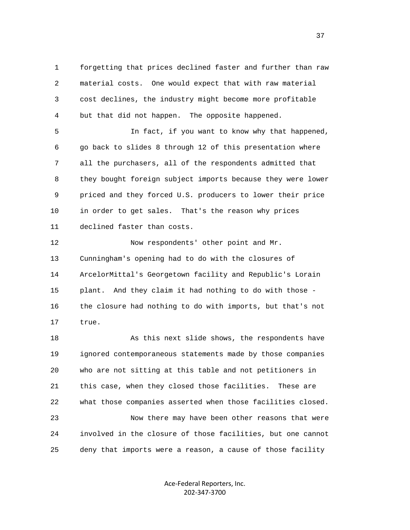1 forgetting that prices declined faster and further than raw 2 material costs. One would expect that with raw material 3 cost declines, the industry might become more profitable 4 but that did not happen. The opposite happened.

 5 In fact, if you want to know why that happened, 6 go back to slides 8 through 12 of this presentation where 7 all the purchasers, all of the respondents admitted that 8 they bought foreign subject imports because they were lower 9 priced and they forced U.S. producers to lower their price 10 in order to get sales. That's the reason why prices 11 declined faster than costs.

12 Now respondents' other point and Mr. 13 Cunningham's opening had to do with the closures of 14 ArcelorMittal's Georgetown facility and Republic's Lorain 15 plant. And they claim it had nothing to do with those - 16 the closure had nothing to do with imports, but that's not 17 true.

 18 As this next slide shows, the respondents have 19 ignored contemporaneous statements made by those companies 20 who are not sitting at this table and not petitioners in 21 this case, when they closed those facilities. These are 22 what those companies asserted when those facilities closed. 23 Now there may have been other reasons that were 24 involved in the closure of those facilities, but one cannot 25 deny that imports were a reason, a cause of those facility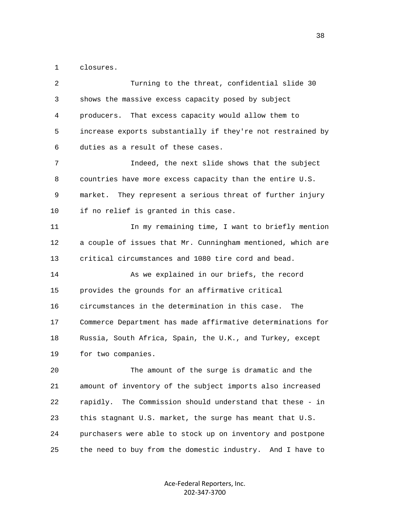1 closures.

| 2  | Turning to the threat, confidential slide 30                 |
|----|--------------------------------------------------------------|
| 3  | shows the massive excess capacity posed by subject           |
| 4  | producers. That excess capacity would allow them to          |
| 5  | increase exports substantially if they're not restrained by  |
| 6  | duties as a result of these cases.                           |
| 7  | Indeed, the next slide shows that the subject                |
| 8  | countries have more excess capacity than the entire U.S.     |
| 9  | They represent a serious threat of further injury<br>market. |
| 10 | if no relief is granted in this case.                        |
| 11 | In my remaining time, I want to briefly mention              |
| 12 | a couple of issues that Mr. Cunningham mentioned, which are  |
| 13 | critical circumstances and 1080 tire cord and bead.          |
| 14 | As we explained in our briefs, the record                    |
| 15 | provides the grounds for an affirmative critical             |
| 16 | circumstances in the determination in this case.<br>The      |
| 17 | Commerce Department has made affirmative determinations for  |
| 18 | Russia, South Africa, Spain, the U.K., and Turkey, except    |
| 19 | for two companies.                                           |
| 20 | The amount of the surge is dramatic and the                  |
| 21 | amount of inventory of the subject imports also increased    |
| 22 | The Commission should understand that these - in<br>rapidly. |
| 23 | this stagnant U.S. market, the surge has meant that U.S.     |
| 24 | purchasers were able to stock up on inventory and postpone   |
| 25 | the need to buy from the domestic industry. And I have to    |
|    |                                                              |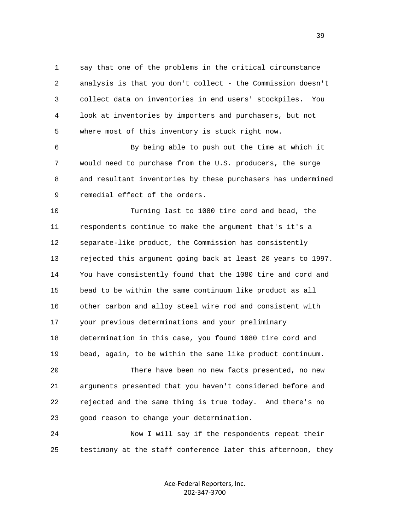1 say that one of the problems in the critical circumstance 2 analysis is that you don't collect - the Commission doesn't 3 collect data on inventories in end users' stockpiles. You 4 look at inventories by importers and purchasers, but not 5 where most of this inventory is stuck right now.

 6 By being able to push out the time at which it 7 would need to purchase from the U.S. producers, the surge 8 and resultant inventories by these purchasers has undermined 9 remedial effect of the orders.

 10 Turning last to 1080 tire cord and bead, the 11 respondents continue to make the argument that's it's a 12 separate-like product, the Commission has consistently 13 rejected this argument going back at least 20 years to 1997. 14 You have consistently found that the 1080 tire and cord and 15 bead to be within the same continuum like product as all 16 other carbon and alloy steel wire rod and consistent with 17 your previous determinations and your preliminary 18 determination in this case, you found 1080 tire cord and 19 bead, again, to be within the same like product continuum. 20 There have been no new facts presented, no new 21 arguments presented that you haven't considered before and 22 rejected and the same thing is true today. And there's no 23 good reason to change your determination.

 24 Now I will say if the respondents repeat their 25 testimony at the staff conference later this afternoon, they

> Ace-Federal Reporters, Inc. 202-347-3700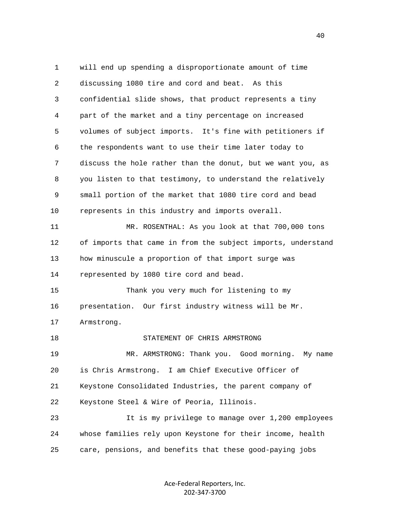1 will end up spending a disproportionate amount of time 2 discussing 1080 tire and cord and beat. As this 3 confidential slide shows, that product represents a tiny 4 part of the market and a tiny percentage on increased 5 volumes of subject imports. It's fine with petitioners if 6 the respondents want to use their time later today to 7 discuss the hole rather than the donut, but we want you, as 8 you listen to that testimony, to understand the relatively 9 small portion of the market that 1080 tire cord and bead 10 represents in this industry and imports overall. 11 MR. ROSENTHAL: As you look at that 700,000 tons 12 of imports that came in from the subject imports, understand 13 how minuscule a proportion of that import surge was 14 represented by 1080 tire cord and bead. 15 Thank you very much for listening to my 16 presentation. Our first industry witness will be Mr. 17 Armstrong. 18 STATEMENT OF CHRIS ARMSTRONG 19 MR. ARMSTRONG: Thank you. Good morning. My name 20 is Chris Armstrong. I am Chief Executive Officer of 21 Keystone Consolidated Industries, the parent company of 22 Keystone Steel & Wire of Peoria, Illinois. 23 It is my privilege to manage over 1,200 employees 24 whose families rely upon Keystone for their income, health 25 care, pensions, and benefits that these good-paying jobs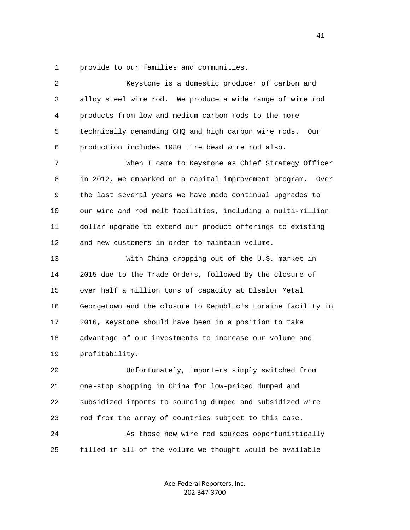1 provide to our families and communities.

| 2  | Keystone is a domestic producer of carbon and                  |
|----|----------------------------------------------------------------|
| 3  | alloy steel wire rod. We produce a wide range of wire rod      |
| 4  | products from low and medium carbon rods to the more           |
| 5  | technically demanding CHQ and high carbon wire rods.<br>Our    |
| 6  | production includes 1080 tire bead wire rod also.              |
| 7  | When I came to Keystone as Chief Strategy Officer              |
| 8  | in 2012, we embarked on a capital improvement program.<br>Over |
| 9  | the last several years we have made continual upgrades to      |
| 10 | our wire and rod melt facilities, including a multi-million    |
| 11 | dollar upgrade to extend our product offerings to existing     |
| 12 | and new customers in order to maintain volume.                 |
| 13 | With China dropping out of the U.S. market in                  |
| 14 | 2015 due to the Trade Orders, followed by the closure of       |
| 15 | over half a million tons of capacity at Elsalor Metal          |
| 16 | Georgetown and the closure to Republic's Loraine facility in   |
| 17 | 2016, Keystone should have been in a position to take          |
| 18 | advantage of our investments to increase our volume and        |
| 19 | profitability.                                                 |
| 20 | Unfortunately, importers simply switched from                  |
| 21 | one-stop shopping in China for low-priced dumped and           |
| 22 | subsidized imports to sourcing dumped and subsidized wire      |
| 23 | rod from the array of countries subject to this case.          |
| 24 | As those new wire rod sources opportunistically                |
| 25 | filled in all of the volume we thought would be available      |
|    |                                                                |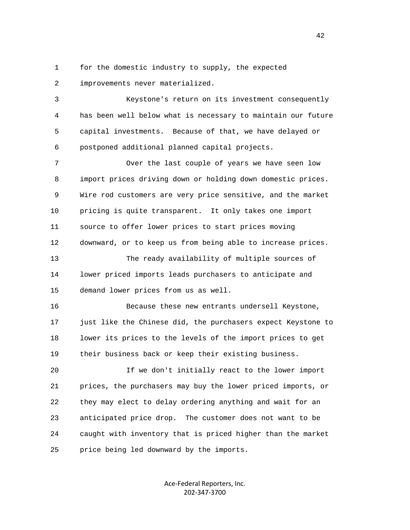1 for the domestic industry to supply, the expected 2 improvements never materialized.

 3 Keystone's return on its investment consequently 4 has been well below what is necessary to maintain our future 5 capital investments. Because of that, we have delayed or 6 postponed additional planned capital projects.

7 The Over the last couple of years we have seen low 8 import prices driving down or holding down domestic prices. 9 Wire rod customers are very price sensitive, and the market 10 pricing is quite transparent. It only takes one import 11 source to offer lower prices to start prices moving 12 downward, or to keep us from being able to increase prices. 13 The ready availability of multiple sources of 14 lower priced imports leads purchasers to anticipate and 15 demand lower prices from us as well.

 16 Because these new entrants undersell Keystone, 17 just like the Chinese did, the purchasers expect Keystone to 18 lower its prices to the levels of the import prices to get 19 their business back or keep their existing business.

 20 If we don't initially react to the lower import 21 prices, the purchasers may buy the lower priced imports, or 22 they may elect to delay ordering anything and wait for an 23 anticipated price drop. The customer does not want to be 24 caught with inventory that is priced higher than the market 25 price being led downward by the imports.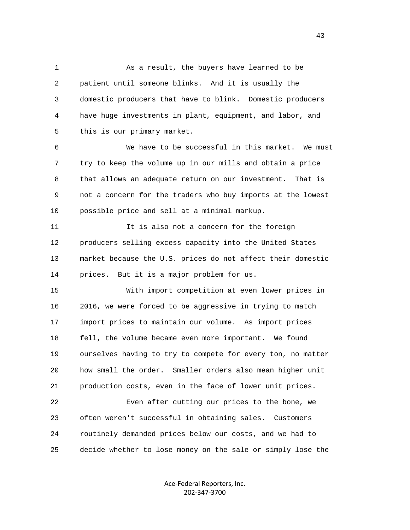1 As a result, the buyers have learned to be 2 patient until someone blinks. And it is usually the 3 domestic producers that have to blink. Domestic producers 4 have huge investments in plant, equipment, and labor, and 5 this is our primary market.

 6 We have to be successful in this market. We must 7 try to keep the volume up in our mills and obtain a price 8 that allows an adequate return on our investment. That is 9 not a concern for the traders who buy imports at the lowest 10 possible price and sell at a minimal markup.

 11 It is also not a concern for the foreign 12 producers selling excess capacity into the United States 13 market because the U.S. prices do not affect their domestic 14 prices. But it is a major problem for us.

 15 With import competition at even lower prices in 16 2016, we were forced to be aggressive in trying to match 17 import prices to maintain our volume. As import prices 18 fell, the volume became even more important. We found 19 ourselves having to try to compete for every ton, no matter 20 how small the order. Smaller orders also mean higher unit 21 production costs, even in the face of lower unit prices. 22 Even after cutting our prices to the bone, we 23 often weren't successful in obtaining sales. Customers

24 routinely demanded prices below our costs, and we had to

25 decide whether to lose money on the sale or simply lose the

Ace-Federal Reporters, Inc. 202-347-3700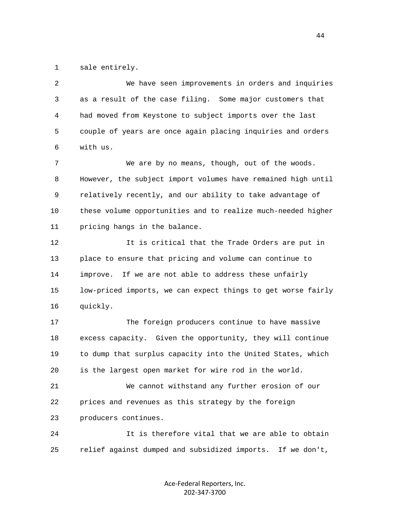1 sale entirely.

 2 We have seen improvements in orders and inquiries 3 as a result of the case filing. Some major customers that 4 had moved from Keystone to subject imports over the last 5 couple of years are once again placing inquiries and orders 6 with us.

 7 We are by no means, though, out of the woods. 8 However, the subject import volumes have remained high until 9 relatively recently, and our ability to take advantage of 10 these volume opportunities and to realize much-needed higher 11 pricing hangs in the balance.

 12 It is critical that the Trade Orders are put in 13 place to ensure that pricing and volume can continue to 14 improve. If we are not able to address these unfairly 15 low-priced imports, we can expect things to get worse fairly 16 quickly.

 17 The foreign producers continue to have massive 18 excess capacity. Given the opportunity, they will continue 19 to dump that surplus capacity into the United States, which 20 is the largest open market for wire rod in the world.

 21 We cannot withstand any further erosion of our 22 prices and revenues as this strategy by the foreign 23 producers continues.

 24 It is therefore vital that we are able to obtain 25 relief against dumped and subsidized imports. If we don't,

> Ace-Federal Reporters, Inc. 202-347-3700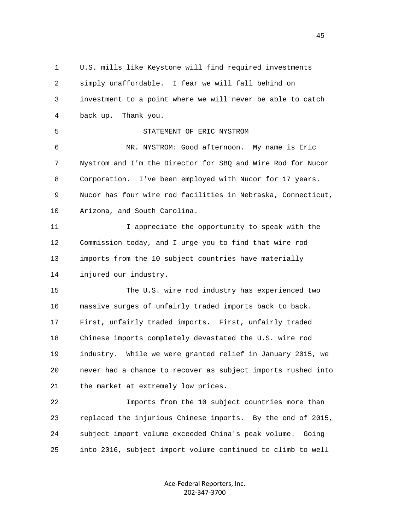1 U.S. mills like Keystone will find required investments 2 simply unaffordable. I fear we will fall behind on 3 investment to a point where we will never be able to catch 4 back up. Thank you. 5 STATEMENT OF ERIC NYSTROM 6 MR. NYSTROM: Good afternoon. My name is Eric 7 Nystrom and I'm the Director for SBQ and Wire Rod for Nucor 8 Corporation. I've been employed with Nucor for 17 years. 9 Nucor has four wire rod facilities in Nebraska, Connecticut, 10 Arizona, and South Carolina. 11 I appreciate the opportunity to speak with the 12 Commission today, and I urge you to find that wire rod 13 imports from the 10 subject countries have materially 14 injured our industry. 15 The U.S. wire rod industry has experienced two 16 massive surges of unfairly traded imports back to back. 17 First, unfairly traded imports. First, unfairly traded 18 Chinese imports completely devastated the U.S. wire rod 19 industry. While we were granted relief in January 2015, we 20 never had a chance to recover as subject imports rushed into 21 the market at extremely low prices. 22 Imports from the 10 subject countries more than 23 replaced the injurious Chinese imports. By the end of 2015, 24 subject import volume exceeded China's peak volume. Going 25 into 2016, subject import volume continued to climb to well

> Ace-Federal Reporters, Inc. 202-347-3700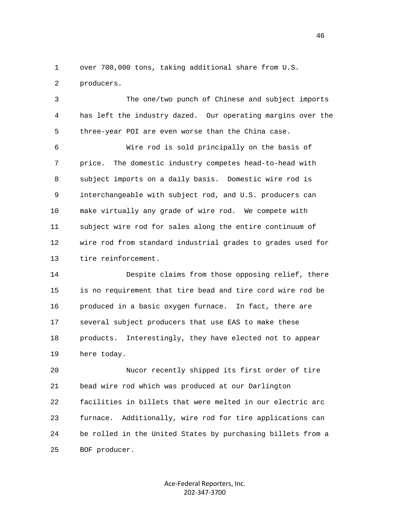1 over 700,000 tons, taking additional share from U.S.

2 producers.

 3 The one/two punch of Chinese and subject imports 4 has left the industry dazed. Our operating margins over the 5 three-year POI are even worse than the China case.

 6 Wire rod is sold principally on the basis of 7 price. The domestic industry competes head-to-head with 8 subject imports on a daily basis. Domestic wire rod is 9 interchangeable with subject rod, and U.S. producers can 10 make virtually any grade of wire rod. We compete with 11 subject wire rod for sales along the entire continuum of 12 wire rod from standard industrial grades to grades used for 13 tire reinforcement.

 14 Despite claims from those opposing relief, there 15 is no requirement that tire bead and tire cord wire rod be 16 produced in a basic oxygen furnace. In fact, there are 17 several subject producers that use EAS to make these 18 products. Interestingly, they have elected not to appear 19 here today.

 20 Nucor recently shipped its first order of tire 21 bead wire rod which was produced at our Darlington 22 facilities in billets that were melted in our electric arc 23 furnace. Additionally, wire rod for tire applications can 24 be rolled in the United States by purchasing billets from a 25 BOF producer.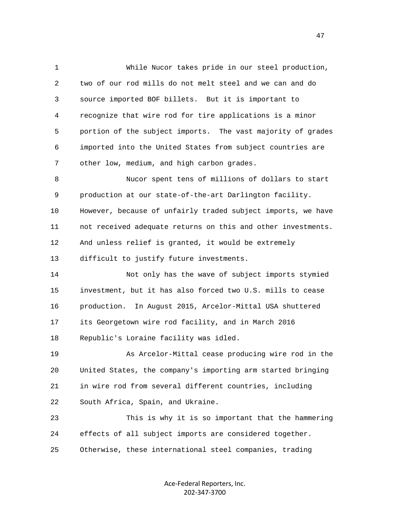1 While Nucor takes pride in our steel production, 2 two of our rod mills do not melt steel and we can and do 3 source imported BOF billets. But it is important to 4 recognize that wire rod for tire applications is a minor 5 portion of the subject imports. The vast majority of grades 6 imported into the United States from subject countries are 7 other low, medium, and high carbon grades.

 8 Nucor spent tens of millions of dollars to start 9 production at our state-of-the-art Darlington facility. 10 However, because of unfairly traded subject imports, we have 11 not received adequate returns on this and other investments. 12 And unless relief is granted, it would be extremely 13 difficult to justify future investments.

 14 Not only has the wave of subject imports stymied 15 investment, but it has also forced two U.S. mills to cease 16 production. In August 2015, Arcelor-Mittal USA shuttered 17 its Georgetown wire rod facility, and in March 2016 18 Republic's Loraine facility was idled.

 19 As Arcelor-Mittal cease producing wire rod in the 20 United States, the company's importing arm started bringing 21 in wire rod from several different countries, including 22 South Africa, Spain, and Ukraine.

 23 This is why it is so important that the hammering 24 effects of all subject imports are considered together. 25 Otherwise, these international steel companies, trading

> Ace-Federal Reporters, Inc. 202-347-3700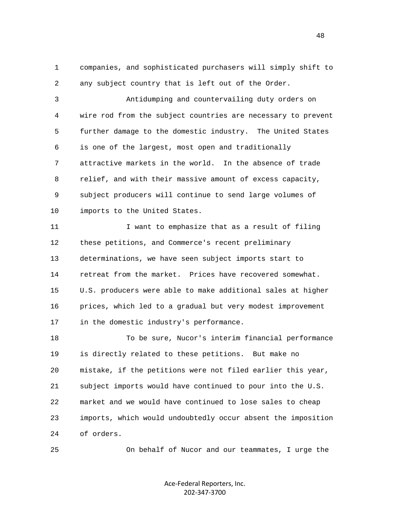1 companies, and sophisticated purchasers will simply shift to 2 any subject country that is left out of the Order.

 3 Antidumping and countervailing duty orders on 4 wire rod from the subject countries are necessary to prevent 5 further damage to the domestic industry. The United States 6 is one of the largest, most open and traditionally 7 attractive markets in the world. In the absence of trade 8 relief, and with their massive amount of excess capacity, 9 subject producers will continue to send large volumes of 10 imports to the United States.

 11 I want to emphasize that as a result of filing 12 these petitions, and Commerce's recent preliminary 13 determinations, we have seen subject imports start to 14 retreat from the market. Prices have recovered somewhat. 15 U.S. producers were able to make additional sales at higher 16 prices, which led to a gradual but very modest improvement 17 in the domestic industry's performance.

 18 To be sure, Nucor's interim financial performance 19 is directly related to these petitions. But make no 20 mistake, if the petitions were not filed earlier this year, 21 subject imports would have continued to pour into the U.S. 22 market and we would have continued to lose sales to cheap 23 imports, which would undoubtedly occur absent the imposition 24 of orders.

25 On behalf of Nucor and our teammates, I urge the

Ace-Federal Reporters, Inc. 202-347-3700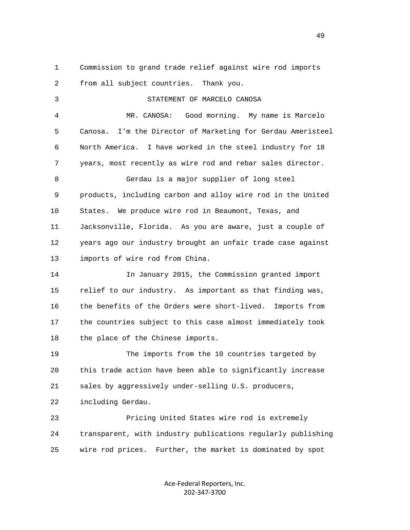1 Commission to grand trade relief against wire rod imports 2 from all subject countries. Thank you.

3 STATEMENT OF MARCELO CANOSA

 4 MR. CANOSA: Good morning. My name is Marcelo 5 Canosa. I'm the Director of Marketing for Gerdau Ameristeel 6 North America. I have worked in the steel industry for 18 7 years, most recently as wire rod and rebar sales director. 8 Gerdau is a major supplier of long steel 9 products, including carbon and alloy wire rod in the United 10 States. We produce wire rod in Beaumont, Texas, and 11 Jacksonville, Florida. As you are aware, just a couple of 12 years ago our industry brought an unfair trade case against 13 imports of wire rod from China. 14 In January 2015, the Commission granted import

 15 relief to our industry. As important as that finding was, 16 the benefits of the Orders were short-lived. Imports from 17 the countries subject to this case almost immediately took 18 the place of the Chinese imports.

 19 The imports from the 10 countries targeted by 20 this trade action have been able to significantly increase 21 sales by aggressively under-selling U.S. producers, 22 including Gerdau.

 23 Pricing United States wire rod is extremely 24 transparent, with industry publications regularly publishing 25 wire rod prices. Further, the market is dominated by spot

> Ace-Federal Reporters, Inc. 202-347-3700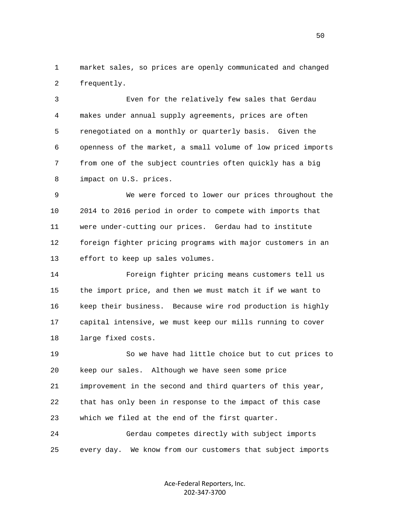1 market sales, so prices are openly communicated and changed 2 frequently.

 3 Even for the relatively few sales that Gerdau 4 makes under annual supply agreements, prices are often 5 renegotiated on a monthly or quarterly basis. Given the 6 openness of the market, a small volume of low priced imports 7 from one of the subject countries often quickly has a big 8 impact on U.S. prices.

 9 We were forced to lower our prices throughout the 10 2014 to 2016 period in order to compete with imports that 11 were under-cutting our prices. Gerdau had to institute 12 foreign fighter pricing programs with major customers in an 13 effort to keep up sales volumes.

 14 Foreign fighter pricing means customers tell us 15 the import price, and then we must match it if we want to 16 keep their business. Because wire rod production is highly 17 capital intensive, we must keep our mills running to cover 18 large fixed costs.

 19 So we have had little choice but to cut prices to 20 keep our sales. Although we have seen some price 21 improvement in the second and third quarters of this year, 22 that has only been in response to the impact of this case 23 which we filed at the end of the first quarter. 24 Gerdau competes directly with subject imports

25 every day. We know from our customers that subject imports

Ace-Federal Reporters, Inc. 202-347-3700

 $50<sub>50</sub>$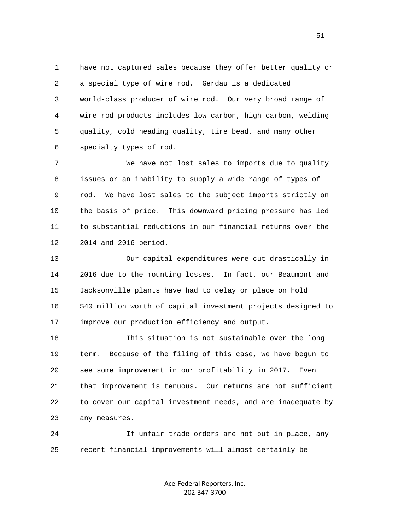1 have not captured sales because they offer better quality or 2 a special type of wire rod. Gerdau is a dedicated 3 world-class producer of wire rod. Our very broad range of 4 wire rod products includes low carbon, high carbon, welding 5 quality, cold heading quality, tire bead, and many other 6 specialty types of rod.

 7 We have not lost sales to imports due to quality 8 issues or an inability to supply a wide range of types of 9 rod. We have lost sales to the subject imports strictly on 10 the basis of price. This downward pricing pressure has led 11 to substantial reductions in our financial returns over the 12 2014 and 2016 period.

 13 Our capital expenditures were cut drastically in 14 2016 due to the mounting losses. In fact, our Beaumont and 15 Jacksonville plants have had to delay or place on hold 16 \$40 million worth of capital investment projects designed to 17 improve our production efficiency and output.

 18 This situation is not sustainable over the long 19 term. Because of the filing of this case, we have begun to 20 see some improvement in our profitability in 2017. Even 21 that improvement is tenuous. Our returns are not sufficient 22 to cover our capital investment needs, and are inadequate by 23 any measures.

 24 If unfair trade orders are not put in place, any 25 recent financial improvements will almost certainly be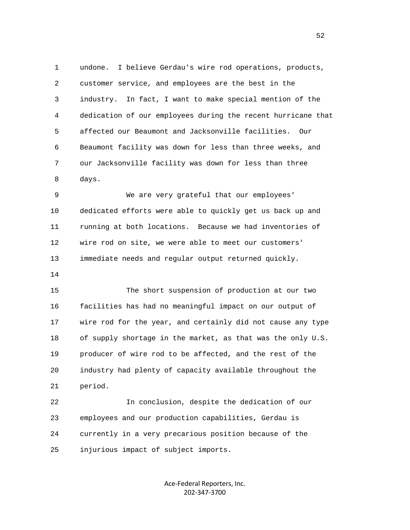1 undone. I believe Gerdau's wire rod operations, products, 2 customer service, and employees are the best in the 3 industry. In fact, I want to make special mention of the 4 dedication of our employees during the recent hurricane that 5 affected our Beaumont and Jacksonville facilities. Our 6 Beaumont facility was down for less than three weeks, and 7 our Jacksonville facility was down for less than three 8 days.

 9 We are very grateful that our employees' 10 dedicated efforts were able to quickly get us back up and 11 running at both locations. Because we had inventories of 12 wire rod on site, we were able to meet our customers' 13 immediate needs and regular output returned quickly.

14

 15 The short suspension of production at our two 16 facilities has had no meaningful impact on our output of 17 wire rod for the year, and certainly did not cause any type 18 of supply shortage in the market, as that was the only U.S. 19 producer of wire rod to be affected, and the rest of the 20 industry had plenty of capacity available throughout the 21 period.

 22 In conclusion, despite the dedication of our 23 employees and our production capabilities, Gerdau is 24 currently in a very precarious position because of the 25 injurious impact of subject imports.

> Ace-Federal Reporters, Inc. 202-347-3700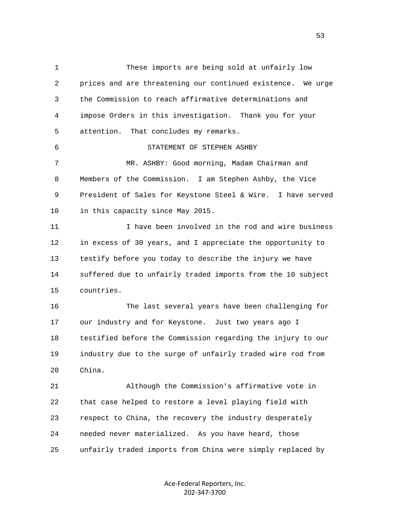1 These imports are being sold at unfairly low 2 prices and are threatening our continued existence. We urge 3 the Commission to reach affirmative determinations and 4 impose Orders in this investigation. Thank you for your 5 attention. That concludes my remarks. 6 STATEMENT OF STEPHEN ASHBY 7 MR. ASHBY: Good morning, Madam Chairman and 8 Members of the Commission. I am Stephen Ashby, the Vice 9 President of Sales for Keystone Steel & Wire. I have served 10 in this capacity since May 2015. 11 I have been involved in the rod and wire business 12 in excess of 30 years, and I appreciate the opportunity to 13 testify before you today to describe the injury we have 14 suffered due to unfairly traded imports from the 10 subject 15 countries. 16 The last several years have been challenging for 17 our industry and for Keystone. Just two years ago I 18 testified before the Commission regarding the injury to our 19 industry due to the surge of unfairly traded wire rod from 20 China. 21 Although the Commission's affirmative vote in 22 that case helped to restore a level playing field with 23 respect to China, the recovery the industry desperately 24 needed never materialized. As you have heard, those 25 unfairly traded imports from China were simply replaced by

> Ace-Federal Reporters, Inc. 202-347-3700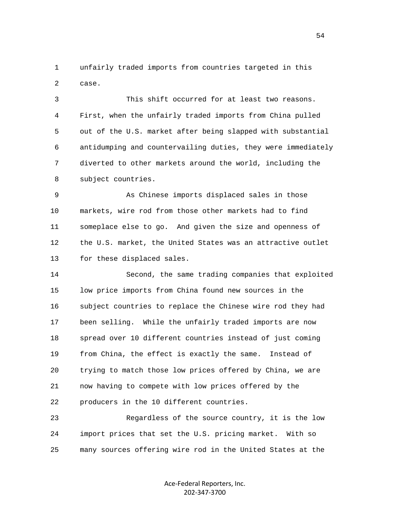1 unfairly traded imports from countries targeted in this 2 case.

 3 This shift occurred for at least two reasons. 4 First, when the unfairly traded imports from China pulled 5 out of the U.S. market after being slapped with substantial 6 antidumping and countervailing duties, they were immediately 7 diverted to other markets around the world, including the 8 subject countries.

 9 As Chinese imports displaced sales in those 10 markets, wire rod from those other markets had to find 11 someplace else to go. And given the size and openness of 12 the U.S. market, the United States was an attractive outlet 13 for these displaced sales.

 14 Second, the same trading companies that exploited 15 low price imports from China found new sources in the 16 subject countries to replace the Chinese wire rod they had 17 been selling. While the unfairly traded imports are now 18 spread over 10 different countries instead of just coming 19 from China, the effect is exactly the same. Instead of 20 trying to match those low prices offered by China, we are 21 now having to compete with low prices offered by the 22 producers in the 10 different countries.

 23 Regardless of the source country, it is the low 24 import prices that set the U.S. pricing market. With so 25 many sources offering wire rod in the United States at the

> Ace-Federal Reporters, Inc. 202-347-3700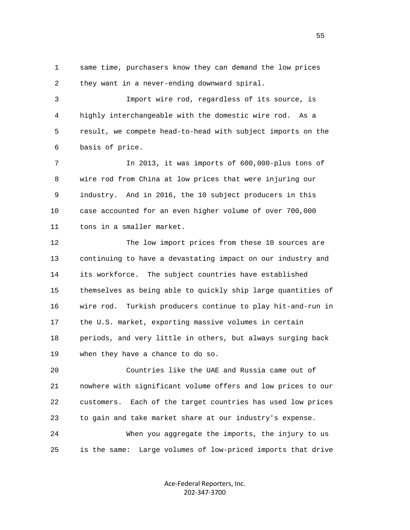1 same time, purchasers know they can demand the low prices 2 they want in a never-ending downward spiral.

 3 Import wire rod, regardless of its source, is 4 highly interchangeable with the domestic wire rod. As a 5 result, we compete head-to-head with subject imports on the 6 basis of price.

 7 In 2013, it was imports of 600,000-plus tons of 8 wire rod from China at low prices that were injuring our 9 industry. And in 2016, the 10 subject producers in this 10 case accounted for an even higher volume of over 700,000 11 tons in a smaller market.

 12 The low import prices from these 10 sources are 13 continuing to have a devastating impact on our industry and 14 its workforce. The subject countries have established 15 themselves as being able to quickly ship large quantities of 16 wire rod. Turkish producers continue to play hit-and-run in 17 the U.S. market, exporting massive volumes in certain 18 periods, and very little in others, but always surging back 19 when they have a chance to do so.

 20 Countries like the UAE and Russia came out of 21 nowhere with significant volume offers and low prices to our 22 customers. Each of the target countries has used low prices 23 to gain and take market share at our industry's expense. 24 When you aggregate the imports, the injury to us

25 is the same: Large volumes of low-priced imports that drive

Ace-Federal Reporters, Inc. 202-347-3700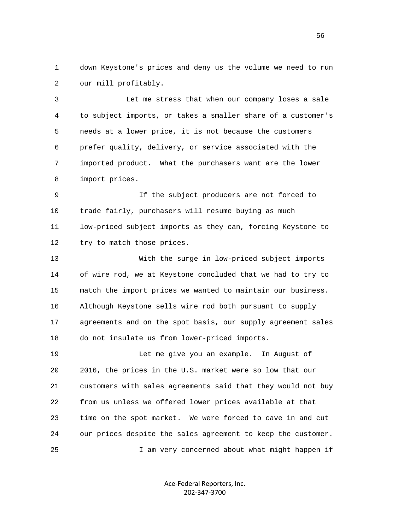1 down Keystone's prices and deny us the volume we need to run 2 our mill profitably.

 3 Let me stress that when our company loses a sale 4 to subject imports, or takes a smaller share of a customer's 5 needs at a lower price, it is not because the customers 6 prefer quality, delivery, or service associated with the 7 imported product. What the purchasers want are the lower 8 import prices.

 9 If the subject producers are not forced to 10 trade fairly, purchasers will resume buying as much 11 low-priced subject imports as they can, forcing Keystone to 12 try to match those prices.

 13 With the surge in low-priced subject imports 14 of wire rod, we at Keystone concluded that we had to try to 15 match the import prices we wanted to maintain our business. 16 Although Keystone sells wire rod both pursuant to supply 17 agreements and on the spot basis, our supply agreement sales 18 do not insulate us from lower-priced imports.

 19 Let me give you an example. In August of 20 2016, the prices in the U.S. market were so low that our 21 customers with sales agreements said that they would not buy 22 from us unless we offered lower prices available at that 23 time on the spot market. We were forced to cave in and cut 24 our prices despite the sales agreement to keep the customer. 25 I am very concerned about what might happen if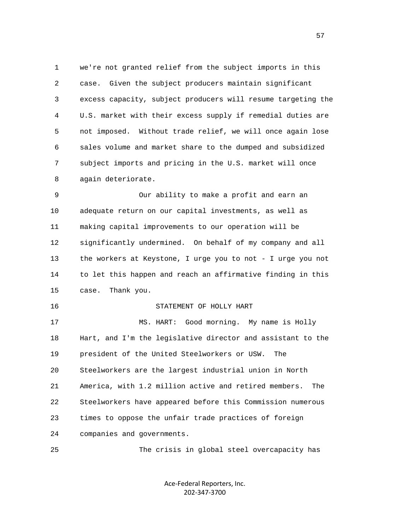1 we're not granted relief from the subject imports in this 2 case. Given the subject producers maintain significant 3 excess capacity, subject producers will resume targeting the 4 U.S. market with their excess supply if remedial duties are 5 not imposed. Without trade relief, we will once again lose 6 sales volume and market share to the dumped and subsidized 7 subject imports and pricing in the U.S. market will once 8 again deteriorate.

 9 Our ability to make a profit and earn an 10 adequate return on our capital investments, as well as 11 making capital improvements to our operation will be 12 significantly undermined. On behalf of my company and all 13 the workers at Keystone, I urge you to not - I urge you not 14 to let this happen and reach an affirmative finding in this 15 case. Thank you.

## 16 STATEMENT OF HOLLY HART

 17 MS. HART: Good morning. My name is Holly 18 Hart, and I'm the legislative director and assistant to the 19 president of the United Steelworkers or USW. The 20 Steelworkers are the largest industrial union in North 21 America, with 1.2 million active and retired members. The 22 Steelworkers have appeared before this Commission numerous 23 times to oppose the unfair trade practices of foreign 24 companies and governments.

25 The crisis in global steel overcapacity has

Ace-Federal Reporters, Inc. 202-347-3700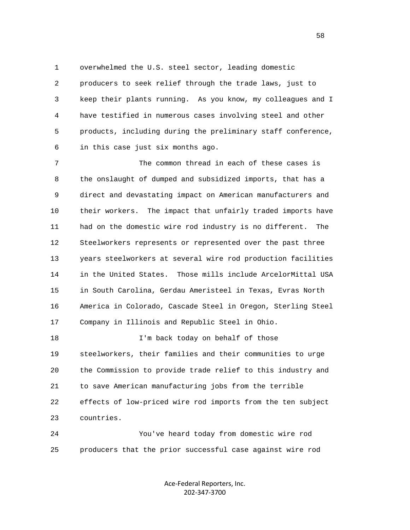1 overwhelmed the U.S. steel sector, leading domestic 2 producers to seek relief through the trade laws, just to 3 keep their plants running. As you know, my colleagues and I 4 have testified in numerous cases involving steel and other 5 products, including during the preliminary staff conference, 6 in this case just six months ago.

 7 The common thread in each of these cases is 8 the onslaught of dumped and subsidized imports, that has a 9 direct and devastating impact on American manufacturers and 10 their workers. The impact that unfairly traded imports have 11 had on the domestic wire rod industry is no different. The 12 Steelworkers represents or represented over the past three 13 years steelworkers at several wire rod production facilities 14 in the United States. Those mills include ArcelorMittal USA 15 in South Carolina, Gerdau Ameristeel in Texas, Evras North 16 America in Colorado, Cascade Steel in Oregon, Sterling Steel 17 Company in Illinois and Republic Steel in Ohio.

18 I'm back today on behalf of those 19 steelworkers, their families and their communities to urge 20 the Commission to provide trade relief to this industry and 21 to save American manufacturing jobs from the terrible 22 effects of low-priced wire rod imports from the ten subject 23 countries.

 24 You've heard today from domestic wire rod 25 producers that the prior successful case against wire rod

> Ace-Federal Reporters, Inc. 202-347-3700

 $58<sup>58</sup>$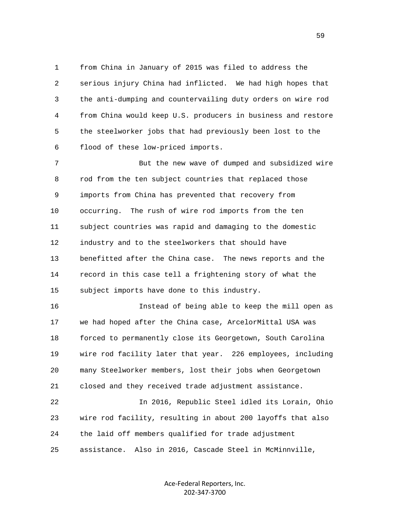1 from China in January of 2015 was filed to address the 2 serious injury China had inflicted. We had high hopes that 3 the anti-dumping and countervailing duty orders on wire rod 4 from China would keep U.S. producers in business and restore 5 the steelworker jobs that had previously been lost to the 6 flood of these low-priced imports.

 7 But the new wave of dumped and subsidized wire 8 rod from the ten subject countries that replaced those 9 imports from China has prevented that recovery from 10 occurring. The rush of wire rod imports from the ten 11 subject countries was rapid and damaging to the domestic 12 industry and to the steelworkers that should have 13 benefitted after the China case. The news reports and the 14 record in this case tell a frightening story of what the 15 subject imports have done to this industry.

 16 Instead of being able to keep the mill open as 17 we had hoped after the China case, ArcelorMittal USA was 18 forced to permanently close its Georgetown, South Carolina 19 wire rod facility later that year. 226 employees, including 20 many Steelworker members, lost their jobs when Georgetown 21 closed and they received trade adjustment assistance.

 22 In 2016, Republic Steel idled its Lorain, Ohio 23 wire rod facility, resulting in about 200 layoffs that also 24 the laid off members qualified for trade adjustment 25 assistance. Also in 2016, Cascade Steel in McMinnville,

> Ace-Federal Reporters, Inc. 202-347-3700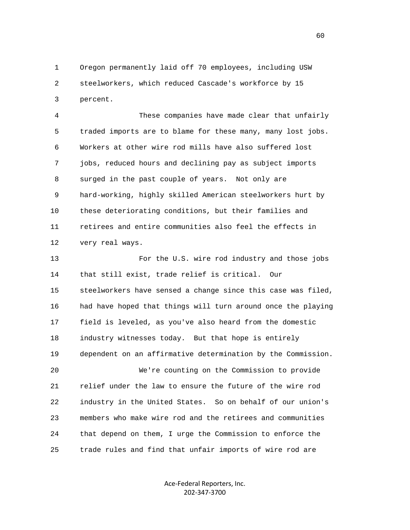1 Oregon permanently laid off 70 employees, including USW 2 steelworkers, which reduced Cascade's workforce by 15 3 percent.

 4 These companies have made clear that unfairly 5 traded imports are to blame for these many, many lost jobs. 6 Workers at other wire rod mills have also suffered lost 7 jobs, reduced hours and declining pay as subject imports 8 surged in the past couple of years. Not only are 9 hard-working, highly skilled American steelworkers hurt by 10 these deteriorating conditions, but their families and 11 retirees and entire communities also feel the effects in 12 very real ways.

 13 For the U.S. wire rod industry and those jobs 14 that still exist, trade relief is critical. Our 15 steelworkers have sensed a change since this case was filed, 16 had have hoped that things will turn around once the playing 17 field is leveled, as you've also heard from the domestic 18 industry witnesses today. But that hope is entirely 19 dependent on an affirmative determination by the Commission. 20 We're counting on the Commission to provide 21 relief under the law to ensure the future of the wire rod 22 industry in the United States. So on behalf of our union's 23 members who make wire rod and the retirees and communities 24 that depend on them, I urge the Commission to enforce the 25 trade rules and find that unfair imports of wire rod are

> Ace-Federal Reporters, Inc. 202-347-3700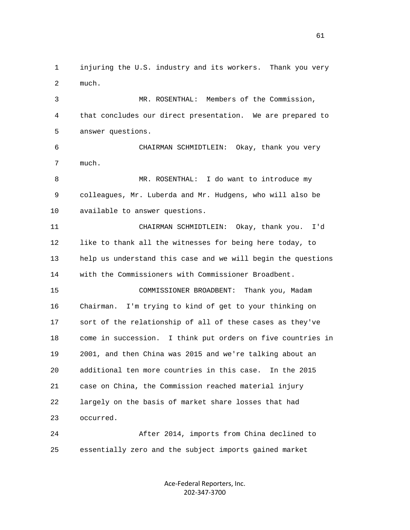1 injuring the U.S. industry and its workers. Thank you very 2 much.

 3 MR. ROSENTHAL: Members of the Commission, 4 that concludes our direct presentation. We are prepared to 5 answer questions.

 6 CHAIRMAN SCHMIDTLEIN: Okay, thank you very 7 much.

 8 MR. ROSENTHAL: I do want to introduce my 9 colleagues, Mr. Luberda and Mr. Hudgens, who will also be 10 available to answer questions.

 11 CHAIRMAN SCHMIDTLEIN: Okay, thank you. I'd 12 like to thank all the witnesses for being here today, to 13 help us understand this case and we will begin the questions 14 with the Commissioners with Commissioner Broadbent. 15 COMMISSIONER BROADBENT: Thank you, Madam 16 Chairman. I'm trying to kind of get to your thinking on 17 sort of the relationship of all of these cases as they've 18 come in succession. I think put orders on five countries in

 19 2001, and then China was 2015 and we're talking about an 20 additional ten more countries in this case. In the 2015 21 case on China, the Commission reached material injury 22 largely on the basis of market share losses that had 23 occurred.

 24 After 2014, imports from China declined to 25 essentially zero and the subject imports gained market

> Ace-Federal Reporters, Inc. 202-347-3700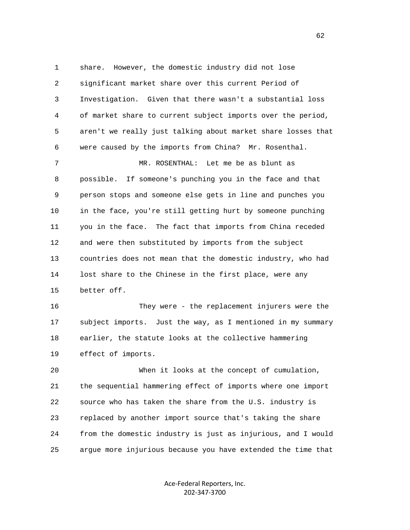1 share. However, the domestic industry did not lose 2 significant market share over this current Period of 3 Investigation. Given that there wasn't a substantial loss 4 of market share to current subject imports over the period, 5 aren't we really just talking about market share losses that 6 were caused by the imports from China? Mr. Rosenthal.

 7 MR. ROSENTHAL: Let me be as blunt as 8 possible. If someone's punching you in the face and that 9 person stops and someone else gets in line and punches you 10 in the face, you're still getting hurt by someone punching 11 you in the face. The fact that imports from China receded 12 and were then substituted by imports from the subject 13 countries does not mean that the domestic industry, who had 14 lost share to the Chinese in the first place, were any 15 better off.

 16 They were - the replacement injurers were the 17 subject imports. Just the way, as I mentioned in my summary 18 earlier, the statute looks at the collective hammering 19 effect of imports.

 20 When it looks at the concept of cumulation, 21 the sequential hammering effect of imports where one import 22 source who has taken the share from the U.S. industry is 23 replaced by another import source that's taking the share 24 from the domestic industry is just as injurious, and I would 25 argue more injurious because you have extended the time that

> Ace-Federal Reporters, Inc. 202-347-3700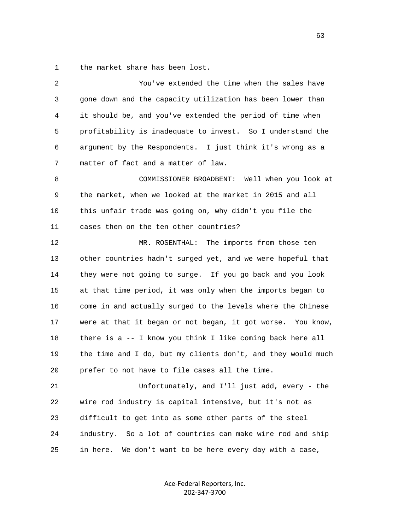1 the market share has been lost.

| $\overline{2}$ | You've extended the time when the sales have                 |
|----------------|--------------------------------------------------------------|
| 3              | gone down and the capacity utilization has been lower than   |
| 4              | it should be, and you've extended the period of time when    |
| 5              | profitability is inadequate to invest. So I understand the   |
| 6              | argument by the Respondents. I just think it's wrong as a    |
| 7              | matter of fact and a matter of law.                          |
| 8              | COMMISSIONER BROADBENT: Well when you look at                |
| 9              | the market, when we looked at the market in 2015 and all     |
| 10             | this unfair trade was going on, why didn't you file the      |
| 11             | cases then on the ten other countries?                       |
| 12             | MR. ROSENTHAL: The imports from those ten                    |
| 13             | other countries hadn't surged yet, and we were hopeful that  |
| 14             | they were not going to surge. If you go back and you look    |
| 15             | at that time period, it was only when the imports began to   |
| 16             | come in and actually surged to the levels where the Chinese  |
| 17             | were at that it began or not began, it got worse. You know,  |
| 18             | there is a -- I know you think I like coming back here all   |
| 19             | the time and I do, but my clients don't, and they would much |
| 20             | prefer to not have to file cases all the time.               |
| 21             | Unfortunately, and I'll just add, every - the                |
| 22             | wire rod industry is capital intensive, but it's not as      |
| 23             | difficult to get into as some other parts of the steel       |
| 24             | industry. So a lot of countries can make wire rod and ship   |
| 25             | in here.<br>We don't want to be here every day with a case,  |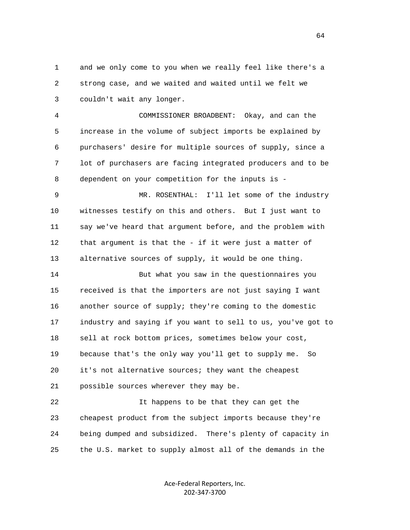1 and we only come to you when we really feel like there's a 2 strong case, and we waited and waited until we felt we 3 couldn't wait any longer.

 4 COMMISSIONER BROADBENT: Okay, and can the 5 increase in the volume of subject imports be explained by 6 purchasers' desire for multiple sources of supply, since a 7 lot of purchasers are facing integrated producers and to be 8 dependent on your competition for the inputs is -

 9 MR. ROSENTHAL: I'll let some of the industry 10 witnesses testify on this and others. But I just want to 11 say we've heard that argument before, and the problem with 12 that argument is that the - if it were just a matter of 13 alternative sources of supply, it would be one thing.

 14 But what you saw in the questionnaires you 15 received is that the importers are not just saying I want 16 another source of supply; they're coming to the domestic 17 industry and saying if you want to sell to us, you've got to 18 sell at rock bottom prices, sometimes below your cost, 19 because that's the only way you'll get to supply me. So 20 it's not alternative sources; they want the cheapest 21 possible sources wherever they may be.

22 It happens to be that they can get the 23 cheapest product from the subject imports because they're 24 being dumped and subsidized. There's plenty of capacity in 25 the U.S. market to supply almost all of the demands in the

> Ace-Federal Reporters, Inc. 202-347-3700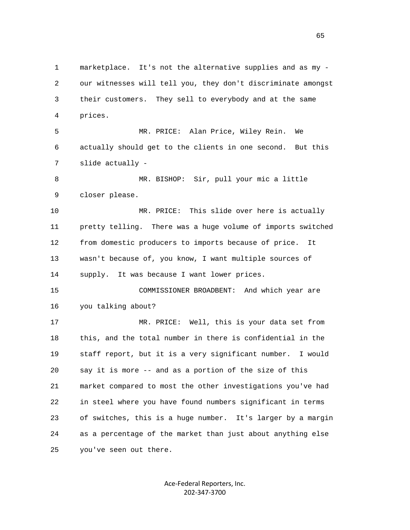1 marketplace. It's not the alternative supplies and as my - 2 our witnesses will tell you, they don't discriminate amongst 3 their customers. They sell to everybody and at the same 4 prices. 5 MR. PRICE: Alan Price, Wiley Rein. We 6 actually should get to the clients in one second. But this 7 slide actually - 8 MR. BISHOP: Sir, pull your mic a little 9 closer please. 10 MR. PRICE: This slide over here is actually 11 pretty telling. There was a huge volume of imports switched 12 from domestic producers to imports because of price. It 13 wasn't because of, you know, I want multiple sources of 14 supply. It was because I want lower prices. 15 COMMISSIONER BROADBENT: And which year are 16 you talking about? 17 MR. PRICE: Well, this is your data set from 18 this, and the total number in there is confidential in the 19 staff report, but it is a very significant number. I would 20 say it is more -- and as a portion of the size of this 21 market compared to most the other investigations you've had 22 in steel where you have found numbers significant in terms 23 of switches, this is a huge number. It's larger by a margin 24 as a percentage of the market than just about anything else 25 you've seen out there.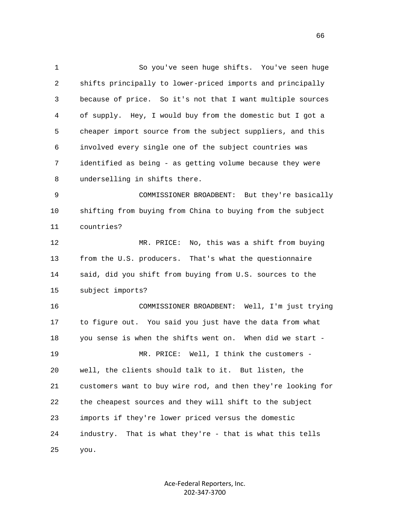1 So you've seen huge shifts. You've seen huge 2 shifts principally to lower-priced imports and principally 3 because of price. So it's not that I want multiple sources 4 of supply. Hey, I would buy from the domestic but I got a 5 cheaper import source from the subject suppliers, and this 6 involved every single one of the subject countries was 7 identified as being - as getting volume because they were 8 underselling in shifts there. 9 COMMISSIONER BROADBENT: But they're basically 10 shifting from buying from China to buying from the subject 11 countries? 12 MR. PRICE: No, this was a shift from buying 13 from the U.S. producers. That's what the questionnaire 14 said, did you shift from buying from U.S. sources to the 15 subject imports? 16 COMMISSIONER BROADBENT: Well, I'm just trying 17 to figure out. You said you just have the data from what 18 you sense is when the shifts went on. When did we start - 19 MR. PRICE: Well, I think the customers - 20 well, the clients should talk to it. But listen, the 21 customers want to buy wire rod, and then they're looking for 22 the cheapest sources and they will shift to the subject 23 imports if they're lower priced versus the domestic 24 industry. That is what they're - that is what this tells 25 you.

> Ace-Federal Reporters, Inc. 202-347-3700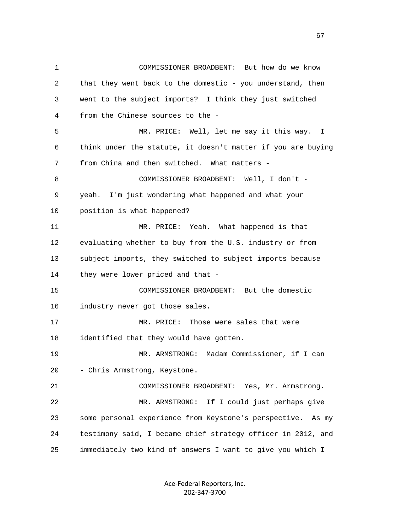1 COMMISSIONER BROADBENT: But how do we know 2 that they went back to the domestic - you understand, then 3 went to the subject imports? I think they just switched 4 from the Chinese sources to the - 5 MR. PRICE: Well, let me say it this way. I 6 think under the statute, it doesn't matter if you are buying 7 from China and then switched. What matters - 8 COMMISSIONER BROADBENT: Well, I don't - 9 yeah. I'm just wondering what happened and what your 10 position is what happened? 11 MR. PRICE: Yeah. What happened is that 12 evaluating whether to buy from the U.S. industry or from 13 subject imports, they switched to subject imports because 14 they were lower priced and that - 15 COMMISSIONER BROADBENT: But the domestic 16 industry never got those sales. 17 MR. PRICE: Those were sales that were 18 identified that they would have gotten. 19 MR. ARMSTRONG: Madam Commissioner, if I can 20 - Chris Armstrong, Keystone. 21 COMMISSIONER BROADBENT: Yes, Mr. Armstrong. 22 MR. ARMSTRONG: If I could just perhaps give 23 some personal experience from Keystone's perspective. As my 24 testimony said, I became chief strategy officer in 2012, and 25 immediately two kind of answers I want to give you which I

> Ace-Federal Reporters, Inc. 202-347-3700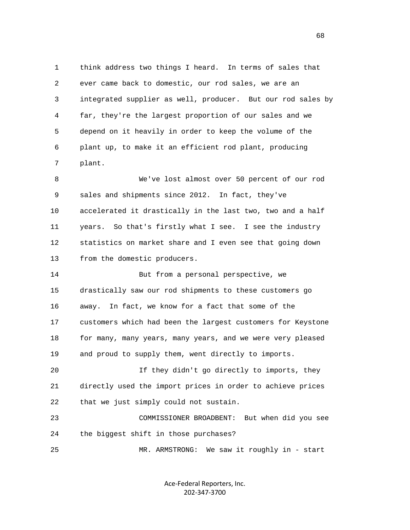1 think address two things I heard. In terms of sales that 2 ever came back to domestic, our rod sales, we are an 3 integrated supplier as well, producer. But our rod sales by 4 far, they're the largest proportion of our sales and we 5 depend on it heavily in order to keep the volume of the 6 plant up, to make it an efficient rod plant, producing 7 plant.

 8 We've lost almost over 50 percent of our rod 9 sales and shipments since 2012. In fact, they've 10 accelerated it drastically in the last two, two and a half 11 years. So that's firstly what I see. I see the industry 12 statistics on market share and I even see that going down 13 from the domestic producers.

 14 But from a personal perspective, we 15 drastically saw our rod shipments to these customers go 16 away. In fact, we know for a fact that some of the 17 customers which had been the largest customers for Keystone 18 for many, many years, many years, and we were very pleased 19 and proud to supply them, went directly to imports.

 20 If they didn't go directly to imports, they 21 directly used the import prices in order to achieve prices 22 that we just simply could not sustain.

 23 COMMISSIONER BROADBENT: But when did you see 24 the biggest shift in those purchases?

25 MR. ARMSTRONG: We saw it roughly in - start

Ace-Federal Reporters, Inc. 202-347-3700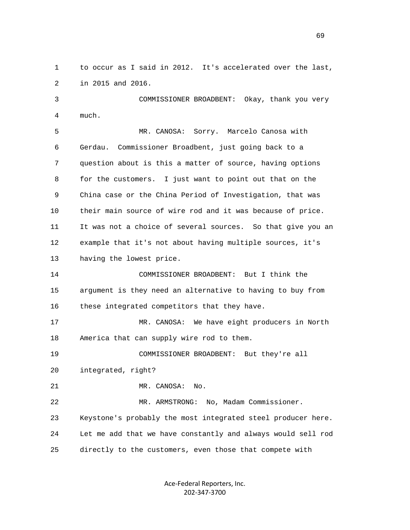1 to occur as I said in 2012. It's accelerated over the last, 2 in 2015 and 2016.

 3 COMMISSIONER BROADBENT: Okay, thank you very 4 much.

 5 MR. CANOSA: Sorry. Marcelo Canosa with 6 Gerdau. Commissioner Broadbent, just going back to a 7 question about is this a matter of source, having options 8 for the customers. I just want to point out that on the 9 China case or the China Period of Investigation, that was 10 their main source of wire rod and it was because of price. 11 It was not a choice of several sources. So that give you an 12 example that it's not about having multiple sources, it's 13 having the lowest price.

 14 COMMISSIONER BROADBENT: But I think the 15 argument is they need an alternative to having to buy from 16 these integrated competitors that they have.

 17 MR. CANOSA: We have eight producers in North 18 America that can supply wire rod to them.

 19 COMMISSIONER BROADBENT: But they're all 20 integrated, right?

21 MR. CANOSA: No.

 22 MR. ARMSTRONG: No, Madam Commissioner. 23 Keystone's probably the most integrated steel producer here. 24 Let me add that we have constantly and always would sell rod 25 directly to the customers, even those that compete with

> Ace-Federal Reporters, Inc. 202-347-3700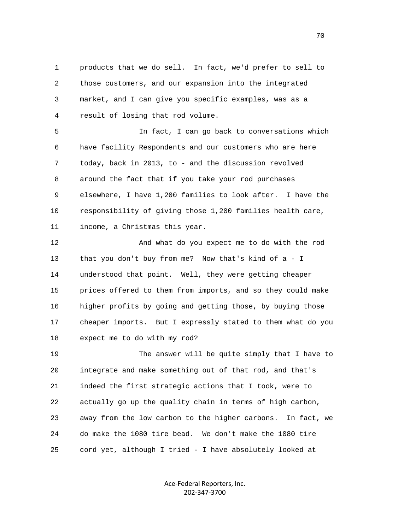1 products that we do sell. In fact, we'd prefer to sell to 2 those customers, and our expansion into the integrated 3 market, and I can give you specific examples, was as a 4 result of losing that rod volume.

 5 In fact, I can go back to conversations which 6 have facility Respondents and our customers who are here 7 today, back in 2013, to - and the discussion revolved 8 around the fact that if you take your rod purchases 9 elsewhere, I have 1,200 families to look after. I have the 10 responsibility of giving those 1,200 families health care, 11 income, a Christmas this year.

 12 And what do you expect me to do with the rod 13 that you don't buy from me? Now that's kind of a - I 14 understood that point. Well, they were getting cheaper 15 prices offered to them from imports, and so they could make 16 higher profits by going and getting those, by buying those 17 cheaper imports. But I expressly stated to them what do you 18 expect me to do with my rod?

 19 The answer will be quite simply that I have to 20 integrate and make something out of that rod, and that's 21 indeed the first strategic actions that I took, were to 22 actually go up the quality chain in terms of high carbon, 23 away from the low carbon to the higher carbons. In fact, we 24 do make the 1080 tire bead. We don't make the 1080 tire 25 cord yet, although I tried - I have absolutely looked at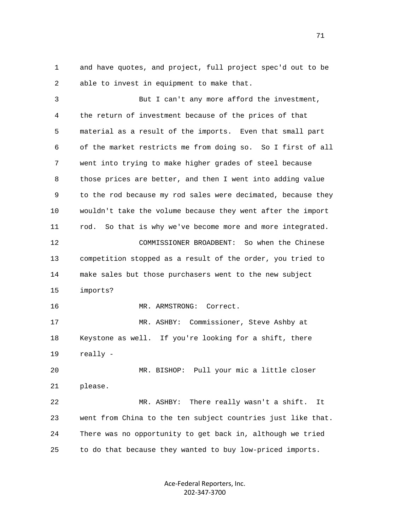1 and have quotes, and project, full project spec'd out to be 2 able to invest in equipment to make that.

 3 But I can't any more afford the investment, 4 the return of investment because of the prices of that 5 material as a result of the imports. Even that small part 6 of the market restricts me from doing so. So I first of all 7 went into trying to make higher grades of steel because 8 those prices are better, and then I went into adding value 9 to the rod because my rod sales were decimated, because they 10 wouldn't take the volume because they went after the import 11 rod. So that is why we've become more and more integrated. 12 COMMISSIONER BROADBENT: So when the Chinese 13 competition stopped as a result of the order, you tried to 14 make sales but those purchasers went to the new subject 15 imports? 16 MR. ARMSTRONG: Correct. 17 MR. ASHBY: Commissioner, Steve Ashby at 18 Keystone as well. If you're looking for a shift, there 19 really - 20 MR. BISHOP: Pull your mic a little closer 21 please. 22 MR. ASHBY: There really wasn't a shift. It 23 went from China to the ten subject countries just like that. 24 There was no opportunity to get back in, although we tried 25 to do that because they wanted to buy low-priced imports.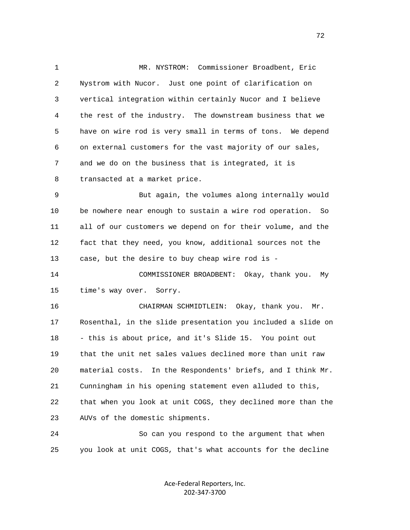1 MR. NYSTROM: Commissioner Broadbent, Eric 2 Nystrom with Nucor. Just one point of clarification on 3 vertical integration within certainly Nucor and I believe 4 the rest of the industry. The downstream business that we 5 have on wire rod is very small in terms of tons. We depend 6 on external customers for the vast majority of our sales, 7 and we do on the business that is integrated, it is 8 transacted at a market price. 9 But again, the volumes along internally would 10 be nowhere near enough to sustain a wire rod operation. So 11 all of our customers we depend on for their volume, and the 12 fact that they need, you know, additional sources not the 13 case, but the desire to buy cheap wire rod is - 14 COMMISSIONER BROADBENT: Okay, thank you. My 15 time's way over. Sorry. 16 CHAIRMAN SCHMIDTLEIN: Okay, thank you. Mr. 17 Rosenthal, in the slide presentation you included a slide on 18 - this is about price, and it's Slide 15. You point out 19 that the unit net sales values declined more than unit raw 20 material costs. In the Respondents' briefs, and I think Mr. 21 Cunningham in his opening statement even alluded to this, 22 that when you look at unit COGS, they declined more than the 23 AUVs of the domestic shipments. 24 So can you respond to the argument that when 25 you look at unit COGS, that's what accounts for the decline

> Ace-Federal Reporters, Inc. 202-347-3700

 $72$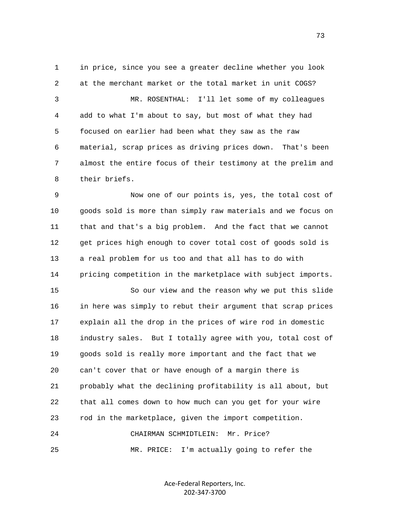1 in price, since you see a greater decline whether you look 2 at the merchant market or the total market in unit COGS? 3 MR. ROSENTHAL: I'll let some of my colleagues 4 add to what I'm about to say, but most of what they had 5 focused on earlier had been what they saw as the raw 6 material, scrap prices as driving prices down. That's been 7 almost the entire focus of their testimony at the prelim and 8 their briefs.

 9 Now one of our points is, yes, the total cost of 10 goods sold is more than simply raw materials and we focus on 11 that and that's a big problem. And the fact that we cannot 12 get prices high enough to cover total cost of goods sold is 13 a real problem for us too and that all has to do with 14 pricing competition in the marketplace with subject imports.

 15 So our view and the reason why we put this slide 16 in here was simply to rebut their argument that scrap prices 17 explain all the drop in the prices of wire rod in domestic 18 industry sales. But I totally agree with you, total cost of 19 goods sold is really more important and the fact that we 20 can't cover that or have enough of a margin there is 21 probably what the declining profitability is all about, but 22 that all comes down to how much can you get for your wire 23 rod in the marketplace, given the import competition. 24 CHAIRMAN SCHMIDTLEIN: Mr. Price?

25 MR. PRICE: I'm actually going to refer the

Ace-Federal Reporters, Inc. 202-347-3700

73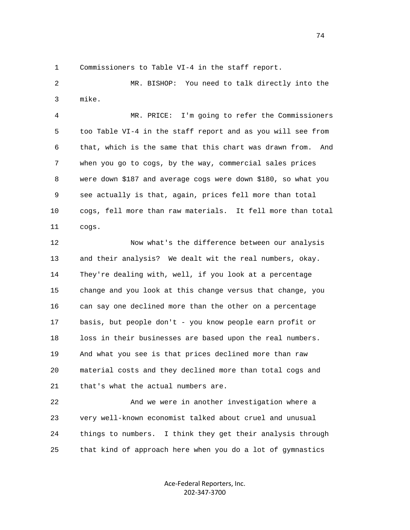1 Commissioners to Table VI-4 in the staff report.

 2 MR. BISHOP: You need to talk directly into the 3 mike.

 4 MR. PRICE: I'm going to refer the Commissioners 5 too Table VI-4 in the staff report and as you will see from 6 that, which is the same that this chart was drawn from. And 7 when you go to cogs, by the way, commercial sales prices 8 were down \$187 and average cogs were down \$180, so what you 9 see actually is that, again, prices fell more than total 10 cogs, fell more than raw materials. It fell more than total 11 cogs.

 12 Now what's the difference between our analysis 13 and their analysis? We dealt wit the real numbers, okay. 14 They're dealing with, well, if you look at a percentage 15 change and you look at this change versus that change, you 16 can say one declined more than the other on a percentage 17 basis, but people don't - you know people earn profit or 18 loss in their businesses are based upon the real numbers. 19 And what you see is that prices declined more than raw 20 material costs and they declined more than total cogs and 21 that's what the actual numbers are.

 22 And we were in another investigation where a 23 very well-known economist talked about cruel and unusual 24 things to numbers. I think they get their analysis through 25 that kind of approach here when you do a lot of gymnastics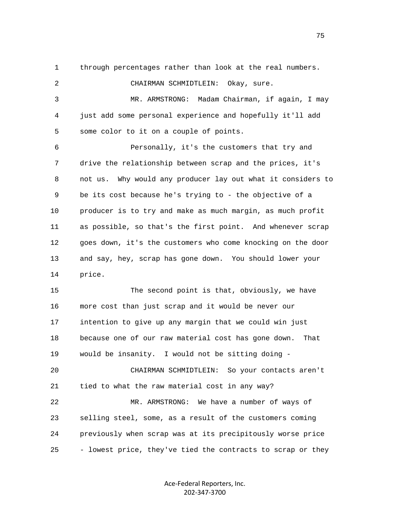1 through percentages rather than look at the real numbers.

 2 CHAIRMAN SCHMIDTLEIN: Okay, sure. 3 MR. ARMSTRONG: Madam Chairman, if again, I may 4 just add some personal experience and hopefully it'll add 5 some color to it on a couple of points. 6 Personally, it's the customers that try and 7 drive the relationship between scrap and the prices, it's 8 not us. Why would any producer lay out what it considers to 9 be its cost because he's trying to - the objective of a 10 producer is to try and make as much margin, as much profit 11 as possible, so that's the first point. And whenever scrap 12 goes down, it's the customers who come knocking on the door 13 and say, hey, scrap has gone down. You should lower your 14 price. 15 The second point is that, obviously, we have

 16 more cost than just scrap and it would be never our 17 intention to give up any margin that we could win just 18 because one of our raw material cost has gone down. That 19 would be insanity. I would not be sitting doing -

 20 CHAIRMAN SCHMIDTLEIN: So your contacts aren't 21 tied to what the raw material cost in any way?

 22 MR. ARMSTRONG: We have a number of ways of 23 selling steel, some, as a result of the customers coming 24 previously when scrap was at its precipitously worse price 25 - lowest price, they've tied the contracts to scrap or they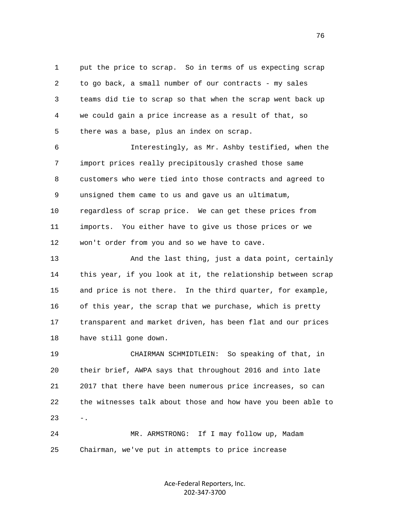1 put the price to scrap. So in terms of us expecting scrap 2 to go back, a small number of our contracts - my sales 3 teams did tie to scrap so that when the scrap went back up 4 we could gain a price increase as a result of that, so 5 there was a base, plus an index on scrap.

 6 Interestingly, as Mr. Ashby testified, when the 7 import prices really precipitously crashed those same 8 customers who were tied into those contracts and agreed to 9 unsigned them came to us and gave us an ultimatum, 10 regardless of scrap price. We can get these prices from 11 imports. You either have to give us those prices or we 12 won't order from you and so we have to cave.

13 And the last thing, just a data point, certainly 14 this year, if you look at it, the relationship between scrap 15 and price is not there. In the third quarter, for example, 16 of this year, the scrap that we purchase, which is pretty 17 transparent and market driven, has been flat and our prices 18 have still gone down.

 19 CHAIRMAN SCHMIDTLEIN: So speaking of that, in 20 their brief, AWPA says that throughout 2016 and into late 21 2017 that there have been numerous price increases, so can 22 the witnesses talk about those and how have you been able to  $23 - -$ 

 24 MR. ARMSTRONG: If I may follow up, Madam 25 Chairman, we've put in attempts to price increase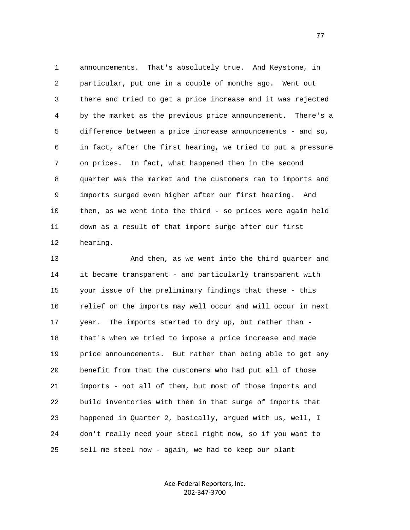1 announcements. That's absolutely true. And Keystone, in 2 particular, put one in a couple of months ago. Went out 3 there and tried to get a price increase and it was rejected 4 by the market as the previous price announcement. There's a 5 difference between a price increase announcements - and so, 6 in fact, after the first hearing, we tried to put a pressure 7 on prices. In fact, what happened then in the second 8 quarter was the market and the customers ran to imports and 9 imports surged even higher after our first hearing. And 10 then, as we went into the third - so prices were again held 11 down as a result of that import surge after our first 12 hearing.

 13 And then, as we went into the third quarter and 14 it became transparent - and particularly transparent with 15 your issue of the preliminary findings that these - this 16 relief on the imports may well occur and will occur in next 17 year. The imports started to dry up, but rather than - 18 that's when we tried to impose a price increase and made 19 price announcements. But rather than being able to get any 20 benefit from that the customers who had put all of those 21 imports - not all of them, but most of those imports and 22 build inventories with them in that surge of imports that 23 happened in Quarter 2, basically, argued with us, well, I 24 don't really need your steel right now, so if you want to 25 sell me steel now - again, we had to keep our plant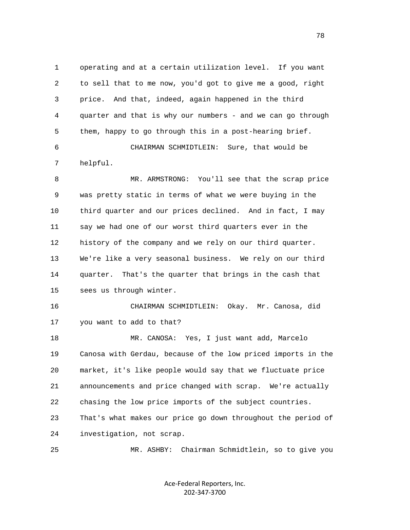1 operating and at a certain utilization level. If you want 2 to sell that to me now, you'd got to give me a good, right 3 price. And that, indeed, again happened in the third 4 quarter and that is why our numbers - and we can go through 5 them, happy to go through this in a post-hearing brief. 6 CHAIRMAN SCHMIDTLEIN: Sure, that would be 7 helpful. 8 MR. ARMSTRONG: You'll see that the scrap price 9 was pretty static in terms of what we were buying in the 10 third quarter and our prices declined. And in fact, I may 11 say we had one of our worst third quarters ever in the 12 history of the company and we rely on our third quarter. 13 We're like a very seasonal business. We rely on our third 14 quarter. That's the quarter that brings in the cash that 15 sees us through winter. 16 CHAIRMAN SCHMIDTLEIN: Okay. Mr. Canosa, did 17 you want to add to that? 18 MR. CANOSA: Yes, I just want add, Marcelo 19 Canosa with Gerdau, because of the low priced imports in the 20 market, it's like people would say that we fluctuate price 21 announcements and price changed with scrap. We're actually 22 chasing the low price imports of the subject countries. 23 That's what makes our price go down throughout the period of 24 investigation, not scrap. 25 MR. ASHBY: Chairman Schmidtlein, so to give you

> Ace-Federal Reporters, Inc. 202-347-3700

na na matsayin na matsayin na matsayin na matsayin na matsayin na matsayin na matsayin na matsayin na matsayin<br>Ta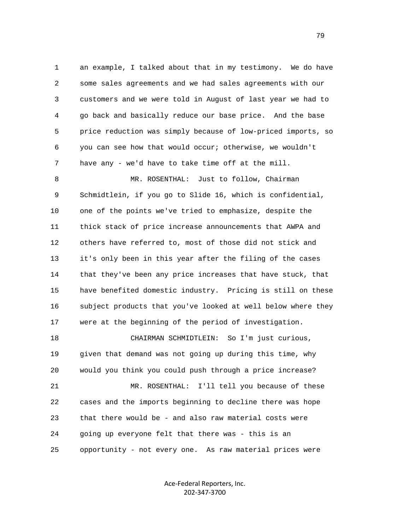1 an example, I talked about that in my testimony. We do have 2 some sales agreements and we had sales agreements with our 3 customers and we were told in August of last year we had to 4 go back and basically reduce our base price. And the base 5 price reduction was simply because of low-priced imports, so 6 you can see how that would occur; otherwise, we wouldn't 7 have any - we'd have to take time off at the mill.

 8 MR. ROSENTHAL: Just to follow, Chairman 9 Schmidtlein, if you go to Slide 16, which is confidential, 10 one of the points we've tried to emphasize, despite the 11 thick stack of price increase announcements that AWPA and 12 others have referred to, most of those did not stick and 13 it's only been in this year after the filing of the cases 14 that they've been any price increases that have stuck, that 15 have benefited domestic industry. Pricing is still on these 16 subject products that you've looked at well below where they 17 were at the beginning of the period of investigation.

 18 CHAIRMAN SCHMIDTLEIN: So I'm just curious, 19 given that demand was not going up during this time, why 20 would you think you could push through a price increase? 21 MR. ROSENTHAL: I'll tell you because of these 22 cases and the imports beginning to decline there was hope 23 that there would be - and also raw material costs were 24 going up everyone felt that there was - this is an 25 opportunity - not every one. As raw material prices were

> Ace-Federal Reporters, Inc. 202-347-3700

ли в село в село во село во село во село во село во село во село во село во село во село во село во село во се<br>Постојата село во село во село во село во село во село во село во село во село во село во село во село во село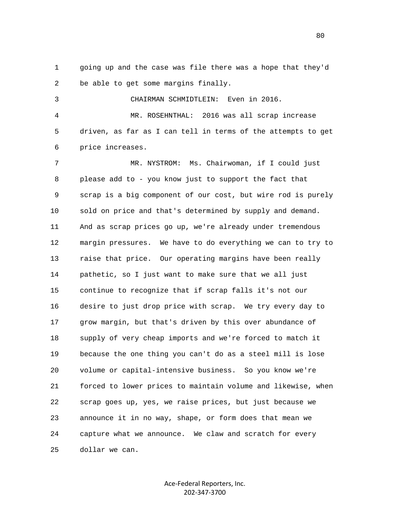1 going up and the case was file there was a hope that they'd 2 be able to get some margins finally.

3 CHAIRMAN SCHMIDTLEIN: Even in 2016.

 4 MR. ROSEHNTHAL: 2016 was all scrap increase 5 driven, as far as I can tell in terms of the attempts to get 6 price increases.

 7 MR. NYSTROM: Ms. Chairwoman, if I could just 8 please add to - you know just to support the fact that 9 scrap is a big component of our cost, but wire rod is purely 10 sold on price and that's determined by supply and demand. 11 And as scrap prices go up, we're already under tremendous 12 margin pressures. We have to do everything we can to try to 13 raise that price. Our operating margins have been really 14 pathetic, so I just want to make sure that we all just 15 continue to recognize that if scrap falls it's not our 16 desire to just drop price with scrap. We try every day to 17 grow margin, but that's driven by this over abundance of 18 supply of very cheap imports and we're forced to match it 19 because the one thing you can't do as a steel mill is lose 20 volume or capital-intensive business. So you know we're 21 forced to lower prices to maintain volume and likewise, when 22 scrap goes up, yes, we raise prices, but just because we 23 announce it in no way, shape, or form does that mean we 24 capture what we announce. We claw and scratch for every 25 dollar we can.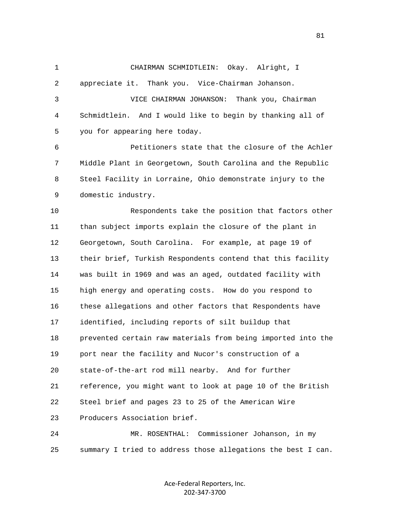1 CHAIRMAN SCHMIDTLEIN: Okay. Alright, I 2 appreciate it. Thank you. Vice-Chairman Johanson. 3 VICE CHAIRMAN JOHANSON: Thank you, Chairman 4 Schmidtlein. And I would like to begin by thanking all of 5 you for appearing here today. 6 Petitioners state that the closure of the Achler 7 Middle Plant in Georgetown, South Carolina and the Republic 8 Steel Facility in Lorraine, Ohio demonstrate injury to the 9 domestic industry. 10 Respondents take the position that factors other 11 than subject imports explain the closure of the plant in 12 Georgetown, South Carolina. For example, at page 19 of 13 their brief, Turkish Respondents contend that this facility 14 was built in 1969 and was an aged, outdated facility with 15 high energy and operating costs. How do you respond to 16 these allegations and other factors that Respondents have 17 identified, including reports of silt buildup that 18 prevented certain raw materials from being imported into the 19 port near the facility and Nucor's construction of a 20 state-of-the-art rod mill nearby. And for further 21 reference, you might want to look at page 10 of the British 22 Steel brief and pages 23 to 25 of the American Wire 23 Producers Association brief. 24 MR. ROSENTHAL: Commissioner Johanson, in my 25 summary I tried to address those allegations the best I can.

> Ace-Federal Reporters, Inc. 202-347-3700

81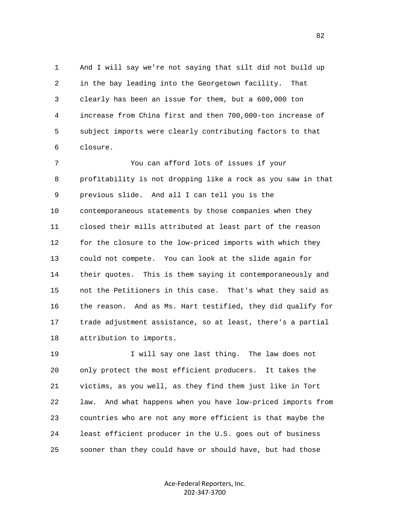1 And I will say we're not saying that silt did not build up 2 in the bay leading into the Georgetown facility. That 3 clearly has been an issue for them, but a 600,000 ton 4 increase from China first and then 700,000-ton increase of 5 subject imports were clearly contributing factors to that 6 closure.

 7 You can afford lots of issues if your 8 profitability is not dropping like a rock as you saw in that 9 previous slide. And all I can tell you is the 10 contemporaneous statements by those companies when they 11 closed their mills attributed at least part of the reason 12 for the closure to the low-priced imports with which they 13 could not compete. You can look at the slide again for 14 their quotes. This is them saying it contemporaneously and 15 not the Petitioners in this case. That's what they said as 16 the reason. And as Ms. Hart testified, they did qualify for 17 trade adjustment assistance, so at least, there's a partial 18 attribution to imports.

 19 I will say one last thing. The law does not 20 only protect the most efficient producers. It takes the 21 victims, as you well, as they find them just like in Tort 22 law. And what happens when you have low-priced imports from 23 countries who are not any more efficient is that maybe the 24 least efficient producer in the U.S. goes out of business 25 sooner than they could have or should have, but had those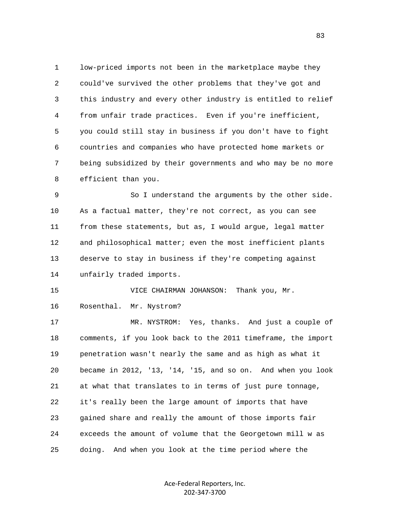1 low-priced imports not been in the marketplace maybe they 2 could've survived the other problems that they've got and 3 this industry and every other industry is entitled to relief 4 from unfair trade practices. Even if you're inefficient, 5 you could still stay in business if you don't have to fight 6 countries and companies who have protected home markets or 7 being subsidized by their governments and who may be no more 8 efficient than you.

 9 So I understand the arguments by the other side. 10 As a factual matter, they're not correct, as you can see 11 from these statements, but as, I would argue, legal matter 12 and philosophical matter; even the most inefficient plants 13 deserve to stay in business if they're competing against 14 unfairly traded imports.

 15 VICE CHAIRMAN JOHANSON: Thank you, Mr. 16 Rosenthal. Mr. Nystrom?

 17 MR. NYSTROM: Yes, thanks. And just a couple of 18 comments, if you look back to the 2011 timeframe, the import 19 penetration wasn't nearly the same and as high as what it 20 became in 2012, '13, '14, '15, and so on. And when you look 21 at what that translates to in terms of just pure tonnage, 22 it's really been the large amount of imports that have 23 gained share and really the amount of those imports fair 24 exceeds the amount of volume that the Georgetown mill w as 25 doing. And when you look at the time period where the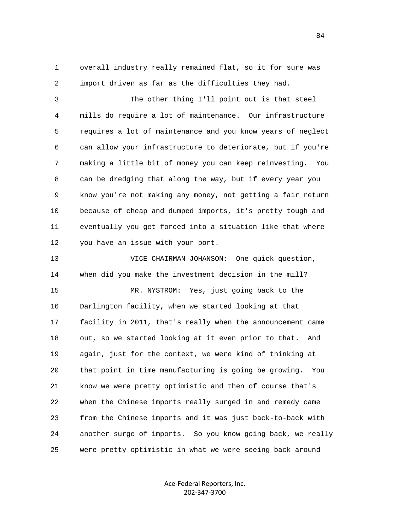1 overall industry really remained flat, so it for sure was 2 import driven as far as the difficulties they had.

 3 The other thing I'll point out is that steel 4 mills do require a lot of maintenance. Our infrastructure 5 requires a lot of maintenance and you know years of neglect 6 can allow your infrastructure to deteriorate, but if you're 7 making a little bit of money you can keep reinvesting. You 8 can be dredging that along the way, but if every year you 9 know you're not making any money, not getting a fair return 10 because of cheap and dumped imports, it's pretty tough and 11 eventually you get forced into a situation like that where 12 you have an issue with your port.

 13 VICE CHAIRMAN JOHANSON: One quick question, 14 when did you make the investment decision in the mill? 15 MR. NYSTROM: Yes, just going back to the 16 Darlington facility, when we started looking at that 17 facility in 2011, that's really when the announcement came 18 out, so we started looking at it even prior to that. And 19 again, just for the context, we were kind of thinking at 20 that point in time manufacturing is going be growing. You 21 know we were pretty optimistic and then of course that's 22 when the Chinese imports really surged in and remedy came 23 from the Chinese imports and it was just back-to-back with 24 another surge of imports. So you know going back, we really 25 were pretty optimistic in what we were seeing back around

> Ace-Federal Reporters, Inc. 202-347-3700

84 and 2012 and 2012 and 2012 and 2012 and 2012 and 2012 and 2012 and 2012 and 2012 and 2012 and 201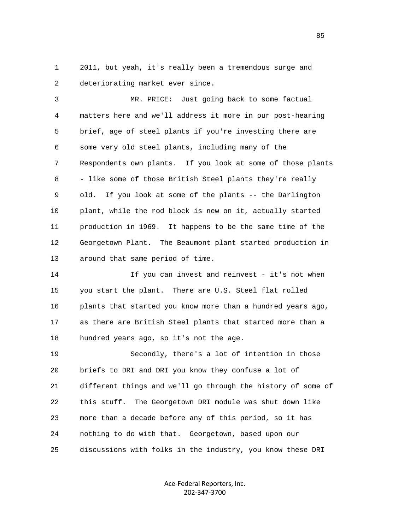1 2011, but yeah, it's really been a tremendous surge and 2 deteriorating market ever since.

 3 MR. PRICE: Just going back to some factual 4 matters here and we'll address it more in our post-hearing 5 brief, age of steel plants if you're investing there are 6 some very old steel plants, including many of the 7 Respondents own plants. If you look at some of those plants 8 - like some of those British Steel plants they're really 9 old. If you look at some of the plants -- the Darlington 10 plant, while the rod block is new on it, actually started 11 production in 1969. It happens to be the same time of the 12 Georgetown Plant. The Beaumont plant started production in 13 around that same period of time.

14 14 If you can invest and reinvest - it's not when 15 you start the plant. There are U.S. Steel flat rolled 16 plants that started you know more than a hundred years ago, 17 as there are British Steel plants that started more than a 18 hundred years ago, so it's not the age.

 19 Secondly, there's a lot of intention in those 20 briefs to DRI and DRI you know they confuse a lot of 21 different things and we'll go through the history of some of 22 this stuff. The Georgetown DRI module was shut down like 23 more than a decade before any of this period, so it has 24 nothing to do with that. Georgetown, based upon our 25 discussions with folks in the industry, you know these DRI

> Ace-Federal Reporters, Inc. 202-347-3700

en de la construction de la construction de la construction de la construction de la construction de la constr<br>De la construction de la construction de la construction de la construction de la construction de la construct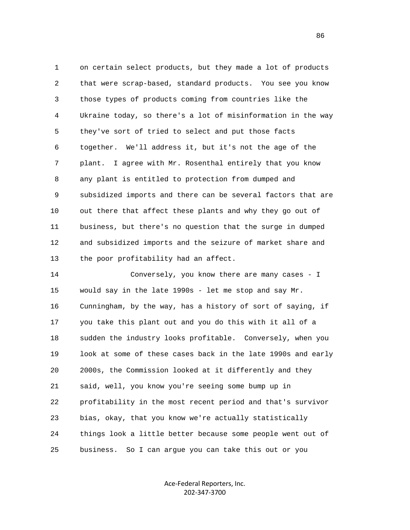1 on certain select products, but they made a lot of products 2 that were scrap-based, standard products. You see you know 3 those types of products coming from countries like the 4 Ukraine today, so there's a lot of misinformation in the way 5 they've sort of tried to select and put those facts 6 together. We'll address it, but it's not the age of the 7 plant. I agree with Mr. Rosenthal entirely that you know 8 any plant is entitled to protection from dumped and 9 subsidized imports and there can be several factors that are 10 out there that affect these plants and why they go out of 11 business, but there's no question that the surge in dumped 12 and subsidized imports and the seizure of market share and 13 the poor profitability had an affect.

 14 Conversely, you know there are many cases - I 15 would say in the late 1990s - let me stop and say Mr. 16 Cunningham, by the way, has a history of sort of saying, if 17 you take this plant out and you do this with it all of a 18 sudden the industry looks profitable. Conversely, when you 19 look at some of these cases back in the late 1990s and early 20 2000s, the Commission looked at it differently and they 21 said, well, you know you're seeing some bump up in 22 profitability in the most recent period and that's survivor 23 bias, okay, that you know we're actually statistically 24 things look a little better because some people went out of 25 business. So I can argue you can take this out or you

> Ace-Federal Reporters, Inc. 202-347-3700

en de la construcción de la construcción de la construcción de la construcción de la construcción de la construcción<br>En la construcción de la construcción de la construcción de la construcción de la construcción de la cons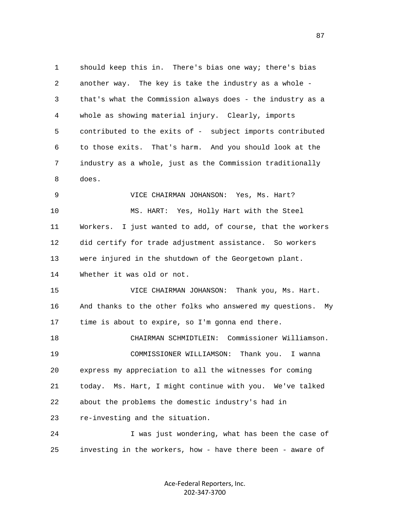1 should keep this in. There's bias one way; there's bias 2 another way. The key is take the industry as a whole - 3 that's what the Commission always does - the industry as a 4 whole as showing material injury. Clearly, imports 5 contributed to the exits of - subject imports contributed 6 to those exits. That's harm. And you should look at the 7 industry as a whole, just as the Commission traditionally 8 does. 9 VICE CHAIRMAN JOHANSON: Yes, Ms. Hart? 10 MS. HART: Yes, Holly Hart with the Steel 11 Workers. I just wanted to add, of course, that the workers 12 did certify for trade adjustment assistance. So workers 13 were injured in the shutdown of the Georgetown plant. 14 Whether it was old or not. 15 VICE CHAIRMAN JOHANSON: Thank you, Ms. Hart. 16 And thanks to the other folks who answered my questions. My 17 time is about to expire, so I'm gonna end there. 18 CHAIRMAN SCHMIDTLEIN: Commissioner Williamson. 19 COMMISSIONER WILLIAMSON: Thank you. I wanna 20 express my appreciation to all the witnesses for coming 21 today. Ms. Hart, I might continue with you. We've talked 22 about the problems the domestic industry's had in 23 re-investing and the situation. 24 I was just wondering, what has been the case of 25 investing in the workers, how - have there been - aware of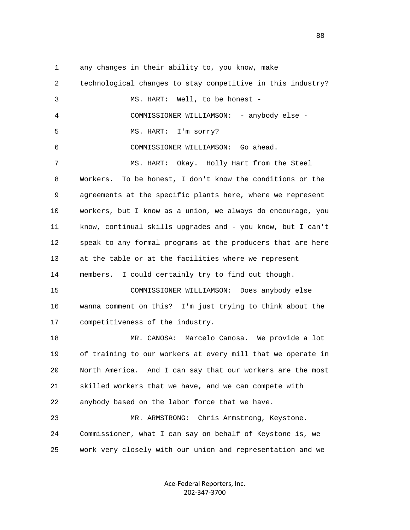1 any changes in their ability to, you know, make

 2 technological changes to stay competitive in this industry? 3 MS. HART: Well, to be honest - 4 COMMISSIONER WILLIAMSON: - anybody else - 5 MS. HART: I'm sorry? 6 COMMISSIONER WILLIAMSON: Go ahead. 7 MS. HART: Okay. Holly Hart from the Steel 8 Workers. To be honest, I don't know the conditions or the 9 agreements at the specific plants here, where we represent 10 workers, but I know as a union, we always do encourage, you 11 know, continual skills upgrades and - you know, but I can't 12 speak to any formal programs at the producers that are here 13 at the table or at the facilities where we represent 14 members. I could certainly try to find out though. 15 COMMISSIONER WILLIAMSON: Does anybody else 16 wanna comment on this? I'm just trying to think about the 17 competitiveness of the industry. 18 MR. CANOSA: Marcelo Canosa. We provide a lot 19 of training to our workers at every mill that we operate in 20 North America. And I can say that our workers are the most 21 skilled workers that we have, and we can compete with 22 anybody based on the labor force that we have. 23 MR. ARMSTRONG: Chris Armstrong, Keystone. 24 Commissioner, what I can say on behalf of Keystone is, we 25 work very closely with our union and representation and we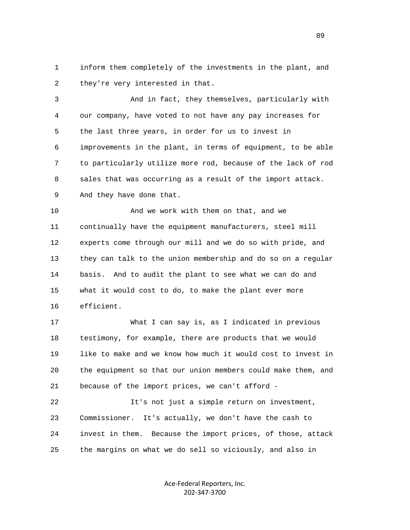1 inform them completely of the investments in the plant, and 2 they're very interested in that.

 3 And in fact, they themselves, particularly with 4 our company, have voted to not have any pay increases for 5 the last three years, in order for us to invest in 6 improvements in the plant, in terms of equipment, to be able 7 to particularly utilize more rod, because of the lack of rod 8 sales that was occurring as a result of the import attack. 9 And they have done that.

 10 And we work with them on that, and we 11 continually have the equipment manufacturers, steel mill 12 experts come through our mill and we do so with pride, and 13 they can talk to the union membership and do so on a regular 14 basis. And to audit the plant to see what we can do and 15 what it would cost to do, to make the plant ever more 16 efficient.

 17 What I can say is, as I indicated in previous 18 testimony, for example, there are products that we would 19 like to make and we know how much it would cost to invest in 20 the equipment so that our union members could make them, and 21 because of the import prices, we can't afford -

 22 It's not just a simple return on investment, 23 Commissioner. It's actually, we don't have the cash to 24 invest in them. Because the import prices, of those, attack 25 the margins on what we do sell so viciously, and also in

> Ace-Federal Reporters, Inc. 202-347-3700

en de la construction de la construction de la construction de la construction de la construction de la constr<br>De la construction de la construction de la construction de la construction de la construction de la construct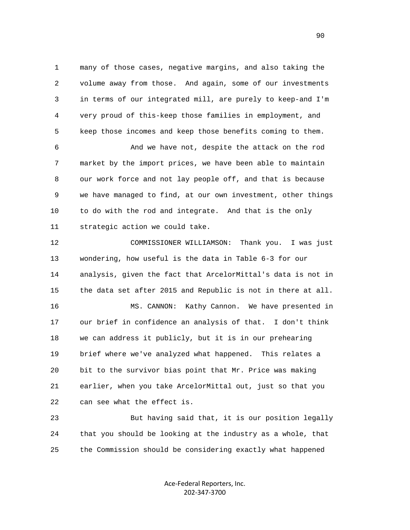1 many of those cases, negative margins, and also taking the 2 volume away from those. And again, some of our investments 3 in terms of our integrated mill, are purely to keep-and I'm 4 very proud of this-keep those families in employment, and 5 keep those incomes and keep those benefits coming to them.

 6 And we have not, despite the attack on the rod 7 market by the import prices, we have been able to maintain 8 our work force and not lay people off, and that is because 9 we have managed to find, at our own investment, other things 10 to do with the rod and integrate. And that is the only 11 strategic action we could take.

 12 COMMISSIONER WILLIAMSON: Thank you. I was just 13 wondering, how useful is the data in Table 6-3 for our 14 analysis, given the fact that ArcelorMittal's data is not in 15 the data set after 2015 and Republic is not in there at all.

 16 MS. CANNON: Kathy Cannon. We have presented in 17 our brief in confidence an analysis of that. I don't think 18 we can address it publicly, but it is in our prehearing 19 brief where we've analyzed what happened. This relates a 20 bit to the survivor bias point that Mr. Price was making 21 earlier, when you take ArcelorMittal out, just so that you 22 can see what the effect is.

 23 But having said that, it is our position legally 24 that you should be looking at the industry as a whole, that 25 the Commission should be considering exactly what happened

> Ace-Federal Reporters, Inc. 202-347-3700

en de la construction de la construction de la construction de la construction de la construction de la constr<br>1900 : la construction de la construction de la construction de la construction de la construction de la const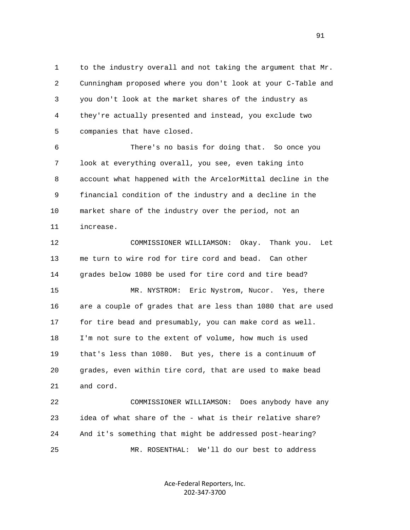1 to the industry overall and not taking the argument that Mr. 2 Cunningham proposed where you don't look at your C-Table and 3 you don't look at the market shares of the industry as 4 they're actually presented and instead, you exclude two 5 companies that have closed.

 6 There's no basis for doing that. So once you 7 look at everything overall, you see, even taking into 8 account what happened with the ArcelorMittal decline in the 9 financial condition of the industry and a decline in the 10 market share of the industry over the period, not an 11 increase.

 12 COMMISSIONER WILLIAMSON: Okay. Thank you. Let 13 me turn to wire rod for tire cord and bead. Can other 14 grades below 1080 be used for tire cord and tire bead?

 15 MR. NYSTROM: Eric Nystrom, Nucor. Yes, there 16 are a couple of grades that are less than 1080 that are used 17 for tire bead and presumably, you can make cord as well. 18 I'm not sure to the extent of volume, how much is used 19 that's less than 1080. But yes, there is a continuum of 20 grades, even within tire cord, that are used to make bead 21 and cord.

 22 COMMISSIONER WILLIAMSON: Does anybody have any 23 idea of what share of the - what is their relative share? 24 And it's something that might be addressed post-hearing? 25 MR. ROSENTHAL: We'll do our best to address

> Ace-Federal Reporters, Inc. 202-347-3700

91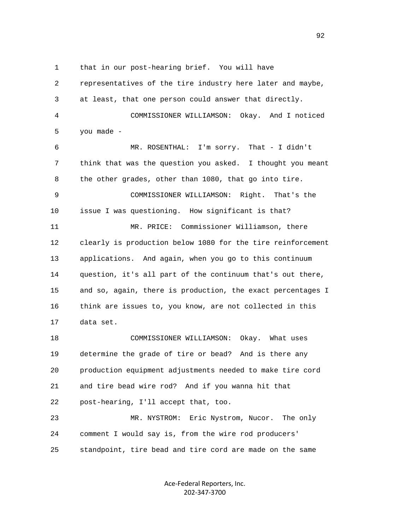1 that in our post-hearing brief. You will have 2 representatives of the tire industry here later and maybe, 3 at least, that one person could answer that directly. 4 COMMISSIONER WILLIAMSON: Okay. And I noticed 5 you made - 6 MR. ROSENTHAL: I'm sorry. That - I didn't 7 think that was the question you asked. I thought you meant 8 the other grades, other than 1080, that go into tire. 9 COMMISSIONER WILLIAMSON: Right. That's the 10 issue I was questioning. How significant is that? 11 MR. PRICE: Commissioner Williamson, there 12 clearly is production below 1080 for the tire reinforcement 13 applications. And again, when you go to this continuum 14 question, it's all part of the continuum that's out there, 15 and so, again, there is production, the exact percentages I 16 think are issues to, you know, are not collected in this 17 data set. 18 COMMISSIONER WILLIAMSON: Okay. What uses

 19 determine the grade of tire or bead? And is there any 20 production equipment adjustments needed to make tire cord 21 and tire bead wire rod? And if you wanna hit that 22 post-hearing, I'll accept that, too. 23 MR. NYSTROM: Eric Nystrom, Nucor. The only

 24 comment I would say is, from the wire rod producers' 25 standpoint, tire bead and tire cord are made on the same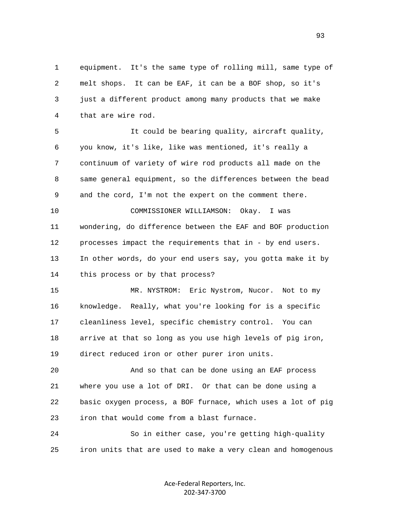1 equipment. It's the same type of rolling mill, same type of 2 melt shops. It can be EAF, it can be a BOF shop, so it's 3 just a different product among many products that we make 4 that are wire rod.

 5 It could be bearing quality, aircraft quality, 6 you know, it's like, like was mentioned, it's really a 7 continuum of variety of wire rod products all made on the 8 same general equipment, so the differences between the bead 9 and the cord, I'm not the expert on the comment there.

 10 COMMISSIONER WILLIAMSON: Okay. I was 11 wondering, do difference between the EAF and BOF production 12 processes impact the requirements that in - by end users. 13 In other words, do your end users say, you gotta make it by 14 this process or by that process?

 15 MR. NYSTROM: Eric Nystrom, Nucor. Not to my 16 knowledge. Really, what you're looking for is a specific 17 cleanliness level, specific chemistry control. You can 18 arrive at that so long as you use high levels of pig iron, 19 direct reduced iron or other purer iron units.

 20 And so that can be done using an EAF process 21 where you use a lot of DRI. Or that can be done using a 22 basic oxygen process, a BOF furnace, which uses a lot of pig 23 iron that would come from a blast furnace.

 24 So in either case, you're getting high-quality 25 iron units that are used to make a very clean and homogenous

> Ace-Federal Reporters, Inc. 202-347-3700

experience of the contract of the contract of the contract of the contract of the contract of the contract of the contract of the contract of the contract of the contract of the contract of the contract of the contract of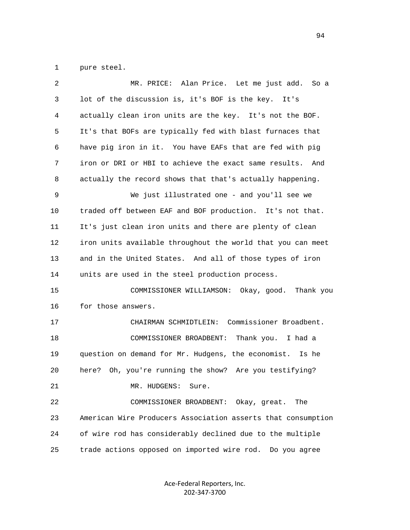1 pure steel.

| 2  | Alan Price. Let me just add.<br>MR. PRICE:<br>So a           |
|----|--------------------------------------------------------------|
| 3  | lot of the discussion is, it's BOF is the key.<br>It's       |
| 4  | actually clean iron units are the key. It's not the BOF.     |
| 5  | It's that BOFs are typically fed with blast furnaces that    |
| 6  | have pig iron in it. You have EAFs that are fed with pig     |
| 7  | iron or DRI or HBI to achieve the exact same results.<br>And |
| 8  | actually the record shows that that's actually happening.    |
| 9  | We just illustrated one - and you'll see we                  |
| 10 | traded off between EAF and BOF production. It's not that.    |
| 11 | It's just clean iron units and there are plenty of clean     |
| 12 | iron units available throughout the world that you can meet  |
| 13 | and in the United States. And all of those types of iron     |
| 14 | units are used in the steel production process.              |
| 15 | COMMISSIONER WILLIAMSON: Okay, good.<br>Thank you            |
| 16 | for those answers.                                           |
| 17 | CHAIRMAN SCHMIDTLEIN: Commissioner Broadbent.                |
| 18 | Thank you. I had a<br>COMMISSIONER BROADBENT:                |
| 19 | question on demand for Mr. Hudgens, the economist.<br>Is he  |
| 20 | here? Oh, you're running the show? Are you testifying?       |
| 21 | MR. HUDGENS:<br>Sure.                                        |
| 22 | COMMISSIONER BROADBENT: Okay, great.<br>The                  |
| 23 | American Wire Producers Association asserts that consumption |
| 24 | of wire rod has considerably declined due to the multiple    |
| 25 | trade actions opposed on imported wire rod.<br>Do you agree  |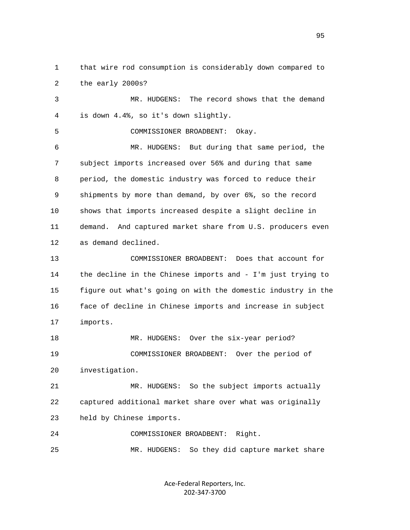1 that wire rod consumption is considerably down compared to 2 the early 2000s?

 3 MR. HUDGENS: The record shows that the demand 4 is down 4.4%, so it's down slightly.

5 COMMISSIONER BROADBENT: Okay.

 6 MR. HUDGENS: But during that same period, the 7 subject imports increased over 56% and during that same 8 period, the domestic industry was forced to reduce their 9 shipments by more than demand, by over 6%, so the record 10 shows that imports increased despite a slight decline in 11 demand. And captured market share from U.S. producers even 12 as demand declined.

 13 COMMISSIONER BROADBENT: Does that account for 14 the decline in the Chinese imports and - I'm just trying to 15 figure out what's going on with the domestic industry in the 16 face of decline in Chinese imports and increase in subject 17 imports.

18 MR. HUDGENS: Over the six-year period? 19 COMMISSIONER BROADBENT: Over the period of 20 investigation.

 21 MR. HUDGENS: So the subject imports actually 22 captured additional market share over what was originally 23 held by Chinese imports.

 24 COMMISSIONER BROADBENT: Right. 25 MR. HUDGENS: So they did capture market share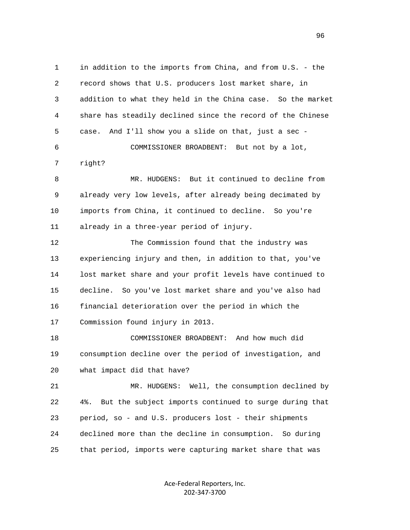1 in addition to the imports from China, and from U.S. - the 2 record shows that U.S. producers lost market share, in 3 addition to what they held in the China case. So the market 4 share has steadily declined since the record of the Chinese 5 case. And I'll show you a slide on that, just a sec - 6 COMMISSIONER BROADBENT: But not by a lot, 7 right? 8 MR. HUDGENS: But it continued to decline from 9 already very low levels, after already being decimated by 10 imports from China, it continued to decline. So you're 11 already in a three-year period of injury. 12 The Commission found that the industry was 13 experiencing injury and then, in addition to that, you've 14 lost market share and your profit levels have continued to 15 decline. So you've lost market share and you've also had 16 financial deterioration over the period in which the 17 Commission found injury in 2013. 18 COMMISSIONER BROADBENT: And how much did 19 consumption decline over the period of investigation, and 20 what impact did that have? 21 MR. HUDGENS: Well, the consumption declined by 22 4%. But the subject imports continued to surge during that 23 period, so - and U.S. producers lost - their shipments 24 declined more than the decline in consumption. So during 25 that period, imports were capturing market share that was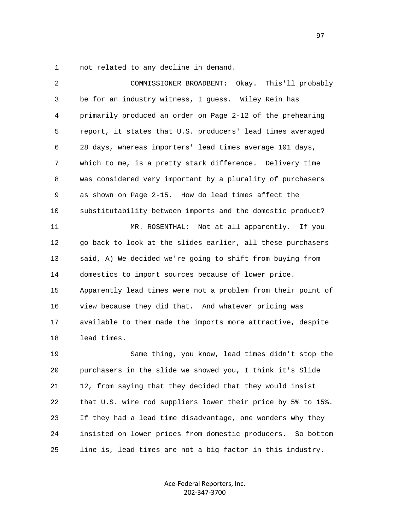1 not related to any decline in demand.

| 2  | Okay. This'll probably<br>COMMISSIONER BROADBENT:              |
|----|----------------------------------------------------------------|
| 3  | be for an industry witness, I guess. Wiley Rein has            |
| 4  | primarily produced an order on Page 2-12 of the prehearing     |
| 5  | report, it states that U.S. producers' lead times averaged     |
| 6  | 28 days, whereas importers' lead times average 101 days,       |
| 7  | which to me, is a pretty stark difference. Delivery time       |
| 8  | was considered very important by a plurality of purchasers     |
| 9  | as shown on Page 2-15. How do lead times affect the            |
| 10 | substitutability between imports and the domestic product?     |
| 11 | MR. ROSENTHAL: Not at all apparently. If you                   |
| 12 | go back to look at the slides earlier, all these purchasers    |
| 13 | said, A) We decided we're going to shift from buying from      |
| 14 | domestics to import sources because of lower price.            |
| 15 | Apparently lead times were not a problem from their point of   |
| 16 | view because they did that. And whatever pricing was           |
| 17 | available to them made the imports more attractive, despite    |
| 18 | lead times.                                                    |
| 19 | Same thing, you know, lead times didn't stop the               |
| 20 | purchasers in the slide we showed you, I think it's Slide      |
| 21 | 12, from saying that they decided that they would insist       |
| 22 | that U.S. wire rod suppliers lower their price by 5% to 15%.   |
| 23 | If they had a lead time disadvantage, one wonders why they     |
| 24 | insisted on lower prices from domestic producers.<br>So bottom |
| 25 | line is, lead times are not a big factor in this industry.     |

Ace-Federal Reporters, Inc. 202-347-3700

е процесство производство в село в 1972 године в 1972 године в 1972 године в 1973 године в 1973 године в 1973 <br>В 1973 године в 1974 године в 1973 године в 1974 године в 1974 године в 1974 године в 1974 године в 1974 годин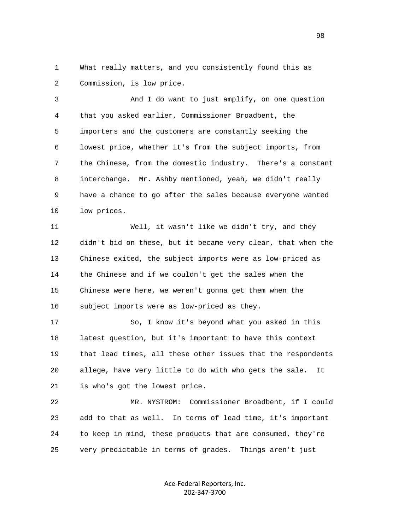1 What really matters, and you consistently found this as 2 Commission, is low price.

 3 And I do want to just amplify, on one question 4 that you asked earlier, Commissioner Broadbent, the 5 importers and the customers are constantly seeking the 6 lowest price, whether it's from the subject imports, from 7 the Chinese, from the domestic industry. There's a constant 8 interchange. Mr. Ashby mentioned, yeah, we didn't really 9 have a chance to go after the sales because everyone wanted 10 low prices.

 11 Well, it wasn't like we didn't try, and they 12 didn't bid on these, but it became very clear, that when the 13 Chinese exited, the subject imports were as low-priced as 14 the Chinese and if we couldn't get the sales when the 15 Chinese were here, we weren't gonna get them when the 16 subject imports were as low-priced as they.

 17 So, I know it's beyond what you asked in this 18 latest question, but it's important to have this context 19 that lead times, all these other issues that the respondents 20 allege, have very little to do with who gets the sale. It 21 is who's got the lowest price.

 22 MR. NYSTROM: Commissioner Broadbent, if I could 23 add to that as well. In terms of lead time, it's important 24 to keep in mind, these products that are consumed, they're 25 very predictable in terms of grades. Things aren't just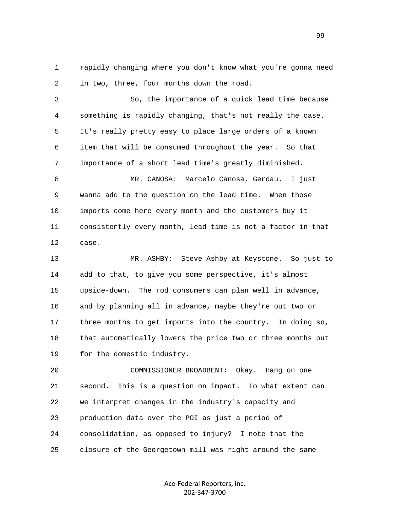1 rapidly changing where you don't know what you're gonna need 2 in two, three, four months down the road.

 3 So, the importance of a quick lead time because 4 something is rapidly changing, that's not really the case. 5 It's really pretty easy to place large orders of a known 6 item that will be consumed throughout the year. So that 7 importance of a short lead time's greatly diminished.

 8 MR. CANOSA: Marcelo Canosa, Gerdau. I just 9 wanna add to the question on the lead time. When those 10 imports come here every month and the customers buy it 11 consistently every month, lead time is not a factor in that 12 case.

 13 MR. ASHBY: Steve Ashby at Keystone. So just to 14 add to that, to give you some perspective, it's almost 15 upside-down. The rod consumers can plan well in advance, 16 and by planning all in advance, maybe they're out two or 17 three months to get imports into the country. In doing so, 18 that automatically lowers the price two or three months out 19 for the domestic industry.

 20 COMMISSIONER BROADBENT: Okay. Hang on one 21 second. This is a question on impact. To what extent can 22 we interpret changes in the industry's capacity and 23 production data over the POI as just a period of 24 consolidation, as opposed to injury? I note that the 25 closure of the Georgetown mill was right around the same

> Ace-Federal Reporters, Inc. 202-347-3700

99 and the state of the state of the state of the state of the state of the state of the state of the state of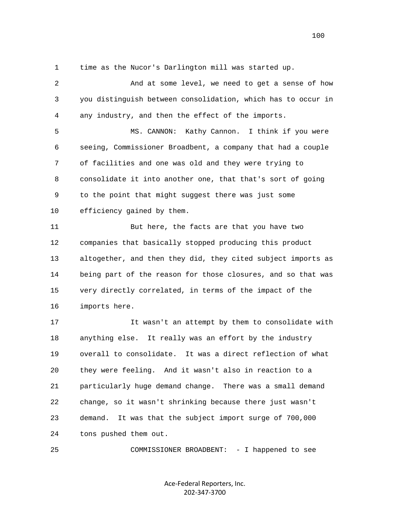1 time as the Nucor's Darlington mill was started up.

 2 And at some level, we need to get a sense of how 3 you distinguish between consolidation, which has to occur in 4 any industry, and then the effect of the imports.

 5 MS. CANNON: Kathy Cannon. I think if you were 6 seeing, Commissioner Broadbent, a company that had a couple 7 of facilities and one was old and they were trying to 8 consolidate it into another one, that that's sort of going 9 to the point that might suggest there was just some 10 efficiency gained by them.

 11 But here, the facts are that you have two 12 companies that basically stopped producing this product 13 altogether, and then they did, they cited subject imports as 14 being part of the reason for those closures, and so that was 15 very directly correlated, in terms of the impact of the 16 imports here.

 17 It wasn't an attempt by them to consolidate with 18 anything else. It really was an effort by the industry 19 overall to consolidate. It was a direct reflection of what 20 they were feeling. And it wasn't also in reaction to a 21 particularly huge demand change. There was a small demand 22 change, so it wasn't shrinking because there just wasn't 23 demand. It was that the subject import surge of 700,000 24 tons pushed them out.

25 COMMISSIONER BROADBENT: - I happened to see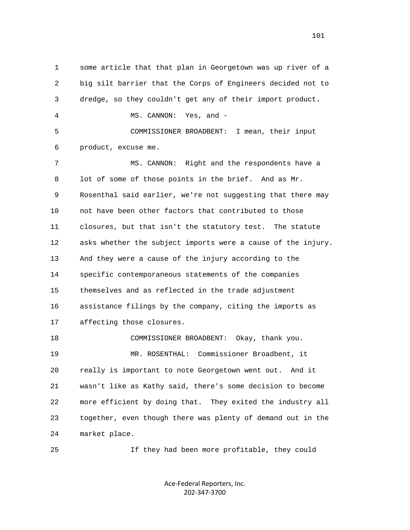1 some article that that plan in Georgetown was up river of a 2 big silt barrier that the Corps of Engineers decided not to 3 dredge, so they couldn't get any of their import product. 4 MS. CANNON: Yes, and - 5 COMMISSIONER BROADBENT: I mean, their input 6 product, excuse me. 7 MS. CANNON: Right and the respondents have a 8 lot of some of those points in the brief. And as Mr. 9 Rosenthal said earlier, we're not suggesting that there may 10 not have been other factors that contributed to those 11 closures, but that isn't the statutory test. The statute 12 asks whether the subject imports were a cause of the injury. 13 And they were a cause of the injury according to the 14 specific contemporaneous statements of the companies 15 themselves and as reflected in the trade adjustment 16 assistance filings by the company, citing the imports as 17 affecting those closures. 18 COMMISSIONER BROADBENT: Okay, thank you. 19 MR. ROSENTHAL: Commissioner Broadbent, it 20 really is important to note Georgetown went out. And it 21 wasn't like as Kathy said, there's some decision to become 22 more efficient by doing that. They exited the industry all 23 together, even though there was plenty of demand out in the 24 market place.

25 If they had been more profitable, they could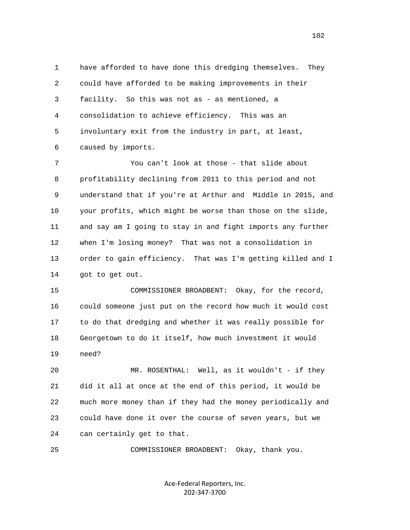1 have afforded to have done this dredging themselves. They 2 could have afforded to be making improvements in their 3 facility. So this was not as - as mentioned, a 4 consolidation to achieve efficiency. This was an 5 involuntary exit from the industry in part, at least, 6 caused by imports.

 7 You can't look at those - that slide about 8 profitability declining from 2011 to this period and not 9 understand that if you're at Arthur and Middle in 2015, and 10 your profits, which might be worse than those on the slide, 11 and say am I going to stay in and fight imports any further 12 when I'm losing money? That was not a consolidation in 13 order to gain efficiency. That was I'm getting killed and I 14 got to get out.

 15 COMMISSIONER BROADBENT: Okay, for the record, 16 could someone just put on the record how much it would cost 17 to do that dredging and whether it was really possible for 18 Georgetown to do it itself, how much investment it would 19 need?

 20 MR. ROSENTHAL: Well, as it wouldn't - if they 21 did it all at once at the end of this period, it would be 22 much more money than if they had the money periodically and 23 could have done it over the course of seven years, but we 24 can certainly get to that.

25 COMMISSIONER BROADBENT: Okay, thank you.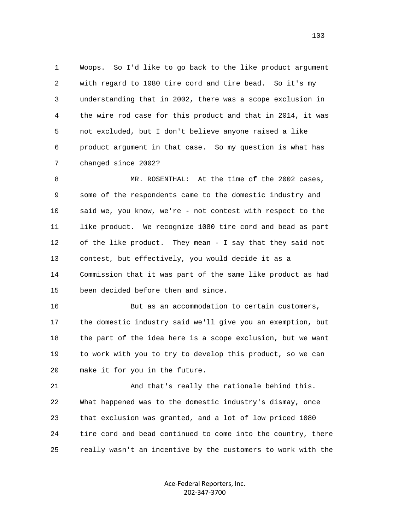1 Woops. So I'd like to go back to the like product argument 2 with regard to 1080 tire cord and tire bead. So it's my 3 understanding that in 2002, there was a scope exclusion in 4 the wire rod case for this product and that in 2014, it was 5 not excluded, but I don't believe anyone raised a like 6 product argument in that case. So my question is what has 7 changed since 2002?

8 MR. ROSENTHAL: At the time of the 2002 cases, 9 some of the respondents came to the domestic industry and 10 said we, you know, we're - not contest with respect to the 11 like product. We recognize 1080 tire cord and bead as part 12 of the like product. They mean - I say that they said not 13 contest, but effectively, you would decide it as a 14 Commission that it was part of the same like product as had 15 been decided before then and since.

 16 But as an accommodation to certain customers, 17 the domestic industry said we'll give you an exemption, but 18 the part of the idea here is a scope exclusion, but we want 19 to work with you to try to develop this product, so we can 20 make it for you in the future.

 21 And that's really the rationale behind this. 22 What happened was to the domestic industry's dismay, once 23 that exclusion was granted, and a lot of low priced 1080 24 tire cord and bead continued to come into the country, there 25 really wasn't an incentive by the customers to work with the

> Ace-Federal Reporters, Inc. 202-347-3700

103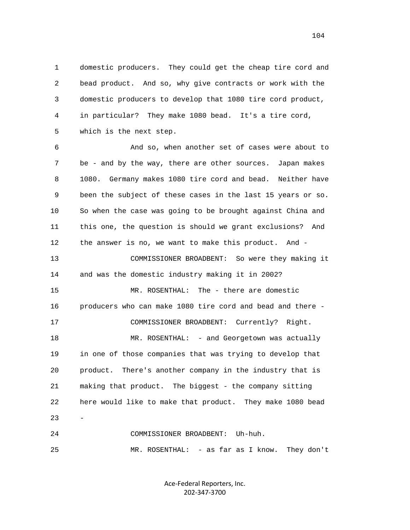1 domestic producers. They could get the cheap tire cord and 2 bead product. And so, why give contracts or work with the 3 domestic producers to develop that 1080 tire cord product, 4 in particular? They make 1080 bead. It's a tire cord, 5 which is the next step.

 6 And so, when another set of cases were about to 7 be - and by the way, there are other sources. Japan makes 8 1080. Germany makes 1080 tire cord and bead. Neither have 9 been the subject of these cases in the last 15 years or so. 10 So when the case was going to be brought against China and 11 this one, the question is should we grant exclusions? And 12 the answer is no, we want to make this product. And - 13 COMMISSIONER BROADBENT: So were they making it 14 and was the domestic industry making it in 2002? 15 MR. ROSENTHAL: The - there are domestic 16 producers who can make 1080 tire cord and bead and there - 17 COMMISSIONER BROADBENT: Currently? Right. 18 MR. ROSENTHAL: - and Georgetown was actually 19 in one of those companies that was trying to develop that 20 product. There's another company in the industry that is 21 making that product. The biggest - the company sitting 22 here would like to make that product. They make 1080 bead  $23 -$  24 COMMISSIONER BROADBENT: Uh-huh. 25 MR. ROSENTHAL: - as far as I know. They don't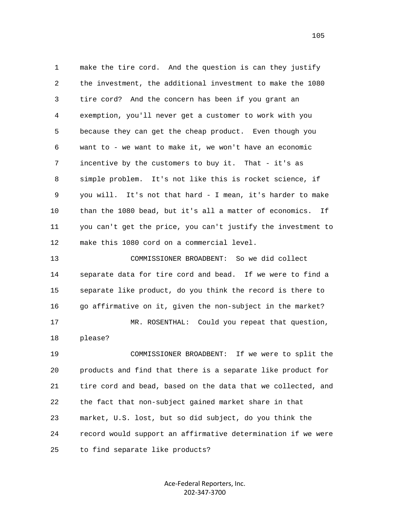1 make the tire cord. And the question is can they justify 2 the investment, the additional investment to make the 1080 3 tire cord? And the concern has been if you grant an 4 exemption, you'll never get a customer to work with you 5 because they can get the cheap product. Even though you 6 want to - we want to make it, we won't have an economic 7 incentive by the customers to buy it. That - it's as 8 simple problem. It's not like this is rocket science, if 9 you will. It's not that hard - I mean, it's harder to make 10 than the 1080 bead, but it's all a matter of economics. If 11 you can't get the price, you can't justify the investment to 12 make this 1080 cord on a commercial level.

 13 COMMISSIONER BROADBENT: So we did collect 14 separate data for tire cord and bead. If we were to find a 15 separate like product, do you think the record is there to 16 go affirmative on it, given the non-subject in the market? 17 MR. ROSENTHAL: Could you repeat that question, 18 please? 19 COMMISSIONER BROADBENT: If we were to split the 20 products and find that there is a separate like product for 21 tire cord and bead, based on the data that we collected, and 22 the fact that non-subject gained market share in that 23 market, U.S. lost, but so did subject, do you think the

 24 record would support an affirmative determination if we were 25 to find separate like products?

> Ace-Federal Reporters, Inc. 202-347-3700

105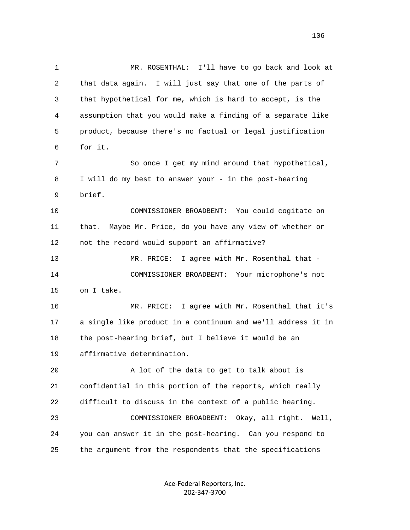1 MR. ROSENTHAL: I'll have to go back and look at 2 that data again. I will just say that one of the parts of 3 that hypothetical for me, which is hard to accept, is the 4 assumption that you would make a finding of a separate like 5 product, because there's no factual or legal justification 6 for it. 7 So once I get my mind around that hypothetical, 8 I will do my best to answer your - in the post-hearing 9 brief. 10 COMMISSIONER BROADBENT: You could cogitate on 11 that. Maybe Mr. Price, do you have any view of whether or 12 not the record would support an affirmative? 13 MR. PRICE: I agree with Mr. Rosenthal that - 14 COMMISSIONER BROADBENT: Your microphone's not 15 on I take. 16 MR. PRICE: I agree with Mr. Rosenthal that it's 17 a single like product in a continuum and we'll address it in 18 the post-hearing brief, but I believe it would be an 19 affirmative determination. 20 A lot of the data to get to talk about is 21 confidential in this portion of the reports, which really 22 difficult to discuss in the context of a public hearing. 23 COMMISSIONER BROADBENT: Okay, all right. Well, 24 you can answer it in the post-hearing. Can you respond to 25 the argument from the respondents that the specifications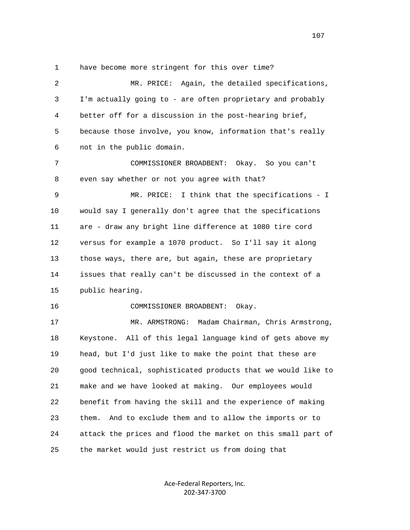1 have become more stringent for this over time?

 2 MR. PRICE: Again, the detailed specifications, 3 I'm actually going to - are often proprietary and probably 4 better off for a discussion in the post-hearing brief, 5 because those involve, you know, information that's really 6 not in the public domain. 7 COMMISSIONER BROADBENT: Okay. So you can't 8 even say whether or not you agree with that? 9 MR. PRICE: I think that the specifications - I 10 would say I generally don't agree that the specifications 11 are - draw any bright line difference at 1080 tire cord 12 versus for example a 1070 product. So I'll say it along 13 those ways, there are, but again, these are proprietary 14 issues that really can't be discussed in the context of a 15 public hearing. 16 COMMISSIONER BROADBENT: Okay. 17 MR. ARMSTRONG: Madam Chairman, Chris Armstrong, 18 Keystone. All of this legal language kind of gets above my 19 head, but I'd just like to make the point that these are 20 good technical, sophisticated products that we would like to 21 make and we have looked at making. Our employees would 22 benefit from having the skill and the experience of making 23 them. And to exclude them and to allow the imports or to 24 attack the prices and flood the market on this small part of 25 the market would just restrict us from doing that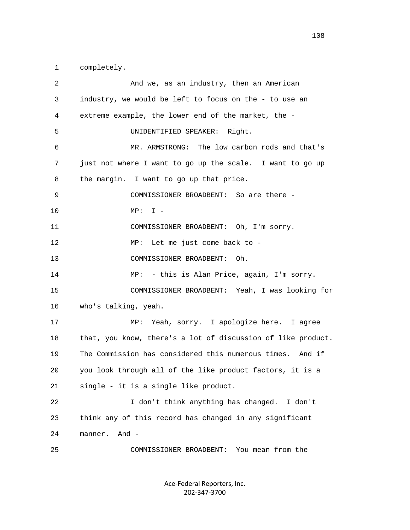1 completely.

| $\overline{c}$ | And we, as an industry, then an American                     |
|----------------|--------------------------------------------------------------|
| 3              | industry, we would be left to focus on the - to use an       |
| 4              | extreme example, the lower end of the market, the -          |
| 5              | UNIDENTIFIED SPEAKER:<br>Right.                              |
| 6              | MR. ARMSTRONG: The low carbon rods and that's                |
| 7              | just not where I want to go up the scale. I want to go up    |
| 8              | the margin. I want to go up that price.                      |
| 9              | COMMISSIONER BROADBENT: So are there -                       |
| 10             | $I -$<br>$\texttt{MP}$ :                                     |
| 11             | COMMISSIONER BROADBENT: Oh, I'm sorry.                       |
| 12             | Let me just come back to -<br>MP:                            |
| 13             | COMMISSIONER BROADBENT:<br>Oh.                               |
| 14             | - this is Alan Price, again, I'm sorry.<br>MP:               |
| 15             | COMMISSIONER BROADBENT: Yeah, I was looking for              |
| 16             | who's talking, yeah.                                         |
| 17             | Yeah, sorry. I apologize here. I agree<br>MP:                |
| 18             | that, you know, there's a lot of discussion of like product. |
| 19             | The Commission has considered this numerous times. And if    |
| 20             | you look through all of the like product factors, it is a    |
| 21             | single - it is a single like product.                        |
| 22             | I don't think anything has changed. I don't                  |
| 23             | think any of this record has changed in any significant      |
| 24             | And -<br>manner.                                             |
| 25             | You mean from the<br>COMMISSIONER BROADBENT:                 |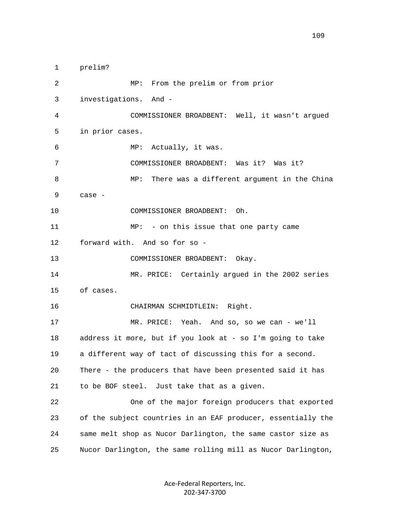1 prelim? 2 MP: From the prelim or from prior 3 investigations. And - 4 COMMISSIONER BROADBENT: Well, it wasn't argued 5 in prior cases. 6 MP: Actually, it was. 7 COMMISSIONER BROADBENT: Was it? Was it? 8 MP: There was a different argument in the China 9 case - 10 COMMISSIONER BROADBENT: Oh. 11 MP: - on this issue that one party came 12 forward with. And so for so - 13 COMMISSIONER BROADBENT: Okay. 14 MR. PRICE: Certainly argued in the 2002 series 15 of cases. 16 CHAIRMAN SCHMIDTLEIN: Right. 17 MR. PRICE: Yeah. And so, so we can - we'll 18 address it more, but if you look at - so I'm going to take 19 a different way of tact of discussing this for a second. 20 There - the producers that have been presented said it has 21 to be BOF steel. Just take that as a given. 22 One of the major foreign producers that exported 23 of the subject countries in an EAF producer, essentially the 24 same melt shop as Nucor Darlington, the same castor size as 25 Nucor Darlington, the same rolling mill as Nucor Darlington,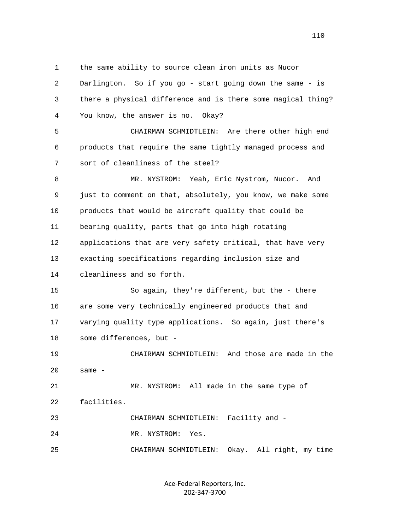1 the same ability to source clean iron units as Nucor

| 2  | Darlington. So if you go - start going down the same - is    |
|----|--------------------------------------------------------------|
| 3  | there a physical difference and is there some magical thing? |
| 4  | You know, the answer is no. Okay?                            |
| 5  | CHAIRMAN SCHMIDTLEIN: Are there other high end               |
| 6  | products that require the same tightly managed process and   |
| 7  | sort of cleanliness of the steel?                            |
| 8  | MR. NYSTROM: Yeah, Eric Nystrom, Nucor.<br>And               |
| 9  | just to comment on that, absolutely, you know, we make some  |
| 10 | products that would be aircraft quality that could be        |
| 11 | bearing quality, parts that go into high rotating            |
| 12 | applications that are very safety critical, that have very   |
| 13 | exacting specifications regarding inclusion size and         |
| 14 | cleanliness and so forth.                                    |
| 15 | So again, they're different, but the - there                 |
| 16 | are some very technically engineered products that and       |
| 17 | varying quality type applications. So again, just there's    |
| 18 | some differences, but -                                      |
| 19 | And those are made in the<br>CHAIRMAN SCHMIDTLEIN:           |
| 20 | same -                                                       |
| 21 | MR. NYSTROM: All made in the same type of                    |
| 22 | facilities.                                                  |
| 23 | CHAIRMAN SCHMIDTLEIN:<br>Facility and -                      |
| 24 | MR. NYSTROM:<br>Yes.                                         |
| 25 | Okay. All right, my time<br>CHAIRMAN SCHMIDTLEIN:            |
|    |                                                              |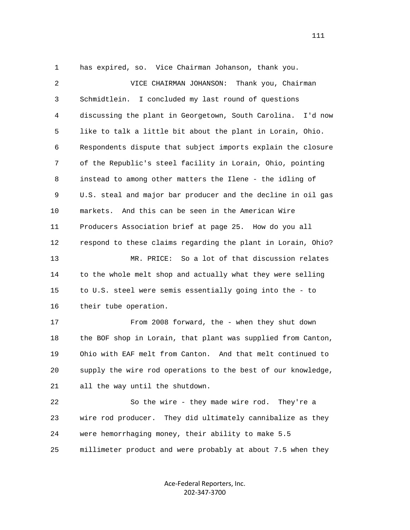1 has expired, so. Vice Chairman Johanson, thank you.

| $\overline{a}$ | Thank you, Chairman<br>VICE CHAIRMAN JOHANSON:                 |
|----------------|----------------------------------------------------------------|
| 3              | Schmidtlein. I concluded my last round of questions            |
| 4              | discussing the plant in Georgetown, South Carolina.<br>I'd now |
| 5              | like to talk a little bit about the plant in Lorain, Ohio.     |
| 6              | Respondents dispute that subject imports explain the closure   |
| 7              | of the Republic's steel facility in Lorain, Ohio, pointing     |
| 8              | instead to among other matters the Ilene - the idling of       |
| 9              | U.S. steal and major bar producer and the decline in oil gas   |
| 10             | And this can be seen in the American Wire<br>markets.          |
| 11             | Producers Association brief at page 25. How do you all         |
| 12             | respond to these claims regarding the plant in Lorain, Ohio?   |
| 13             | MR. PRICE: So a lot of that discussion relates                 |
| 14             | to the whole melt shop and actually what they were selling     |
| 15             | to U.S. steel were semis essentially going into the - to       |
| 16             | their tube operation.                                          |
| 17             | From 2008 forward, the - when they shut down                   |
| 18             | the BOF shop in Lorain, that plant was supplied from Canton,   |
| 19             | Ohio with EAF melt from Canton. And that melt continued to     |
| 20             | supply the wire rod operations to the best of our knowledge,   |
| 21             | all the way until the shutdown.                                |
| 22             | So the wire - they made wire rod. They're a                    |
| 23             | They did ultimately cannibalize as they<br>wire rod producer.  |
| 24             | were hemorrhaging money, their ability to make 5.5             |
| 25             | millimeter product and were probably at about 7.5 when they    |

Ace-Federal Reporters, Inc. 202-347-3700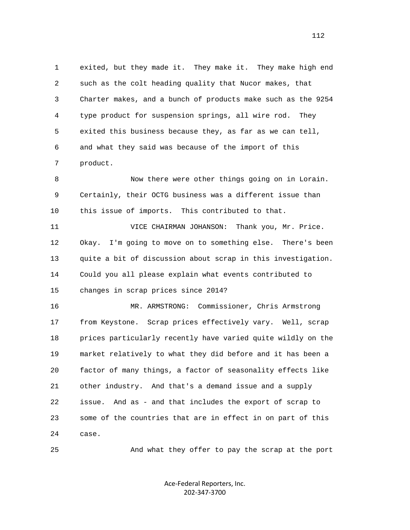1 exited, but they made it. They make it. They make high end 2 such as the colt heading quality that Nucor makes, that 3 Charter makes, and a bunch of products make such as the 9254 4 type product for suspension springs, all wire rod. They 5 exited this business because they, as far as we can tell, 6 and what they said was because of the import of this 7 product.

 8 Now there were other things going on in Lorain. 9 Certainly, their OCTG business was a different issue than 10 this issue of imports. This contributed to that.

 11 VICE CHAIRMAN JOHANSON: Thank you, Mr. Price. 12 Okay. I'm going to move on to something else. There's been 13 quite a bit of discussion about scrap in this investigation. 14 Could you all please explain what events contributed to 15 changes in scrap prices since 2014?

 16 MR. ARMSTRONG: Commissioner, Chris Armstrong 17 from Keystone. Scrap prices effectively vary. Well, scrap 18 prices particularly recently have varied quite wildly on the 19 market relatively to what they did before and it has been a 20 factor of many things, a factor of seasonality effects like 21 other industry. And that's a demand issue and a supply 22 issue. And as - and that includes the export of scrap to 23 some of the countries that are in effect in on part of this 24 case.

25 And what they offer to pay the scrap at the port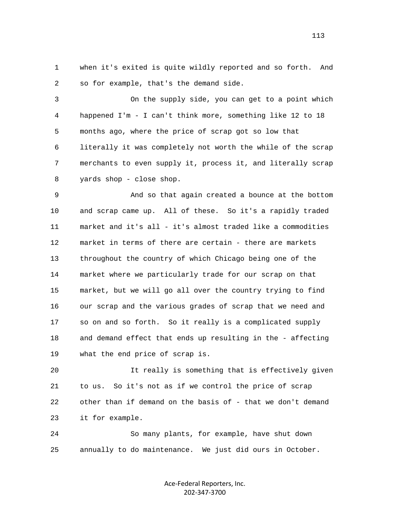1 when it's exited is quite wildly reported and so forth. And 2 so for example, that's the demand side.

 3 On the supply side, you can get to a point which 4 happened I'm - I can't think more, something like 12 to 18 5 months ago, where the price of scrap got so low that 6 literally it was completely not worth the while of the scrap 7 merchants to even supply it, process it, and literally scrap 8 yards shop - close shop.

 9 And so that again created a bounce at the bottom 10 and scrap came up. All of these. So it's a rapidly traded 11 market and it's all - it's almost traded like a commodities 12 market in terms of there are certain - there are markets 13 throughout the country of which Chicago being one of the 14 market where we particularly trade for our scrap on that 15 market, but we will go all over the country trying to find 16 our scrap and the various grades of scrap that we need and 17 so on and so forth. So it really is a complicated supply 18 and demand effect that ends up resulting in the - affecting 19 what the end price of scrap is.

 20 It really is something that is effectively given 21 to us. So it's not as if we control the price of scrap 22 other than if demand on the basis of - that we don't demand 23 it for example.

 24 So many plants, for example, have shut down 25 annually to do maintenance. We just did ours in October.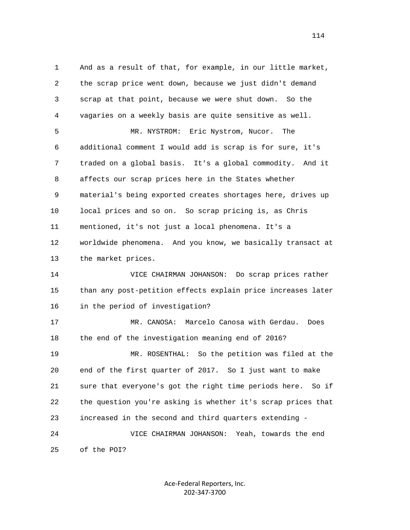1 And as a result of that, for example, in our little market, 2 the scrap price went down, because we just didn't demand 3 scrap at that point, because we were shut down. So the 4 vagaries on a weekly basis are quite sensitive as well. 5 MR. NYSTROM: Eric Nystrom, Nucor. The 6 additional comment I would add is scrap is for sure, it's 7 traded on a global basis. It's a global commodity. And it 8 affects our scrap prices here in the States whether 9 material's being exported creates shortages here, drives up 10 local prices and so on. So scrap pricing is, as Chris 11 mentioned, it's not just a local phenomena. It's a 12 worldwide phenomena. And you know, we basically transact at 13 the market prices. 14 VICE CHAIRMAN JOHANSON: Do scrap prices rather 15 than any post-petition effects explain price increases later 16 in the period of investigation? 17 MR. CANOSA: Marcelo Canosa with Gerdau. Does 18 the end of the investigation meaning end of 2016? 19 MR. ROSENTHAL: So the petition was filed at the 20 end of the first quarter of 2017. So I just want to make 21 sure that everyone's got the right time periods here. So if 22 the question you're asking is whether it's scrap prices that 23 increased in the second and third quarters extending - 24 VICE CHAIRMAN JOHANSON: Yeah, towards the end 25 of the POI?

> Ace-Federal Reporters, Inc. 202-347-3700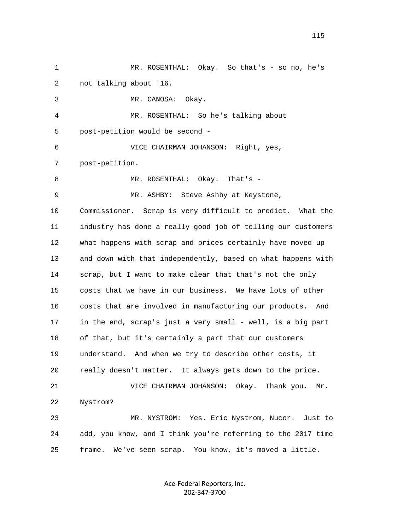1 MR. ROSENTHAL: Okay. So that's - so no, he's 2 not talking about '16. 3 MR. CANOSA: Okay. 4 MR. ROSENTHAL: So he's talking about 5 post-petition would be second - 6 VICE CHAIRMAN JOHANSON: Right, yes, 7 post-petition. 8 MR. ROSENTHAL: Okay. That's - 9 MR. ASHBY: Steve Ashby at Keystone, 10 Commissioner. Scrap is very difficult to predict. What the 11 industry has done a really good job of telling our customers 12 what happens with scrap and prices certainly have moved up 13 and down with that independently, based on what happens with 14 scrap, but I want to make clear that that's not the only 15 costs that we have in our business. We have lots of other 16 costs that are involved in manufacturing our products. And 17 in the end, scrap's just a very small - well, is a big part 18 of that, but it's certainly a part that our customers 19 understand. And when we try to describe other costs, it 20 really doesn't matter. It always gets down to the price. 21 VICE CHAIRMAN JOHANSON: Okay. Thank you. Mr. 22 Nystrom? 23 MR. NYSTROM: Yes. Eric Nystrom, Nucor. Just to 24 add, you know, and I think you're referring to the 2017 time 25 frame. We've seen scrap. You know, it's moved a little.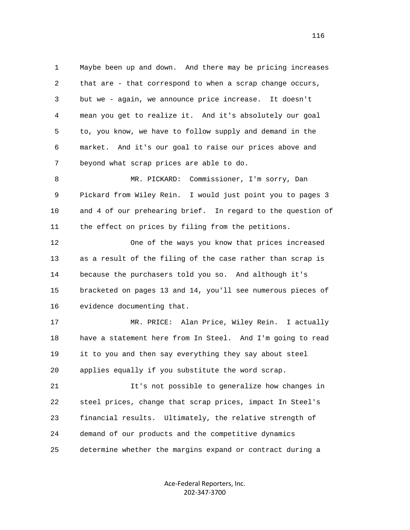1 Maybe been up and down. And there may be pricing increases 2 that are - that correspond to when a scrap change occurs, 3 but we - again, we announce price increase. It doesn't 4 mean you get to realize it. And it's absolutely our goal 5 to, you know, we have to follow supply and demand in the 6 market. And it's our goal to raise our prices above and 7 beyond what scrap prices are able to do.

 8 MR. PICKARD: Commissioner, I'm sorry, Dan 9 Pickard from Wiley Rein. I would just point you to pages 3 10 and 4 of our prehearing brief. In regard to the question of 11 the effect on prices by filing from the petitions.

 12 One of the ways you know that prices increased 13 as a result of the filing of the case rather than scrap is 14 because the purchasers told you so. And although it's 15 bracketed on pages 13 and 14, you'll see numerous pieces of 16 evidence documenting that.

 17 MR. PRICE: Alan Price, Wiley Rein. I actually 18 have a statement here from In Steel. And I'm going to read 19 it to you and then say everything they say about steel 20 applies equally if you substitute the word scrap.

 21 It's not possible to generalize how changes in 22 steel prices, change that scrap prices, impact In Steel's 23 financial results. Ultimately, the relative strength of 24 demand of our products and the competitive dynamics 25 determine whether the margins expand or contract during a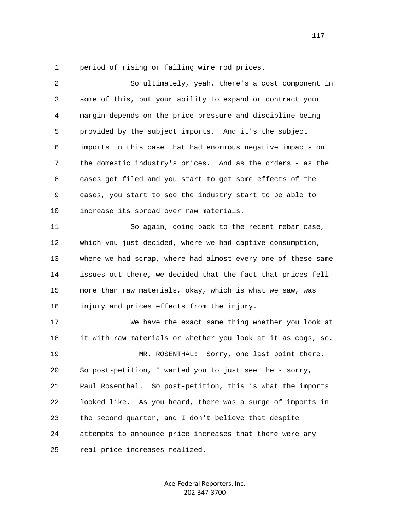1 period of rising or falling wire rod prices.

| 2  | So ultimately, yeah, there's a cost component in             |
|----|--------------------------------------------------------------|
| 3  | some of this, but your ability to expand or contract your    |
| 4  | margin depends on the price pressure and discipline being    |
| 5  | provided by the subject imports. And it's the subject        |
| 6  | imports in this case that had enormous negative impacts on   |
| 7  | the domestic industry's prices. And as the orders - as the   |
| 8  | cases get filed and you start to get some effects of the     |
| 9  | cases, you start to see the industry start to be able to     |
| 10 | increase its spread over raw materials.                      |
| 11 | So again, going back to the recent rebar case,               |
| 12 | which you just decided, where we had captive consumption,    |
| 13 | where we had scrap, where had almost every one of these same |
| 14 | issues out there, we decided that the fact that prices fell  |
| 15 | more than raw materials, okay, which is what we saw, was     |
| 16 | injury and prices effects from the injury.                   |
| 17 | We have the exact same thing whether you look at             |
| 18 | it with raw materials or whether you look at it as cogs, so. |
| 19 | MR. ROSENTHAL: Sorry, one last point there.                  |
| 20 | So post-petition, I wanted you to just see the - sorry,      |
| 21 | Paul Rosenthal. So post-petition, this is what the imports   |
| 22 | looked like. As you heard, there was a surge of imports in   |
| 23 | the second quarter, and I don't believe that despite         |
| 24 | attempts to announce price increases that there were any     |
| 25 | real price increases realized.                               |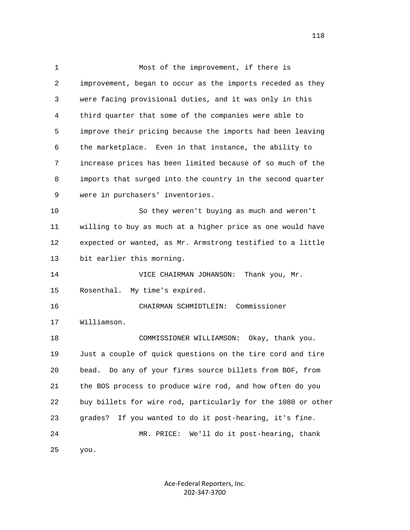1 Most of the improvement, if there is 2 improvement, began to occur as the imports receded as they 3 were facing provisional duties, and it was only in this 4 third quarter that some of the companies were able to 5 improve their pricing because the imports had been leaving 6 the marketplace. Even in that instance, the ability to 7 increase prices has been limited because of so much of the 8 imports that surged into the country in the second quarter 9 were in purchasers' inventories. 10 So they weren't buying as much and weren't 11 willing to buy as much at a higher price as one would have 12 expected or wanted, as Mr. Armstrong testified to a little 13 bit earlier this morning. 14 VICE CHAIRMAN JOHANSON: Thank you, Mr. 15 Rosenthal. My time's expired. 16 CHAIRMAN SCHMIDTLEIN: Commissioner 17 Williamson. 18 COMMISSIONER WILLIAMSON: Okay, thank you. 19 Just a couple of quick questions on the tire cord and tire 20 bead. Do any of your firms source billets from BOF, from 21 the BOS process to produce wire rod, and how often do you 22 buy billets for wire rod, particularly for the 1080 or other 23 grades? If you wanted to do it post-hearing, it's fine. 24 MR. PRICE: We'll do it post-hearing, thank 25 you.

> Ace-Federal Reporters, Inc. 202-347-3700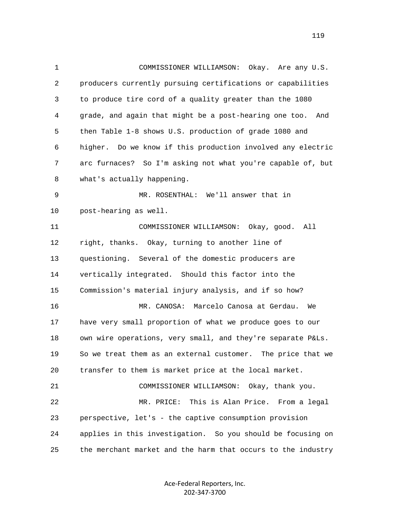1 COMMISSIONER WILLIAMSON: Okay. Are any U.S. 2 producers currently pursuing certifications or capabilities 3 to produce tire cord of a quality greater than the 1080 4 grade, and again that might be a post-hearing one too. And 5 then Table 1-8 shows U.S. production of grade 1080 and 6 higher. Do we know if this production involved any electric 7 arc furnaces? So I'm asking not what you're capable of, but 8 what's actually happening. 9 MR. ROSENTHAL: We'll answer that in 10 post-hearing as well. 11 COMMISSIONER WILLIAMSON: Okay, good. All 12 right, thanks. Okay, turning to another line of 13 questioning. Several of the domestic producers are 14 vertically integrated. Should this factor into the 15 Commission's material injury analysis, and if so how? 16 MR. CANOSA: Marcelo Canosa at Gerdau. We 17 have very small proportion of what we produce goes to our 18 own wire operations, very small, and they're separate P&Ls. 19 So we treat them as an external customer. The price that we 20 transfer to them is market price at the local market. 21 COMMISSIONER WILLIAMSON: Okay, thank you. 22 MR. PRICE: This is Alan Price. From a legal 23 perspective, let's - the captive consumption provision 24 applies in this investigation. So you should be focusing on 25 the merchant market and the harm that occurs to the industry

> Ace-Federal Reporters, Inc. 202-347-3700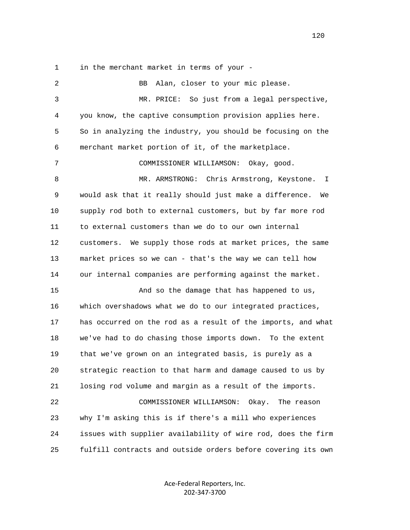1 in the merchant market in terms of your -

 2 BB Alan, closer to your mic please. 3 MR. PRICE: So just from a legal perspective, 4 you know, the captive consumption provision applies here. 5 So in analyzing the industry, you should be focusing on the 6 merchant market portion of it, of the marketplace. 7 COMMISSIONER WILLIAMSON: Okay, good. 8 MR. ARMSTRONG: Chris Armstrong, Keystone. I 9 would ask that it really should just make a difference. We 10 supply rod both to external customers, but by far more rod 11 to external customers than we do to our own internal 12 customers. We supply those rods at market prices, the same 13 market prices so we can - that's the way we can tell how 14 our internal companies are performing against the market. 15 And so the damage that has happened to us, 16 which overshadows what we do to our integrated practices, 17 has occurred on the rod as a result of the imports, and what 18 we've had to do chasing those imports down. To the extent 19 that we've grown on an integrated basis, is purely as a 20 strategic reaction to that harm and damage caused to us by 21 losing rod volume and margin as a result of the imports. 22 COMMISSIONER WILLIAMSON: Okay. The reason 23 why I'm asking this is if there's a mill who experiences 24 issues with supplier availability of wire rod, does the firm 25 fulfill contracts and outside orders before covering its own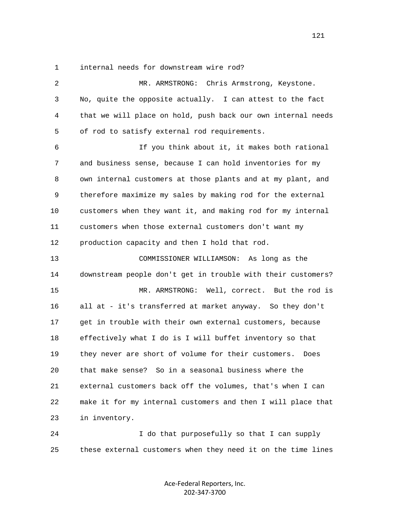1 internal needs for downstream wire rod?

| $\overline{a}$ | MR. ARMSTRONG: Chris Armstrong, Keystone.                    |
|----------------|--------------------------------------------------------------|
| 3              | No, quite the opposite actually. I can attest to the fact    |
| 4              | that we will place on hold, push back our own internal needs |
| 5              | of rod to satisfy external rod requirements.                 |
| 6              | If you think about it, it makes both rational                |
| 7              | and business sense, because I can hold inventories for my    |
| 8              | own internal customers at those plants and at my plant, and  |
| 9              | therefore maximize my sales by making rod for the external   |
| 10             | customers when they want it, and making rod for my internal  |
| 11             | customers when those external customers don't want my        |
| 12             | production capacity and then I hold that rod.                |
| 13             | COMMISSIONER WILLIAMSON: As long as the                      |
| 14             | downstream people don't get in trouble with their customers? |
| 15             | MR. ARMSTRONG: Well, correct. But the rod is                 |
| 16             | all at - it's transferred at market anyway. So they don't    |
| 17             | get in trouble with their own external customers, because    |
| 18             | effectively what I do is I will buffet inventory so that     |
| 19             | they never are short of volume for their customers.<br>Does  |
| 20             | that make sense?<br>So in a seasonal business where the      |
| 21             | external customers back off the volumes, that's when I can   |
| 22             | make it for my internal customers and then I will place that |
| 23             | in inventory.                                                |
| 24             | I do that purposefully so that I can supply                  |

Ace-Federal Reporters, Inc. 202-347-3700

25 these external customers when they need it on the time lines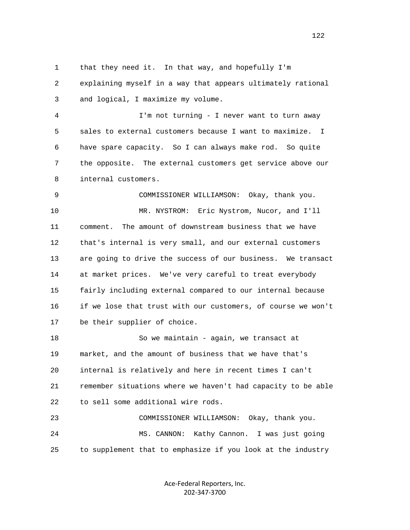1 that they need it. In that way, and hopefully I'm 2 explaining myself in a way that appears ultimately rational 3 and logical, I maximize my volume. 4 I'm not turning - I never want to turn away 5 sales to external customers because I want to maximize. I 6 have spare capacity. So I can always make rod. So quite 7 the opposite. The external customers get service above our 8 internal customers. 9 COMMISSIONER WILLIAMSON: Okay, thank you. 10 MR. NYSTROM: Eric Nystrom, Nucor, and I'll 11 comment. The amount of downstream business that we have 12 that's internal is very small, and our external customers

 13 are going to drive the success of our business. We transact 14 at market prices. We've very careful to treat everybody 15 fairly including external compared to our internal because 16 if we lose that trust with our customers, of course we won't 17 be their supplier of choice.

 18 So we maintain - again, we transact at 19 market, and the amount of business that we have that's 20 internal is relatively and here in recent times I can't 21 remember situations where we haven't had capacity to be able 22 to sell some additional wire rods.

 23 COMMISSIONER WILLIAMSON: Okay, thank you. 24 MS. CANNON: Kathy Cannon. I was just going 25 to supplement that to emphasize if you look at the industry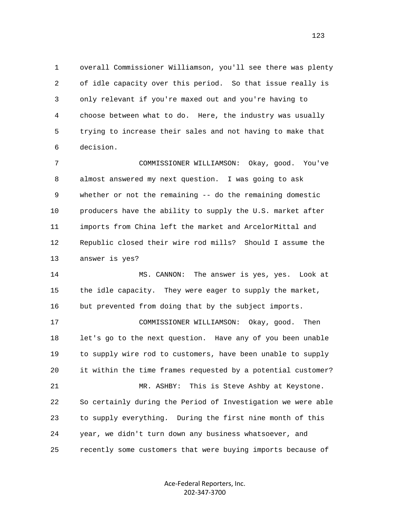1 overall Commissioner Williamson, you'll see there was plenty 2 of idle capacity over this period. So that issue really is 3 only relevant if you're maxed out and you're having to 4 choose between what to do. Here, the industry was usually 5 trying to increase their sales and not having to make that 6 decision.

 7 COMMISSIONER WILLIAMSON: Okay, good. You've 8 almost answered my next question. I was going to ask 9 whether or not the remaining -- do the remaining domestic 10 producers have the ability to supply the U.S. market after 11 imports from China left the market and ArcelorMittal and 12 Republic closed their wire rod mills? Should I assume the 13 answer is yes?

 14 MS. CANNON: The answer is yes, yes. Look at 15 the idle capacity. They were eager to supply the market, 16 but prevented from doing that by the subject imports.

 17 COMMISSIONER WILLIAMSON: Okay, good. Then 18 let's go to the next question. Have any of you been unable 19 to supply wire rod to customers, have been unable to supply 20 it within the time frames requested by a potential customer? 21 MR. ASHBY: This is Steve Ashby at Keystone. 22 So certainly during the Period of Investigation we were able 23 to supply everything. During the first nine month of this 24 year, we didn't turn down any business whatsoever, and

25 recently some customers that were buying imports because of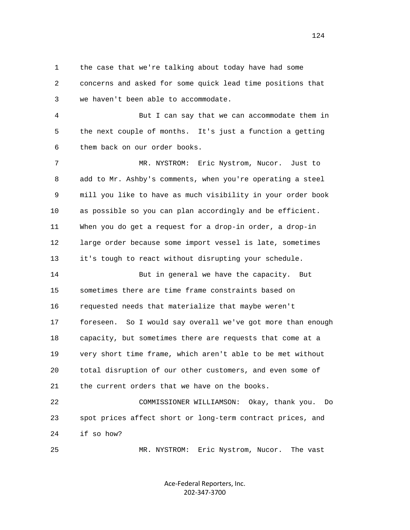1 the case that we're talking about today have had some 2 concerns and asked for some quick lead time positions that 3 we haven't been able to accommodate.

 4 But I can say that we can accommodate them in 5 the next couple of months. It's just a function a getting 6 them back on our order books.

 7 MR. NYSTROM: Eric Nystrom, Nucor. Just to 8 add to Mr. Ashby's comments, when you're operating a steel 9 mill you like to have as much visibility in your order book 10 as possible so you can plan accordingly and be efficient. 11 When you do get a request for a drop-in order, a drop-in 12 large order because some import vessel is late, sometimes 13 it's tough to react without disrupting your schedule.

 14 But in general we have the capacity. But 15 sometimes there are time frame constraints based on 16 requested needs that materialize that maybe weren't 17 foreseen. So I would say overall we've got more than enough 18 capacity, but sometimes there are requests that come at a 19 very short time frame, which aren't able to be met without 20 total disruption of our other customers, and even some of 21 the current orders that we have on the books.

 22 COMMISSIONER WILLIAMSON: Okay, thank you. Do 23 spot prices affect short or long-term contract prices, and 24 if so how?

25 MR. NYSTROM: Eric Nystrom, Nucor. The vast

Ace-Federal Reporters, Inc. 202-347-3700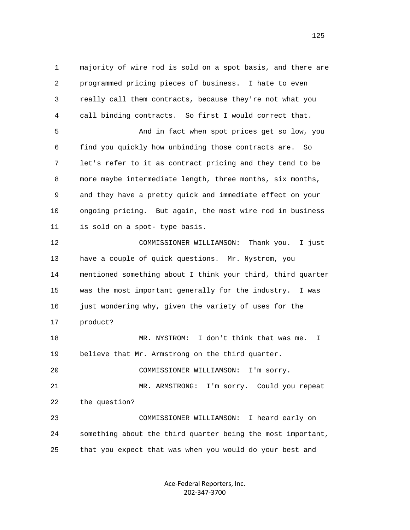1 majority of wire rod is sold on a spot basis, and there are 2 programmed pricing pieces of business. I hate to even 3 really call them contracts, because they're not what you 4 call binding contracts. So first I would correct that. 5 And in fact when spot prices get so low, you 6 find you quickly how unbinding those contracts are. So 7 let's refer to it as contract pricing and they tend to be 8 more maybe intermediate length, three months, six months, 9 and they have a pretty quick and immediate effect on your 10 ongoing pricing. But again, the most wire rod in business 11 is sold on a spot- type basis. 12 COMMISSIONER WILLIAMSON: Thank you. I just 13 have a couple of quick questions. Mr. Nystrom, you 14 mentioned something about I think your third, third quarter 15 was the most important generally for the industry. I was 16 just wondering why, given the variety of uses for the 17 product? 18 MR. NYSTROM: I don't think that was me. I 19 believe that Mr. Armstrong on the third quarter. 20 COMMISSIONER WILLIAMSON: I'm sorry. 21 MR. ARMSTRONG: I'm sorry. Could you repeat 22 the question? 23 COMMISSIONER WILLIAMSON: I heard early on 24 something about the third quarter being the most important, 25 that you expect that was when you would do your best and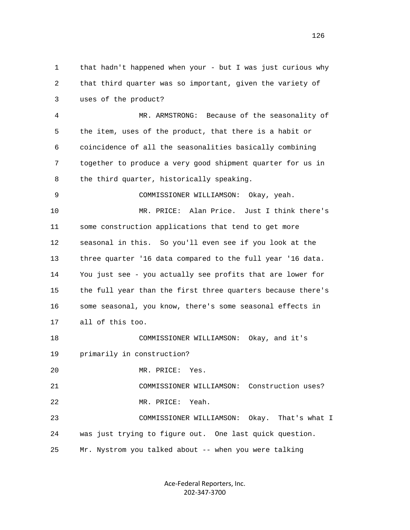1 that hadn't happened when your - but I was just curious why 2 that third quarter was so important, given the variety of 3 uses of the product? 4 MR. ARMSTRONG: Because of the seasonality of 5 the item, uses of the product, that there is a habit or 6 coincidence of all the seasonalities basically combining 7 together to produce a very good shipment quarter for us in 8 the third quarter, historically speaking. 9 COMMISSIONER WILLIAMSON: Okay, yeah. 10 MR. PRICE: Alan Price. Just I think there's 11 some construction applications that tend to get more 12 seasonal in this. So you'll even see if you look at the 13 three quarter '16 data compared to the full year '16 data. 14 You just see - you actually see profits that are lower for 15 the full year than the first three quarters because there's 16 some seasonal, you know, there's some seasonal effects in 17 all of this too. 18 COMMISSIONER WILLIAMSON: Okay, and it's 19 primarily in construction? 20 MR. PRICE: Yes. 21 COMMISSIONER WILLIAMSON: Construction uses? 22 MR. PRICE: Yeah. 23 COMMISSIONER WILLIAMSON: Okay. That's what I 24 was just trying to figure out. One last quick question. 25 Mr. Nystrom you talked about -- when you were talking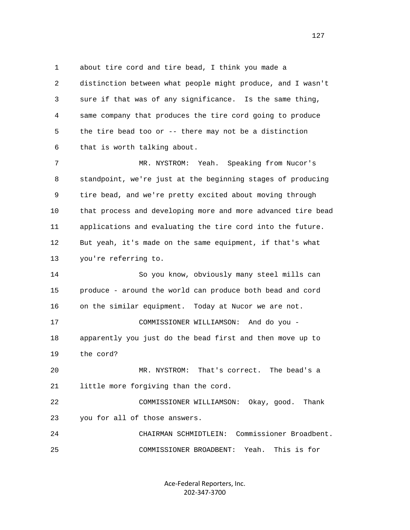1 about tire cord and tire bead, I think you made a 2 distinction between what people might produce, and I wasn't 3 sure if that was of any significance. Is the same thing, 4 same company that produces the tire cord going to produce 5 the tire bead too or -- there may not be a distinction 6 that is worth talking about.

 7 MR. NYSTROM: Yeah. Speaking from Nucor's 8 standpoint, we're just at the beginning stages of producing 9 tire bead, and we're pretty excited about moving through 10 that process and developing more and more advanced tire bead 11 applications and evaluating the tire cord into the future. 12 But yeah, it's made on the same equipment, if that's what 13 you're referring to.

 14 So you know, obviously many steel mills can 15 produce - around the world can produce both bead and cord 16 on the similar equipment. Today at Nucor we are not. 17 COMMISSIONER WILLIAMSON: And do you - 18 apparently you just do the bead first and then move up to 19 the cord? 20 MR. NYSTROM: That's correct. The bead's a 21 little more forgiving than the cord. 22 COMMISSIONER WILLIAMSON: Okay, good. Thank 23 you for all of those answers.

 24 CHAIRMAN SCHMIDTLEIN: Commissioner Broadbent. 25 COMMISSIONER BROADBENT: Yeah. This is for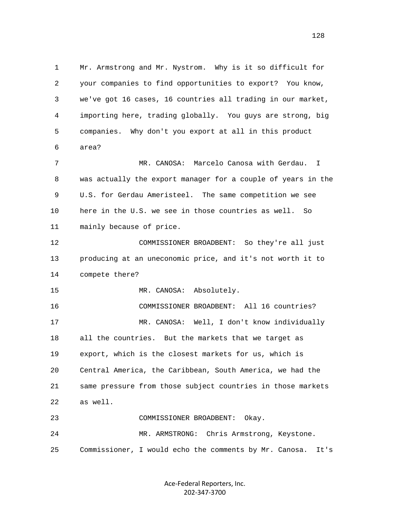1 Mr. Armstrong and Mr. Nystrom. Why is it so difficult for 2 your companies to find opportunities to export? You know, 3 we've got 16 cases, 16 countries all trading in our market, 4 importing here, trading globally. You guys are strong, big 5 companies. Why don't you export at all in this product 6 area? 7 MR. CANOSA: Marcelo Canosa with Gerdau. I 8 was actually the export manager for a couple of years in the 9 U.S. for Gerdau Ameristeel. The same competition we see 10 here in the U.S. we see in those countries as well. So 11 mainly because of price. 12 COMMISSIONER BROADBENT: So they're all just 13 producing at an uneconomic price, and it's not worth it to 14 compete there? 15 MR. CANOSA: Absolutely. 16 COMMISSIONER BROADBENT: All 16 countries? 17 MR. CANOSA: Well, I don't know individually 18 all the countries. But the markets that we target as 19 export, which is the closest markets for us, which is 20 Central America, the Caribbean, South America, we had the 21 same pressure from those subject countries in those markets 22 as well. 23 COMMISSIONER BROADBENT: Okay. 24 MR. ARMSTRONG: Chris Armstrong, Keystone. 25 Commissioner, I would echo the comments by Mr. Canosa. It's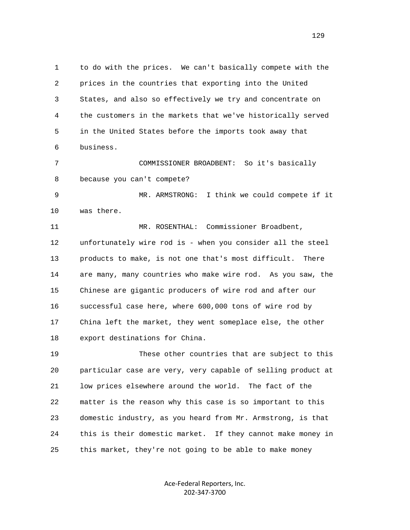1 to do with the prices. We can't basically compete with the 2 prices in the countries that exporting into the United 3 States, and also so effectively we try and concentrate on 4 the customers in the markets that we've historically served 5 in the United States before the imports took away that 6 business.

 7 COMMISSIONER BROADBENT: So it's basically 8 because you can't compete?

 9 MR. ARMSTRONG: I think we could compete if it 10 was there.

 11 MR. ROSENTHAL: Commissioner Broadbent, 12 unfortunately wire rod is - when you consider all the steel 13 products to make, is not one that's most difficult. There 14 are many, many countries who make wire rod. As you saw, the 15 Chinese are gigantic producers of wire rod and after our 16 successful case here, where 600,000 tons of wire rod by 17 China left the market, they went someplace else, the other 18 export destinations for China.

 19 These other countries that are subject to this 20 particular case are very, very capable of selling product at 21 low prices elsewhere around the world. The fact of the 22 matter is the reason why this case is so important to this 23 domestic industry, as you heard from Mr. Armstrong, is that 24 this is their domestic market. If they cannot make money in 25 this market, they're not going to be able to make money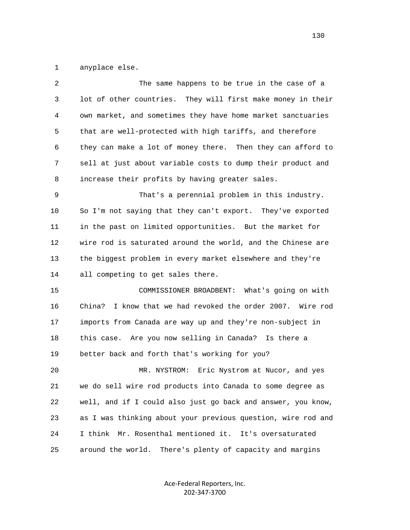1 anyplace else.

| 2  | The same happens to be true in the case of a                  |
|----|---------------------------------------------------------------|
| 3  | lot of other countries. They will first make money in their   |
| 4  | own market, and sometimes they have home market sanctuaries   |
| 5  | that are well-protected with high tariffs, and therefore      |
| 6  | they can make a lot of money there. Then they can afford to   |
| 7  | sell at just about variable costs to dump their product and   |
| 8  | increase their profits by having greater sales.               |
| 9  | That's a perennial problem in this industry.                  |
| 10 | So I'm not saying that they can't export. They've exported    |
| 11 | in the past on limited opportunities. But the market for      |
| 12 | wire rod is saturated around the world, and the Chinese are   |
| 13 | the biggest problem in every market elsewhere and they're     |
| 14 | all competing to get sales there.                             |
| 15 | COMMISSIONER BROADBENT: What's going on with                  |
| 16 | China?<br>I know that we had revoked the order 2007. Wire rod |
| 17 | imports from Canada are way up and they're non-subject in     |
| 18 | this case. Are you now selling in Canada? Is there a          |
| 19 | better back and forth that's working for you?                 |
| 20 | MR. NYSTROM: Eric Nystrom at Nucor, and yes                   |
| 21 | we do sell wire rod products into Canada to some degree as    |
| 22 | well, and if I could also just go back and answer, you know,  |
| 23 | as I was thinking about your previous question, wire rod and  |
| 24 | Mr. Rosenthal mentioned it.<br>It's oversaturated<br>I think  |
| 25 | There's plenty of capacity and margins<br>around the world.   |
|    |                                                               |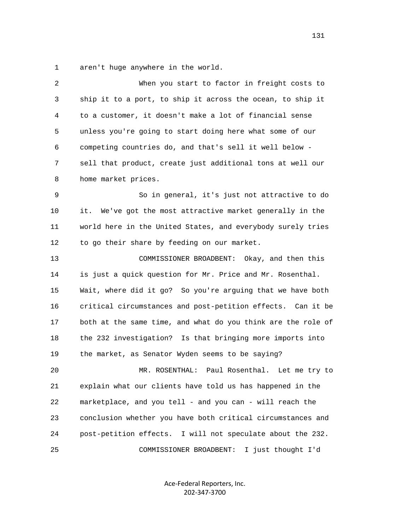1 aren't huge anywhere in the world.

| 2  | When you start to factor in freight costs to                 |
|----|--------------------------------------------------------------|
| 3  | ship it to a port, to ship it across the ocean, to ship it   |
| 4  | to a customer, it doesn't make a lot of financial sense      |
| 5  | unless you're going to start doing here what some of our     |
| 6  | competing countries do, and that's sell it well below -      |
| 7  | sell that product, create just additional tons at well our   |
| 8  | home market prices.                                          |
| 9  | So in general, it's just not attractive to do                |
| 10 | it.<br>We've got the most attractive market generally in the |
| 11 | world here in the United States, and everybody surely tries  |
| 12 | to go their share by feeding on our market.                  |
| 13 | COMMISSIONER BROADBENT: Okay, and then this                  |
| 14 | is just a quick question for Mr. Price and Mr. Rosenthal.    |
| 15 | Wait, where did it go? So you're arguing that we have both   |
| 16 | critical circumstances and post-petition effects. Can it be  |
| 17 | both at the same time, and what do you think are the role of |
| 18 | the 232 investigation? Is that bringing more imports into    |
| 19 | the market, as Senator Wyden seems to be saying?             |
| 20 | MR. ROSENTHAL:<br>Paul Rosenthal. Let me try to              |
| 21 | explain what our clients have told us has happened in the    |
| 22 | marketplace, and you tell - and you can - will reach the     |
| 23 | conclusion whether you have both critical circumstances and  |
| 24 | post-petition effects. I will not speculate about the 232.   |
| 25 | I just thought I'd<br>COMMISSIONER BROADBENT:                |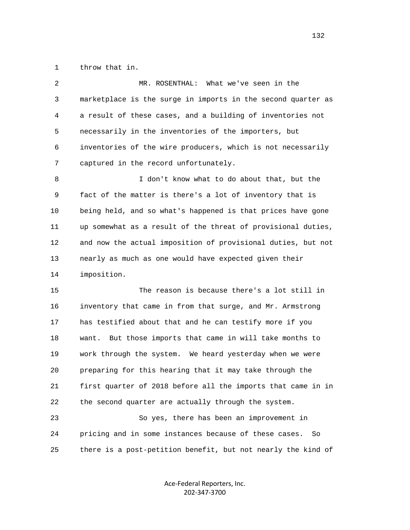1 throw that in.

| 2      | MR. ROSENTHAL: What we've seen in the                        |
|--------|--------------------------------------------------------------|
| 3      | marketplace is the surge in imports in the second quarter as |
| 4      | a result of these cases, and a building of inventories not   |
| 5      | necessarily in the inventories of the importers, but         |
| 6      | inventories of the wire producers, which is not necessarily  |
| 7      | captured in the record unfortunately.                        |
| 8      | I don't know what to do about that, but the                  |
| 9      | fact of the matter is there's a lot of inventory that is     |
| $10\,$ | being held, and so what's happened is that prices have gone  |
| 11     | up somewhat as a result of the threat of provisional duties, |
| 12     | and now the actual imposition of provisional duties, but not |
| 13     | nearly as much as one would have expected given their        |
| 14     | imposition.                                                  |
| 15     | The reason is because there's a lot still in                 |
| 16     | inventory that came in from that surge, and Mr. Armstrong    |
| 17     | has testified about that and he can testify more if you      |
| 18     | want. But those imports that came in will take months to     |
| 19     | work through the system. We heard yesterday when we were     |
| 20     | preparing for this hearing that it may take through the      |
| 21     | first quarter of 2018 before all the imports that came in in |
| 22     | the second quarter are actually through the system.          |
| 23     | So yes, there has been an improvement in                     |
| 24     | pricing and in some instances because of these cases.<br>So  |
|        |                                                              |

Ace-Federal Reporters, Inc. 202-347-3700

25 there is a post-petition benefit, but not nearly the kind of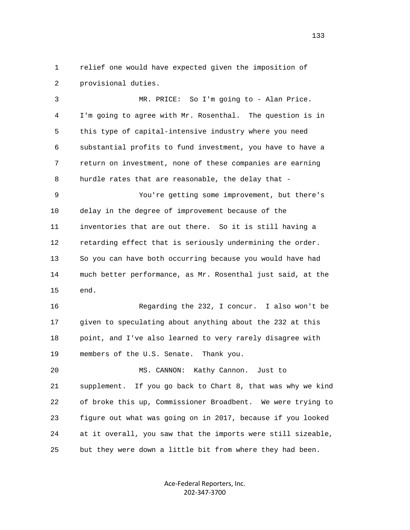1 relief one would have expected given the imposition of 2 provisional duties.

 3 MR. PRICE: So I'm going to - Alan Price. 4 I'm going to agree with Mr. Rosenthal. The question is in 5 this type of capital-intensive industry where you need 6 substantial profits to fund investment, you have to have a 7 return on investment, none of these companies are earning 8 hurdle rates that are reasonable, the delay that -

 9 You're getting some improvement, but there's 10 delay in the degree of improvement because of the 11 inventories that are out there. So it is still having a 12 retarding effect that is seriously undermining the order. 13 So you can have both occurring because you would have had 14 much better performance, as Mr. Rosenthal just said, at the 15 end.

 16 Regarding the 232, I concur. I also won't be 17 given to speculating about anything about the 232 at this 18 point, and I've also learned to very rarely disagree with 19 members of the U.S. Senate. Thank you.

 20 MS. CANNON: Kathy Cannon. Just to 21 supplement. If you go back to Chart 8, that was why we kind 22 of broke this up, Commissioner Broadbent. We were trying to 23 figure out what was going on in 2017, because if you looked 24 at it overall, you saw that the imports were still sizeable, 25 but they were down a little bit from where they had been.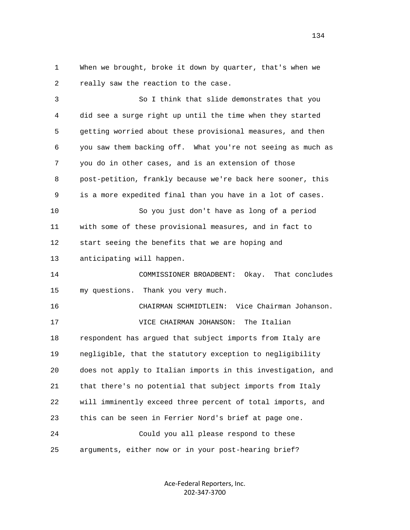1 When we brought, broke it down by quarter, that's when we 2 really saw the reaction to the case.

 3 So I think that slide demonstrates that you 4 did see a surge right up until the time when they started 5 getting worried about these provisional measures, and then 6 you saw them backing off. What you're not seeing as much as 7 you do in other cases, and is an extension of those 8 post-petition, frankly because we're back here sooner, this 9 is a more expedited final than you have in a lot of cases. 10 So you just don't have as long of a period 11 with some of these provisional measures, and in fact to 12 start seeing the benefits that we are hoping and 13 anticipating will happen. 14 COMMISSIONER BROADBENT: Okay. That concludes 15 my questions. Thank you very much. 16 CHAIRMAN SCHMIDTLEIN: Vice Chairman Johanson. 17 VICE CHAIRMAN JOHANSON: The Italian 18 respondent has argued that subject imports from Italy are 19 negligible, that the statutory exception to negligibility 20 does not apply to Italian imports in this investigation, and 21 that there's no potential that subject imports from Italy 22 will imminently exceed three percent of total imports, and 23 this can be seen in Ferrier Nord's brief at page one. 24 Could you all please respond to these 25 arguments, either now or in your post-hearing brief?

> Ace-Federal Reporters, Inc. 202-347-3700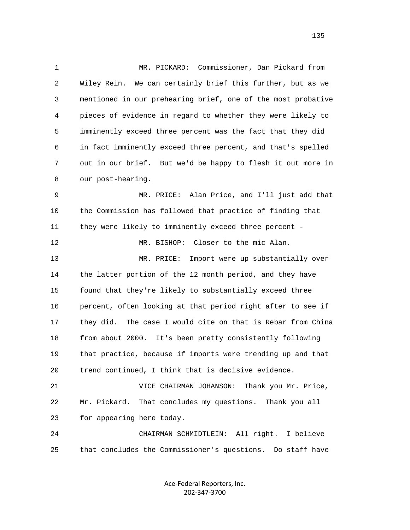1 MR. PICKARD: Commissioner, Dan Pickard from 2 Wiley Rein. We can certainly brief this further, but as we 3 mentioned in our prehearing brief, one of the most probative 4 pieces of evidence in regard to whether they were likely to 5 imminently exceed three percent was the fact that they did 6 in fact imminently exceed three percent, and that's spelled 7 out in our brief. But we'd be happy to flesh it out more in 8 our post-hearing. 9 MR. PRICE: Alan Price, and I'll just add that 10 the Commission has followed that practice of finding that 11 they were likely to imminently exceed three percent - 12 MR. BISHOP: Closer to the mic Alan. 13 MR. PRICE: Import were up substantially over 14 the latter portion of the 12 month period, and they have 15 found that they're likely to substantially exceed three 16 percent, often looking at that period right after to see if 17 they did. The case I would cite on that is Rebar from China 18 from about 2000. It's been pretty consistently following 19 that practice, because if imports were trending up and that 20 trend continued, I think that is decisive evidence. 21 VICE CHAIRMAN JOHANSON: Thank you Mr. Price, 22 Mr. Pickard. That concludes my questions. Thank you all 23 for appearing here today. 24 CHAIRMAN SCHMIDTLEIN: All right. I believe

> Ace-Federal Reporters, Inc. 202-347-3700

25 that concludes the Commissioner's questions. Do staff have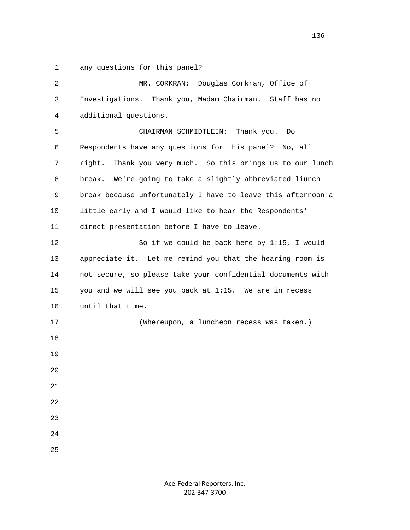1 any questions for this panel?

| 2  | Douglas Corkran, Office of<br>MR. CORKRAN:                    |
|----|---------------------------------------------------------------|
| 3  | Investigations. Thank you, Madam Chairman. Staff has no       |
| 4  | additional questions.                                         |
| 5  | CHAIRMAN SCHMIDTLEIN: Thank you.<br>Do                        |
| 6  | Respondents have any questions for this panel?<br>No, all     |
| 7  | right.<br>Thank you very much. So this brings us to our lunch |
| 8  | We're going to take a slightly abbreviated liunch<br>break.   |
| 9  | break because unfortunately I have to leave this afternoon a  |
| 10 | little early and I would like to hear the Respondents'        |
| 11 | direct presentation before I have to leave.                   |
| 12 | So if we could be back here by 1:15, I would                  |
| 13 | appreciate it. Let me remind you that the hearing room is     |
| 14 | not secure, so please take your confidential documents with   |
| 15 | you and we will see you back at 1:15. We are in recess        |
| 16 | until that time.                                              |
| 17 | (Whereupon, a luncheon recess was taken.)                     |
| 18 |                                                               |
| 19 |                                                               |
| 20 |                                                               |
| 21 |                                                               |
| 22 |                                                               |
| 23 |                                                               |
| 24 |                                                               |
| 25 |                                                               |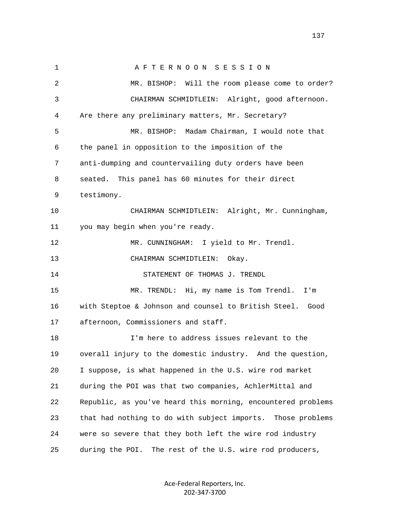1 A F T E R N O O N S E S S I O N 2 MR. BISHOP: Will the room please come to order? 3 CHAIRMAN SCHMIDTLEIN: Alright, good afternoon. 4 Are there any preliminary matters, Mr. Secretary? 5 MR. BISHOP: Madam Chairman, I would note that 6 the panel in opposition to the imposition of the 7 anti-dumping and countervailing duty orders have been 8 seated. This panel has 60 minutes for their direct 9 testimony. 10 CHAIRMAN SCHMIDTLEIN: Alright, Mr. Cunningham, 11 you may begin when you're ready. 12 MR. CUNNINGHAM: I yield to Mr. Trendl. 13 CHAIRMAN SCHMIDTLEIN: Okay. 14 STATEMENT OF THOMAS J. TRENDL 15 MR. TRENDL: Hi, my name is Tom Trendl. I'm 16 with Steptoe & Johnson and counsel to British Steel. Good 17 afternoon, Commissioners and staff. 18 I'm here to address issues relevant to the 19 overall injury to the domestic industry. And the question, 20 I suppose, is what happened in the U.S. wire rod market 21 during the POI was that two companies, AchlerMittal and 22 Republic, as you've heard this morning, encountered problems 23 that had nothing to do with subject imports. Those problems 24 were so severe that they both left the wire rod industry 25 during the POI. The rest of the U.S. wire rod producers,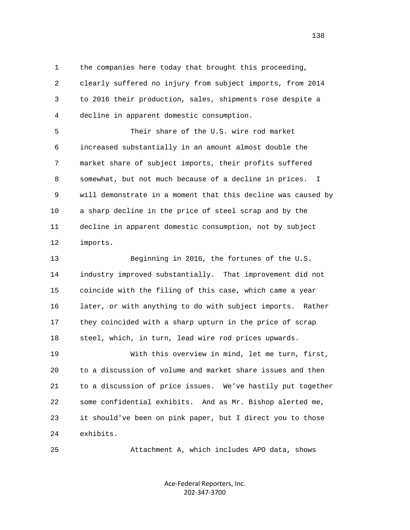1 the companies here today that brought this proceeding,

 2 clearly suffered no injury from subject imports, from 2014 3 to 2016 their production, sales, shipments rose despite a 4 decline in apparent domestic consumption.

 5 Their share of the U.S. wire rod market 6 increased substantially in an amount almost double the 7 market share of subject imports, their profits suffered 8 somewhat, but not much because of a decline in prices. I 9 will demonstrate in a moment that this decline was caused by 10 a sharp decline in the price of steel scrap and by the 11 decline in apparent domestic consumption, not by subject 12 imports.

 13 Beginning in 2016, the fortunes of the U.S. 14 industry improved substantially. That improvement did not 15 coincide with the filing of this case, which came a year 16 later, or with anything to do with subject imports. Rather 17 they coincided with a sharp upturn in the price of scrap 18 steel, which, in turn, lead wire rod prices upwards.

 19 With this overview in mind, let me turn, first, 20 to a discussion of volume and market share issues and then 21 to a discussion of price issues. We've hastily put together 22 some confidential exhibits. And as Mr. Bishop alerted me, 23 it should've been on pink paper, but I direct you to those 24 exhibits.

25 Attachment A, which includes APO data, shows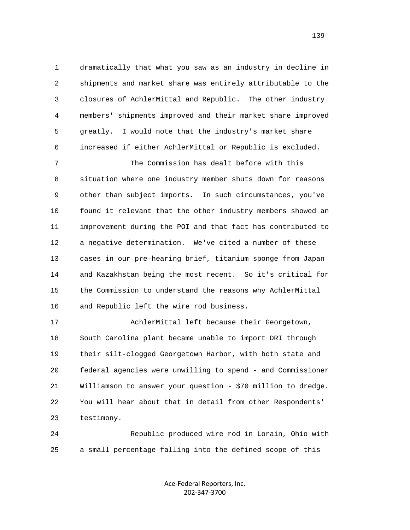1 dramatically that what you saw as an industry in decline in 2 shipments and market share was entirely attributable to the 3 closures of AchlerMittal and Republic. The other industry 4 members' shipments improved and their market share improved 5 greatly. I would note that the industry's market share 6 increased if either AchlerMittal or Republic is excluded.

 7 The Commission has dealt before with this 8 situation where one industry member shuts down for reasons 9 other than subject imports. In such circumstances, you've 10 found it relevant that the other industry members showed an 11 improvement during the POI and that fact has contributed to 12 a negative determination. We've cited a number of these 13 cases in our pre-hearing brief, titanium sponge from Japan 14 and Kazakhstan being the most recent. So it's critical for 15 the Commission to understand the reasons why AchlerMittal 16 and Republic left the wire rod business.

 17 AchlerMittal left because their Georgetown, 18 South Carolina plant became unable to import DRI through 19 their silt-clogged Georgetown Harbor, with both state and 20 federal agencies were unwilling to spend - and Commissioner 21 Williamson to answer your question - \$70 million to dredge. 22 You will hear about that in detail from other Respondents' 23 testimony.

 24 Republic produced wire rod in Lorain, Ohio with 25 a small percentage falling into the defined scope of this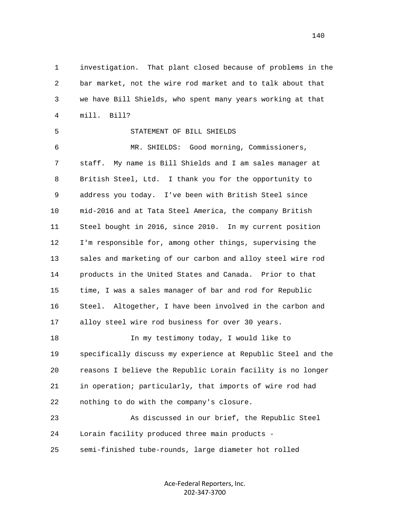1 investigation. That plant closed because of problems in the 2 bar market, not the wire rod market and to talk about that 3 we have Bill Shields, who spent many years working at that 4 mill. Bill?

 5 STATEMENT OF BILL SHIELDS 6 MR. SHIELDS: Good morning, Commissioners, 7 staff. My name is Bill Shields and I am sales manager at 8 British Steel, Ltd. I thank you for the opportunity to 9 address you today. I've been with British Steel since 10 mid-2016 and at Tata Steel America, the company British 11 Steel bought in 2016, since 2010. In my current position 12 I'm responsible for, among other things, supervising the 13 sales and marketing of our carbon and alloy steel wire rod 14 products in the United States and Canada. Prior to that 15 time, I was a sales manager of bar and rod for Republic 16 Steel. Altogether, I have been involved in the carbon and 17 alloy steel wire rod business for over 30 years.

 18 In my testimony today, I would like to 19 specifically discuss my experience at Republic Steel and the 20 reasons I believe the Republic Lorain facility is no longer 21 in operation; particularly, that imports of wire rod had 22 nothing to do with the company's closure.

 23 As discussed in our brief, the Republic Steel 24 Lorain facility produced three main products - 25 semi-finished tube-rounds, large diameter hot rolled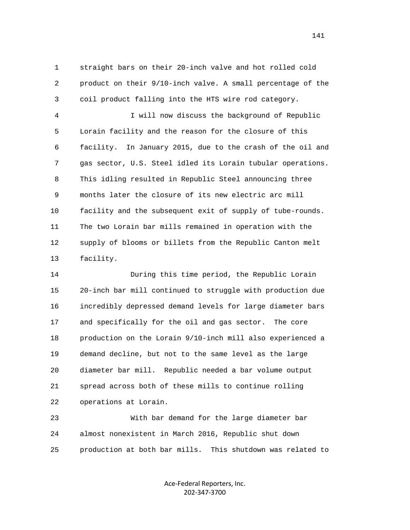1 straight bars on their 20-inch valve and hot rolled cold 2 product on their 9/10-inch valve. A small percentage of the 3 coil product falling into the HTS wire rod category.

 4 I will now discuss the background of Republic 5 Lorain facility and the reason for the closure of this 6 facility. In January 2015, due to the crash of the oil and 7 gas sector, U.S. Steel idled its Lorain tubular operations. 8 This idling resulted in Republic Steel announcing three 9 months later the closure of its new electric arc mill 10 facility and the subsequent exit of supply of tube-rounds. 11 The two Lorain bar mills remained in operation with the 12 supply of blooms or billets from the Republic Canton melt 13 facility.

 14 During this time period, the Republic Lorain 15 20-inch bar mill continued to struggle with production due 16 incredibly depressed demand levels for large diameter bars 17 and specifically for the oil and gas sector. The core 18 production on the Lorain 9/10-inch mill also experienced a 19 demand decline, but not to the same level as the large 20 diameter bar mill. Republic needed a bar volume output 21 spread across both of these mills to continue rolling 22 operations at Lorain.

 23 With bar demand for the large diameter bar 24 almost nonexistent in March 2016, Republic shut down 25 production at both bar mills. This shutdown was related to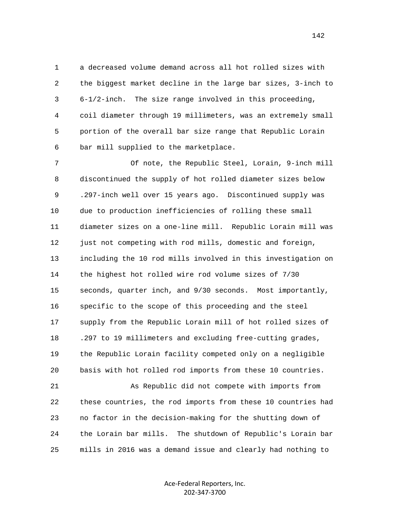1 a decreased volume demand across all hot rolled sizes with 2 the biggest market decline in the large bar sizes, 3-inch to 3 6-1/2-inch. The size range involved in this proceeding, 4 coil diameter through 19 millimeters, was an extremely small 5 portion of the overall bar size range that Republic Lorain 6 bar mill supplied to the marketplace.

 7 Of note, the Republic Steel, Lorain, 9-inch mill 8 discontinued the supply of hot rolled diameter sizes below 9 .297-inch well over 15 years ago. Discontinued supply was 10 due to production inefficiencies of rolling these small 11 diameter sizes on a one-line mill. Republic Lorain mill was 12 just not competing with rod mills, domestic and foreign, 13 including the 10 rod mills involved in this investigation on 14 the highest hot rolled wire rod volume sizes of 7/30 15 seconds, quarter inch, and 9/30 seconds. Most importantly, 16 specific to the scope of this proceeding and the steel 17 supply from the Republic Lorain mill of hot rolled sizes of 18 .297 to 19 millimeters and excluding free-cutting grades, 19 the Republic Lorain facility competed only on a negligible 20 basis with hot rolled rod imports from these 10 countries.

 21 As Republic did not compete with imports from 22 these countries, the rod imports from these 10 countries had 23 no factor in the decision-making for the shutting down of 24 the Lorain bar mills. The shutdown of Republic's Lorain bar 25 mills in 2016 was a demand issue and clearly had nothing to

> Ace-Federal Reporters, Inc. 202-347-3700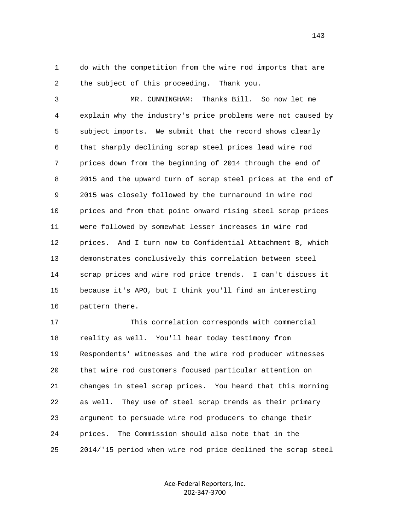1 do with the competition from the wire rod imports that are 2 the subject of this proceeding. Thank you.

 3 MR. CUNNINGHAM: Thanks Bill. So now let me 4 explain why the industry's price problems were not caused by 5 subject imports. We submit that the record shows clearly 6 that sharply declining scrap steel prices lead wire rod 7 prices down from the beginning of 2014 through the end of 8 2015 and the upward turn of scrap steel prices at the end of 9 2015 was closely followed by the turnaround in wire rod 10 prices and from that point onward rising steel scrap prices 11 were followed by somewhat lesser increases in wire rod 12 prices. And I turn now to Confidential Attachment B, which 13 demonstrates conclusively this correlation between steel 14 scrap prices and wire rod price trends. I can't discuss it 15 because it's APO, but I think you'll find an interesting 16 pattern there.

 17 This correlation corresponds with commercial 18 reality as well. You'll hear today testimony from 19 Respondents' witnesses and the wire rod producer witnesses 20 that wire rod customers focused particular attention on 21 changes in steel scrap prices. You heard that this morning 22 as well. They use of steel scrap trends as their primary 23 argument to persuade wire rod producers to change their 24 prices. The Commission should also note that in the 25 2014/'15 period when wire rod price declined the scrap steel

> Ace-Federal Reporters, Inc. 202-347-3700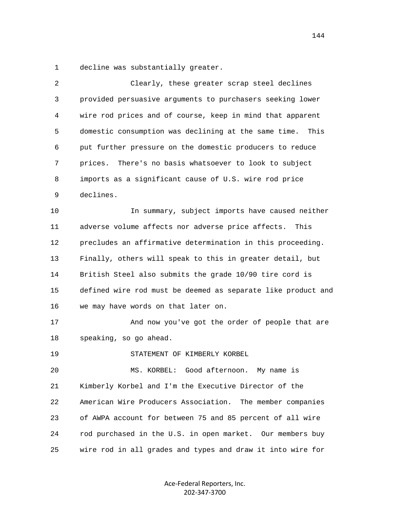1 decline was substantially greater.

| 2  | Clearly, these greater scrap steel declines                  |
|----|--------------------------------------------------------------|
| 3  | provided persuasive arguments to purchasers seeking lower    |
| 4  | wire rod prices and of course, keep in mind that apparent    |
| 5  | domestic consumption was declining at the same time.<br>This |
| 6  | put further pressure on the domestic producers to reduce     |
| 7  | There's no basis whatsoever to look to subject<br>prices.    |
| 8  | imports as a significant cause of U.S. wire rod price        |
| 9  | declines.                                                    |
| 10 | In summary, subject imports have caused neither              |
| 11 | adverse volume affects nor adverse price affects.<br>This    |
| 12 | precludes an affirmative determination in this proceeding.   |
| 13 | Finally, others will speak to this in greater detail, but    |
| 14 | British Steel also submits the grade 10/90 tire cord is      |
| 15 | defined wire rod must be deemed as separate like product and |
| 16 | we may have words on that later on.                          |
| 17 | And now you've got the order of people that are              |
| 18 | speaking, so go ahead.                                       |
| 19 | STATEMENT OF KIMBERLY KORBEL                                 |
| 20 | MS. KORBEL: Good afternoon. My name is                       |
| 21 | Kimberly Korbel and I'm the Executive Director of the        |
| 22 | American Wire Producers Association.<br>The member companies |
| 23 | of AWPA account for between 75 and 85 percent of all wire    |
| 24 | rod purchased in the U.S. in open market. Our members buy    |
| 25 | wire rod in all grades and types and draw it into wire for   |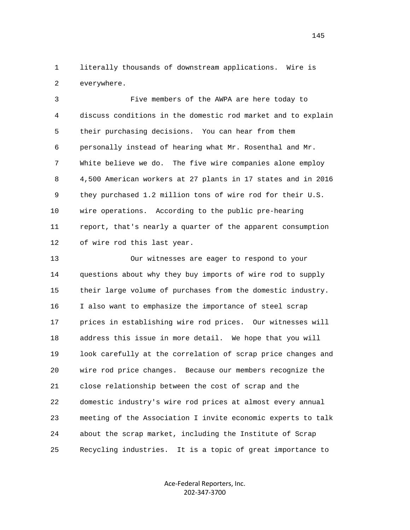1 literally thousands of downstream applications. Wire is 2 everywhere.

 3 Five members of the AWPA are here today to 4 discuss conditions in the domestic rod market and to explain 5 their purchasing decisions. You can hear from them 6 personally instead of hearing what Mr. Rosenthal and Mr. 7 White believe we do. The five wire companies alone employ 8 4,500 American workers at 27 plants in 17 states and in 2016 9 they purchased 1.2 million tons of wire rod for their U.S. 10 wire operations. According to the public pre-hearing 11 report, that's nearly a quarter of the apparent consumption 12 of wire rod this last year.

 13 Our witnesses are eager to respond to your 14 questions about why they buy imports of wire rod to supply 15 their large volume of purchases from the domestic industry. 16 I also want to emphasize the importance of steel scrap 17 prices in establishing wire rod prices. Our witnesses will 18 address this issue in more detail. We hope that you will 19 look carefully at the correlation of scrap price changes and 20 wire rod price changes. Because our members recognize the 21 close relationship between the cost of scrap and the 22 domestic industry's wire rod prices at almost every annual 23 meeting of the Association I invite economic experts to talk 24 about the scrap market, including the Institute of Scrap 25 Recycling industries. It is a topic of great importance to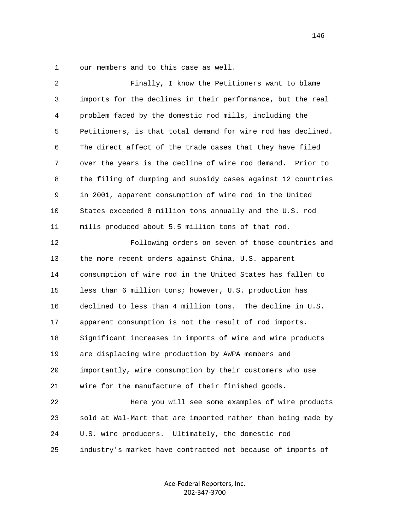1 our members and to this case as well.

| 2            | Finally, I know the Petitioners want to blame                |
|--------------|--------------------------------------------------------------|
| $\mathsf{3}$ | imports for the declines in their performance, but the real  |
| 4            | problem faced by the domestic rod mills, including the       |
| 5            | Petitioners, is that total demand for wire rod has declined. |
| 6            | The direct affect of the trade cases that they have filed    |
| 7            | over the years is the decline of wire rod demand. Prior to   |
| 8            | the filing of dumping and subsidy cases against 12 countries |
| 9            | in 2001, apparent consumption of wire rod in the United      |
| 10           | States exceeded 8 million tons annually and the U.S. rod     |
| 11           | mills produced about 5.5 million tons of that rod.           |
| 12           | Following orders on seven of those countries and             |
| 13           | the more recent orders against China, U.S. apparent          |
| 14           | consumption of wire rod in the United States has fallen to   |
| 15           | less than 6 million tons; however, U.S. production has       |
| 16           | declined to less than 4 million tons. The decline in U.S.    |
| 17           | apparent consumption is not the result of rod imports.       |
| 18           | Significant increases in imports of wire and wire products   |
| 19           | are displacing wire production by AWPA members and           |
| 20           | importantly, wire consumption by their customers who use     |
| 21           | wire for the manufacture of their finished goods.            |
| 22           | Here you will see some examples of wire products             |
| 23           | sold at Wal-Mart that are imported rather than being made by |
| 24           | U.S. wire producers. Ultimately, the domestic rod            |
| 25           | industry's market have contracted not because of imports of  |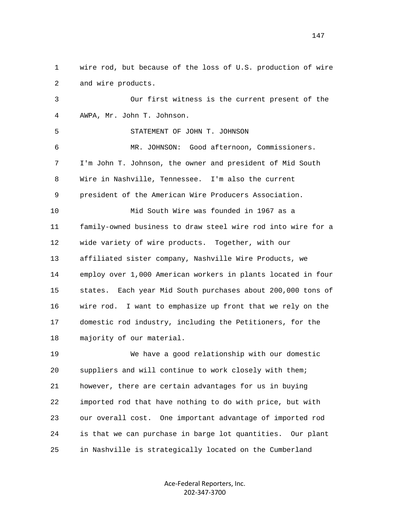1 wire rod, but because of the loss of U.S. production of wire 2 and wire products.

 3 Our first witness is the current present of the 4 AWPA, Mr. John T. Johnson. 5 STATEMENT OF JOHN T. JOHNSON 6 MR. JOHNSON: Good afternoon, Commissioners. 7 I'm John T. Johnson, the owner and president of Mid South 8 Wire in Nashville, Tennessee. I'm also the current 9 president of the American Wire Producers Association. 10 Mid South Wire was founded in 1967 as a 11 family-owned business to draw steel wire rod into wire for a 12 wide variety of wire products. Together, with our 13 affiliated sister company, Nashville Wire Products, we 14 employ over 1,000 American workers in plants located in four 15 states. Each year Mid South purchases about 200,000 tons of 16 wire rod. I want to emphasize up front that we rely on the 17 domestic rod industry, including the Petitioners, for the 18 majority of our material.

 19 We have a good relationship with our domestic 20 suppliers and will continue to work closely with them; 21 however, there are certain advantages for us in buying 22 imported rod that have nothing to do with price, but with 23 our overall cost. One important advantage of imported rod 24 is that we can purchase in barge lot quantities. Our plant 25 in Nashville is strategically located on the Cumberland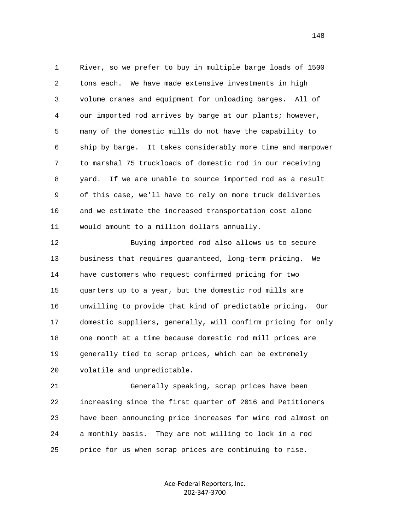1 River, so we prefer to buy in multiple barge loads of 1500 2 tons each. We have made extensive investments in high 3 volume cranes and equipment for unloading barges. All of 4 our imported rod arrives by barge at our plants; however, 5 many of the domestic mills do not have the capability to 6 ship by barge. It takes considerably more time and manpower 7 to marshal 75 truckloads of domestic rod in our receiving 8 yard. If we are unable to source imported rod as a result 9 of this case, we'll have to rely on more truck deliveries 10 and we estimate the increased transportation cost alone 11 would amount to a million dollars annually.

 12 Buying imported rod also allows us to secure 13 business that requires guaranteed, long-term pricing. We 14 have customers who request confirmed pricing for two 15 quarters up to a year, but the domestic rod mills are 16 unwilling to provide that kind of predictable pricing. Our 17 domestic suppliers, generally, will confirm pricing for only 18 one month at a time because domestic rod mill prices are 19 generally tied to scrap prices, which can be extremely 20 volatile and unpredictable.

 21 Generally speaking, scrap prices have been 22 increasing since the first quarter of 2016 and Petitioners 23 have been announcing price increases for wire rod almost on 24 a monthly basis. They are not willing to lock in a rod 25 price for us when scrap prices are continuing to rise.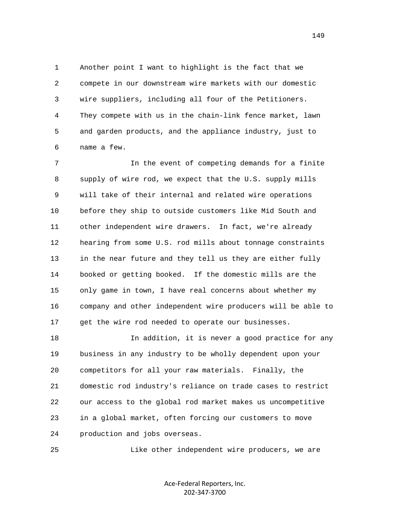1 Another point I want to highlight is the fact that we 2 compete in our downstream wire markets with our domestic 3 wire suppliers, including all four of the Petitioners. 4 They compete with us in the chain-link fence market, lawn 5 and garden products, and the appliance industry, just to 6 name a few.

 7 In the event of competing demands for a finite 8 supply of wire rod, we expect that the U.S. supply mills 9 will take of their internal and related wire operations 10 before they ship to outside customers like Mid South and 11 other independent wire drawers. In fact, we're already 12 hearing from some U.S. rod mills about tonnage constraints 13 in the near future and they tell us they are either fully 14 booked or getting booked. If the domestic mills are the 15 only game in town, I have real concerns about whether my 16 company and other independent wire producers will be able to 17 get the wire rod needed to operate our businesses.

18 18 In addition, it is never a good practice for any 19 business in any industry to be wholly dependent upon your 20 competitors for all your raw materials. Finally, the 21 domestic rod industry's reliance on trade cases to restrict 22 our access to the global rod market makes us uncompetitive 23 in a global market, often forcing our customers to move 24 production and jobs overseas.

25 Like other independent wire producers, we are

Ace-Federal Reporters, Inc. 202-347-3700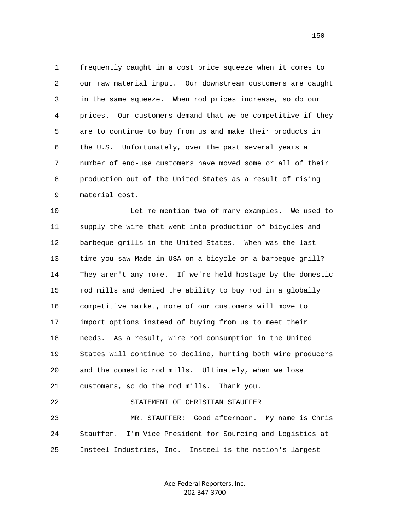1 frequently caught in a cost price squeeze when it comes to 2 our raw material input. Our downstream customers are caught 3 in the same squeeze. When rod prices increase, so do our 4 prices. Our customers demand that we be competitive if they 5 are to continue to buy from us and make their products in 6 the U.S. Unfortunately, over the past several years a 7 number of end-use customers have moved some or all of their 8 production out of the United States as a result of rising 9 material cost.

 10 Let me mention two of many examples. We used to 11 supply the wire that went into production of bicycles and 12 barbeque grills in the United States. When was the last 13 time you saw Made in USA on a bicycle or a barbeque grill? 14 They aren't any more. If we're held hostage by the domestic 15 rod mills and denied the ability to buy rod in a globally 16 competitive market, more of our customers will move to 17 import options instead of buying from us to meet their 18 needs. As a result, wire rod consumption in the United 19 States will continue to decline, hurting both wire producers 20 and the domestic rod mills. Ultimately, when we lose 21 customers, so do the rod mills. Thank you. 22 STATEMENT OF CHRISTIAN STAUFFER 23 MR. STAUFFER: Good afternoon. My name is Chris 24 Stauffer. I'm Vice President for Sourcing and Logistics at 25 Insteel Industries, Inc. Insteel is the nation's largest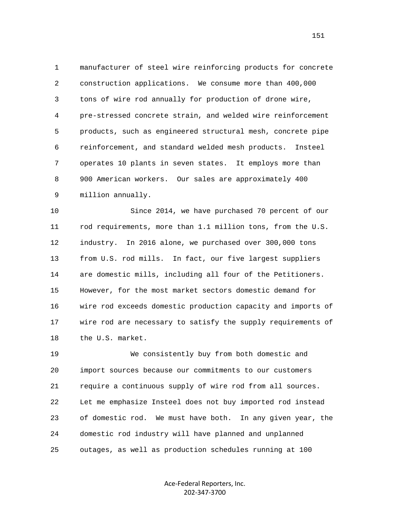1 manufacturer of steel wire reinforcing products for concrete 2 construction applications. We consume more than 400,000 3 tons of wire rod annually for production of drone wire, 4 pre-stressed concrete strain, and welded wire reinforcement 5 products, such as engineered structural mesh, concrete pipe 6 reinforcement, and standard welded mesh products. Insteel 7 operates 10 plants in seven states. It employs more than 8 900 American workers. Our sales are approximately 400 9 million annually.

 10 Since 2014, we have purchased 70 percent of our 11 rod requirements, more than 1.1 million tons, from the U.S. 12 industry. In 2016 alone, we purchased over 300,000 tons 13 from U.S. rod mills. In fact, our five largest suppliers 14 are domestic mills, including all four of the Petitioners. 15 However, for the most market sectors domestic demand for 16 wire rod exceeds domestic production capacity and imports of 17 wire rod are necessary to satisfy the supply requirements of 18 the U.S. market.

 19 We consistently buy from both domestic and 20 import sources because our commitments to our customers 21 require a continuous supply of wire rod from all sources. 22 Let me emphasize Insteel does not buy imported rod instead 23 of domestic rod. We must have both. In any given year, the 24 domestic rod industry will have planned and unplanned 25 outages, as well as production schedules running at 100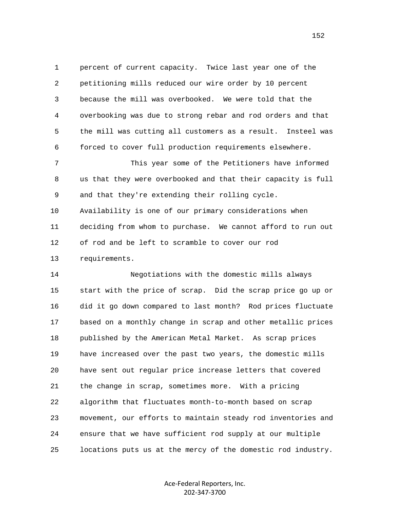1 percent of current capacity. Twice last year one of the 2 petitioning mills reduced our wire order by 10 percent 3 because the mill was overbooked. We were told that the 4 overbooking was due to strong rebar and rod orders and that 5 the mill was cutting all customers as a result. Insteel was 6 forced to cover full production requirements elsewhere.

 7 This year some of the Petitioners have informed 8 us that they were overbooked and that their capacity is full 9 and that they're extending their rolling cycle. 10 Availability is one of our primary considerations when 11 deciding from whom to purchase. We cannot afford to run out 12 of rod and be left to scramble to cover our rod 13 requirements.

 14 Negotiations with the domestic mills always 15 start with the price of scrap. Did the scrap price go up or 16 did it go down compared to last month? Rod prices fluctuate 17 based on a monthly change in scrap and other metallic prices 18 published by the American Metal Market. As scrap prices 19 have increased over the past two years, the domestic mills 20 have sent out regular price increase letters that covered 21 the change in scrap, sometimes more. With a pricing 22 algorithm that fluctuates month-to-month based on scrap 23 movement, our efforts to maintain steady rod inventories and 24 ensure that we have sufficient rod supply at our multiple 25 locations puts us at the mercy of the domestic rod industry.

> Ace-Federal Reporters, Inc. 202-347-3700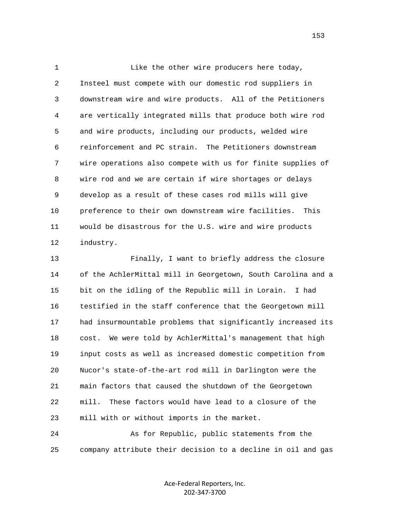1 Like the other wire producers here today, 2 Insteel must compete with our domestic rod suppliers in 3 downstream wire and wire products. All of the Petitioners 4 are vertically integrated mills that produce both wire rod 5 and wire products, including our products, welded wire 6 reinforcement and PC strain. The Petitioners downstream 7 wire operations also compete with us for finite supplies of 8 wire rod and we are certain if wire shortages or delays 9 develop as a result of these cases rod mills will give 10 preference to their own downstream wire facilities. This 11 would be disastrous for the U.S. wire and wire products 12 industry.

 13 Finally, I want to briefly address the closure 14 of the AchlerMittal mill in Georgetown, South Carolina and a 15 bit on the idling of the Republic mill in Lorain. I had 16 testified in the staff conference that the Georgetown mill 17 had insurmountable problems that significantly increased its 18 cost. We were told by AchlerMittal's management that high 19 input costs as well as increased domestic competition from 20 Nucor's state-of-the-art rod mill in Darlington were the 21 main factors that caused the shutdown of the Georgetown 22 mill. These factors would have lead to a closure of the 23 mill with or without imports in the market.

 24 As for Republic, public statements from the 25 company attribute their decision to a decline in oil and gas

> Ace-Federal Reporters, Inc. 202-347-3700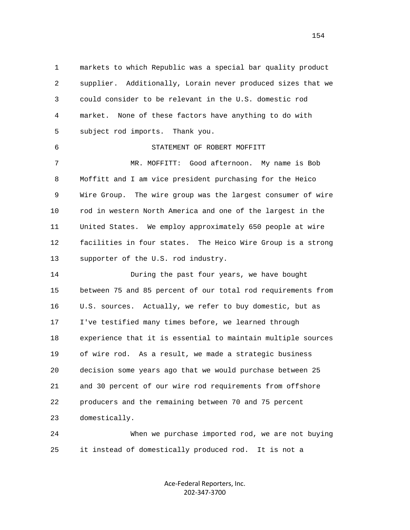1 markets to which Republic was a special bar quality product 2 supplier. Additionally, Lorain never produced sizes that we 3 could consider to be relevant in the U.S. domestic rod 4 market. None of these factors have anything to do with 5 subject rod imports. Thank you. 6 STATEMENT OF ROBERT MOFFITT 7 MR. MOFFITT: Good afternoon. My name is Bob 8 Moffitt and I am vice president purchasing for the Heico 9 Wire Group. The wire group was the largest consumer of wire 10 rod in western North America and one of the largest in the 11 United States. We employ approximately 650 people at wire 12 facilities in four states. The Heico Wire Group is a strong 13 supporter of the U.S. rod industry.

 14 During the past four years, we have bought 15 between 75 and 85 percent of our total rod requirements from 16 U.S. sources. Actually, we refer to buy domestic, but as 17 I've testified many times before, we learned through 18 experience that it is essential to maintain multiple sources 19 of wire rod. As a result, we made a strategic business 20 decision some years ago that we would purchase between 25 21 and 30 percent of our wire rod requirements from offshore 22 producers and the remaining between 70 and 75 percent 23 domestically.

 24 When we purchase imported rod, we are not buying 25 it instead of domestically produced rod. It is not a

> Ace-Federal Reporters, Inc. 202-347-3700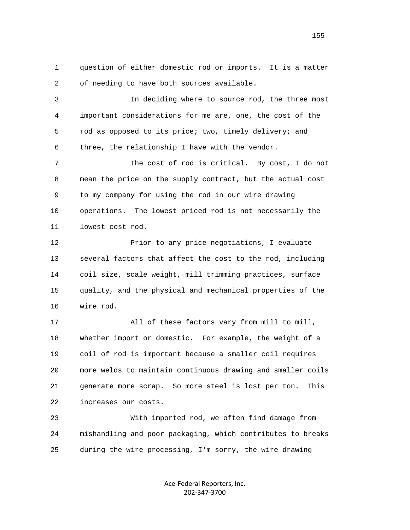1 question of either domestic rod or imports. It is a matter 2 of needing to have both sources available.

 3 In deciding where to source rod, the three most 4 important considerations for me are, one, the cost of the 5 rod as opposed to its price; two, timely delivery; and 6 three, the relationship I have with the vendor.

 7 The cost of rod is critical. By cost, I do not 8 mean the price on the supply contract, but the actual cost 9 to my company for using the rod in our wire drawing 10 operations. The lowest priced rod is not necessarily the 11 lowest cost rod.

12 Prior to any price negotiations, I evaluate 13 several factors that affect the cost to the rod, including 14 coil size, scale weight, mill trimming practices, surface 15 quality, and the physical and mechanical properties of the 16 wire rod.

 17 All of these factors vary from mill to mill, 18 whether import or domestic. For example, the weight of a 19 coil of rod is important because a smaller coil requires 20 more welds to maintain continuous drawing and smaller coils 21 generate more scrap. So more steel is lost per ton. This 22 increases our costs.

 23 With imported rod, we often find damage from 24 mishandling and poor packaging, which contributes to breaks 25 during the wire processing, I'm sorry, the wire drawing

> Ace-Federal Reporters, Inc. 202-347-3700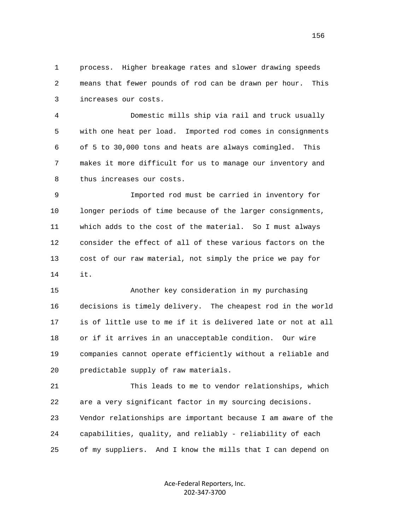1 process. Higher breakage rates and slower drawing speeds 2 means that fewer pounds of rod can be drawn per hour. This 3 increases our costs.

 4 Domestic mills ship via rail and truck usually 5 with one heat per load. Imported rod comes in consignments 6 of 5 to 30,000 tons and heats are always comingled. This 7 makes it more difficult for us to manage our inventory and 8 thus increases our costs.

 9 Imported rod must be carried in inventory for 10 longer periods of time because of the larger consignments, 11 which adds to the cost of the material. So I must always 12 consider the effect of all of these various factors on the 13 cost of our raw material, not simply the price we pay for 14 it.

> 15 Another key consideration in my purchasing 16 decisions is timely delivery. The cheapest rod in the world 17 is of little use to me if it is delivered late or not at all 18 or if it arrives in an unacceptable condition. Our wire 19 companies cannot operate efficiently without a reliable and 20 predictable supply of raw materials.

> 21 This leads to me to vendor relationships, which 22 are a very significant factor in my sourcing decisions. 23 Vendor relationships are important because I am aware of the 24 capabilities, quality, and reliably - reliability of each 25 of my suppliers. And I know the mills that I can depend on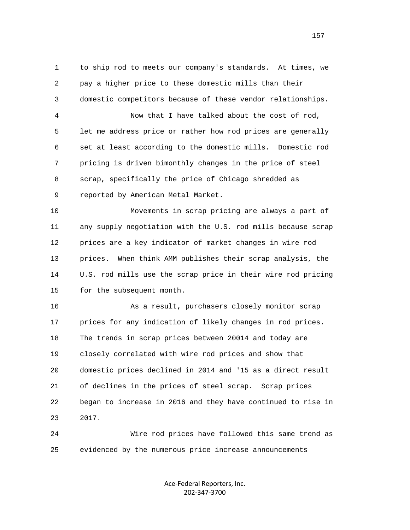1 to ship rod to meets our company's standards. At times, we 2 pay a higher price to these domestic mills than their 3 domestic competitors because of these vendor relationships. 4 Now that I have talked about the cost of rod, 5 let me address price or rather how rod prices are generally 6 set at least according to the domestic mills. Domestic rod 7 pricing is driven bimonthly changes in the price of steel 8 scrap, specifically the price of Chicago shredded as 9 reported by American Metal Market. 10 Movements in scrap pricing are always a part of 11 any supply negotiation with the U.S. rod mills because scrap 12 prices are a key indicator of market changes in wire rod 13 prices. When think AMM publishes their scrap analysis, the 14 U.S. rod mills use the scrap price in their wire rod pricing 15 for the subsequent month. 16 As a result, purchasers closely monitor scrap 17 prices for any indication of likely changes in rod prices. 18 The trends in scrap prices between 20014 and today are 19 closely correlated with wire rod prices and show that 20 domestic prices declined in 2014 and '15 as a direct result 21 of declines in the prices of steel scrap. Scrap prices 22 began to increase in 2016 and they have continued to rise in 23 2017.

 24 Wire rod prices have followed this same trend as 25 evidenced by the numerous price increase announcements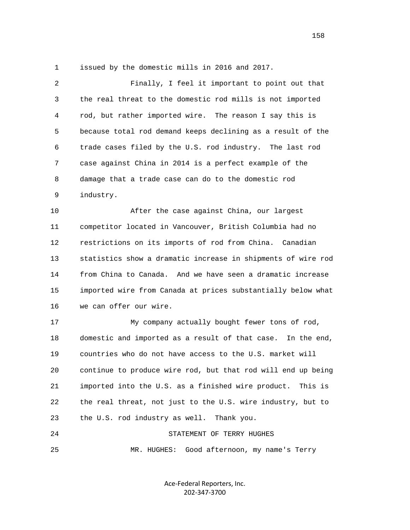1 issued by the domestic mills in 2016 and 2017.

| $\overline{a}$ | Finally, I feel it important to point out that               |
|----------------|--------------------------------------------------------------|
| 3              | the real threat to the domestic rod mills is not imported    |
| 4              | rod, but rather imported wire. The reason I say this is      |
| 5              | because total rod demand keeps declining as a result of the  |
| 6              | trade cases filed by the U.S. rod industry. The last rod     |
| 7              | case against China in 2014 is a perfect example of the       |
| 8              | damage that a trade case can do to the domestic rod          |
| 9              | industry.                                                    |
| 10             | After the case against China, our largest                    |
| 11             | competitor located in Vancouver, British Columbia had no     |
| 12             | restrictions on its imports of rod from China. Canadian      |
| 13             | statistics show a dramatic increase in shipments of wire rod |
| 14             | from China to Canada. And we have seen a dramatic increase   |
| 15             | imported wire from Canada at prices substantially below what |
| 16             | we can offer our wire.                                       |
| 17             | My company actually bought fewer tons of rod,                |
| 18             | domestic and imported as a result of that case. In the end,  |
| 19             | countries who do not have access to the U.S. market will     |
| 20             | continue to produce wire rod, but that rod will end up being |
| 21             | imported into the U.S. as a finished wire product. This is   |
| 22             | the real threat, not just to the U.S. wire industry, but to  |
| 23             | the U.S. rod industry as well. Thank you.                    |
| 24             | STATEMENT OF TERRY HUGHES                                    |
| 25             | Good afternoon, my name's Terry<br>MR. HUGHES:               |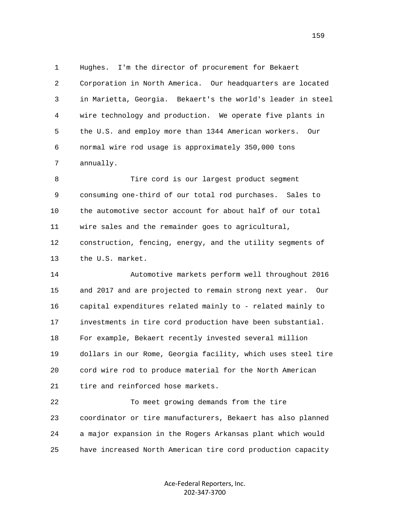1 Hughes. I'm the director of procurement for Bekaert 2 Corporation in North America. Our headquarters are located 3 in Marietta, Georgia. Bekaert's the world's leader in steel 4 wire technology and production. We operate five plants in 5 the U.S. and employ more than 1344 American workers. Our 6 normal wire rod usage is approximately 350,000 tons 7 annually.

 8 Tire cord is our largest product segment 9 consuming one-third of our total rod purchases. Sales to 10 the automotive sector account for about half of our total 11 wire sales and the remainder goes to agricultural, 12 construction, fencing, energy, and the utility segments of 13 the U.S. market.

 14 Automotive markets perform well throughout 2016 15 and 2017 and are projected to remain strong next year. Our 16 capital expenditures related mainly to - related mainly to 17 investments in tire cord production have been substantial. 18 For example, Bekaert recently invested several million 19 dollars in our Rome, Georgia facility, which uses steel tire 20 cord wire rod to produce material for the North American 21 tire and reinforced hose markets.

 22 To meet growing demands from the tire 23 coordinator or tire manufacturers, Bekaert has also planned 24 a major expansion in the Rogers Arkansas plant which would 25 have increased North American tire cord production capacity

> Ace-Federal Reporters, Inc. 202-347-3700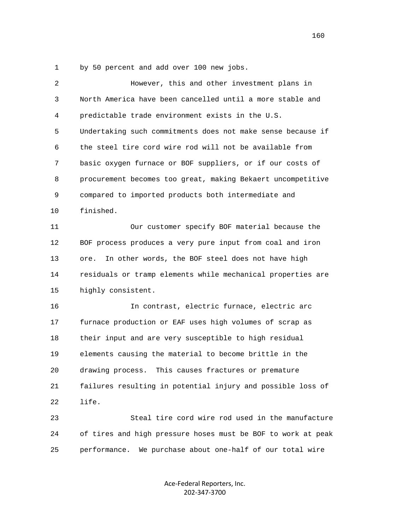1 by 50 percent and add over 100 new jobs.

| 2  | However, this and other investment plans in                  |
|----|--------------------------------------------------------------|
| 3  | North America have been cancelled until a more stable and    |
| 4  | predictable trade environment exists in the U.S.             |
| 5  | Undertaking such commitments does not make sense because if  |
| 6  | the steel tire cord wire rod will not be available from      |
| 7  | basic oxygen furnace or BOF suppliers, or if our costs of    |
| 8  | procurement becomes too great, making Bekaert uncompetitive  |
| 9  | compared to imported products both intermediate and          |
| 10 | finished.                                                    |
| 11 | Our customer specify BOF material because the                |
| 12 | BOF process produces a very pure input from coal and iron    |
| 13 | In other words, the BOF steel does not have high<br>ore.     |
| 14 | residuals or tramp elements while mechanical properties are  |
| 15 | highly consistent.                                           |
| 16 | In contrast, electric furnace, electric arc                  |
| 17 | furnace production or EAF uses high volumes of scrap as      |
| 18 | their input and are very susceptible to high residual        |
| 19 | elements causing the material to become brittle in the       |
| 20 | drawing process.<br>This causes fractures or premature       |
| 21 | failures resulting in potential injury and possible loss of  |
| 22 | life.                                                        |
| 23 | Steal tire cord wire rod used in the manufacture             |
| 24 | of tires and high pressure hoses must be BOF to work at peak |
| 25 | performance.<br>We purchase about one-half of our total wire |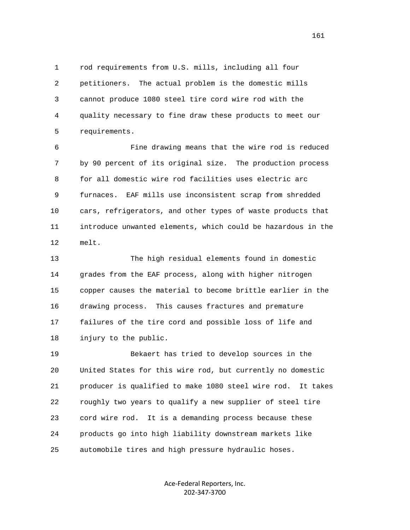1 rod requirements from U.S. mills, including all four 2 petitioners. The actual problem is the domestic mills 3 cannot produce 1080 steel tire cord wire rod with the 4 quality necessary to fine draw these products to meet our 5 requirements.

 6 Fine drawing means that the wire rod is reduced 7 by 90 percent of its original size. The production process 8 for all domestic wire rod facilities uses electric arc 9 furnaces. EAF mills use inconsistent scrap from shredded 10 cars, refrigerators, and other types of waste products that 11 introduce unwanted elements, which could be hazardous in the 12 melt.

 13 The high residual elements found in domestic 14 grades from the EAF process, along with higher nitrogen 15 copper causes the material to become brittle earlier in the 16 drawing process. This causes fractures and premature 17 failures of the tire cord and possible loss of life and 18 injury to the public.

 19 Bekaert has tried to develop sources in the 20 United States for this wire rod, but currently no domestic 21 producer is qualified to make 1080 steel wire rod. It takes 22 roughly two years to qualify a new supplier of steel tire 23 cord wire rod. It is a demanding process because these 24 products go into high liability downstream markets like 25 automobile tires and high pressure hydraulic hoses.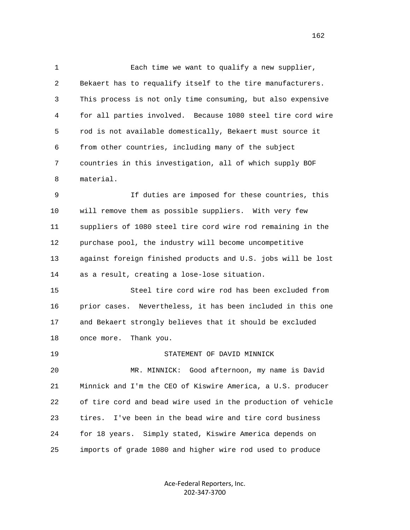1 Each time we want to qualify a new supplier, 2 Bekaert has to requalify itself to the tire manufacturers. 3 This process is not only time consuming, but also expensive 4 for all parties involved. Because 1080 steel tire cord wire 5 rod is not available domestically, Bekaert must source it 6 from other countries, including many of the subject 7 countries in this investigation, all of which supply BOF 8 material.

 9 If duties are imposed for these countries, this 10 will remove them as possible suppliers. With very few 11 suppliers of 1080 steel tire cord wire rod remaining in the 12 purchase pool, the industry will become uncompetitive 13 against foreign finished products and U.S. jobs will be lost 14 as a result, creating a lose-lose situation.

 15 Steel tire cord wire rod has been excluded from 16 prior cases. Nevertheless, it has been included in this one 17 and Bekaert strongly believes that it should be excluded 18 once more. Thank you.

 19 STATEMENT OF DAVID MINNICK 20 MR. MINNICK: Good afternoon, my name is David 21 Minnick and I'm the CEO of Kiswire America, a U.S. producer 22 of tire cord and bead wire used in the production of vehicle 23 tires. I've been in the bead wire and tire cord business 24 for 18 years. Simply stated, Kiswire America depends on 25 imports of grade 1080 and higher wire rod used to produce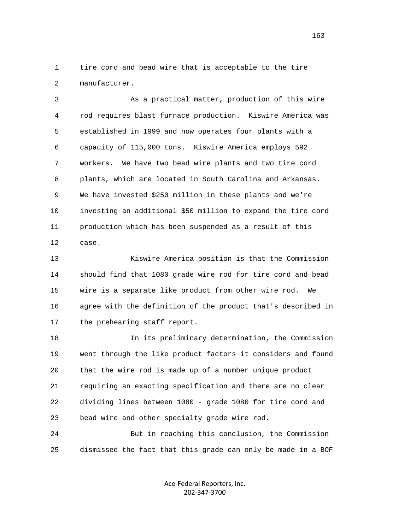1 tire cord and bead wire that is acceptable to the tire 2 manufacturer.

 3 As a practical matter, production of this wire 4 rod requires blast furnace production. Kiswire America was 5 established in 1999 and now operates four plants with a 6 capacity of 115,000 tons. Kiswire America employs 592 7 workers. We have two bead wire plants and two tire cord 8 plants, which are located in South Carolina and Arkansas. 9 We have invested \$250 million in these plants and we're 10 investing an additional \$50 million to expand the tire cord 11 production which has been suspended as a result of this 12 case.

 13 Kiswire America position is that the Commission 14 should find that 1080 grade wire rod for tire cord and bead 15 wire is a separate like product from other wire rod. We 16 agree with the definition of the product that's described in 17 the prehearing staff report.

 18 In its preliminary determination, the Commission 19 went through the like product factors it considers and found 20 that the wire rod is made up of a number unique product 21 requiring an exacting specification and there are no clear 22 dividing lines between 1080 - grade 1080 for tire cord and 23 bead wire and other specialty grade wire rod.

 24 But in reaching this conclusion, the Commission 25 dismissed the fact that this grade can only be made in a BOF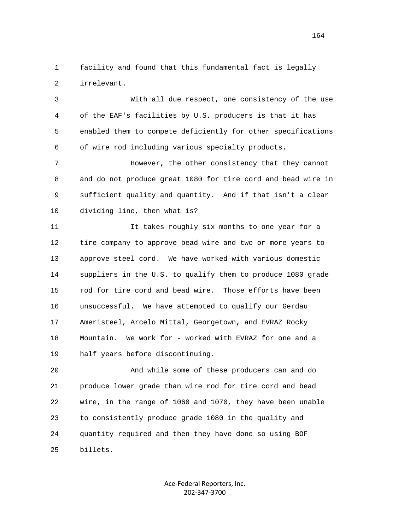1 facility and found that this fundamental fact is legally 2 irrelevant.

 3 With all due respect, one consistency of the use 4 of the EAF's facilities by U.S. producers is that it has 5 enabled them to compete deficiently for other specifications 6 of wire rod including various specialty products.

 7 However, the other consistency that they cannot 8 and do not produce great 1080 for tire cord and bead wire in 9 sufficient quality and quantity. And if that isn't a clear 10 dividing line, then what is?

 11 It takes roughly six months to one year for a 12 tire company to approve bead wire and two or more years to 13 approve steel cord. We have worked with various domestic 14 suppliers in the U.S. to qualify them to produce 1080 grade 15 rod for tire cord and bead wire. Those efforts have been 16 unsuccessful. We have attempted to qualify our Gerdau 17 Ameristeel, Arcelo Mittal, Georgetown, and EVRAZ Rocky 18 Mountain. We work for - worked with EVRAZ for one and a 19 half years before discontinuing.

 20 And while some of these producers can and do 21 produce lower grade than wire rod for tire cord and bead 22 wire, in the range of 1060 and 1070, they have been unable 23 to consistently produce grade 1080 in the quality and 24 quantity required and then they have done so using BOF 25 billets.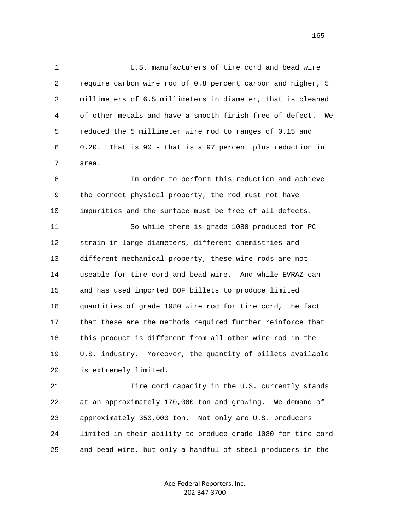1 U.S. manufacturers of tire cord and bead wire 2 require carbon wire rod of 0.8 percent carbon and higher, 5 3 millimeters of 6.5 millimeters in diameter, that is cleaned 4 of other metals and have a smooth finish free of defect. We 5 reduced the 5 millimeter wire rod to ranges of 0.15 and 6 0.20. That is 90 - that is a 97 percent plus reduction in 7 area.

 8 In order to perform this reduction and achieve 9 the correct physical property, the rod must not have 10 impurities and the surface must be free of all defects.

 11 So while there is grade 1080 produced for PC 12 strain in large diameters, different chemistries and 13 different mechanical property, these wire rods are not 14 useable for tire cord and bead wire. And while EVRAZ can 15 and has used imported BOF billets to produce limited 16 quantities of grade 1080 wire rod for tire cord, the fact 17 that these are the methods required further reinforce that 18 this product is different from all other wire rod in the 19 U.S. industry. Moreover, the quantity of billets available 20 is extremely limited.

 21 Tire cord capacity in the U.S. currently stands 22 at an approximately 170,000 ton and growing. We demand of 23 approximately 350,000 ton. Not only are U.S. producers 24 limited in their ability to produce grade 1080 for tire cord 25 and bead wire, but only a handful of steel producers in the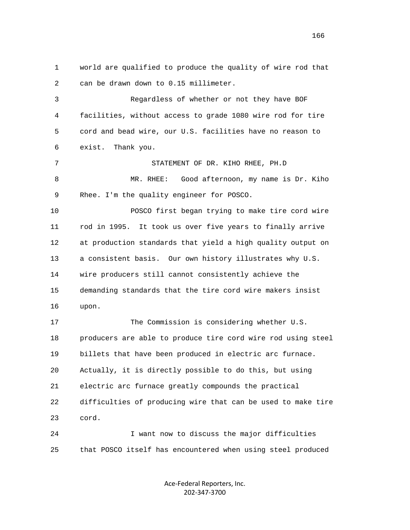1 world are qualified to produce the quality of wire rod that 2 can be drawn down to 0.15 millimeter. 3 Regardless of whether or not they have BOF 4 facilities, without access to grade 1080 wire rod for tire 5 cord and bead wire, our U.S. facilities have no reason to 6 exist. Thank you. 7 STATEMENT OF DR. KIHO RHEE, PH.D 8 MR. RHEE: Good afternoon, my name is Dr. Kiho 9 Rhee. I'm the quality engineer for POSCO. 10 POSCO first began trying to make tire cord wire 11 rod in 1995. It took us over five years to finally arrive 12 at production standards that yield a high quality output on 13 a consistent basis. Our own history illustrates why U.S. 14 wire producers still cannot consistently achieve the 15 demanding standards that the tire cord wire makers insist 16 upon. 17 The Commission is considering whether U.S. 18 producers are able to produce tire cord wire rod using steel 19 billets that have been produced in electric arc furnace. 20 Actually, it is directly possible to do this, but using 21 electric arc furnace greatly compounds the practical 22 difficulties of producing wire that can be used to make tire 23 cord. 24 I want now to discuss the major difficulties 25 that POSCO itself has encountered when using steel produced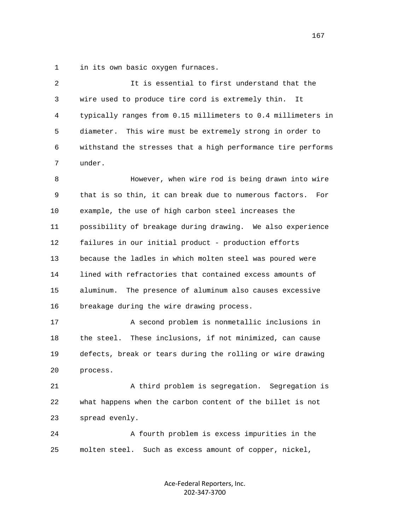1 in its own basic oxygen furnaces.

 2 It is essential to first understand that the 3 wire used to produce tire cord is extremely thin. It 4 typically ranges from 0.15 millimeters to 0.4 millimeters in 5 diameter. This wire must be extremely strong in order to 6 withstand the stresses that a high performance tire performs 7 under. 8 However, when wire rod is being drawn into wire 9 that is so thin, it can break due to numerous factors. For 10 example, the use of high carbon steel increases the 11 possibility of breakage during drawing. We also experience 12 failures in our initial product - production efforts 13 because the ladles in which molten steel was poured were 14 lined with refractories that contained excess amounts of

 15 aluminum. The presence of aluminum also causes excessive 16 breakage during the wire drawing process.

 17 A second problem is nonmetallic inclusions in 18 the steel. These inclusions, if not minimized, can cause 19 defects, break or tears during the rolling or wire drawing 20 process.

 21 A third problem is segregation. Segregation is 22 what happens when the carbon content of the billet is not 23 spread evenly.

 24 A fourth problem is excess impurities in the 25 molten steel. Such as excess amount of copper, nickel,

> Ace-Federal Reporters, Inc. 202-347-3700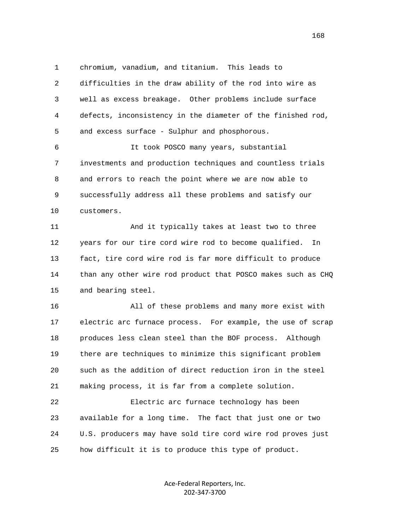1 chromium, vanadium, and titanium. This leads to 2 difficulties in the draw ability of the rod into wire as 3 well as excess breakage. Other problems include surface 4 defects, inconsistency in the diameter of the finished rod, 5 and excess surface - Sulphur and phosphorous.

 6 It took POSCO many years, substantial 7 investments and production techniques and countless trials 8 and errors to reach the point where we are now able to 9 successfully address all these problems and satisfy our 10 customers.

 11 And it typically takes at least two to three 12 years for our tire cord wire rod to become qualified. In 13 fact, tire cord wire rod is far more difficult to produce 14 than any other wire rod product that POSCO makes such as CHQ 15 and bearing steel.

 16 All of these problems and many more exist with 17 electric arc furnace process. For example, the use of scrap 18 produces less clean steel than the BOF process. Although 19 there are techniques to minimize this significant problem 20 such as the addition of direct reduction iron in the steel 21 making process, it is far from a complete solution.

 22 Electric arc furnace technology has been 23 available for a long time. The fact that just one or two 24 U.S. producers may have sold tire cord wire rod proves just 25 how difficult it is to produce this type of product.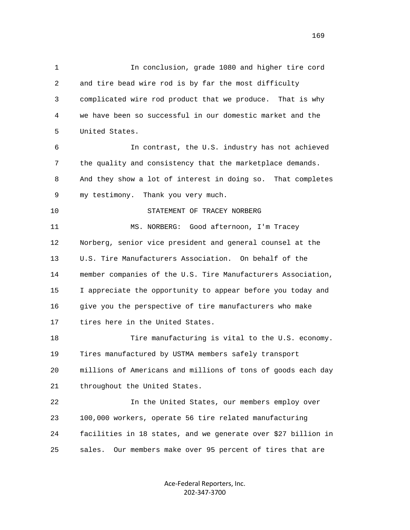1 In conclusion, grade 1080 and higher tire cord 2 and tire bead wire rod is by far the most difficulty 3 complicated wire rod product that we produce. That is why 4 we have been so successful in our domestic market and the 5 United States. 6 In contrast, the U.S. industry has not achieved 7 the quality and consistency that the marketplace demands. 8 And they show a lot of interest in doing so. That completes 9 my testimony. Thank you very much. 10 STATEMENT OF TRACEY NORBERG 11 MS. NORBERG: Good afternoon, I'm Tracey 12 Norberg, senior vice president and general counsel at the 13 U.S. Tire Manufacturers Association. On behalf of the 14 member companies of the U.S. Tire Manufacturers Association, 15 I appreciate the opportunity to appear before you today and 16 give you the perspective of tire manufacturers who make 17 tires here in the United States. 18 Tire manufacturing is vital to the U.S. economy. 19 Tires manufactured by USTMA members safely transport 20 millions of Americans and millions of tons of goods each day 21 throughout the United States. 22 In the United States, our members employ over 23 100,000 workers, operate 56 tire related manufacturing 24 facilities in 18 states, and we generate over \$27 billion in 25 sales. Our members make over 95 percent of tires that are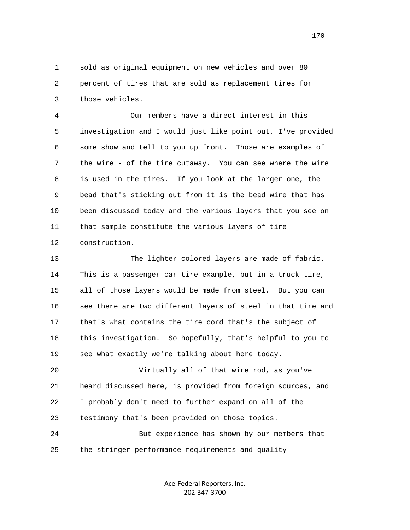1 sold as original equipment on new vehicles and over 80 2 percent of tires that are sold as replacement tires for 3 those vehicles.

 4 Our members have a direct interest in this 5 investigation and I would just like point out, I've provided 6 some show and tell to you up front. Those are examples of 7 the wire - of the tire cutaway. You can see where the wire 8 is used in the tires. If you look at the larger one, the 9 bead that's sticking out from it is the bead wire that has 10 been discussed today and the various layers that you see on 11 that sample constitute the various layers of tire 12 construction.

 13 The lighter colored layers are made of fabric. 14 This is a passenger car tire example, but in a truck tire, 15 all of those layers would be made from steel. But you can 16 see there are two different layers of steel in that tire and 17 that's what contains the tire cord that's the subject of 18 this investigation. So hopefully, that's helpful to you to 19 see what exactly we're talking about here today.

 20 Virtually all of that wire rod, as you've 21 heard discussed here, is provided from foreign sources, and 22 I probably don't need to further expand on all of the 23 testimony that's been provided on those topics.

 24 But experience has shown by our members that 25 the stringer performance requirements and quality

> Ace-Federal Reporters, Inc. 202-347-3700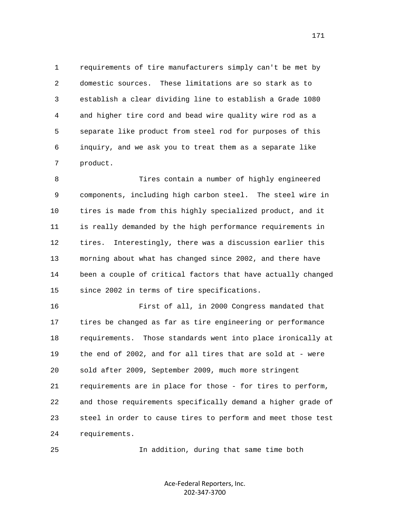1 requirements of tire manufacturers simply can't be met by 2 domestic sources. These limitations are so stark as to 3 establish a clear dividing line to establish a Grade 1080 4 and higher tire cord and bead wire quality wire rod as a 5 separate like product from steel rod for purposes of this 6 inquiry, and we ask you to treat them as a separate like 7 product.

 8 Tires contain a number of highly engineered 9 components, including high carbon steel. The steel wire in 10 tires is made from this highly specialized product, and it 11 is really demanded by the high performance requirements in 12 tires. Interestingly, there was a discussion earlier this 13 morning about what has changed since 2002, and there have 14 been a couple of critical factors that have actually changed 15 since 2002 in terms of tire specifications.

 16 First of all, in 2000 Congress mandated that 17 tires be changed as far as tire engineering or performance 18 requirements. Those standards went into place ironically at 19 the end of 2002, and for all tires that are sold at - were 20 sold after 2009, September 2009, much more stringent 21 requirements are in place for those - for tires to perform, 22 and those requirements specifically demand a higher grade of 23 steel in order to cause tires to perform and meet those test 24 requirements.

25 In addition, during that same time both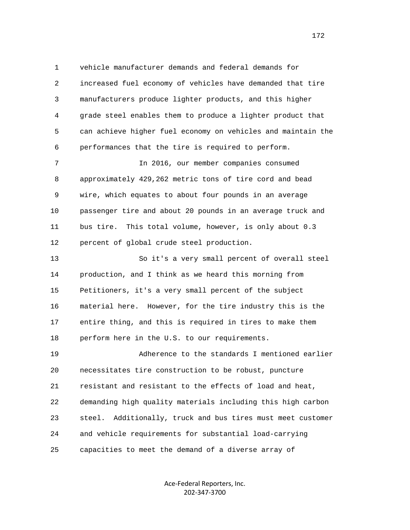1 vehicle manufacturer demands and federal demands for 2 increased fuel economy of vehicles have demanded that tire 3 manufacturers produce lighter products, and this higher 4 grade steel enables them to produce a lighter product that 5 can achieve higher fuel economy on vehicles and maintain the 6 performances that the tire is required to perform. 7 In 2016, our member companies consumed

 8 approximately 429,262 metric tons of tire cord and bead 9 wire, which equates to about four pounds in an average 10 passenger tire and about 20 pounds in an average truck and 11 bus tire. This total volume, however, is only about 0.3 12 percent of global crude steel production.

 13 So it's a very small percent of overall steel 14 production, and I think as we heard this morning from 15 Petitioners, it's a very small percent of the subject 16 material here. However, for the tire industry this is the 17 entire thing, and this is required in tires to make them 18 perform here in the U.S. to our requirements.

 19 Adherence to the standards I mentioned earlier 20 necessitates tire construction to be robust, puncture 21 resistant and resistant to the effects of load and heat, 22 demanding high quality materials including this high carbon 23 steel. Additionally, truck and bus tires must meet customer 24 and vehicle requirements for substantial load-carrying 25 capacities to meet the demand of a diverse array of

> Ace-Federal Reporters, Inc. 202-347-3700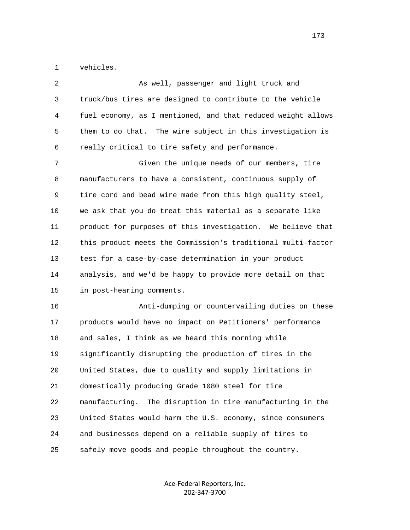1 vehicles.

| $\overline{a}$ | As well, passenger and light truck and                        |
|----------------|---------------------------------------------------------------|
| 3              | truck/bus tires are designed to contribute to the vehicle     |
| 4              | fuel economy, as I mentioned, and that reduced weight allows  |
| 5              | them to do that.<br>The wire subject in this investigation is |
| 6              | really critical to tire safety and performance.               |
| 7              | Given the unique needs of our members, tire                   |
| 8              | manufacturers to have a consistent, continuous supply of      |
| 9              | tire cord and bead wire made from this high quality steel,    |
| 10             | we ask that you do treat this material as a separate like     |
| 11             | product for purposes of this investigation. We believe that   |
| 12             | this product meets the Commission's traditional multi-factor  |
| 13             | test for a case-by-case determination in your product         |
| 14             | analysis, and we'd be happy to provide more detail on that    |
| 15             | in post-hearing comments.                                     |
| 16             | Anti-dumping or countervailing duties on these                |
| 17             | products would have no impact on Petitioners' performance     |
| 18             | and sales, I think as we heard this morning while             |
| 19             | significantly disrupting the production of tires in the       |
| 20             | United States, due to quality and supply limitations in       |
| 21             | domestically producing Grade 1080 steel for tire              |
| 22             | manufacturing.<br>The disruption in tire manufacturing in the |
| 23             | United States would harm the U.S. economy, since consumers    |
| 24             | and businesses depend on a reliable supply of tires to        |
| 25             | safely move goods and people throughout the country.          |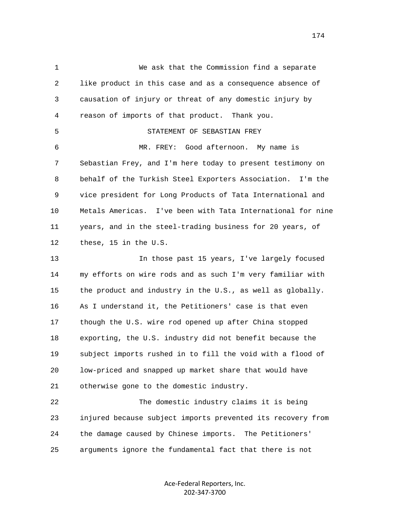1 We ask that the Commission find a separate 2 like product in this case and as a consequence absence of 3 causation of injury or threat of any domestic injury by 4 reason of imports of that product. Thank you. 5 STATEMENT OF SEBASTIAN FREY 6 MR. FREY: Good afternoon. My name is 7 Sebastian Frey, and I'm here today to present testimony on 8 behalf of the Turkish Steel Exporters Association. I'm the 9 vice president for Long Products of Tata International and 10 Metals Americas. I've been with Tata International for nine 11 years, and in the steel-trading business for 20 years, of 12 these, 15 in the U.S. 13 In those past 15 years, I've largely focused 14 my efforts on wire rods and as such I'm very familiar with 15 the product and industry in the U.S., as well as globally. 16 As I understand it, the Petitioners' case is that even 17 though the U.S. wire rod opened up after China stopped 18 exporting, the U.S. industry did not benefit because the 19 subject imports rushed in to fill the void with a flood of 20 low-priced and snapped up market share that would have 21 otherwise gone to the domestic industry. 22 The domestic industry claims it is being 23 injured because subject imports prevented its recovery from 24 the damage caused by Chinese imports. The Petitioners' 25 arguments ignore the fundamental fact that there is not

> Ace-Federal Reporters, Inc. 202-347-3700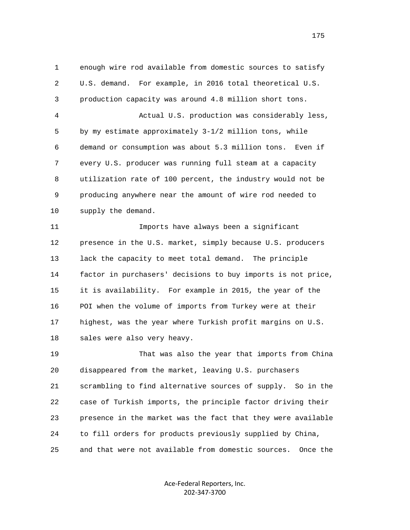1 enough wire rod available from domestic sources to satisfy 2 U.S. demand. For example, in 2016 total theoretical U.S. 3 production capacity was around 4.8 million short tons. 4 Actual U.S. production was considerably less, 5 by my estimate approximately 3-1/2 million tons, while 6 demand or consumption was about 5.3 million tons. Even if 7 every U.S. producer was running full steam at a capacity 8 utilization rate of 100 percent, the industry would not be 9 producing anywhere near the amount of wire rod needed to 10 supply the demand. 11 Imports have always been a significant 12 presence in the U.S. market, simply because U.S. producers 13 lack the capacity to meet total demand. The principle 14 factor in purchasers' decisions to buy imports is not price, 15 it is availability. For example in 2015, the year of the 16 POI when the volume of imports from Turkey were at their 17 highest, was the year where Turkish profit margins on U.S. 18 sales were also very heavy. 19 That was also the year that imports from China 20 disappeared from the market, leaving U.S. purchasers

 21 scrambling to find alternative sources of supply. So in the 22 case of Turkish imports, the principle factor driving their 23 presence in the market was the fact that they were available 24 to fill orders for products previously supplied by China, 25 and that were not available from domestic sources. Once the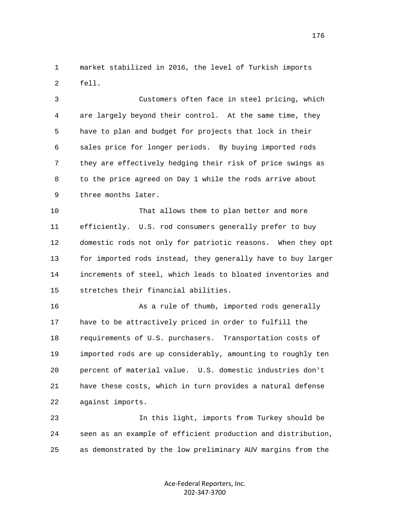1 market stabilized in 2016, the level of Turkish imports 2 fell.

 3 Customers often face in steel pricing, which 4 are largely beyond their control. At the same time, they 5 have to plan and budget for projects that lock in their 6 sales price for longer periods. By buying imported rods 7 they are effectively hedging their risk of price swings as 8 to the price agreed on Day 1 while the rods arrive about 9 three months later.

 10 That allows them to plan better and more 11 efficiently. U.S. rod consumers generally prefer to buy 12 domestic rods not only for patriotic reasons. When they opt 13 for imported rods instead, they generally have to buy larger 14 increments of steel, which leads to bloated inventories and 15 stretches their financial abilities.

 16 As a rule of thumb, imported rods generally 17 have to be attractively priced in order to fulfill the 18 requirements of U.S. purchasers. Transportation costs of 19 imported rods are up considerably, amounting to roughly ten 20 percent of material value. U.S. domestic industries don't 21 have these costs, which in turn provides a natural defense 22 against imports.

 23 In this light, imports from Turkey should be 24 seen as an example of efficient production and distribution, 25 as demonstrated by the low preliminary AUV margins from the

> Ace-Federal Reporters, Inc. 202-347-3700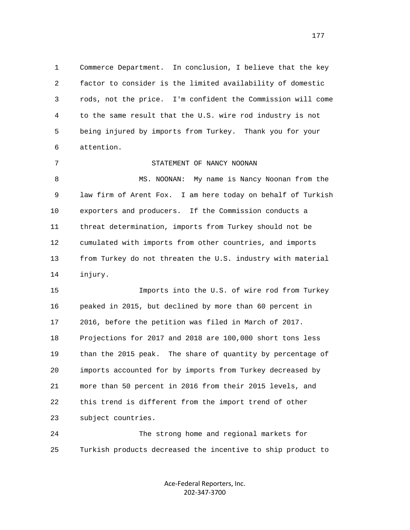1 Commerce Department. In conclusion, I believe that the key 2 factor to consider is the limited availability of domestic 3 rods, not the price. I'm confident the Commission will come 4 to the same result that the U.S. wire rod industry is not 5 being injured by imports from Turkey. Thank you for your 6 attention.

 7 STATEMENT OF NANCY NOONAN 8 MS. NOONAN: My name is Nancy Noonan from the 9 law firm of Arent Fox. I am here today on behalf of Turkish 10 exporters and producers. If the Commission conducts a 11 threat determination, imports from Turkey should not be 12 cumulated with imports from other countries, and imports 13 from Turkey do not threaten the U.S. industry with material 14 injury.

 15 Imports into the U.S. of wire rod from Turkey 16 peaked in 2015, but declined by more than 60 percent in 17 2016, before the petition was filed in March of 2017. 18 Projections for 2017 and 2018 are 100,000 short tons less 19 than the 2015 peak. The share of quantity by percentage of 20 imports accounted for by imports from Turkey decreased by 21 more than 50 percent in 2016 from their 2015 levels, and 22 this trend is different from the import trend of other 23 subject countries.

 24 The strong home and regional markets for 25 Turkish products decreased the incentive to ship product to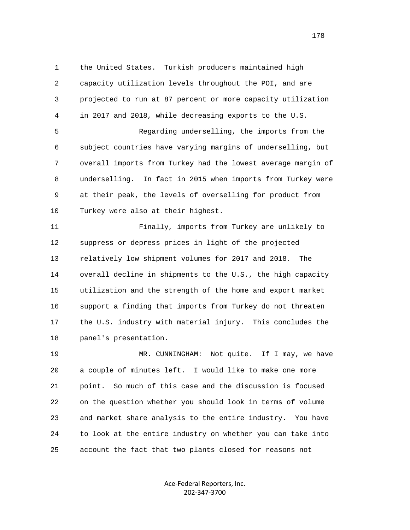1 the United States. Turkish producers maintained high 2 capacity utilization levels throughout the POI, and are 3 projected to run at 87 percent or more capacity utilization 4 in 2017 and 2018, while decreasing exports to the U.S. 5 Regarding underselling, the imports from the

 6 subject countries have varying margins of underselling, but 7 overall imports from Turkey had the lowest average margin of 8 underselling. In fact in 2015 when imports from Turkey were 9 at their peak, the levels of overselling for product from 10 Turkey were also at their highest.

 11 Finally, imports from Turkey are unlikely to 12 suppress or depress prices in light of the projected 13 relatively low shipment volumes for 2017 and 2018. The 14 overall decline in shipments to the U.S., the high capacity 15 utilization and the strength of the home and export market 16 support a finding that imports from Turkey do not threaten 17 the U.S. industry with material injury. This concludes the 18 panel's presentation.

 19 MR. CUNNINGHAM: Not quite. If I may, we have 20 a couple of minutes left. I would like to make one more 21 point. So much of this case and the discussion is focused 22 on the question whether you should look in terms of volume 23 and market share analysis to the entire industry. You have 24 to look at the entire industry on whether you can take into 25 account the fact that two plants closed for reasons not

> Ace-Federal Reporters, Inc. 202-347-3700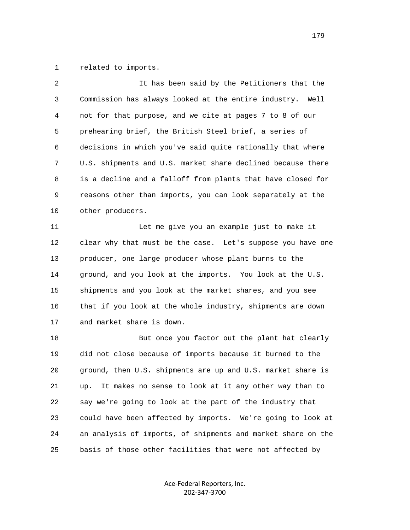1 related to imports.

| 2  | It has been said by the Petitioners that the                 |
|----|--------------------------------------------------------------|
| 3  | Commission has always looked at the entire industry. Well    |
| 4  | not for that purpose, and we cite at pages 7 to 8 of our     |
| 5  | prehearing brief, the British Steel brief, a series of       |
| 6  | decisions in which you've said quite rationally that where   |
| 7  | U.S. shipments and U.S. market share declined because there  |
| 8  | is a decline and a falloff from plants that have closed for  |
| 9  | reasons other than imports, you can look separately at the   |
| 10 | other producers.                                             |
| 11 | Let me give you an example just to make it                   |
| 12 | clear why that must be the case. Let's suppose you have one  |
| 13 | producer, one large producer whose plant burns to the        |
| 14 | ground, and you look at the imports. You look at the U.S.    |
| 15 | shipments and you look at the market shares, and you see     |
| 16 | that if you look at the whole industry, shipments are down   |
| 17 | and market share is down.                                    |
| 18 | But once you factor out the plant hat clearly                |
| 19 | did not close because of imports because it burned to the    |
| 20 | ground, then U.S. shipments are up and U.S. market share is  |
| 21 | It makes no sense to look at it any other way than to<br>up. |
| 22 | say we're going to look at the part of the industry that     |
| 23 | could have been affected by imports. We're going to look at  |
| 24 | an analysis of imports, of shipments and market share on the |
| 25 | basis of those other facilities that were not affected by    |

Ace-Federal Reporters, Inc. 202-347-3700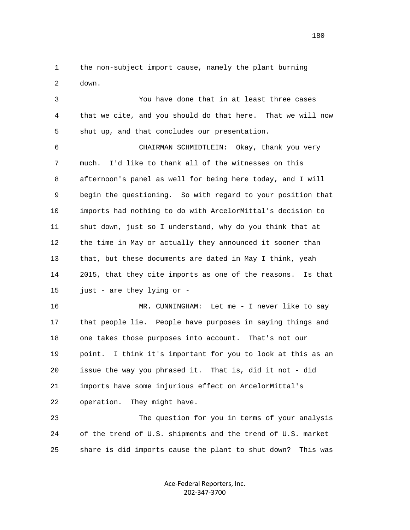1 the non-subject import cause, namely the plant burning 2 down.

 3 You have done that in at least three cases 4 that we cite, and you should do that here. That we will now 5 shut up, and that concludes our presentation.

 6 CHAIRMAN SCHMIDTLEIN: Okay, thank you very 7 much. I'd like to thank all of the witnesses on this 8 afternoon's panel as well for being here today, and I will 9 begin the questioning. So with regard to your position that 10 imports had nothing to do with ArcelorMittal's decision to 11 shut down, just so I understand, why do you think that at 12 the time in May or actually they announced it sooner than 13 that, but these documents are dated in May I think, yeah 14 2015, that they cite imports as one of the reasons. Is that 15 just - are they lying or -

16 MR. CUNNINGHAM: Let me - I never like to say 17 that people lie. People have purposes in saying things and 18 one takes those purposes into account. That's not our 19 point. I think it's important for you to look at this as an 20 issue the way you phrased it. That is, did it not - did 21 imports have some injurious effect on ArcelorMittal's 22 operation. They might have.

 23 The question for you in terms of your analysis 24 of the trend of U.S. shipments and the trend of U.S. market 25 share is did imports cause the plant to shut down? This was

> Ace-Federal Reporters, Inc. 202-347-3700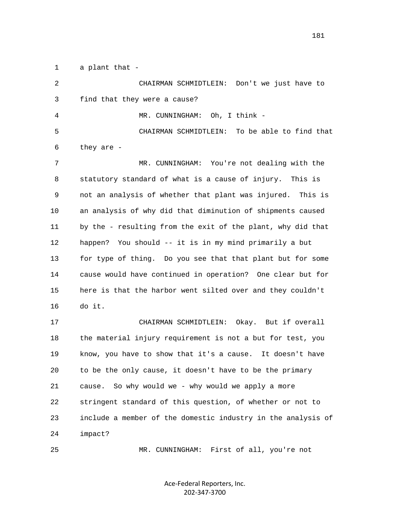1 a plant that -

 2 CHAIRMAN SCHMIDTLEIN: Don't we just have to 3 find that they were a cause? 4 MR. CUNNINGHAM: Oh, I think - 5 CHAIRMAN SCHMIDTLEIN: To be able to find that 6 they are - 7 MR. CUNNINGHAM: You're not dealing with the 8 statutory standard of what is a cause of injury. This is 9 not an analysis of whether that plant was injured. This is 10 an analysis of why did that diminution of shipments caused 11 by the - resulting from the exit of the plant, why did that 12 happen? You should -- it is in my mind primarily a but 13 for type of thing. Do you see that that plant but for some 14 cause would have continued in operation? One clear but for 15 here is that the harbor went silted over and they couldn't 16 do it. 17 CHAIRMAN SCHMIDTLEIN: Okay. But if overall 18 the material injury requirement is not a but for test, you 19 know, you have to show that it's a cause. It doesn't have 20 to be the only cause, it doesn't have to be the primary 21 cause. So why would we - why would we apply a more 22 stringent standard of this question, of whether or not to 23 include a member of the domestic industry in the analysis of 24 impact? 25 MR. CUNNINGHAM: First of all, you're not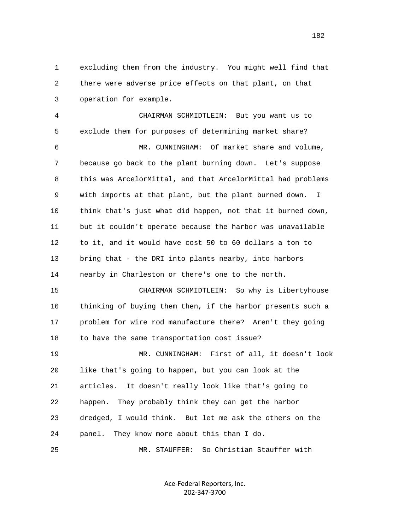1 excluding them from the industry. You might well find that 2 there were adverse price effects on that plant, on that 3 operation for example.

 4 CHAIRMAN SCHMIDTLEIN: But you want us to 5 exclude them for purposes of determining market share? 6 MR. CUNNINGHAM: Of market share and volume, 7 because go back to the plant burning down. Let's suppose 8 this was ArcelorMittal, and that ArcelorMittal had problems 9 with imports at that plant, but the plant burned down. I 10 think that's just what did happen, not that it burned down,

 11 but it couldn't operate because the harbor was unavailable 12 to it, and it would have cost 50 to 60 dollars a ton to 13 bring that - the DRI into plants nearby, into harbors 14 nearby in Charleston or there's one to the north.

 15 CHAIRMAN SCHMIDTLEIN: So why is Libertyhouse 16 thinking of buying them then, if the harbor presents such a 17 problem for wire rod manufacture there? Aren't they going 18 to have the same transportation cost issue? 19 MR. CUNNINGHAM: First of all, it doesn't look 20 like that's going to happen, but you can look at the 21 articles. It doesn't really look like that's going to 22 happen. They probably think they can get the harbor 23 dredged, I would think. But let me ask the others on the 24 panel. They know more about this than I do.

25 MR. STAUFFER: So Christian Stauffer with

Ace-Federal Reporters, Inc. 202-347-3700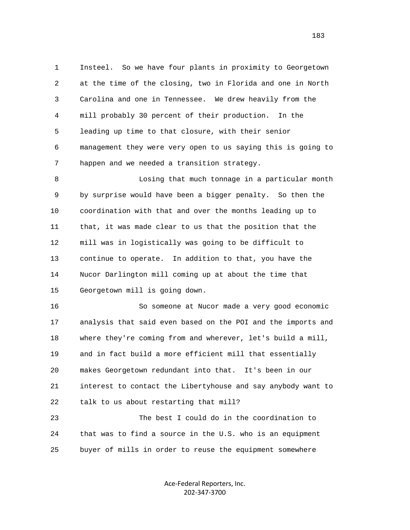1 Insteel. So we have four plants in proximity to Georgetown 2 at the time of the closing, two in Florida and one in North 3 Carolina and one in Tennessee. We drew heavily from the 4 mill probably 30 percent of their production. In the 5 leading up time to that closure, with their senior 6 management they were very open to us saying this is going to 7 happen and we needed a transition strategy.

 8 Losing that much tonnage in a particular month 9 by surprise would have been a bigger penalty. So then the 10 coordination with that and over the months leading up to 11 that, it was made clear to us that the position that the 12 mill was in logistically was going to be difficult to 13 continue to operate. In addition to that, you have the 14 Nucor Darlington mill coming up at about the time that 15 Georgetown mill is going down.

 16 So someone at Nucor made a very good economic 17 analysis that said even based on the POI and the imports and 18 where they're coming from and wherever, let's build a mill, 19 and in fact build a more efficient mill that essentially 20 makes Georgetown redundant into that. It's been in our 21 interest to contact the Libertyhouse and say anybody want to 22 talk to us about restarting that mill?

 23 The best I could do in the coordination to 24 that was to find a source in the U.S. who is an equipment 25 buyer of mills in order to reuse the equipment somewhere

> Ace-Federal Reporters, Inc. 202-347-3700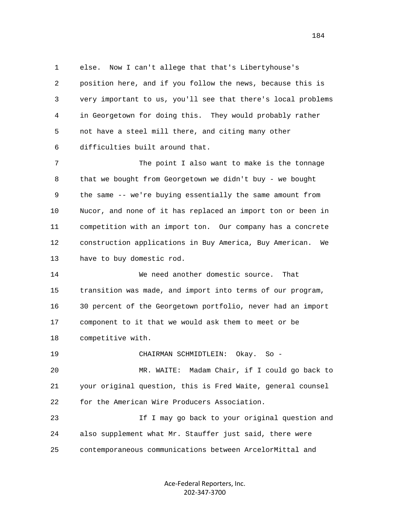1 else. Now I can't allege that that's Libertyhouse's 2 position here, and if you follow the news, because this is 3 very important to us, you'll see that there's local problems 4 in Georgetown for doing this. They would probably rather 5 not have a steel mill there, and citing many other 6 difficulties built around that.

 7 The point I also want to make is the tonnage 8 that we bought from Georgetown we didn't buy - we bought 9 the same -- we're buying essentially the same amount from 10 Nucor, and none of it has replaced an import ton or been in 11 competition with an import ton. Our company has a concrete 12 construction applications in Buy America, Buy American. We 13 have to buy domestic rod.

 14 We need another domestic source. That 15 transition was made, and import into terms of our program, 16 30 percent of the Georgetown portfolio, never had an import 17 component to it that we would ask them to meet or be 18 competitive with.

19 CHAIRMAN SCHMIDTLEIN: Okay. So -

 20 MR. WAITE: Madam Chair, if I could go back to 21 your original question, this is Fred Waite, general counsel 22 for the American Wire Producers Association.

 23 If I may go back to your original question and 24 also supplement what Mr. Stauffer just said, there were 25 contemporaneous communications between ArcelorMittal and

> Ace-Federal Reporters, Inc. 202-347-3700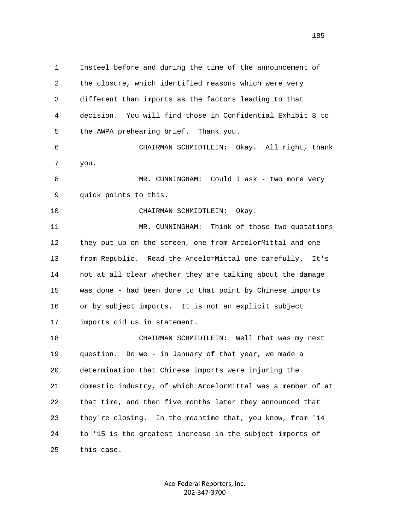1 Insteel before and during the time of the announcement of 2 the closure, which identified reasons which were very 3 different than imports as the factors leading to that 4 decision. You will find those in Confidential Exhibit 8 to 5 the AWPA prehearing brief. Thank you. 6 CHAIRMAN SCHMIDTLEIN: Okay. All right, thank 7 you. 8 MR. CUNNINGHAM: Could I ask - two more very 9 quick points to this. 10 CHAIRMAN SCHMIDTLEIN: Okay. 11 MR. CUNNINGHAM: Think of those two quotations 12 they put up on the screen, one from ArcelorMittal and one 13 from Republic. Read the ArcelorMittal one carefully. It's 14 not at all clear whether they are talking about the damage 15 was done - had been done to that point by Chinese imports 16 or by subject imports. It is not an explicit subject 17 imports did us in statement. 18 CHAIRMAN SCHMIDTLEIN: Well that was my next 19 question. Do we - in January of that year, we made a 20 determination that Chinese imports were injuring the 21 domestic industry, of which ArcelorMittal was a member of at 22 that time, and then five months later they announced that 23 they're closing. In the meantime that, you know, from '14 24 to '15 is the greatest increase in the subject imports of 25 this case.

> Ace-Federal Reporters, Inc. 202-347-3700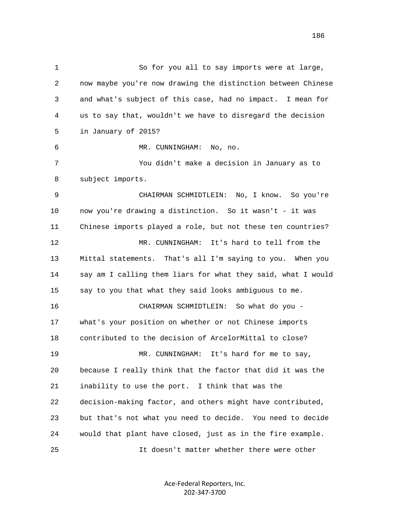1 So for you all to say imports were at large, 2 now maybe you're now drawing the distinction between Chinese 3 and what's subject of this case, had no impact. I mean for 4 us to say that, wouldn't we have to disregard the decision 5 in January of 2015? 6 MR. CUNNINGHAM: No, no. 7 You didn't make a decision in January as to 8 subject imports. 9 CHAIRMAN SCHMIDTLEIN: No, I know. So you're 10 now you're drawing a distinction. So it wasn't - it was 11 Chinese imports played a role, but not these ten countries? 12 MR. CUNNINGHAM: It's hard to tell from the 13 Mittal statements. That's all I'm saying to you. When you 14 say am I calling them liars for what they said, what I would 15 say to you that what they said looks ambiguous to me. 16 CHAIRMAN SCHMIDTLEIN: So what do you - 17 what's your position on whether or not Chinese imports 18 contributed to the decision of ArcelorMittal to close? 19 MR. CUNNINGHAM: It's hard for me to say, 20 because I really think that the factor that did it was the 21 inability to use the port. I think that was the 22 decision-making factor, and others might have contributed, 23 but that's not what you need to decide. You need to decide 24 would that plant have closed, just as in the fire example. 25 It doesn't matter whether there were other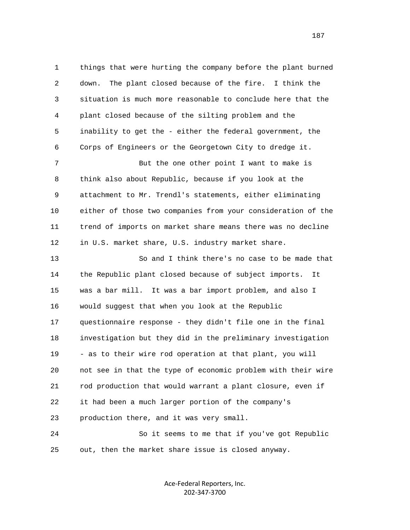1 things that were hurting the company before the plant burned 2 down. The plant closed because of the fire. I think the 3 situation is much more reasonable to conclude here that the 4 plant closed because of the silting problem and the 5 inability to get the - either the federal government, the 6 Corps of Engineers or the Georgetown City to dredge it. 7 But the one other point I want to make is 8 think also about Republic, because if you look at the 9 attachment to Mr. Trendl's statements, either eliminating 10 either of those two companies from your consideration of the 11 trend of imports on market share means there was no decline 12 in U.S. market share, U.S. industry market share. 13 So and I think there's no case to be made that 14 the Republic plant closed because of subject imports. It 15 was a bar mill. It was a bar import problem, and also I 16 would suggest that when you look at the Republic 17 questionnaire response - they didn't file one in the final

 18 investigation but they did in the preliminary investigation 19 - as to their wire rod operation at that plant, you will 20 not see in that the type of economic problem with their wire 21 rod production that would warrant a plant closure, even if 22 it had been a much larger portion of the company's 23 production there, and it was very small. 24 So it seems to me that if you've got Republic

25 out, then the market share issue is closed anyway.

Ace-Federal Reporters, Inc. 202-347-3700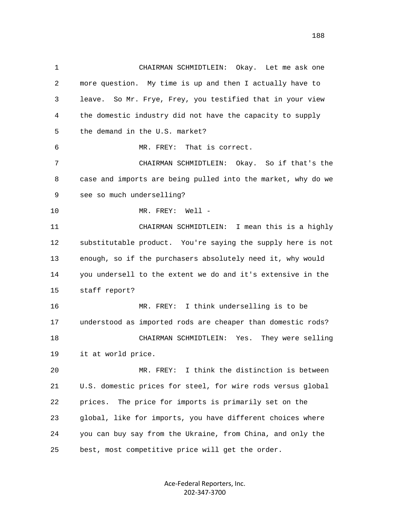1 CHAIRMAN SCHMIDTLEIN: Okay. Let me ask one 2 more question. My time is up and then I actually have to 3 leave. So Mr. Frye, Frey, you testified that in your view 4 the domestic industry did not have the capacity to supply 5 the demand in the U.S. market? 6 MR. FREY: That is correct. 7 CHAIRMAN SCHMIDTLEIN: Okay. So if that's the 8 case and imports are being pulled into the market, why do we 9 see so much underselling? 10 MR. FREY: Well - 11 CHAIRMAN SCHMIDTLEIN: I mean this is a highly 12 substitutable product. You're saying the supply here is not 13 enough, so if the purchasers absolutely need it, why would 14 you undersell to the extent we do and it's extensive in the 15 staff report? 16 MR. FREY: I think underselling is to be 17 understood as imported rods are cheaper than domestic rods? 18 CHAIRMAN SCHMIDTLEIN: Yes. They were selling 19 it at world price. 20 MR. FREY: I think the distinction is between 21 U.S. domestic prices for steel, for wire rods versus global 22 prices. The price for imports is primarily set on the 23 global, like for imports, you have different choices where 24 you can buy say from the Ukraine, from China, and only the 25 best, most competitive price will get the order.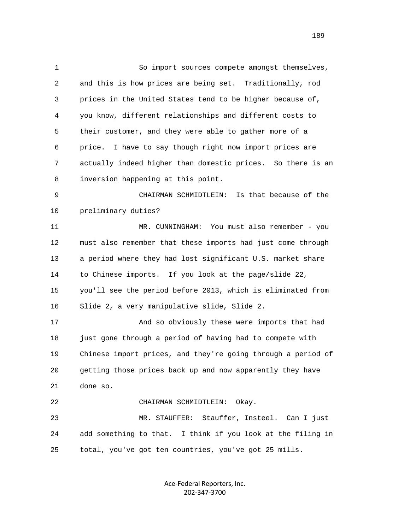1 So import sources compete amongst themselves, 2 and this is how prices are being set. Traditionally, rod 3 prices in the United States tend to be higher because of, 4 you know, different relationships and different costs to 5 their customer, and they were able to gather more of a 6 price. I have to say though right now import prices are 7 actually indeed higher than domestic prices. So there is an 8 inversion happening at this point. 9 CHAIRMAN SCHMIDTLEIN: Is that because of the 10 preliminary duties? 11 MR. CUNNINGHAM: You must also remember - you 12 must also remember that these imports had just come through 13 a period where they had lost significant U.S. market share 14 to Chinese imports. If you look at the page/slide 22, 15 you'll see the period before 2013, which is eliminated from 16 Slide 2, a very manipulative slide, Slide 2. 17 And so obviously these were imports that had 18 just gone through a period of having had to compete with 19 Chinese import prices, and they're going through a period of 20 getting those prices back up and now apparently they have 21 done so. 22 CHAIRMAN SCHMIDTLEIN: Okay. 23 MR. STAUFFER: Stauffer, Insteel. Can I just 24 add something to that. I think if you look at the filing in 25 total, you've got ten countries, you've got 25 mills.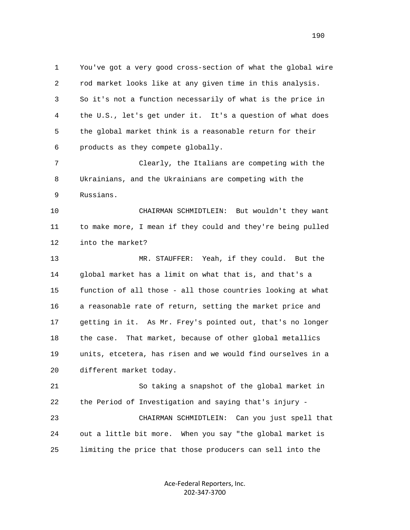1 You've got a very good cross-section of what the global wire 2 rod market looks like at any given time in this analysis. 3 So it's not a function necessarily of what is the price in 4 the U.S., let's get under it. It's a question of what does 5 the global market think is a reasonable return for their 6 products as they compete globally.

 7 Clearly, the Italians are competing with the 8 Ukrainians, and the Ukrainians are competing with the 9 Russians.

 10 CHAIRMAN SCHMIDTLEIN: But wouldn't they want 11 to make more, I mean if they could and they're being pulled 12 into the market?

 13 MR. STAUFFER: Yeah, if they could. But the 14 global market has a limit on what that is, and that's a 15 function of all those - all those countries looking at what 16 a reasonable rate of return, setting the market price and 17 getting in it. As Mr. Frey's pointed out, that's no longer 18 the case. That market, because of other global metallics 19 units, etcetera, has risen and we would find ourselves in a 20 different market today.

 21 So taking a snapshot of the global market in 22 the Period of Investigation and saying that's injury - 23 CHAIRMAN SCHMIDTLEIN: Can you just spell that 24 out a little bit more. When you say "the global market is 25 limiting the price that those producers can sell into the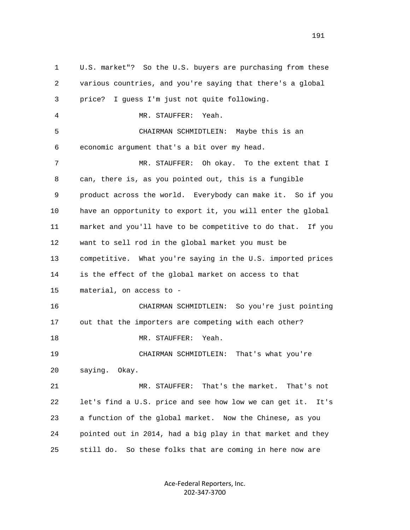1 U.S. market"? So the U.S. buyers are purchasing from these 2 various countries, and you're saying that there's a global 3 price? I guess I'm just not quite following. 4 MR. STAUFFER: Yeah. 5 CHAIRMAN SCHMIDTLEIN: Maybe this is an 6 economic argument that's a bit over my head. 7 MR. STAUFFER: Oh okay. To the extent that I 8 can, there is, as you pointed out, this is a fungible 9 product across the world. Everybody can make it. So if you 10 have an opportunity to export it, you will enter the global 11 market and you'll have to be competitive to do that. If you 12 want to sell rod in the global market you must be 13 competitive. What you're saying in the U.S. imported prices 14 is the effect of the global market on access to that 15 material, on access to - 16 CHAIRMAN SCHMIDTLEIN: So you're just pointing 17 out that the importers are competing with each other? 18 MR. STAUFFER: Yeah. 19 CHAIRMAN SCHMIDTLEIN: That's what you're 20 saying. Okay. 21 MR. STAUFFER: That's the market. That's not 22 let's find a U.S. price and see how low we can get it. It's 23 a function of the global market. Now the Chinese, as you 24 pointed out in 2014, had a big play in that market and they 25 still do. So these folks that are coming in here now are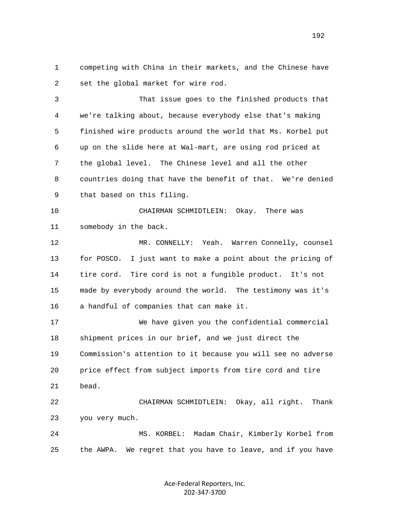1 competing with China in their markets, and the Chinese have 2 set the global market for wire rod.

 3 That issue goes to the finished products that 4 we're talking about, because everybody else that's making 5 finished wire products around the world that Ms. Korbel put 6 up on the slide here at Wal-mart, are using rod priced at 7 the global level. The Chinese level and all the other 8 countries doing that have the benefit of that. We're denied 9 that based on this filing.

 10 CHAIRMAN SCHMIDTLEIN: Okay. There was 11 somebody in the back.

 12 MR. CONNELLY: Yeah. Warren Connelly, counsel 13 for POSCO. I just want to make a point about the pricing of 14 tire cord. Tire cord is not a fungible product. It's not 15 made by everybody around the world. The testimony was it's 16 a handful of companies that can make it.

 17 We have given you the confidential commercial 18 shipment prices in our brief, and we just direct the 19 Commission's attention to it because you will see no adverse 20 price effect from subject imports from tire cord and tire 21 bead. 22 CHAIRMAN SCHMIDTLEIN: Okay, all right. Thank 23 you very much.

 24 MS. KORBEL: Madam Chair, Kimberly Korbel from 25 the AWPA. We regret that you have to leave, and if you have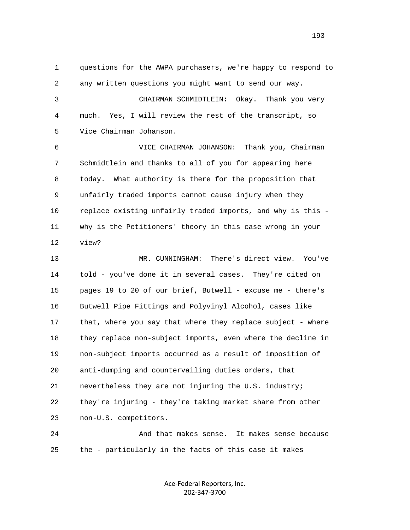1 questions for the AWPA purchasers, we're happy to respond to 2 any written questions you might want to send our way. 3 CHAIRMAN SCHMIDTLEIN: Okay. Thank you very 4 much. Yes, I will review the rest of the transcript, so 5 Vice Chairman Johanson. 6 VICE CHAIRMAN JOHANSON: Thank you, Chairman 7 Schmidtlein and thanks to all of you for appearing here 8 today. What authority is there for the proposition that 9 unfairly traded imports cannot cause injury when they 10 replace existing unfairly traded imports, and why is this - 11 why is the Petitioners' theory in this case wrong in your

12 view?

 13 MR. CUNNINGHAM: There's direct view. You've 14 told - you've done it in several cases. They're cited on 15 pages 19 to 20 of our brief, Butwell - excuse me - there's 16 Butwell Pipe Fittings and Polyvinyl Alcohol, cases like 17 that, where you say that where they replace subject - where 18 they replace non-subject imports, even where the decline in 19 non-subject imports occurred as a result of imposition of 20 anti-dumping and countervailing duties orders, that 21 nevertheless they are not injuring the U.S. industry; 22 they're injuring - they're taking market share from other 23 non-U.S. competitors.

 24 And that makes sense. It makes sense because 25 the - particularly in the facts of this case it makes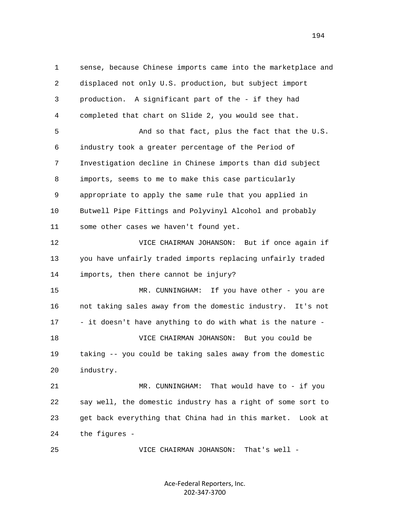1 sense, because Chinese imports came into the marketplace and 2 displaced not only U.S. production, but subject import 3 production. A significant part of the - if they had 4 completed that chart on Slide 2, you would see that. 5 And so that fact, plus the fact that the U.S. 6 industry took a greater percentage of the Period of 7 Investigation decline in Chinese imports than did subject 8 imports, seems to me to make this case particularly 9 appropriate to apply the same rule that you applied in 10 Butwell Pipe Fittings and Polyvinyl Alcohol and probably 11 some other cases we haven't found yet. 12 VICE CHAIRMAN JOHANSON: But if once again if 13 you have unfairly traded imports replacing unfairly traded 14 imports, then there cannot be injury? 15 MR. CUNNINGHAM: If you have other - you are 16 not taking sales away from the domestic industry. It's not 17 - it doesn't have anything to do with what is the nature - 18 VICE CHAIRMAN JOHANSON: But you could be 19 taking -- you could be taking sales away from the domestic 20 industry. 21 MR. CUNNINGHAM: That would have to - if you 22 say well, the domestic industry has a right of some sort to 23 get back everything that China had in this market. Look at 24 the figures -

> Ace-Federal Reporters, Inc. 202-347-3700

25 VICE CHAIRMAN JOHANSON: That's well -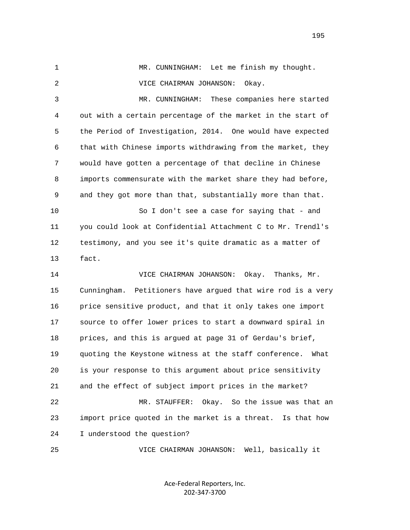1 MR. CUNNINGHAM: Let me finish my thought. 2 VICE CHAIRMAN JOHANSON: Okay. 3 MR. CUNNINGHAM: These companies here started 4 out with a certain percentage of the market in the start of 5 the Period of Investigation, 2014. One would have expected 6 that with Chinese imports withdrawing from the market, they 7 would have gotten a percentage of that decline in Chinese 8 imports commensurate with the market share they had before, 9 and they got more than that, substantially more than that. 10 So I don't see a case for saying that - and 11 you could look at Confidential Attachment C to Mr. Trendl's 12 testimony, and you see it's quite dramatic as a matter of 13 fact. 14 VICE CHAIRMAN JOHANSON: Okay. Thanks, Mr. 15 Cunningham. Petitioners have argued that wire rod is a very 16 price sensitive product, and that it only takes one import 17 source to offer lower prices to start a downward spiral in 18 prices, and this is argued at page 31 of Gerdau's brief, 19 quoting the Keystone witness at the staff conference. What 20 is your response to this argument about price sensitivity 21 and the effect of subject import prices in the market? 22 MR. STAUFFER: Okay. So the issue was that an 23 import price quoted in the market is a threat. Is that how

24 I understood the question?

25 VICE CHAIRMAN JOHANSON: Well, basically it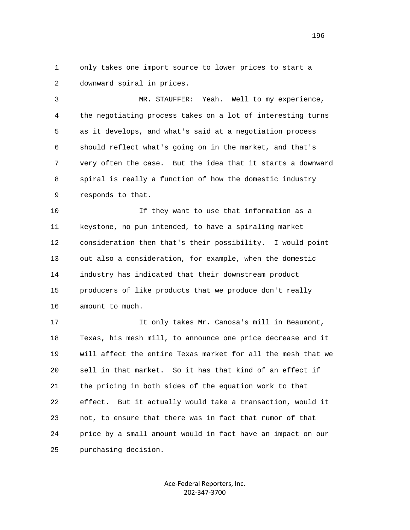1 only takes one import source to lower prices to start a 2 downward spiral in prices.

 3 MR. STAUFFER: Yeah. Well to my experience, 4 the negotiating process takes on a lot of interesting turns 5 as it develops, and what's said at a negotiation process 6 should reflect what's going on in the market, and that's 7 very often the case. But the idea that it starts a downward 8 spiral is really a function of how the domestic industry 9 responds to that.

 10 If they want to use that information as a 11 keystone, no pun intended, to have a spiraling market 12 consideration then that's their possibility. I would point 13 out also a consideration, for example, when the domestic 14 industry has indicated that their downstream product 15 producers of like products that we produce don't really 16 amount to much.

 17 It only takes Mr. Canosa's mill in Beaumont, 18 Texas, his mesh mill, to announce one price decrease and it 19 will affect the entire Texas market for all the mesh that we 20 sell in that market. So it has that kind of an effect if 21 the pricing in both sides of the equation work to that 22 effect. But it actually would take a transaction, would it 23 not, to ensure that there was in fact that rumor of that 24 price by a small amount would in fact have an impact on our 25 purchasing decision.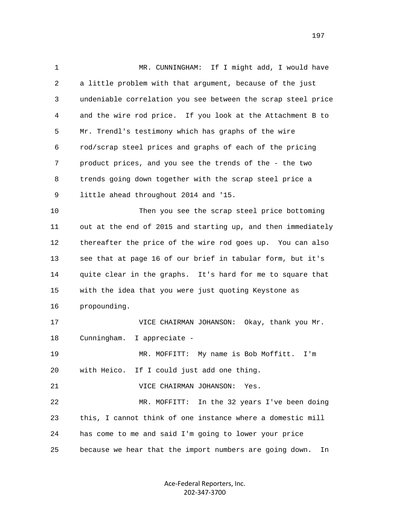1 MR. CUNNINGHAM: If I might add, I would have 2 a little problem with that argument, because of the just 3 undeniable correlation you see between the scrap steel price 4 and the wire rod price. If you look at the Attachment B to 5 Mr. Trendl's testimony which has graphs of the wire 6 rod/scrap steel prices and graphs of each of the pricing 7 product prices, and you see the trends of the - the two 8 trends going down together with the scrap steel price a 9 little ahead throughout 2014 and '15. 10 Then you see the scrap steel price bottoming 11 out at the end of 2015 and starting up, and then immediately 12 thereafter the price of the wire rod goes up. You can also 13 see that at page 16 of our brief in tabular form, but it's 14 quite clear in the graphs. It's hard for me to square that 15 with the idea that you were just quoting Keystone as 16 propounding. 17 VICE CHAIRMAN JOHANSON: Okay, thank you Mr. 18 Cunningham. I appreciate - 19 MR. MOFFITT: My name is Bob Moffitt. I'm 20 with Heico. If I could just add one thing. 21 VICE CHAIRMAN JOHANSON: Yes. 22 MR. MOFFITT: In the 32 years I've been doing 23 this, I cannot think of one instance where a domestic mill 24 has come to me and said I'm going to lower your price 25 because we hear that the import numbers are going down. In

> Ace-Federal Reporters, Inc. 202-347-3700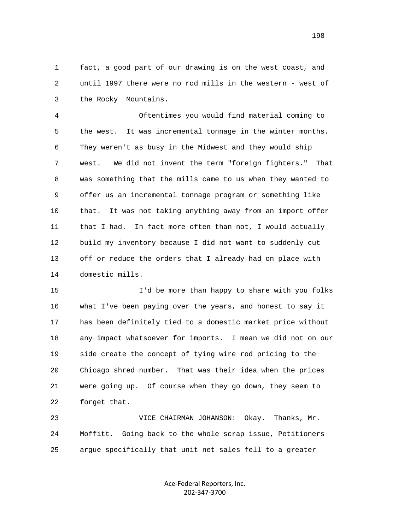1 fact, a good part of our drawing is on the west coast, and 2 until 1997 there were no rod mills in the western - west of 3 the Rocky Mountains.

 4 Oftentimes you would find material coming to 5 the west. It was incremental tonnage in the winter months. 6 They weren't as busy in the Midwest and they would ship 7 west. We did not invent the term "foreign fighters." That 8 was something that the mills came to us when they wanted to 9 offer us an incremental tonnage program or something like 10 that. It was not taking anything away from an import offer 11 that I had. In fact more often than not, I would actually 12 build my inventory because I did not want to suddenly cut 13 off or reduce the orders that I already had on place with 14 domestic mills.

 15 I'd be more than happy to share with you folks 16 what I've been paying over the years, and honest to say it 17 has been definitely tied to a domestic market price without 18 any impact whatsoever for imports. I mean we did not on our 19 side create the concept of tying wire rod pricing to the 20 Chicago shred number. That was their idea when the prices 21 were going up. Of course when they go down, they seem to 22 forget that.

 23 VICE CHAIRMAN JOHANSON: Okay. Thanks, Mr. 24 Moffitt. Going back to the whole scrap issue, Petitioners 25 argue specifically that unit net sales fell to a greater

> Ace-Federal Reporters, Inc. 202-347-3700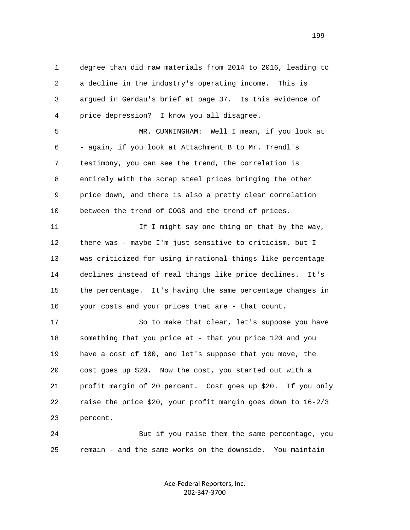1 degree than did raw materials from 2014 to 2016, leading to 2 a decline in the industry's operating income. This is 3 argued in Gerdau's brief at page 37. Is this evidence of 4 price depression? I know you all disagree. 5 MR. CUNNINGHAM: Well I mean, if you look at 6 - again, if you look at Attachment B to Mr. Trendl's 7 testimony, you can see the trend, the correlation is 8 entirely with the scrap steel prices bringing the other 9 price down, and there is also a pretty clear correlation 10 between the trend of COGS and the trend of prices. 11 11 If I might say one thing on that by the way, 12 there was - maybe I'm just sensitive to criticism, but I 13 was criticized for using irrational things like percentage 14 declines instead of real things like price declines. It's 15 the percentage. It's having the same percentage changes in 16 your costs and your prices that are - that count. 17 So to make that clear, let's suppose you have 18 something that you price at - that you price 120 and you 19 have a cost of 100, and let's suppose that you move, the 20 cost goes up \$20. Now the cost, you started out with a 21 profit margin of 20 percent. Cost goes up \$20. If you only

 22 raise the price \$20, your profit margin goes down to 16-2/3 23 percent.

 24 But if you raise them the same percentage, you 25 remain - and the same works on the downside. You maintain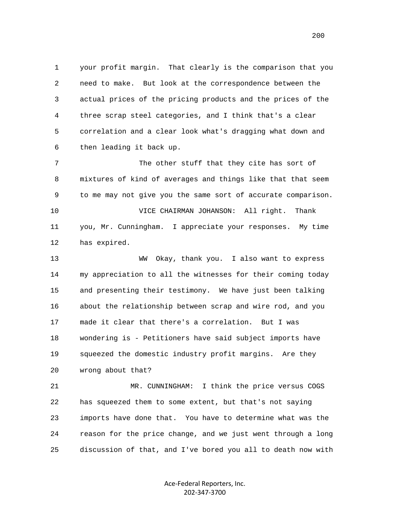1 your profit margin. That clearly is the comparison that you 2 need to make. But look at the correspondence between the 3 actual prices of the pricing products and the prices of the 4 three scrap steel categories, and I think that's a clear 5 correlation and a clear look what's dragging what down and 6 then leading it back up.

 7 The other stuff that they cite has sort of 8 mixtures of kind of averages and things like that that seem 9 to me may not give you the same sort of accurate comparison. 10 VICE CHAIRMAN JOHANSON: All right. Thank 11 you, Mr. Cunningham. I appreciate your responses. My time 12 has expired.

 13 WW Okay, thank you. I also want to express 14 my appreciation to all the witnesses for their coming today 15 and presenting their testimony. We have just been talking 16 about the relationship between scrap and wire rod, and you 17 made it clear that there's a correlation. But I was 18 wondering is - Petitioners have said subject imports have 19 squeezed the domestic industry profit margins. Are they 20 wrong about that?

 21 MR. CUNNINGHAM: I think the price versus COGS 22 has squeezed them to some extent, but that's not saying 23 imports have done that. You have to determine what was the 24 reason for the price change, and we just went through a long 25 discussion of that, and I've bored you all to death now with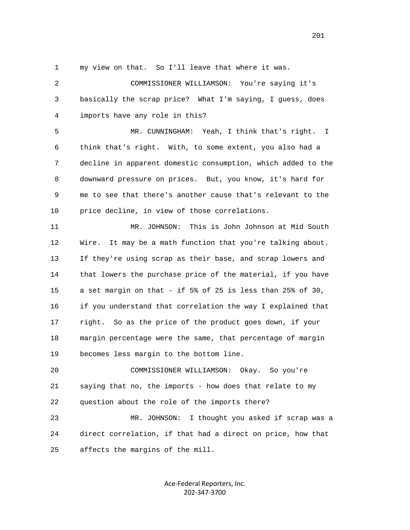1 my view on that. So I'll leave that where it was.

 2 COMMISSIONER WILLIAMSON: You're saying it's 3 basically the scrap price? What I'm saying, I guess, does 4 imports have any role in this?

 5 MR. CUNNINGHAM: Yeah, I think that's right. I 6 think that's right. With, to some extent, you also had a 7 decline in apparent domestic consumption, which added to the 8 downward pressure on prices. But, you know, it's hard for 9 me to see that there's another cause that's relevant to the 10 price decline, in view of those correlations.

 11 MR. JOHNSON: This is John Johnson at Mid South 12 Wire. It may be a math function that you're talking about. 13 If they're using scrap as their base, and scrap lowers and 14 that lowers the purchase price of the material, if you have 15 a set margin on that - if 5% of 25 is less than 25% of 30, 16 if you understand that correlation the way I explained that 17 right. So as the price of the product goes down, if your 18 margin percentage were the same, that percentage of margin 19 becomes less margin to the bottom line.

 20 COMMISSIONER WILLIAMSON: Okay. So you're 21 saying that no, the imports - how does that relate to my 22 question about the role of the imports there?

 23 MR. JOHNSON: I thought you asked if scrap was a 24 direct correlation, if that had a direct on price, how that 25 affects the margins of the mill.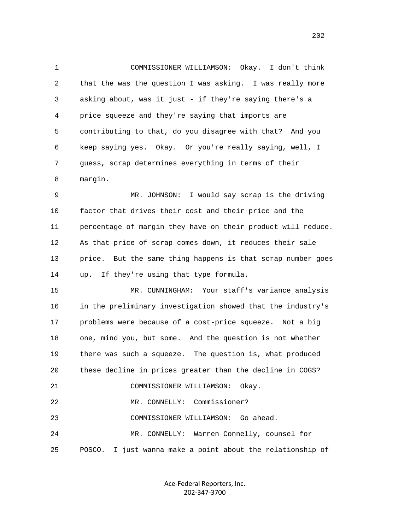1 COMMISSIONER WILLIAMSON: Okay. I don't think 2 that the was the question I was asking. I was really more 3 asking about, was it just - if they're saying there's a 4 price squeeze and they're saying that imports are 5 contributing to that, do you disagree with that? And you 6 keep saying yes. Okay. Or you're really saying, well, I 7 guess, scrap determines everything in terms of their 8 margin.

 9 MR. JOHNSON: I would say scrap is the driving 10 factor that drives their cost and their price and the 11 percentage of margin they have on their product will reduce. 12 As that price of scrap comes down, it reduces their sale 13 price. But the same thing happens is that scrap number goes 14 up. If they're using that type formula.

 15 MR. CUNNINGHAM: Your staff's variance analysis 16 in the preliminary investigation showed that the industry's 17 problems were because of a cost-price squeeze. Not a big 18 one, mind you, but some. And the question is not whether 19 there was such a squeeze. The question is, what produced 20 these decline in prices greater than the decline in COGS? 21 COMMISSIONER WILLIAMSON: Okay. 22 MR. CONNELLY: Commissioner? 23 COMMISSIONER WILLIAMSON: Go ahead. 24 MR. CONNELLY: Warren Connelly, counsel for

25 POSCO. I just wanna make a point about the relationship of

Ace-Federal Reporters, Inc. 202-347-3700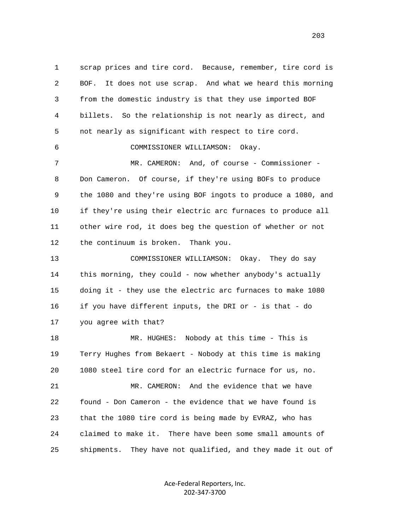1 scrap prices and tire cord. Because, remember, tire cord is 2 BOF. It does not use scrap. And what we heard this morning 3 from the domestic industry is that they use imported BOF 4 billets. So the relationship is not nearly as direct, and 5 not nearly as significant with respect to tire cord. 6 COMMISSIONER WILLIAMSON: Okay. 7 MR. CAMERON: And, of course - Commissioner - 8 Don Cameron. Of course, if they're using BOFs to produce 9 the 1080 and they're using BOF ingots to produce a 1080, and 10 if they're using their electric arc furnaces to produce all 11 other wire rod, it does beg the question of whether or not 12 the continuum is broken. Thank you. 13 COMMISSIONER WILLIAMSON: Okay. They do say 14 this morning, they could - now whether anybody's actually 15 doing it - they use the electric arc furnaces to make 1080 16 if you have different inputs, the DRI or - is that - do 17 you agree with that? 18 MR. HUGHES: Nobody at this time - This is 19 Terry Hughes from Bekaert - Nobody at this time is making 20 1080 steel tire cord for an electric furnace for us, no. 21 MR. CAMERON: And the evidence that we have 22 found - Don Cameron - the evidence that we have found is

 23 that the 1080 tire cord is being made by EVRAZ, who has 24 claimed to make it. There have been some small amounts of 25 shipments. They have not qualified, and they made it out of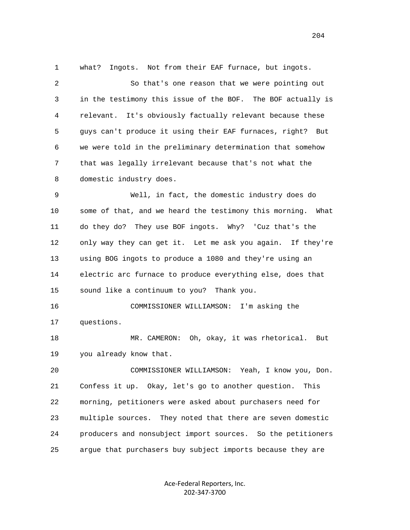1 what? Ingots. Not from their EAF furnace, but ingots.

 2 So that's one reason that we were pointing out 3 in the testimony this issue of the BOF. The BOF actually is 4 relevant. It's obviously factually relevant because these 5 guys can't produce it using their EAF furnaces, right? But 6 we were told in the preliminary determination that somehow 7 that was legally irrelevant because that's not what the 8 domestic industry does.

 9 Well, in fact, the domestic industry does do 10 some of that, and we heard the testimony this morning. What 11 do they do? They use BOF ingots. Why? 'Cuz that's the 12 only way they can get it. Let me ask you again. If they're 13 using BOG ingots to produce a 1080 and they're using an 14 electric arc furnace to produce everything else, does that 15 sound like a continuum to you? Thank you.

 16 COMMISSIONER WILLIAMSON: I'm asking the 17 questions.

18 MR. CAMERON: Oh, okay, it was rhetorical. But 19 you already know that.

 20 COMMISSIONER WILLIAMSON: Yeah, I know you, Don. 21 Confess it up. Okay, let's go to another question. This 22 morning, petitioners were asked about purchasers need for 23 multiple sources. They noted that there are seven domestic 24 producers and nonsubject import sources. So the petitioners 25 argue that purchasers buy subject imports because they are

> Ace-Federal Reporters, Inc. 202-347-3700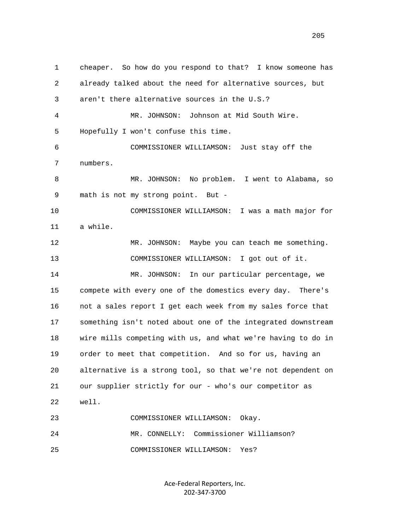1 cheaper. So how do you respond to that? I know someone has 2 already talked about the need for alternative sources, but 3 aren't there alternative sources in the U.S.? 4 MR. JOHNSON: Johnson at Mid South Wire. 5 Hopefully I won't confuse this time. 6 COMMISSIONER WILLIAMSON: Just stay off the 7 numbers. 8 MR. JOHNSON: No problem. I went to Alabama, so 9 math is not my strong point. But - 10 COMMISSIONER WILLIAMSON: I was a math major for 11 a while. 12 MR. JOHNSON: Maybe you can teach me something. 13 COMMISSIONER WILLIAMSON: I got out of it. 14 MR. JOHNSON: In our particular percentage, we 15 compete with every one of the domestics every day. There's 16 not a sales report I get each week from my sales force that 17 something isn't noted about one of the integrated downstream 18 wire mills competing with us, and what we're having to do in 19 order to meet that competition. And so for us, having an 20 alternative is a strong tool, so that we're not dependent on 21 our supplier strictly for our - who's our competitor as 22 well. 23 COMMISSIONER WILLIAMSON: Okay. 24 MR. CONNELLY: Commissioner Williamson? 25 COMMISSIONER WILLIAMSON: Yes?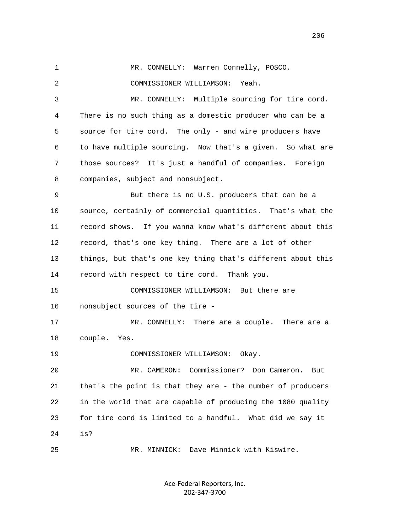1 MR. CONNELLY: Warren Connelly, POSCO. 2 COMMISSIONER WILLIAMSON: Yeah. 3 MR. CONNELLY: Multiple sourcing for tire cord. 4 There is no such thing as a domestic producer who can be a 5 source for tire cord. The only - and wire producers have 6 to have multiple sourcing. Now that's a given. So what are 7 those sources? It's just a handful of companies. Foreign 8 companies, subject and nonsubject. 9 But there is no U.S. producers that can be a 10 source, certainly of commercial quantities. That's what the 11 record shows. If you wanna know what's different about this 12 record, that's one key thing. There are a lot of other 13 things, but that's one key thing that's different about this 14 record with respect to tire cord. Thank you. 15 COMMISSIONER WILLIAMSON: But there are 16 nonsubject sources of the tire - 17 MR. CONNELLY: There are a couple. There are a 18 couple. Yes. 19 COMMISSIONER WILLIAMSON: Okay. 20 MR. CAMERON: Commissioner? Don Cameron. But 21 that's the point is that they are - the number of producers 22 in the world that are capable of producing the 1080 quality 23 for tire cord is limited to a handful. What did we say it 24 is? 25 MR. MINNICK: Dave Minnick with Kiswire.

> Ace-Federal Reporters, Inc. 202-347-3700

последници производите в 1992 године и 1993 године в 1993 године и 1993 године и 1993 године и 1994 године и 1<br>В 1993 године и 1993 године и 1993 године и 1993 године и 1993 године и 1993 године и 1993 године и 1993 годин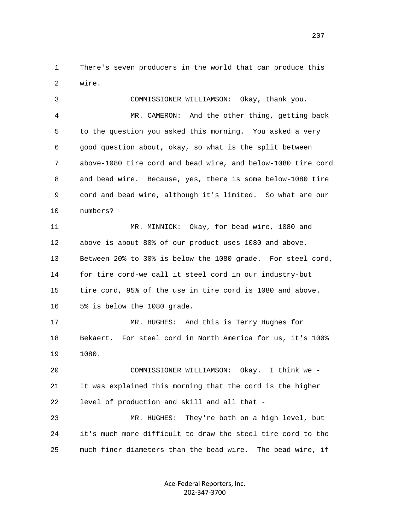1 There's seven producers in the world that can produce this 2 wire.

 3 COMMISSIONER WILLIAMSON: Okay, thank you. 4 MR. CAMERON: And the other thing, getting back 5 to the question you asked this morning. You asked a very 6 good question about, okay, so what is the split between 7 above-1080 tire cord and bead wire, and below-1080 tire cord 8 and bead wire. Because, yes, there is some below-1080 tire 9 cord and bead wire, although it's limited. So what are our 10 numbers? 11 MR. MINNICK: Okay, for bead wire, 1080 and 12 above is about 80% of our product uses 1080 and above. 13 Between 20% to 30% is below the 1080 grade. For steel cord, 14 for tire cord-we call it steel cord in our industry-but 15 tire cord, 95% of the use in tire cord is 1080 and above. 16 5% is below the 1080 grade. 17 MR. HUGHES: And this is Terry Hughes for 18 Bekaert. For steel cord in North America for us, it's 100% 19 1080. 20 COMMISSIONER WILLIAMSON: Okay. I think we - 21 It was explained this morning that the cord is the higher 22 level of production and skill and all that - 23 MR. HUGHES: They're both on a high level, but 24 it's much more difficult to draw the steel tire cord to the 25 much finer diameters than the bead wire. The bead wire, if

> Ace-Federal Reporters, Inc. 202-347-3700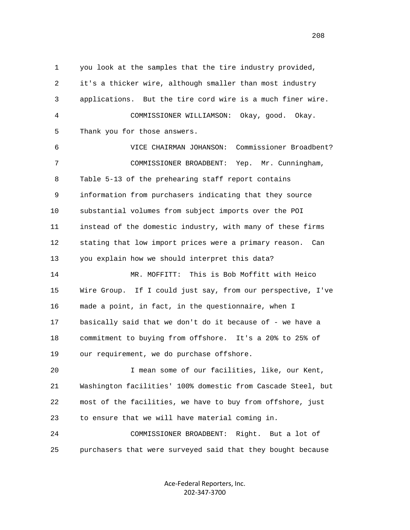1 you look at the samples that the tire industry provided, 2 it's a thicker wire, although smaller than most industry 3 applications. But the tire cord wire is a much finer wire. 4 COMMISSIONER WILLIAMSON: Okay, good. Okay. 5 Thank you for those answers. 6 VICE CHAIRMAN JOHANSON: Commissioner Broadbent? 7 COMMISSIONER BROADBENT: Yep. Mr. Cunningham, 8 Table 5-13 of the prehearing staff report contains 9 information from purchasers indicating that they source 10 substantial volumes from subject imports over the POI 11 instead of the domestic industry, with many of these firms 12 stating that low import prices were a primary reason. Can 13 you explain how we should interpret this data? 14 MR. MOFFITT: This is Bob Moffitt with Heico 15 Wire Group. If I could just say, from our perspective, I've 16 made a point, in fact, in the questionnaire, when I 17 basically said that we don't do it because of - we have a 18 commitment to buying from offshore. It's a 20% to 25% of 19 our requirement, we do purchase offshore. 20 I mean some of our facilities, like, our Kent, 21 Washington facilities' 100% domestic from Cascade Steel, but 22 most of the facilities, we have to buy from offshore, just 23 to ensure that we will have material coming in. 24 COMMISSIONER BROADBENT: Right. But a lot of 25 purchasers that were surveyed said that they bought because

> Ace-Federal Reporters, Inc. 202-347-3700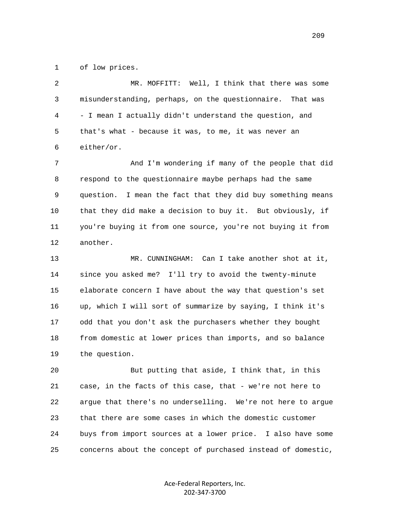1 of low prices.

 2 MR. MOFFITT: Well, I think that there was some 3 misunderstanding, perhaps, on the questionnaire. That was 4 - I mean I actually didn't understand the question, and 5 that's what - because it was, to me, it was never an 6 either/or.

 7 And I'm wondering if many of the people that did 8 respond to the questionnaire maybe perhaps had the same 9 question. I mean the fact that they did buy something means 10 that they did make a decision to buy it. But obviously, if 11 you're buying it from one source, you're not buying it from 12 another.

 13 MR. CUNNINGHAM: Can I take another shot at it, 14 since you asked me? I'll try to avoid the twenty-minute 15 elaborate concern I have about the way that question's set 16 up, which I will sort of summarize by saying, I think it's 17 odd that you don't ask the purchasers whether they bought 18 from domestic at lower prices than imports, and so balance 19 the question.

 20 But putting that aside, I think that, in this 21 case, in the facts of this case, that - we're not here to 22 argue that there's no underselling. We're not here to argue 23 that there are some cases in which the domestic customer 24 buys from import sources at a lower price. I also have some 25 concerns about the concept of purchased instead of domestic,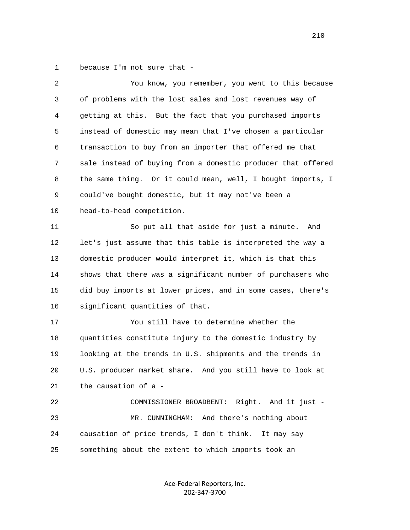1 because I'm not sure that -

| 2  | You know, you remember, you went to this because             |
|----|--------------------------------------------------------------|
| 3  | of problems with the lost sales and lost revenues way of     |
| 4  | getting at this. But the fact that you purchased imports     |
| 5  | instead of domestic may mean that I've chosen a particular   |
| 6  | transaction to buy from an importer that offered me that     |
| 7  | sale instead of buying from a domestic producer that offered |
| 8  | the same thing. Or it could mean, well, I bought imports, I  |
| 9  | could've bought domestic, but it may not've been a           |
| 10 | head-to-head competition.                                    |
| 11 | So put all that aside for just a minute.<br>And              |
| 12 | let's just assume that this table is interpreted the way a   |
| 13 | domestic producer would interpret it, which is that this     |
| 14 | shows that there was a significant number of purchasers who  |
| 15 | did buy imports at lower prices, and in some cases, there's  |
| 16 | significant quantities of that.                              |
| 17 | You still have to determine whether the                      |
| 18 | quantities constitute injury to the domestic industry by     |
| 19 | looking at the trends in U.S. shipments and the trends in    |
| 20 | U.S. producer market share. And you still have to look at    |
| 21 | the causation of a -                                         |
| 22 | COMMISSIONER BROADBENT: Right. And it just -                 |
| 23 | MR. CUNNINGHAM: And there's nothing about                    |
| 24 | causation of price trends, I don't think.<br>It may say      |
| 25 | something about the extent to which imports took an          |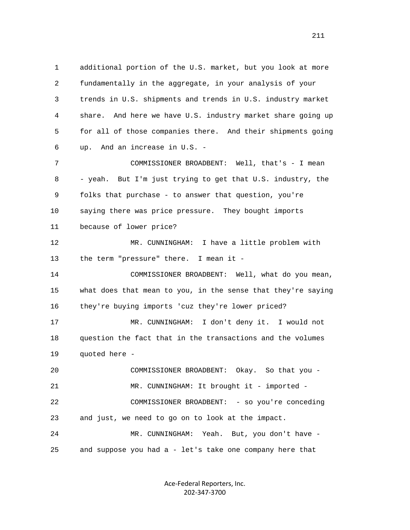1 additional portion of the U.S. market, but you look at more 2 fundamentally in the aggregate, in your analysis of your 3 trends in U.S. shipments and trends in U.S. industry market 4 share. And here we have U.S. industry market share going up 5 for all of those companies there. And their shipments going 6 up. And an increase in U.S. - 7 COMMISSIONER BROADBENT: Well, that's - I mean 8 - yeah. But I'm just trying to get that U.S. industry, the 9 folks that purchase - to answer that question, you're 10 saying there was price pressure. They bought imports 11 because of lower price? 12 MR. CUNNINGHAM: I have a little problem with 13 the term "pressure" there. I mean it - 14 COMMISSIONER BROADBENT: Well, what do you mean, 15 what does that mean to you, in the sense that they're saying 16 they're buying imports 'cuz they're lower priced? 17 MR. CUNNINGHAM: I don't deny it. I would not 18 question the fact that in the transactions and the volumes 19 quoted here - 20 COMMISSIONER BROADBENT: Okay. So that you - 21 MR. CUNNINGHAM: It brought it - imported - 22 COMMISSIONER BROADBENT: - so you're conceding 23 and just, we need to go on to look at the impact. 24 MR. CUNNINGHAM: Yeah. But, you don't have -

25 and suppose you had a - let's take one company here that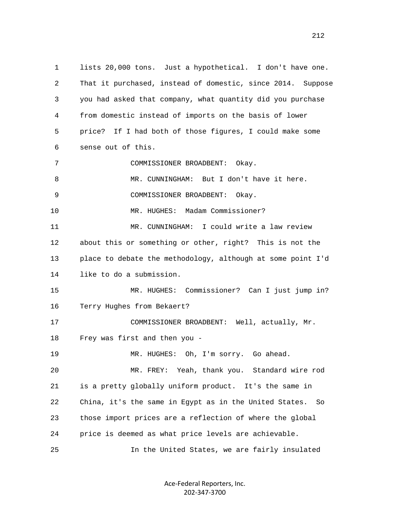1 lists 20,000 tons. Just a hypothetical. I don't have one. 2 That it purchased, instead of domestic, since 2014. Suppose 3 you had asked that company, what quantity did you purchase 4 from domestic instead of imports on the basis of lower 5 price? If I had both of those figures, I could make some 6 sense out of this. 7 COMMISSIONER BROADBENT: Okay. 8 MR. CUNNINGHAM: But I don't have it here. 9 COMMISSIONER BROADBENT: Okay. 10 MR. HUGHES: Madam Commissioner? 11 MR. CUNNINGHAM: I could write a law review 12 about this or something or other, right? This is not the 13 place to debate the methodology, although at some point I'd 14 like to do a submission. 15 MR. HUGHES: Commissioner? Can I just jump in? 16 Terry Hughes from Bekaert? 17 COMMISSIONER BROADBENT: Well, actually, Mr. 18 Frey was first and then you - 19 MR. HUGHES: Oh, I'm sorry. Go ahead. 20 MR. FREY: Yeah, thank you. Standard wire rod 21 is a pretty globally uniform product. It's the same in 22 China, it's the same in Egypt as in the United States. So 23 those import prices are a reflection of where the global 24 price is deemed as what price levels are achievable. 25 In the United States, we are fairly insulated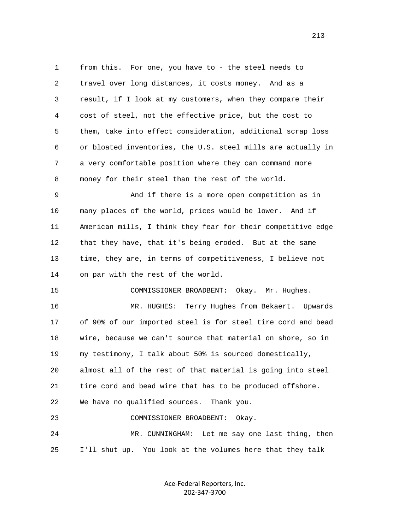1 from this. For one, you have to - the steel needs to 2 travel over long distances, it costs money. And as a 3 result, if I look at my customers, when they compare their 4 cost of steel, not the effective price, but the cost to 5 them, take into effect consideration, additional scrap loss 6 or bloated inventories, the U.S. steel mills are actually in 7 a very comfortable position where they can command more 8 money for their steel than the rest of the world. 9 And if there is a more open competition as in 10 many places of the world, prices would be lower. And if 11 American mills, I think they fear for their competitive edge 12 that they have, that it's being eroded. But at the same 13 time, they are, in terms of competitiveness, I believe not 14 on par with the rest of the world. 15 COMMISSIONER BROADBENT: Okay. Mr. Hughes. 16 MR. HUGHES: Terry Hughes from Bekaert. Upwards 17 of 90% of our imported steel is for steel tire cord and bead 18 wire, because we can't source that material on shore, so in 19 my testimony, I talk about 50% is sourced domestically, 20 almost all of the rest of that material is going into steel 21 tire cord and bead wire that has to be produced offshore. 22 We have no qualified sources. Thank you. 23 COMMISSIONER BROADBENT: Okay. 24 MR. CUNNINGHAM: Let me say one last thing, then 25 I'll shut up. You look at the volumes here that they talk

> Ace-Federal Reporters, Inc. 202-347-3700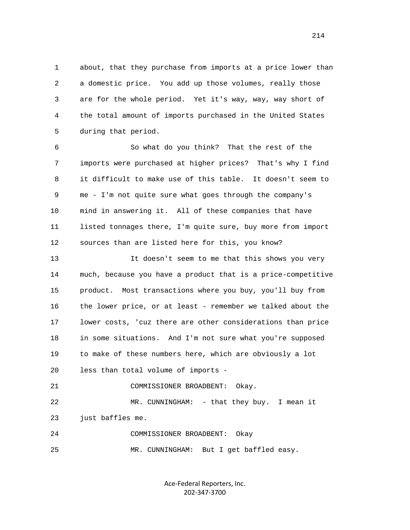1 about, that they purchase from imports at a price lower than 2 a domestic price. You add up those volumes, really those 3 are for the whole period. Yet it's way, way, way short of 4 the total amount of imports purchased in the United States 5 during that period.

 6 So what do you think? That the rest of the 7 imports were purchased at higher prices? That's why I find 8 it difficult to make use of this table. It doesn't seem to 9 me - I'm not quite sure what goes through the company's 10 mind in answering it. All of these companies that have 11 listed tonnages there, I'm quite sure, buy more from import 12 sources than are listed here for this, you know?

 13 It doesn't seem to me that this shows you very 14 much, because you have a product that is a price-competitive 15 product. Most transactions where you buy, you'll buy from 16 the lower price, or at least - remember we talked about the 17 lower costs, 'cuz there are other considerations than price 18 in some situations. And I'm not sure what you're supposed 19 to make of these numbers here, which are obviously a lot 20 less than total volume of imports -

21 COMMISSIONER BROADBENT: Okay.

 22 MR. CUNNINGHAM: - that they buy. I mean it 23 just baffles me.

 24 COMMISSIONER BROADBENT: Okay 25 MR. CUNNINGHAM: But I get baffled easy.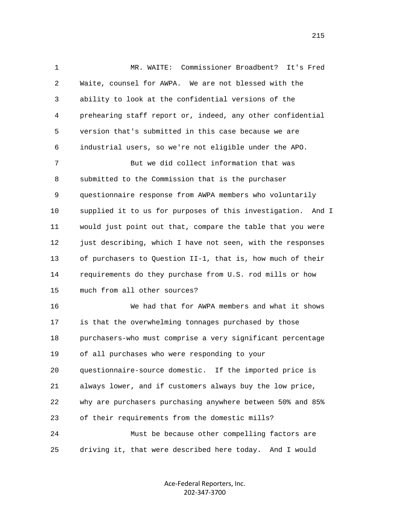1 MR. WAITE: Commissioner Broadbent? It's Fred 2 Waite, counsel for AWPA. We are not blessed with the 3 ability to look at the confidential versions of the 4 prehearing staff report or, indeed, any other confidential 5 version that's submitted in this case because we are 6 industrial users, so we're not eligible under the APO. 7 But we did collect information that was 8 submitted to the Commission that is the purchaser 9 questionnaire response from AWPA members who voluntarily 10 supplied it to us for purposes of this investigation. And I 11 would just point out that, compare the table that you were 12 just describing, which I have not seen, with the responses 13 of purchasers to Question II-1, that is, how much of their 14 requirements do they purchase from U.S. rod mills or how 15 much from all other sources? 16 We had that for AWPA members and what it shows 17 is that the overwhelming tonnages purchased by those 18 purchasers-who must comprise a very significant percentage 19 of all purchases who were responding to your 20 questionnaire-source domestic. If the imported price is 21 always lower, and if customers always buy the low price, 22 why are purchasers purchasing anywhere between 50% and 85% 23 of their requirements from the domestic mills? 24 Must be because other compelling factors are 25 driving it, that were described here today. And I would

> Ace-Federal Reporters, Inc. 202-347-3700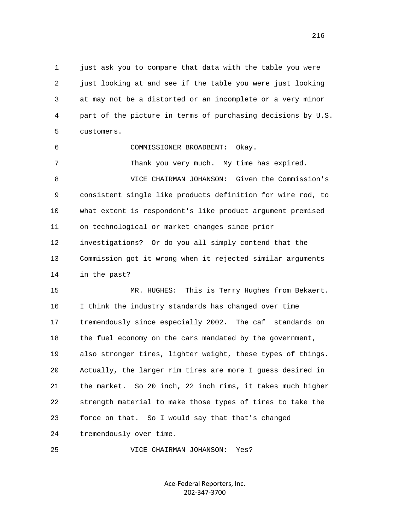1 just ask you to compare that data with the table you were 2 just looking at and see if the table you were just looking 3 at may not be a distorted or an incomplete or a very minor 4 part of the picture in terms of purchasing decisions by U.S. 5 customers.

6 COMMISSIONER BROADBENT: Okay.

7 Thank you very much. My time has expired. 8 VICE CHAIRMAN JOHANSON: Given the Commission's 9 consistent single like products definition for wire rod, to 10 what extent is respondent's like product argument premised 11 on technological or market changes since prior 12 investigations? Or do you all simply contend that the 13 Commission got it wrong when it rejected similar arguments 14 in the past?

 15 MR. HUGHES: This is Terry Hughes from Bekaert. 16 I think the industry standards has changed over time 17 tremendously since especially 2002. The caf standards on 18 the fuel economy on the cars mandated by the government, 19 also stronger tires, lighter weight, these types of things. 20 Actually, the larger rim tires are more I guess desired in 21 the market. So 20 inch, 22 inch rims, it takes much higher 22 strength material to make those types of tires to take the 23 force on that. So I would say that that's changed 24 tremendously over time.

25 VICE CHAIRMAN JOHANSON: Yes?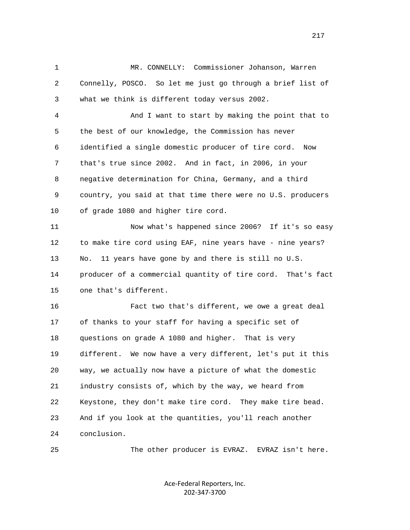1 MR. CONNELLY: Commissioner Johanson, Warren 2 Connelly, POSCO. So let me just go through a brief list of 3 what we think is different today versus 2002.

 4 And I want to start by making the point that to 5 the best of our knowledge, the Commission has never 6 identified a single domestic producer of tire cord. Now 7 that's true since 2002. And in fact, in 2006, in your 8 negative determination for China, Germany, and a third 9 country, you said at that time there were no U.S. producers 10 of grade 1080 and higher tire cord.

 11 Now what's happened since 2006? If it's so easy 12 to make tire cord using EAF, nine years have - nine years? 13 No. 11 years have gone by and there is still no U.S. 14 producer of a commercial quantity of tire cord. That's fact 15 one that's different.

 16 Fact two that's different, we owe a great deal 17 of thanks to your staff for having a specific set of 18 questions on grade A 1080 and higher. That is very 19 different. We now have a very different, let's put it this 20 way, we actually now have a picture of what the domestic 21 industry consists of, which by the way, we heard from 22 Keystone, they don't make tire cord. They make tire bead. 23 And if you look at the quantities, you'll reach another 24 conclusion.

25 The other producer is EVRAZ. EVRAZ isn't here.

Ace-Federal Reporters, Inc. 202-347-3700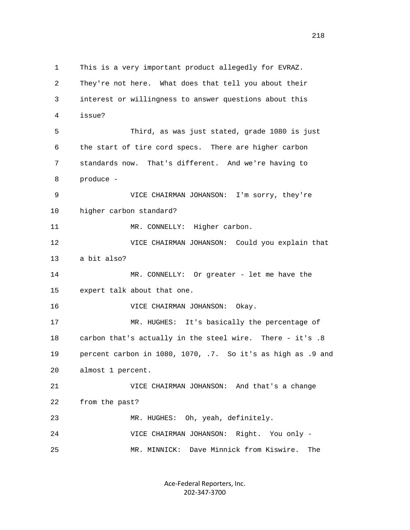1 This is a very important product allegedly for EVRAZ. 2 They're not here. What does that tell you about their 3 interest or willingness to answer questions about this 4 issue? 5 Third, as was just stated, grade 1080 is just 6 the start of tire cord specs. There are higher carbon 7 standards now. That's different. And we're having to 8 produce - 9 VICE CHAIRMAN JOHANSON: I'm sorry, they're 10 higher carbon standard? 11 MR. CONNELLY: Higher carbon. 12 VICE CHAIRMAN JOHANSON: Could you explain that 13 a bit also? 14 MR. CONNELLY: Or greater - let me have the 15 expert talk about that one. 16 VICE CHAIRMAN JOHANSON: Okay. 17 MR. HUGHES: It's basically the percentage of 18 carbon that's actually in the steel wire. There - it's .8 19 percent carbon in 1080, 1070, .7. So it's as high as .9 and 20 almost 1 percent. 21 VICE CHAIRMAN JOHANSON: And that's a change 22 from the past? 23 MR. HUGHES: Oh, yeah, definitely. 24 VICE CHAIRMAN JOHANSON: Right. You only - 25 MR. MINNICK: Dave Minnick from Kiswire. The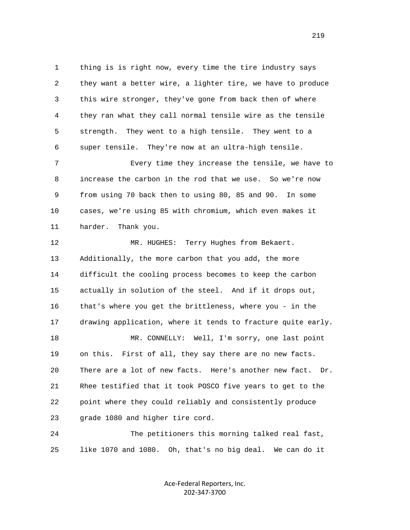1 thing is is right now, every time the tire industry says 2 they want a better wire, a lighter tire, we have to produce 3 this wire stronger, they've gone from back then of where 4 they ran what they call normal tensile wire as the tensile 5 strength. They went to a high tensile. They went to a 6 super tensile. They're now at an ultra-high tensile.

 7 Every time they increase the tensile, we have to 8 increase the carbon in the rod that we use. So we're now 9 from using 70 back then to using 80, 85 and 90. In some 10 cases, we're using 85 with chromium, which even makes it 11 harder. Thank you.

 12 MR. HUGHES: Terry Hughes from Bekaert. 13 Additionally, the more carbon that you add, the more 14 difficult the cooling process becomes to keep the carbon 15 actually in solution of the steel. And if it drops out, 16 that's where you get the brittleness, where you - in the 17 drawing application, where it tends to fracture quite early.

18 MR. CONNELLY: Well, I'm sorry, one last point 19 on this. First of all, they say there are no new facts. 20 There are a lot of new facts. Here's another new fact. Dr. 21 Rhee testified that it took POSCO five years to get to the 22 point where they could reliably and consistently produce 23 grade 1080 and higher tire cord.

 24 The petitioners this morning talked real fast, 25 like 1070 and 1080. Oh, that's no big deal. We can do it

> Ace-Federal Reporters, Inc. 202-347-3700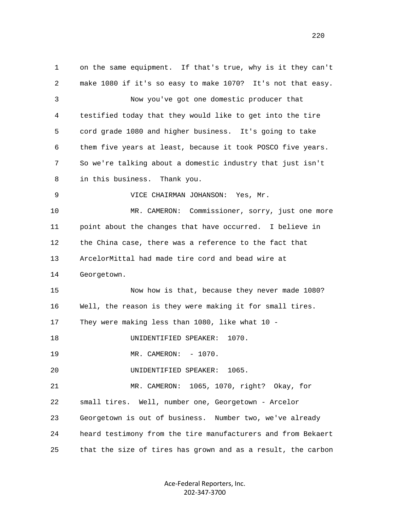1 on the same equipment. If that's true, why is it they can't 2 make 1080 if it's so easy to make 1070? It's not that easy. 3 Now you've got one domestic producer that 4 testified today that they would like to get into the tire 5 cord grade 1080 and higher business. It's going to take 6 them five years at least, because it took POSCO five years. 7 So we're talking about a domestic industry that just isn't 8 in this business. Thank you. 9 VICE CHAIRMAN JOHANSON: Yes, Mr. 10 MR. CAMERON: Commissioner, sorry, just one more 11 point about the changes that have occurred. I believe in 12 the China case, there was a reference to the fact that 13 ArcelorMittal had made tire cord and bead wire at 14 Georgetown. 15 Now how is that, because they never made 1080? 16 Well, the reason is they were making it for small tires. 17 They were making less than 1080, like what 10 - 18 UNIDENTIFIED SPEAKER: 1070. 19 MR. CAMERON: - 1070. 20 UNIDENTIFIED SPEAKER: 1065. 21 MR. CAMERON: 1065, 1070, right? Okay, for 22 small tires. Well, number one, Georgetown - Arcelor 23 Georgetown is out of business. Number two, we've already 24 heard testimony from the tire manufacturers and from Bekaert 25 that the size of tires has grown and as a result, the carbon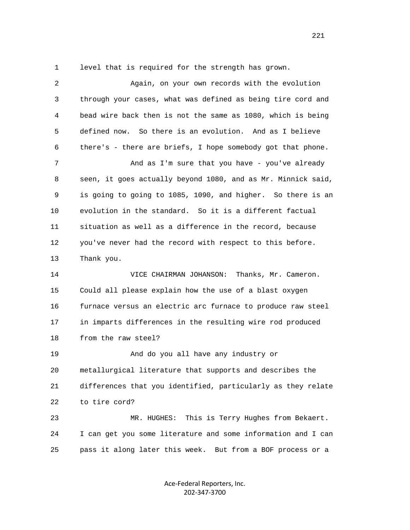1 level that is required for the strength has grown.

 2 Again, on your own records with the evolution 3 through your cases, what was defined as being tire cord and 4 bead wire back then is not the same as 1080, which is being 5 defined now. So there is an evolution. And as I believe 6 there's - there are briefs, I hope somebody got that phone. 7 And as I'm sure that you have - you've already 8 seen, it goes actually beyond 1080, and as Mr. Minnick said, 9 is going to going to 1085, 1090, and higher. So there is an 10 evolution in the standard. So it is a different factual 11 situation as well as a difference in the record, because 12 you've never had the record with respect to this before. 13 Thank you. 14 VICE CHAIRMAN JOHANSON: Thanks, Mr. Cameron. 15 Could all please explain how the use of a blast oxygen 16 furnace versus an electric arc furnace to produce raw steel 17 in imparts differences in the resulting wire rod produced 18 from the raw steel? 19 And do you all have any industry or 20 metallurgical literature that supports and describes the 21 differences that you identified, particularly as they relate 22 to tire cord? 23 MR. HUGHES: This is Terry Hughes from Bekaert. 24 I can get you some literature and some information and I can 25 pass it along later this week. But from a BOF process or a

> Ace-Federal Reporters, Inc. 202-347-3700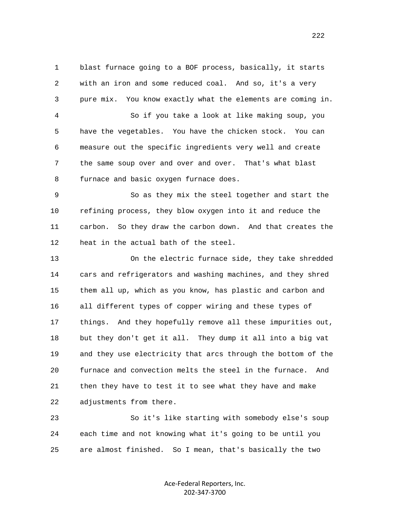1 blast furnace going to a BOF process, basically, it starts 2 with an iron and some reduced coal. And so, it's a very 3 pure mix. You know exactly what the elements are coming in. 4 So if you take a look at like making soup, you 5 have the vegetables. You have the chicken stock. You can 6 measure out the specific ingredients very well and create 7 the same soup over and over and over. That's what blast 8 furnace and basic oxygen furnace does.

 9 So as they mix the steel together and start the 10 refining process, they blow oxygen into it and reduce the 11 carbon. So they draw the carbon down. And that creates the 12 heat in the actual bath of the steel.

 13 On the electric furnace side, they take shredded 14 cars and refrigerators and washing machines, and they shred 15 them all up, which as you know, has plastic and carbon and 16 all different types of copper wiring and these types of 17 things. And they hopefully remove all these impurities out, 18 but they don't get it all. They dump it all into a big vat 19 and they use electricity that arcs through the bottom of the 20 furnace and convection melts the steel in the furnace. And 21 then they have to test it to see what they have and make 22 adjustments from there.

 23 So it's like starting with somebody else's soup 24 each time and not knowing what it's going to be until you 25 are almost finished. So I mean, that's basically the two

> Ace-Federal Reporters, Inc. 202-347-3700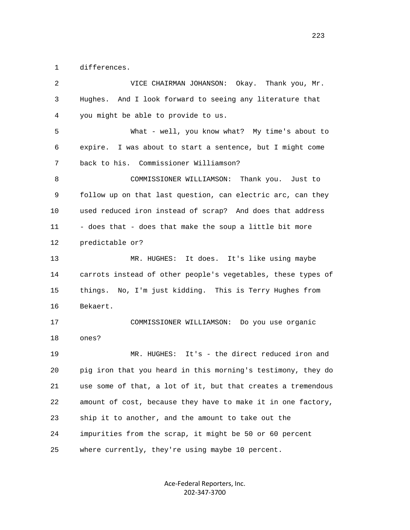1 differences.

| $\overline{2}$ | VICE CHAIRMAN JOHANSON: Okay. Thank you, Mr.                 |
|----------------|--------------------------------------------------------------|
| 3              | Hughes. And I look forward to seeing any literature that     |
| 4              | you might be able to provide to us.                          |
| 5              | What - well, you know what? My time's about to               |
| 6              | expire. I was about to start a sentence, but I might come    |
| 7              | back to his. Commissioner Williamson?                        |
| 8              | COMMISSIONER WILLIAMSON: Thank you. Just to                  |
| 9              | follow up on that last question, can electric arc, can they  |
| 10             | used reduced iron instead of scrap? And does that address    |
| 11             | - does that - does that make the soup a little bit more      |
| 12             | predictable or?                                              |
| 13             | MR. HUGHES: It does. It's like using maybe                   |
| 14             | carrots instead of other people's vegetables, these types of |
| 15             | things. No, I'm just kidding. This is Terry Hughes from      |
| 16             | Bekaert.                                                     |
| 17             | COMMISSIONER WILLIAMSON: Do you use organic                  |
| 18             | ones?                                                        |
| 19             | MR. HUGHES: It's - the direct reduced iron and               |
| 20             | pig iron that you heard in this morning's testimony, they do |
| 21             | use some of that, a lot of it, but that creates a tremendous |
| 22             | amount of cost, because they have to make it in one factory, |
| 23             | ship it to another, and the amount to take out the           |
| 24             | impurities from the scrap, it might be 50 or 60 percent      |
| 25             | where currently, they're using maybe 10 percent.             |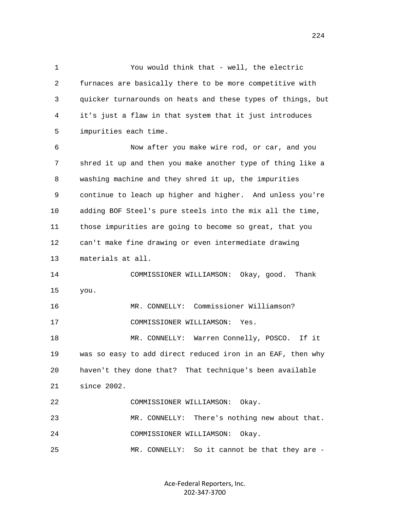1 You would think that - well, the electric 2 furnaces are basically there to be more competitive with 3 quicker turnarounds on heats and these types of things, but 4 it's just a flaw in that system that it just introduces 5 impurities each time. 6 Now after you make wire rod, or car, and you 7 shred it up and then you make another type of thing like a 8 washing machine and they shred it up, the impurities 9 continue to leach up higher and higher. And unless you're 10 adding BOF Steel's pure steels into the mix all the time, 11 those impurities are going to become so great, that you 12 can't make fine drawing or even intermediate drawing 13 materials at all. 14 COMMISSIONER WILLIAMSON: Okay, good. Thank 15 you. 16 MR. CONNELLY: Commissioner Williamson? 17 COMMISSIONER WILLIAMSON: Yes.

18 MR. CONNELLY: Warren Connelly, POSCO. If it 19 was so easy to add direct reduced iron in an EAF, then why 20 haven't they done that? That technique's been available 21 since 2002. 22 COMMISSIONER WILLIAMSON: Okay. 23 MR. CONNELLY: There's nothing new about that.

24 COMMISSIONER WILLIAMSON: Okay.

25 MR. CONNELLY: So it cannot be that they are -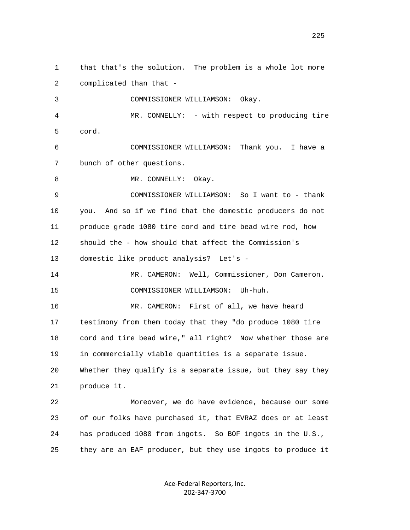1 that that's the solution. The problem is a whole lot more 2 complicated than that - 3 COMMISSIONER WILLIAMSON: Okay. 4 MR. CONNELLY: - with respect to producing tire 5 cord. 6 COMMISSIONER WILLIAMSON: Thank you. I have a 7 bunch of other questions. 8 MR. CONNELLY: Okay. 9 COMMISSIONER WILLIAMSON: So I want to - thank 10 you. And so if we find that the domestic producers do not 11 produce grade 1080 tire cord and tire bead wire rod, how 12 should the - how should that affect the Commission's 13 domestic like product analysis? Let's - 14 MR. CAMERON: Well, Commissioner, Don Cameron. 15 COMMISSIONER WILLIAMSON: Uh-huh. 16 MR. CAMERON: First of all, we have heard 17 testimony from them today that they "do produce 1080 tire 18 cord and tire bead wire," all right? Now whether those are 19 in commercially viable quantities is a separate issue. 20 Whether they qualify is a separate issue, but they say they 21 produce it. 22 Moreover, we do have evidence, because our some 23 of our folks have purchased it, that EVRAZ does or at least 24 has produced 1080 from ingots. So BOF ingots in the U.S., 25 they are an EAF producer, but they use ingots to produce it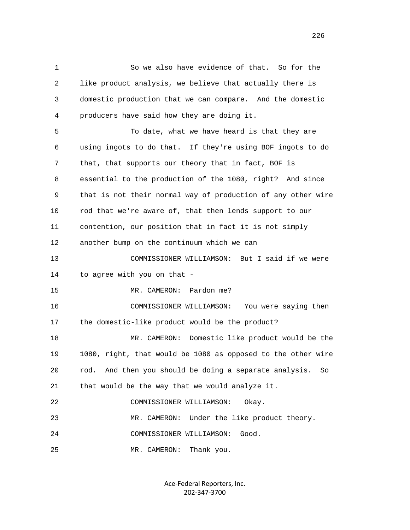1 So we also have evidence of that. So for the 2 like product analysis, we believe that actually there is 3 domestic production that we can compare. And the domestic 4 producers have said how they are doing it. 5 To date, what we have heard is that they are 6 using ingots to do that. If they're using BOF ingots to do 7 that, that supports our theory that in fact, BOF is 8 essential to the production of the 1080, right? And since 9 that is not their normal way of production of any other wire 10 rod that we're aware of, that then lends support to our 11 contention, our position that in fact it is not simply 12 another bump on the continuum which we can 13 COMMISSIONER WILLIAMSON: But I said if we were 14 to agree with you on that - 15 MR. CAMERON: Pardon me? 16 COMMISSIONER WILLIAMSON: You were saying then 17 the domestic-like product would be the product? 18 MR. CAMERON: Domestic like product would be the 19 1080, right, that would be 1080 as opposed to the other wire 20 rod. And then you should be doing a separate analysis. So 21 that would be the way that we would analyze it. 22 COMMISSIONER WILLIAMSON: Okay. 23 MR. CAMERON: Under the like product theory. 24 COMMISSIONER WILLIAMSON: Good. 25 MR. CAMERON: Thank you.

> Ace-Federal Reporters, Inc. 202-347-3700

<u>226</u>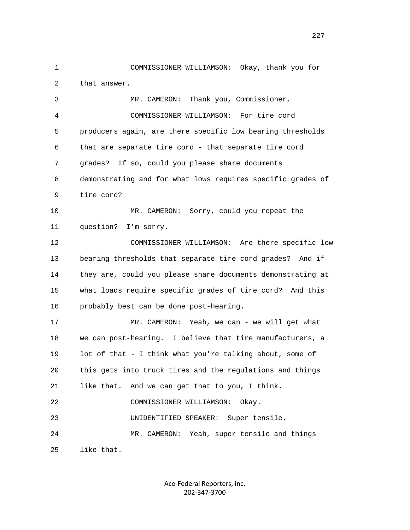1 COMMISSIONER WILLIAMSON: Okay, thank you for 2 that answer. 3 MR. CAMERON: Thank you, Commissioner. 4 COMMISSIONER WILLIAMSON: For tire cord 5 producers again, are there specific low bearing thresholds 6 that are separate tire cord - that separate tire cord 7 grades? If so, could you please share documents 8 demonstrating and for what lows requires specific grades of 9 tire cord? 10 MR. CAMERON: Sorry, could you repeat the 11 question? I'm sorry. 12 COMMISSIONER WILLIAMSON: Are there specific low 13 bearing thresholds that separate tire cord grades? And if 14 they are, could you please share documents demonstrating at 15 what loads require specific grades of tire cord? And this 16 probably best can be done post-hearing. 17 MR. CAMERON: Yeah, we can - we will get what 18 we can post-hearing. I believe that tire manufacturers, a 19 lot of that - I think what you're talking about, some of 20 this gets into truck tires and the regulations and things 21 like that. And we can get that to you, I think. 22 COMMISSIONER WILLIAMSON: Okay. 23 UNIDENTIFIED SPEAKER: Super tensile. 24 MR. CAMERON: Yeah, super tensile and things 25 like that.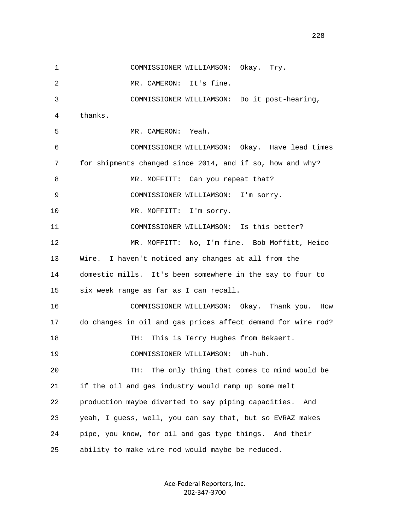1 COMMISSIONER WILLIAMSON: Okay. Try. 2 MR. CAMERON: It's fine. 3 COMMISSIONER WILLIAMSON: Do it post-hearing, 4 thanks. 5 MR. CAMERON: Yeah. 6 COMMISSIONER WILLIAMSON: Okay. Have lead times 7 for shipments changed since 2014, and if so, how and why? 8 MR. MOFFITT: Can you repeat that? 9 COMMISSIONER WILLIAMSON: I'm sorry. 10 MR. MOFFITT: I'm sorry. 11 COMMISSIONER WILLIAMSON: Is this better? 12 MR. MOFFITT: No, I'm fine. Bob Moffitt, Heico 13 Wire. I haven't noticed any changes at all from the 14 domestic mills. It's been somewhere in the say to four to 15 six week range as far as I can recall. 16 COMMISSIONER WILLIAMSON: Okay. Thank you. How 17 do changes in oil and gas prices affect demand for wire rod? 18 TH: This is Terry Hughes from Bekaert. 19 COMMISSIONER WILLIAMSON: Uh-huh. 20 TH: The only thing that comes to mind would be 21 if the oil and gas industry would ramp up some melt 22 production maybe diverted to say piping capacities. And 23 yeah, I guess, well, you can say that, but so EVRAZ makes 24 pipe, you know, for oil and gas type things. And their 25 ability to make wire rod would maybe be reduced.

> Ace-Federal Reporters, Inc. 202-347-3700

228<br>228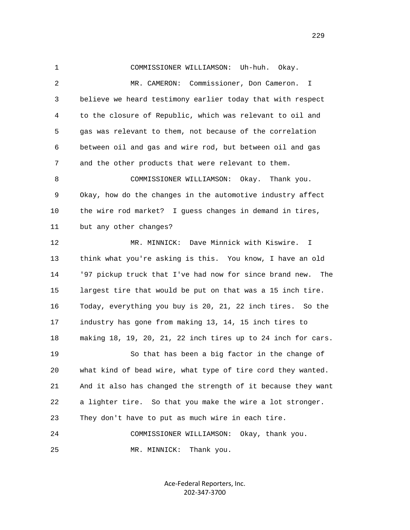1 COMMISSIONER WILLIAMSON: Uh-huh. Okay. 2 MR. CAMERON: Commissioner, Don Cameron. I 3 believe we heard testimony earlier today that with respect 4 to the closure of Republic, which was relevant to oil and 5 gas was relevant to them, not because of the correlation 6 between oil and gas and wire rod, but between oil and gas 7 and the other products that were relevant to them. 8 COMMISSIONER WILLIAMSON: Okay. Thank you. 9 Okay, how do the changes in the automotive industry affect 10 the wire rod market? I guess changes in demand in tires, 11 but any other changes? 12 MR. MINNICK: Dave Minnick with Kiswire. I 13 think what you're asking is this. You know, I have an old 14 '97 pickup truck that I've had now for since brand new. The 15 largest tire that would be put on that was a 15 inch tire. 16 Today, everything you buy is 20, 21, 22 inch tires. So the 17 industry has gone from making 13, 14, 15 inch tires to 18 making 18, 19, 20, 21, 22 inch tires up to 24 inch for cars. 19 So that has been a big factor in the change of 20 what kind of bead wire, what type of tire cord they wanted. 21 And it also has changed the strength of it because they want 22 a lighter tire. So that you make the wire a lot stronger. 23 They don't have to put as much wire in each tire. 24 COMMISSIONER WILLIAMSON: Okay, thank you. 25 MR. MINNICK: Thank you.

> Ace-Federal Reporters, Inc. 202-347-3700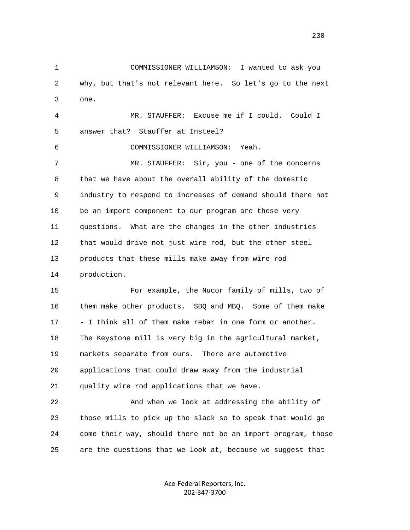1 COMMISSIONER WILLIAMSON: I wanted to ask you 2 why, but that's not relevant here. So let's go to the next 3 one. 4 MR. STAUFFER: Excuse me if I could. Could I 5 answer that? Stauffer at Insteel? 6 COMMISSIONER WILLIAMSON: Yeah. 7 MR. STAUFFER: Sir, you - one of the concerns 8 that we have about the overall ability of the domestic 9 industry to respond to increases of demand should there not

 10 be an import component to our program are these very 11 questions. What are the changes in the other industries 12 that would drive not just wire rod, but the other steel 13 products that these mills make away from wire rod 14 production.

 15 For example, the Nucor family of mills, two of 16 them make other products. SBQ and MBQ. Some of them make 17 - I think all of them make rebar in one form or another. 18 The Keystone mill is very big in the agricultural market, 19 markets separate from ours. There are automotive 20 applications that could draw away from the industrial 21 quality wire rod applications that we have.

 22 And when we look at addressing the ability of 23 those mills to pick up the slack so to speak that would go 24 come their way, should there not be an import program, those 25 are the questions that we look at, because we suggest that

> Ace-Federal Reporters, Inc. 202-347-3700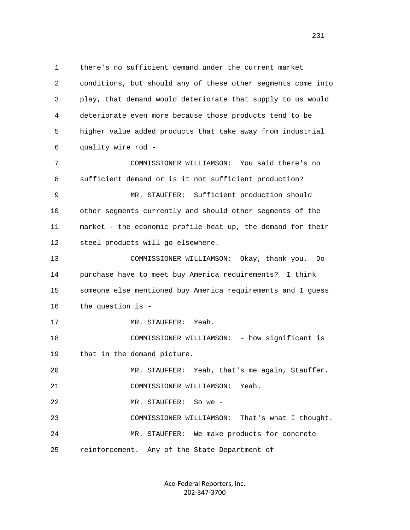1 there's no sufficient demand under the current market 2 conditions, but should any of these other segments come into 3 play, that demand would deteriorate that supply to us would 4 deteriorate even more because those products tend to be 5 higher value added products that take away from industrial 6 quality wire rod - 7 COMMISSIONER WILLIAMSON: You said there's no 8 sufficient demand or is it not sufficient production? 9 MR. STAUFFER: Sufficient production should 10 other segments currently and should other segments of the 11 market - the economic profile heat up, the demand for their 12 steel products will go elsewhere. 13 COMMISSIONER WILLIAMSON: Okay, thank you. Do 14 purchase have to meet buy America requirements? I think 15 someone else mentioned buy America requirements and I guess 16 the question is - 17 MR. STAUFFER: Yeah. 18 COMMISSIONER WILLIAMSON: - how significant is 19 that in the demand picture. 20 MR. STAUFFER: Yeah, that's me again, Stauffer. 21 COMMISSIONER WILLIAMSON: Yeah. 22 MR. STAUFFER: So we - 23 COMMISSIONER WILLIAMSON: That's what I thought. 24 MR. STAUFFER: We make products for concrete 25 reinforcement. Any of the State Department of

> Ace-Federal Reporters, Inc. 202-347-3700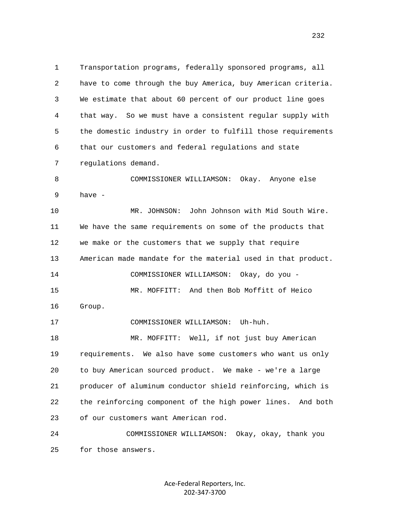1 Transportation programs, federally sponsored programs, all 2 have to come through the buy America, buy American criteria. 3 We estimate that about 60 percent of our product line goes 4 that way. So we must have a consistent regular supply with 5 the domestic industry in order to fulfill those requirements 6 that our customers and federal regulations and state 7 regulations demand. 8 COMMISSIONER WILLIAMSON: Okay. Anyone else 9 have - 10 MR. JOHNSON: John Johnson with Mid South Wire. 11 We have the same requirements on some of the products that 12 we make or the customers that we supply that require 13 American made mandate for the material used in that product. 14 COMMISSIONER WILLIAMSON: Okay, do you - 15 MR. MOFFITT: And then Bob Moffitt of Heico 16 Group. 17 COMMISSIONER WILLIAMSON: Uh-huh. 18 MR. MOFFITT: Well, if not just buy American 19 requirements. We also have some customers who want us only 20 to buy American sourced product. We make - we're a large 21 producer of aluminum conductor shield reinforcing, which is 22 the reinforcing component of the high power lines. And both 23 of our customers want American rod. 24 COMMISSIONER WILLIAMSON: Okay, okay, thank you 25 for those answers.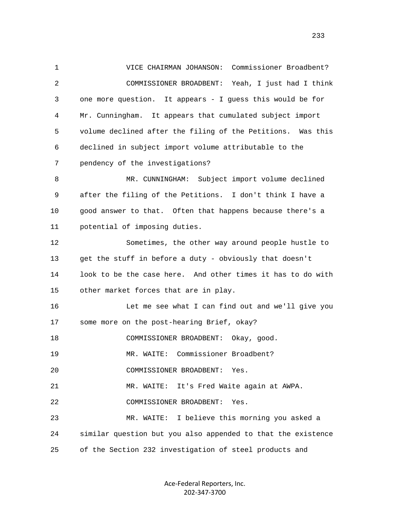1 VICE CHAIRMAN JOHANSON: Commissioner Broadbent? 2 COMMISSIONER BROADBENT: Yeah, I just had I think 3 one more question. It appears - I guess this would be for 4 Mr. Cunningham. It appears that cumulated subject import 5 volume declined after the filing of the Petitions. Was this 6 declined in subject import volume attributable to the 7 pendency of the investigations? 8 MR. CUNNINGHAM: Subject import volume declined 9 after the filing of the Petitions. I don't think I have a 10 good answer to that. Often that happens because there's a 11 potential of imposing duties. 12 Sometimes, the other way around people hustle to 13 get the stuff in before a duty - obviously that doesn't 14 look to be the case here. And other times it has to do with 15 other market forces that are in play. 16 Let me see what I can find out and we'll give you 17 some more on the post-hearing Brief, okay? 18 COMMISSIONER BROADBENT: Okay, good. 19 MR. WAITE: Commissioner Broadbent? 20 COMMISSIONER BROADBENT: Yes. 21 MR. WAITE: It's Fred Waite again at AWPA. 22 COMMISSIONER BROADBENT: Yes. 23 MR. WAITE: I believe this morning you asked a 24 similar question but you also appended to that the existence 25 of the Section 232 investigation of steel products and

> Ace-Federal Reporters, Inc. 202-347-3700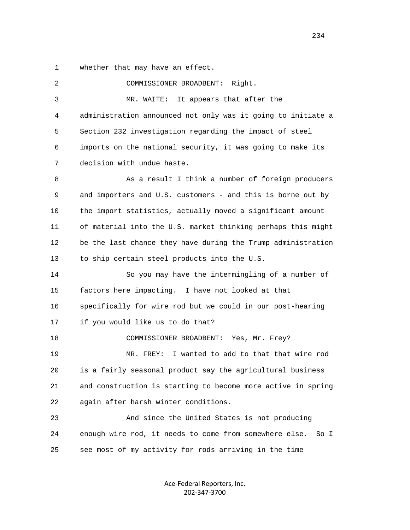1 whether that may have an effect.

 2 COMMISSIONER BROADBENT: Right. 3 MR. WAITE: It appears that after the 4 administration announced not only was it going to initiate a 5 Section 232 investigation regarding the impact of steel 6 imports on the national security, it was going to make its 7 decision with undue haste. 8 As a result I think a number of foreign producers 9 and importers and U.S. customers - and this is borne out by 10 the import statistics, actually moved a significant amount 11 of material into the U.S. market thinking perhaps this might 12 be the last chance they have during the Trump administration 13 to ship certain steel products into the U.S. 14 So you may have the intermingling of a number of 15 factors here impacting. I have not looked at that 16 specifically for wire rod but we could in our post-hearing 17 if you would like us to do that? 18 COMMISSIONER BROADBENT: Yes, Mr. Frey? 19 MR. FREY: I wanted to add to that that wire rod 20 is a fairly seasonal product say the agricultural business 21 and construction is starting to become more active in spring 22 again after harsh winter conditions. 23 And since the United States is not producing 24 enough wire rod, it needs to come from somewhere else. So I 25 see most of my activity for rods arriving in the time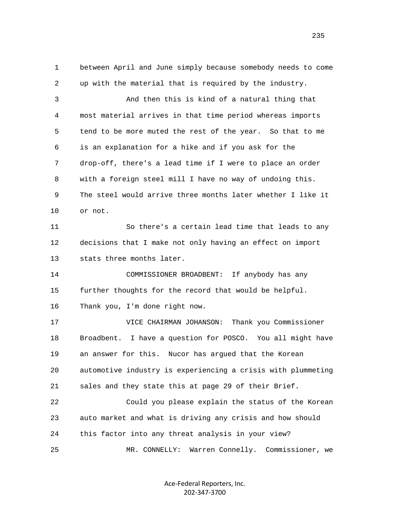1 between April and June simply because somebody needs to come 2 up with the material that is required by the industry.

 3 And then this is kind of a natural thing that 4 most material arrives in that time period whereas imports 5 tend to be more muted the rest of the year. So that to me 6 is an explanation for a hike and if you ask for the 7 drop-off, there's a lead time if I were to place an order 8 with a foreign steel mill I have no way of undoing this. 9 The steel would arrive three months later whether I like it 10 or not.

 11 So there's a certain lead time that leads to any 12 decisions that I make not only having an effect on import 13 stats three months later.

 14 COMMISSIONER BROADBENT: If anybody has any 15 further thoughts for the record that would be helpful. 16 Thank you, I'm done right now.

 17 VICE CHAIRMAN JOHANSON: Thank you Commissioner 18 Broadbent. I have a question for POSCO. You all might have 19 an answer for this. Nucor has argued that the Korean 20 automotive industry is experiencing a crisis with plummeting 21 sales and they state this at page 29 of their Brief.

 22 Could you please explain the status of the Korean 23 auto market and what is driving any crisis and how should 24 this factor into any threat analysis in your view? 25 MR. CONNELLY: Warren Connelly. Commissioner, we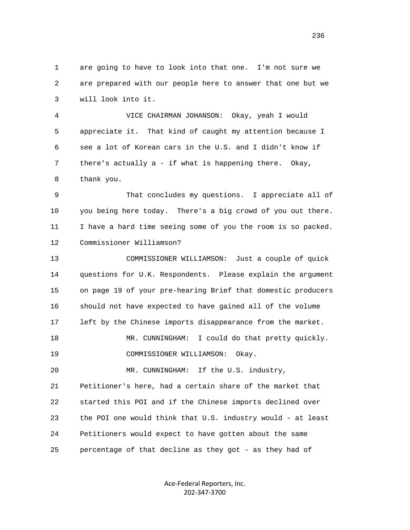1 are going to have to look into that one. I'm not sure we 2 are prepared with our people here to answer that one but we 3 will look into it.

 4 VICE CHAIRMAN JOHANSON: Okay, yeah I would 5 appreciate it. That kind of caught my attention because I 6 see a lot of Korean cars in the U.S. and I didn't know if 7 there's actually a - if what is happening there. Okay, 8 thank you.

 9 That concludes my questions. I appreciate all of 10 you being here today. There's a big crowd of you out there. 11 I have a hard time seeing some of you the room is so packed. 12 Commissioner Williamson?

 13 COMMISSIONER WILLIAMSON: Just a couple of quick 14 questions for U.K. Respondents. Please explain the argument 15 on page 19 of your pre-hearing Brief that domestic producers 16 should not have expected to have gained all of the volume 17 left by the Chinese imports disappearance from the market. 18 MR. CUNNINGHAM: I could do that pretty quickly. 19 COMMISSIONER WILLIAMSON: Okay. 20 MR. CUNNINGHAM: If the U.S. industry, 21 Petitioner's here, had a certain share of the market that 22 started this POI and if the Chinese imports declined over 23 the POI one would think that U.S. industry would - at least 24 Petitioners would expect to have gotten about the same

25 percentage of that decline as they got - as they had of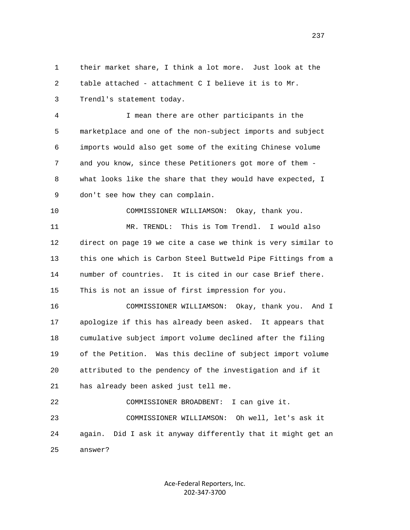1 their market share, I think a lot more. Just look at the 2 table attached - attachment C I believe it is to Mr.

3 Trendl's statement today.

 4 I mean there are other participants in the 5 marketplace and one of the non-subject imports and subject 6 imports would also get some of the exiting Chinese volume 7 and you know, since these Petitioners got more of them - 8 what looks like the share that they would have expected, I 9 don't see how they can complain.

10 COMMISSIONER WILLIAMSON: Okay, thank you.

 11 MR. TRENDL: This is Tom Trendl. I would also 12 direct on page 19 we cite a case we think is very similar to 13 this one which is Carbon Steel Buttweld Pipe Fittings from a 14 number of countries. It is cited in our case Brief there. 15 This is not an issue of first impression for you.

 16 COMMISSIONER WILLIAMSON: Okay, thank you. And I 17 apologize if this has already been asked. It appears that 18 cumulative subject import volume declined after the filing 19 of the Petition. Was this decline of subject import volume 20 attributed to the pendency of the investigation and if it 21 has already been asked just tell me.

 22 COMMISSIONER BROADBENT: I can give it. 23 COMMISSIONER WILLIAMSON: Oh well, let's ask it 24 again. Did I ask it anyway differently that it might get an 25 answer?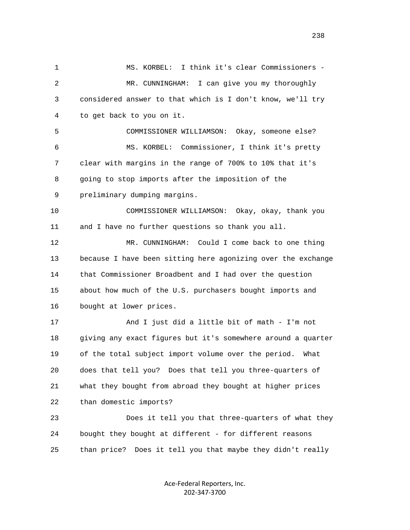1 MS. KORBEL: I think it's clear Commissioners - 2 MR. CUNNINGHAM: I can give you my thoroughly 3 considered answer to that which is I don't know, we'll try 4 to get back to you on it. 5 COMMISSIONER WILLIAMSON: Okay, someone else? 6 MS. KORBEL: Commissioner, I think it's pretty 7 clear with margins in the range of 700% to 10% that it's 8 going to stop imports after the imposition of the 9 preliminary dumping margins. 10 COMMISSIONER WILLIAMSON: Okay, okay, thank you 11 and I have no further questions so thank you all. 12 MR. CUNNINGHAM: Could I come back to one thing 13 because I have been sitting here agonizing over the exchange 14 that Commissioner Broadbent and I had over the question 15 about how much of the U.S. purchasers bought imports and 16 bought at lower prices. 17 And I just did a little bit of math - I'm not 18 giving any exact figures but it's somewhere around a quarter 19 of the total subject import volume over the period. What 20 does that tell you? Does that tell you three-quarters of 21 what they bought from abroad they bought at higher prices 22 than domestic imports? 23 Does it tell you that three-quarters of what they 24 bought they bought at different - for different reasons 25 than price? Does it tell you that maybe they didn't really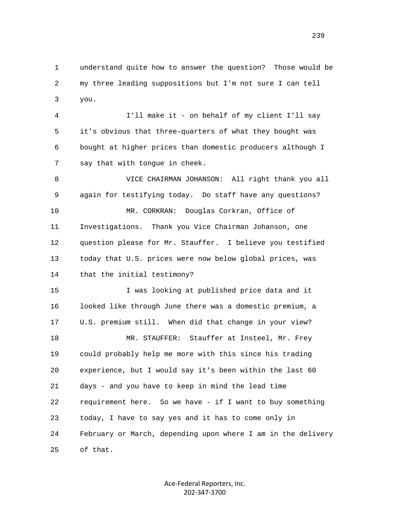1 understand quite how to answer the question? Those would be 2 my three leading suppositions but I'm not sure I can tell 3 you.

 4 I'll make it - on behalf of my client I'll say 5 it's obvious that three-quarters of what they bought was 6 bought at higher prices than domestic producers although I 7 say that with tongue in cheek.

 8 VICE CHAIRMAN JOHANSON: All right thank you all 9 again for testifying today. Do staff have any questions? 10 MR. CORKRAN: Douglas Corkran, Office of 11 Investigations. Thank you Vice Chairman Johanson, one 12 question please for Mr. Stauffer. I believe you testified 13 today that U.S. prices were now below global prices, was 14 that the initial testimony?

 15 I was looking at published price data and it 16 looked like through June there was a domestic premium, a 17 U.S. premium still. When did that change in your view? 18 MR. STAUFFER: Stauffer at Insteel, Mr. Frey 19 could probably help me more with this since his trading 20 experience, but I would say it's been within the last 60 21 days - and you have to keep in mind the lead time 22 requirement here. So we have - if I want to buy something 23 today, I have to say yes and it has to come only in 24 February or March, depending upon where I am in the delivery 25 of that.

> Ace-Federal Reporters, Inc. 202-347-3700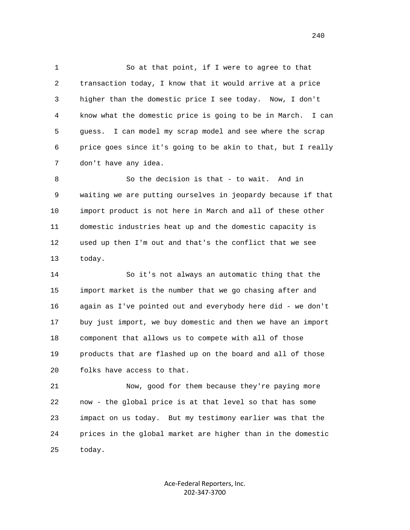1 So at that point, if I were to agree to that 2 transaction today, I know that it would arrive at a price 3 higher than the domestic price I see today. Now, I don't 4 know what the domestic price is going to be in March. I can 5 guess. I can model my scrap model and see where the scrap 6 price goes since it's going to be akin to that, but I really 7 don't have any idea.

 8 So the decision is that - to wait. And in 9 waiting we are putting ourselves in jeopardy because if that 10 import product is not here in March and all of these other 11 domestic industries heat up and the domestic capacity is 12 used up then I'm out and that's the conflict that we see 13 today.

 14 So it's not always an automatic thing that the 15 import market is the number that we go chasing after and 16 again as I've pointed out and everybody here did - we don't 17 buy just import, we buy domestic and then we have an import 18 component that allows us to compete with all of those 19 products that are flashed up on the board and all of those 20 folks have access to that.

 21 Now, good for them because they're paying more 22 now - the global price is at that level so that has some 23 impact on us today. But my testimony earlier was that the 24 prices in the global market are higher than in the domestic 25 today.

> Ace-Federal Reporters, Inc. 202-347-3700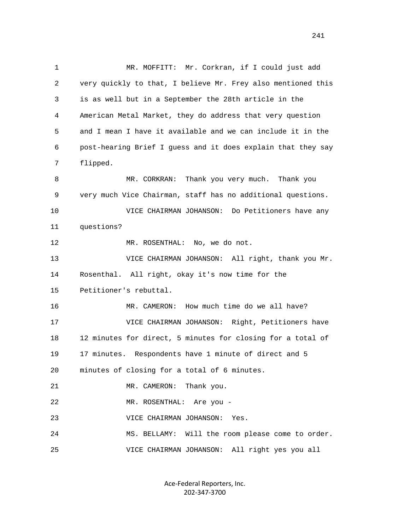1 MR. MOFFITT: Mr. Corkran, if I could just add 2 very quickly to that, I believe Mr. Frey also mentioned this 3 is as well but in a September the 28th article in the 4 American Metal Market, they do address that very question 5 and I mean I have it available and we can include it in the 6 post-hearing Brief I guess and it does explain that they say 7 flipped. 8 MR. CORKRAN: Thank you very much. Thank you 9 very much Vice Chairman, staff has no additional questions. 10 VICE CHAIRMAN JOHANSON: Do Petitioners have any 11 questions? 12 MR. ROSENTHAL: No, we do not. 13 VICE CHAIRMAN JOHANSON: All right, thank you Mr. 14 Rosenthal. All right, okay it's now time for the 15 Petitioner's rebuttal. 16 MR. CAMERON: How much time do we all have? 17 VICE CHAIRMAN JOHANSON: Right, Petitioners have 18 12 minutes for direct, 5 minutes for closing for a total of 19 17 minutes. Respondents have 1 minute of direct and 5 20 minutes of closing for a total of 6 minutes. 21 MR. CAMERON: Thank you. 22 MR. ROSENTHAL: Are you - 23 VICE CHAIRMAN JOHANSON: Yes. 24 MS. BELLAMY: Will the room please come to order. 25 VICE CHAIRMAN JOHANSON: All right yes you all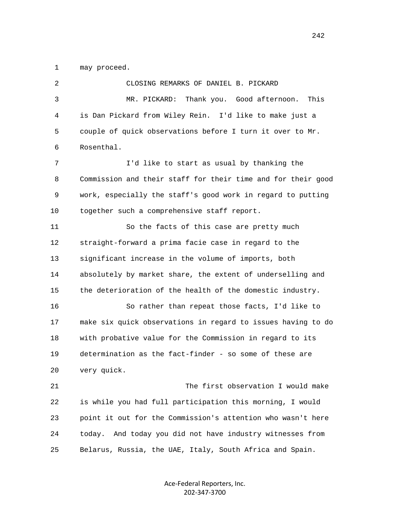1 may proceed.

 2 CLOSING REMARKS OF DANIEL B. PICKARD 3 MR. PICKARD: Thank you. Good afternoon. This 4 is Dan Pickard from Wiley Rein. I'd like to make just a 5 couple of quick observations before I turn it over to Mr. 6 Rosenthal. 7 I'd like to start as usual by thanking the 8 Commission and their staff for their time and for their good 9 work, especially the staff's good work in regard to putting 10 together such a comprehensive staff report. 11 So the facts of this case are pretty much 12 straight-forward a prima facie case in regard to the 13 significant increase in the volume of imports, both 14 absolutely by market share, the extent of underselling and 15 the deterioration of the health of the domestic industry. 16 So rather than repeat those facts, I'd like to 17 make six quick observations in regard to issues having to do 18 with probative value for the Commission in regard to its 19 determination as the fact-finder - so some of these are 20 very quick. 21 The first observation I would make 22 is while you had full participation this morning, I would 23 point it out for the Commission's attention who wasn't here 24 today. And today you did not have industry witnesses from 25 Belarus, Russia, the UAE, Italy, South Africa and Spain.

> Ace-Federal Reporters, Inc. 202-347-3700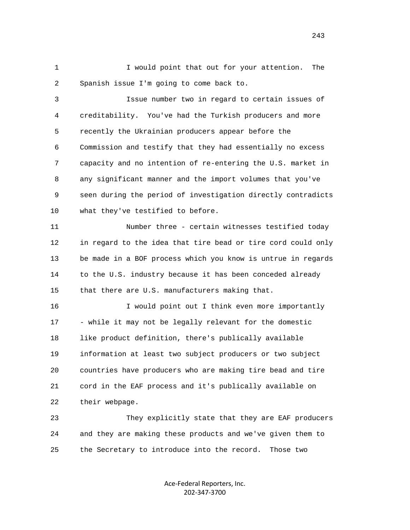1 I would point that out for your attention. The 2 Spanish issue I'm going to come back to.

 3 Issue number two in regard to certain issues of 4 creditability. You've had the Turkish producers and more 5 recently the Ukrainian producers appear before the 6 Commission and testify that they had essentially no excess 7 capacity and no intention of re-entering the U.S. market in 8 any significant manner and the import volumes that you've 9 seen during the period of investigation directly contradicts 10 what they've testified to before.

 11 Number three - certain witnesses testified today 12 in regard to the idea that tire bead or tire cord could only 13 be made in a BOF process which you know is untrue in regards 14 to the U.S. industry because it has been conceded already 15 that there are U.S. manufacturers making that.

 16 I would point out I think even more importantly 17 - while it may not be legally relevant for the domestic 18 like product definition, there's publically available 19 information at least two subject producers or two subject 20 countries have producers who are making tire bead and tire 21 cord in the EAF process and it's publically available on 22 their webpage.

 23 They explicitly state that they are EAF producers 24 and they are making these products and we've given them to 25 the Secretary to introduce into the record. Those two

> Ace-Federal Reporters, Inc. 202-347-3700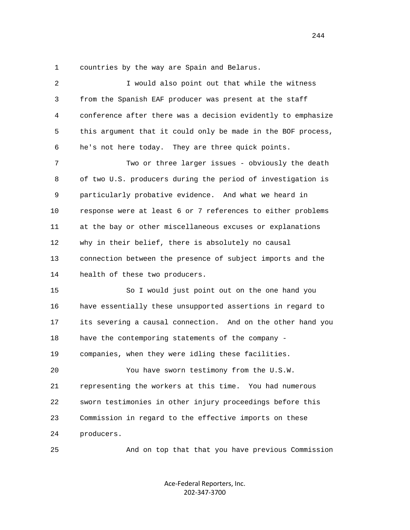1 countries by the way are Spain and Belarus.

 2 I would also point out that while the witness 3 from the Spanish EAF producer was present at the staff 4 conference after there was a decision evidently to emphasize 5 this argument that it could only be made in the BOF process, 6 he's not here today. They are three quick points. 7 Two or three larger issues - obviously the death 8 of two U.S. producers during the period of investigation is 9 particularly probative evidence. And what we heard in 10 response were at least 6 or 7 references to either problems 11 at the bay or other miscellaneous excuses or explanations 12 why in their belief, there is absolutely no causal 13 connection between the presence of subject imports and the 14 health of these two producers. 15 So I would just point out on the one hand you 16 have essentially these unsupported assertions in regard to 17 its severing a causal connection. And on the other hand you 18 have the contemporing statements of the company - 19 companies, when they were idling these facilities. 20 You have sworn testimony from the U.S.W. 21 representing the workers at this time. You had numerous 22 sworn testimonies in other injury proceedings before this 23 Commission in regard to the effective imports on these 24 producers. 25 And on top that that you have previous Commission

> Ace-Federal Reporters, Inc. 202-347-3700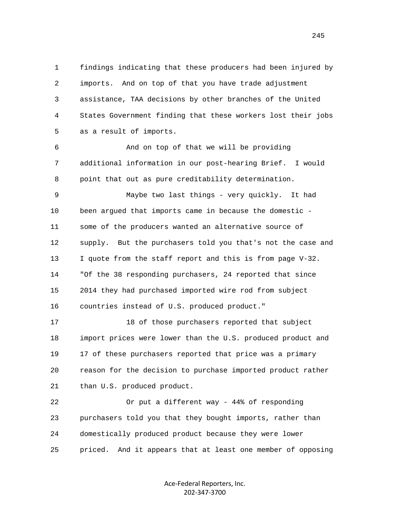1 findings indicating that these producers had been injured by 2 imports. And on top of that you have trade adjustment 3 assistance, TAA decisions by other branches of the United 4 States Government finding that these workers lost their jobs 5 as a result of imports.

 6 And on top of that we will be providing 7 additional information in our post-hearing Brief. I would 8 point that out as pure creditability determination.

 9 Maybe two last things - very quickly. It had 10 been argued that imports came in because the domestic - 11 some of the producers wanted an alternative source of 12 supply. But the purchasers told you that's not the case and 13 I quote from the staff report and this is from page V-32. 14 "Of the 38 responding purchasers, 24 reported that since 15 2014 they had purchased imported wire rod from subject 16 countries instead of U.S. produced product."

 17 18 of those purchasers reported that subject 18 import prices were lower than the U.S. produced product and 19 17 of these purchasers reported that price was a primary 20 reason for the decision to purchase imported product rather 21 than U.S. produced product.

 22 Or put a different way - 44% of responding 23 purchasers told you that they bought imports, rather than 24 domestically produced product because they were lower 25 priced. And it appears that at least one member of opposing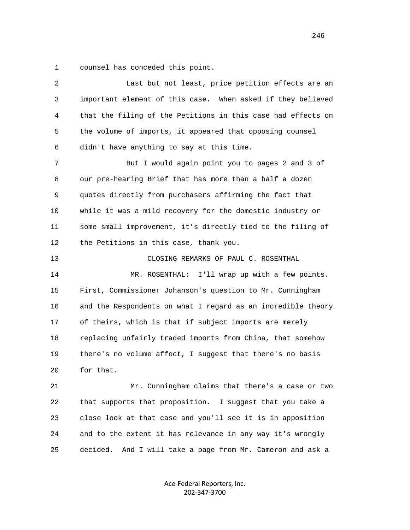1 counsel has conceded this point.

| 2  | Last but not least, price petition effects are an             |
|----|---------------------------------------------------------------|
| 3  | important element of this case. When asked if they believed   |
| 4  | that the filing of the Petitions in this case had effects on  |
| 5  | the volume of imports, it appeared that opposing counsel      |
| 6  | didn't have anything to say at this time.                     |
| 7  | But I would again point you to pages 2 and 3 of               |
| 8  | our pre-hearing Brief that has more than a half a dozen       |
| 9  | quotes directly from purchasers affirming the fact that       |
| 10 | while it was a mild recovery for the domestic industry or     |
| 11 | some small improvement, it's directly tied to the filing of   |
| 12 | the Petitions in this case, thank you.                        |
| 13 | CLOSING REMARKS OF PAUL C. ROSENTHAL                          |
| 14 | MR. ROSENTHAL: I'll wrap up with a few points.                |
| 15 | First, Commissioner Johanson's question to Mr. Cunningham     |
| 16 | and the Respondents on what I regard as an incredible theory  |
| 17 | of theirs, which is that if subject imports are merely        |
| 18 | replacing unfairly traded imports from China, that somehow    |
| 19 | there's no volume affect, I suggest that there's no basis     |
| 20 | for that.                                                     |
| 21 | Mr. Cunningham claims that there's a case or two              |
| 22 | that supports that proposition. I suggest that you take a     |
| 23 | close look at that case and you'll see it is in apposition    |
| 24 | and to the extent it has relevance in any way it's wrongly    |
| 25 | decided.<br>And I will take a page from Mr. Cameron and ask a |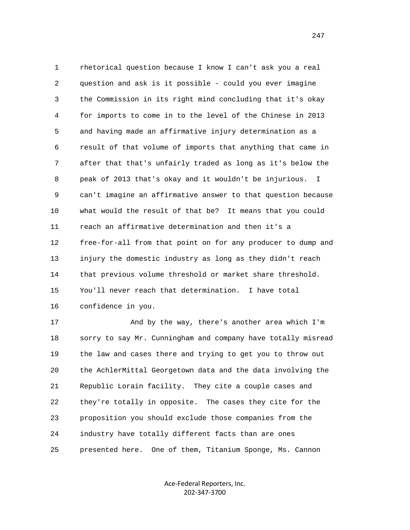1 rhetorical question because I know I can't ask you a real 2 question and ask is it possible - could you ever imagine 3 the Commission in its right mind concluding that it's okay 4 for imports to come in to the level of the Chinese in 2013 5 and having made an affirmative injury determination as a 6 result of that volume of imports that anything that came in 7 after that that's unfairly traded as long as it's below the 8 peak of 2013 that's okay and it wouldn't be injurious. I 9 can't imagine an affirmative answer to that question because 10 what would the result of that be? It means that you could 11 reach an affirmative determination and then it's a 12 free-for-all from that point on for any producer to dump and 13 injury the domestic industry as long as they didn't reach 14 that previous volume threshold or market share threshold. 15 You'll never reach that determination. I have total 16 confidence in you.

 17 And by the way, there's another area which I'm 18 sorry to say Mr. Cunningham and company have totally misread 19 the law and cases there and trying to get you to throw out 20 the AchlerMittal Georgetown data and the data involving the 21 Republic Lorain facility. They cite a couple cases and 22 they're totally in opposite. The cases they cite for the 23 proposition you should exclude those companies from the 24 industry have totally different facts than are ones 25 presented here. One of them, Titanium Sponge, Ms. Cannon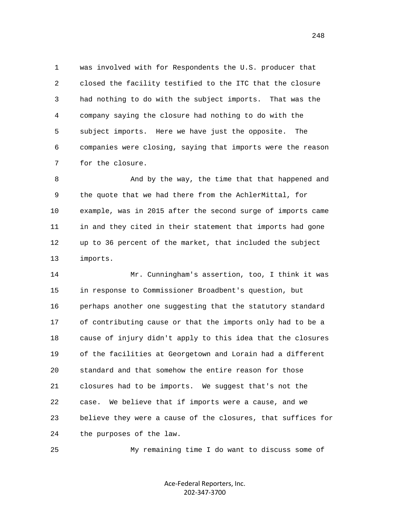1 was involved with for Respondents the U.S. producer that 2 closed the facility testified to the ITC that the closure 3 had nothing to do with the subject imports. That was the 4 company saying the closure had nothing to do with the 5 subject imports. Here we have just the opposite. The 6 companies were closing, saying that imports were the reason 7 for the closure.

 8 And by the way, the time that that happened and 9 the quote that we had there from the AchlerMittal, for 10 example, was in 2015 after the second surge of imports came 11 in and they cited in their statement that imports had gone 12 up to 36 percent of the market, that included the subject 13 imports.

 14 Mr. Cunningham's assertion, too, I think it was 15 in response to Commissioner Broadbent's question, but 16 perhaps another one suggesting that the statutory standard 17 of contributing cause or that the imports only had to be a 18 cause of injury didn't apply to this idea that the closures 19 of the facilities at Georgetown and Lorain had a different 20 standard and that somehow the entire reason for those 21 closures had to be imports. We suggest that's not the 22 case. We believe that if imports were a cause, and we 23 believe they were a cause of the closures, that suffices for 24 the purposes of the law.

25 My remaining time I do want to discuss some of

Ace-Federal Reporters, Inc. 202-347-3700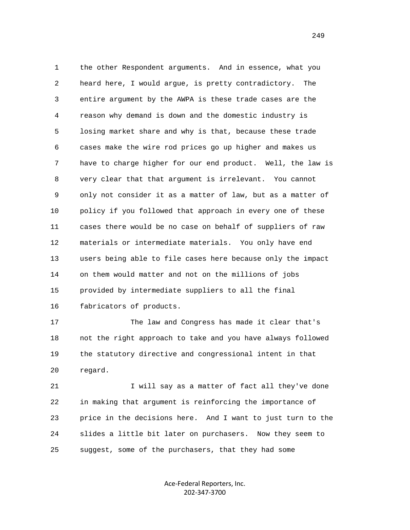1 the other Respondent arguments. And in essence, what you 2 heard here, I would argue, is pretty contradictory. The 3 entire argument by the AWPA is these trade cases are the 4 reason why demand is down and the domestic industry is 5 losing market share and why is that, because these trade 6 cases make the wire rod prices go up higher and makes us 7 have to charge higher for our end product. Well, the law is 8 very clear that that argument is irrelevant. You cannot 9 only not consider it as a matter of law, but as a matter of 10 policy if you followed that approach in every one of these 11 cases there would be no case on behalf of suppliers of raw 12 materials or intermediate materials. You only have end 13 users being able to file cases here because only the impact 14 on them would matter and not on the millions of jobs 15 provided by intermediate suppliers to all the final 16 fabricators of products.

 17 The law and Congress has made it clear that's 18 not the right approach to take and you have always followed 19 the statutory directive and congressional intent in that 20 regard.

21 I will say as a matter of fact all they've done 22 in making that argument is reinforcing the importance of 23 price in the decisions here. And I want to just turn to the 24 slides a little bit later on purchasers. Now they seem to 25 suggest, some of the purchasers, that they had some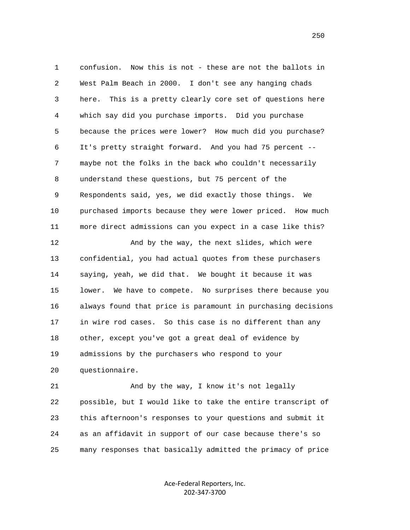1 confusion. Now this is not - these are not the ballots in 2 West Palm Beach in 2000. I don't see any hanging chads 3 here. This is a pretty clearly core set of questions here 4 which say did you purchase imports. Did you purchase 5 because the prices were lower? How much did you purchase? 6 It's pretty straight forward. And you had 75 percent -- 7 maybe not the folks in the back who couldn't necessarily 8 understand these questions, but 75 percent of the 9 Respondents said, yes, we did exactly those things. We 10 purchased imports because they were lower priced. How much 11 more direct admissions can you expect in a case like this?

12 And by the way, the next slides, which were 13 confidential, you had actual quotes from these purchasers 14 saying, yeah, we did that. We bought it because it was 15 lower. We have to compete. No surprises there because you 16 always found that price is paramount in purchasing decisions 17 in wire rod cases. So this case is no different than any 18 other, except you've got a great deal of evidence by 19 admissions by the purchasers who respond to your 20 questionnaire.

 21 And by the way, I know it's not legally 22 possible, but I would like to take the entire transcript of 23 this afternoon's responses to your questions and submit it 24 as an affidavit in support of our case because there's so 25 many responses that basically admitted the primacy of price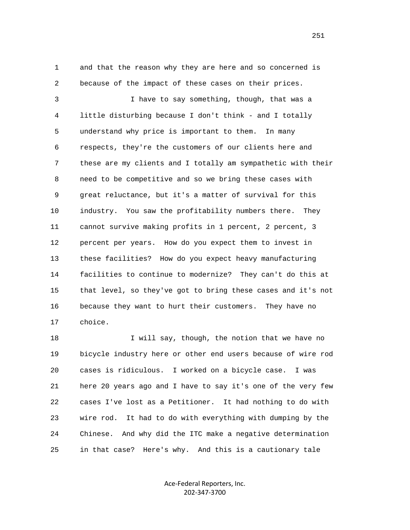1 and that the reason why they are here and so concerned is 2 because of the impact of these cases on their prices.

 3 I have to say something, though, that was a 4 little disturbing because I don't think - and I totally 5 understand why price is important to them. In many 6 respects, they're the customers of our clients here and 7 these are my clients and I totally am sympathetic with their 8 need to be competitive and so we bring these cases with 9 great reluctance, but it's a matter of survival for this 10 industry. You saw the profitability numbers there. They 11 cannot survive making profits in 1 percent, 2 percent, 3 12 percent per years. How do you expect them to invest in 13 these facilities? How do you expect heavy manufacturing 14 facilities to continue to modernize? They can't do this at 15 that level, so they've got to bring these cases and it's not 16 because they want to hurt their customers. They have no 17 choice.

18 I will say, though, the notion that we have no 19 bicycle industry here or other end users because of wire rod 20 cases is ridiculous. I worked on a bicycle case. I was 21 here 20 years ago and I have to say it's one of the very few 22 cases I've lost as a Petitioner. It had nothing to do with 23 wire rod. It had to do with everything with dumping by the 24 Chinese. And why did the ITC make a negative determination 25 in that case? Here's why. And this is a cautionary tale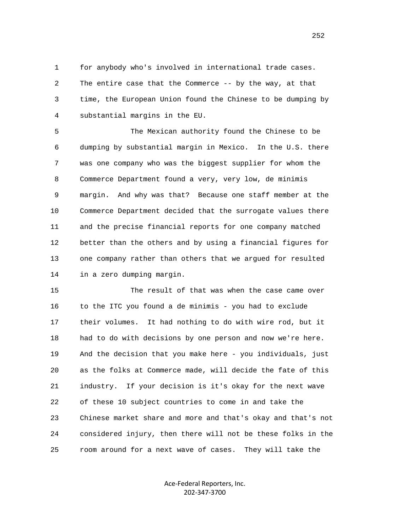1 for anybody who's involved in international trade cases. 2 The entire case that the Commerce -- by the way, at that 3 time, the European Union found the Chinese to be dumping by 4 substantial margins in the EU.

 5 The Mexican authority found the Chinese to be 6 dumping by substantial margin in Mexico. In the U.S. there 7 was one company who was the biggest supplier for whom the 8 Commerce Department found a very, very low, de minimis 9 margin. And why was that? Because one staff member at the 10 Commerce Department decided that the surrogate values there 11 and the precise financial reports for one company matched 12 better than the others and by using a financial figures for 13 one company rather than others that we argued for resulted 14 in a zero dumping margin.

 15 The result of that was when the case came over 16 to the ITC you found a de minimis - you had to exclude 17 their volumes. It had nothing to do with wire rod, but it 18 had to do with decisions by one person and now we're here. 19 And the decision that you make here - you individuals, just 20 as the folks at Commerce made, will decide the fate of this 21 industry. If your decision is it's okay for the next wave 22 of these 10 subject countries to come in and take the 23 Chinese market share and more and that's okay and that's not 24 considered injury, then there will not be these folks in the 25 room around for a next wave of cases. They will take the

> Ace-Federal Reporters, Inc. 202-347-3700

252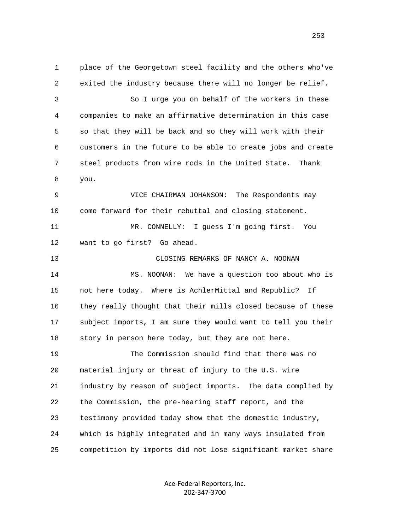1 place of the Georgetown steel facility and the others who've 2 exited the industry because there will no longer be relief. 3 So I urge you on behalf of the workers in these 4 companies to make an affirmative determination in this case 5 so that they will be back and so they will work with their 6 customers in the future to be able to create jobs and create 7 steel products from wire rods in the United State. Thank 8 you. 9 VICE CHAIRMAN JOHANSON: The Respondents may 10 come forward for their rebuttal and closing statement. 11 MR. CONNELLY: I guess I'm going first. You 12 want to go first? Go ahead. 13 CLOSING REMARKS OF NANCY A. NOONAN 14 MS. NOONAN: We have a question too about who is 15 not here today. Where is AchlerMittal and Republic? If 16 they really thought that their mills closed because of these 17 subject imports, I am sure they would want to tell you their 18 story in person here today, but they are not here. 19 The Commission should find that there was no 20 material injury or threat of injury to the U.S. wire 21 industry by reason of subject imports. The data complied by 22 the Commission, the pre-hearing staff report, and the 23 testimony provided today show that the domestic industry, 24 which is highly integrated and in many ways insulated from 25 competition by imports did not lose significant market share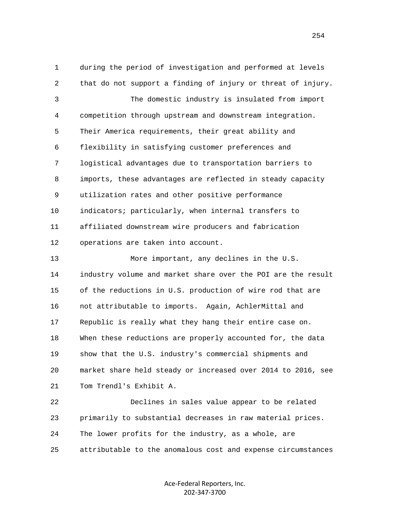1 during the period of investigation and performed at levels 2 that do not support a finding of injury or threat of injury. 3 The domestic industry is insulated from import 4 competition through upstream and downstream integration. 5 Their America requirements, their great ability and 6 flexibility in satisfying customer preferences and 7 logistical advantages due to transportation barriers to 8 imports, these advantages are reflected in steady capacity 9 utilization rates and other positive performance 10 indicators; particularly, when internal transfers to 11 affiliated downstream wire producers and fabrication 12 operations are taken into account. 13 More important, any declines in the U.S. 14 industry volume and market share over the POI are the result 15 of the reductions in U.S. production of wire rod that are 16 not attributable to imports. Again, AchlerMittal and 17 Republic is really what they hang their entire case on. 18 When these reductions are properly accounted for, the data 19 show that the U.S. industry's commercial shipments and 20 market share held steady or increased over 2014 to 2016, see 21 Tom Trendl's Exhibit A. 22 Declines in sales value appear to be related 23 primarily to substantial decreases in raw material prices.

25 attributable to the anomalous cost and expense circumstances

24 The lower profits for the industry, as a whole, are

Ace-Federal Reporters, Inc. 202-347-3700

254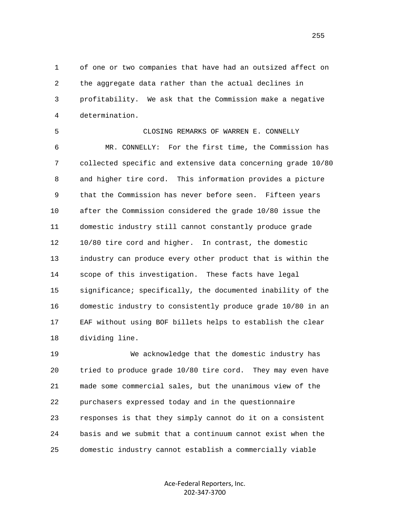1 of one or two companies that have had an outsized affect on 2 the aggregate data rather than the actual declines in 3 profitability. We ask that the Commission make a negative 4 determination.

 5 CLOSING REMARKS OF WARREN E. CONNELLY 6 MR. CONNELLY: For the first time, the Commission has 7 collected specific and extensive data concerning grade 10/80 8 and higher tire cord. This information provides a picture 9 that the Commission has never before seen. Fifteen years 10 after the Commission considered the grade 10/80 issue the 11 domestic industry still cannot constantly produce grade 12 10/80 tire cord and higher. In contrast, the domestic 13 industry can produce every other product that is within the 14 scope of this investigation. These facts have legal 15 significance; specifically, the documented inability of the 16 domestic industry to consistently produce grade 10/80 in an 17 EAF without using BOF billets helps to establish the clear 18 dividing line.

 19 We acknowledge that the domestic industry has 20 tried to produce grade 10/80 tire cord. They may even have 21 made some commercial sales, but the unanimous view of the 22 purchasers expressed today and in the questionnaire 23 responses is that they simply cannot do it on a consistent 24 basis and we submit that a continuum cannot exist when the 25 domestic industry cannot establish a commercially viable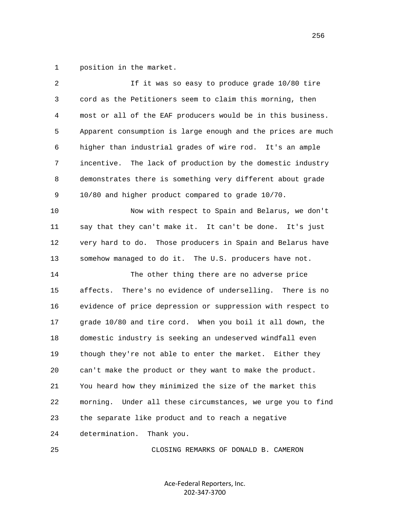1 position in the market.

| 2  | If it was so easy to produce grade 10/80 tire                  |
|----|----------------------------------------------------------------|
| 3  | cord as the Petitioners seem to claim this morning, then       |
| 4  | most or all of the EAF producers would be in this business.    |
| 5  | Apparent consumption is large enough and the prices are much   |
| 6  | higher than industrial grades of wire rod. It's an ample       |
| 7  | The lack of production by the domestic industry<br>incentive.  |
| 8  | demonstrates there is something very different about grade     |
| 9  | 10/80 and higher product compared to grade 10/70.              |
| 10 | Now with respect to Spain and Belarus, we don't                |
| 11 | say that they can't make it. It can't be done. It's just       |
| 12 | very hard to do. Those producers in Spain and Belarus have     |
| 13 | somehow managed to do it. The U.S. producers have not.         |
| 14 | The other thing there are no adverse price                     |
| 15 | There's no evidence of underselling. There is no<br>affects.   |
| 16 | evidence of price depression or suppression with respect to    |
| 17 | grade 10/80 and tire cord. When you boil it all down, the      |
| 18 | domestic industry is seeking an undeserved windfall even       |
| 19 | though they're not able to enter the market. Either they       |
| 20 | can't make the product or they want to make the product.       |
| 21 | You heard how they minimized the size of the market this       |
| 22 | morning.<br>Under all these circumstances, we urge you to find |
| 23 | the separate like product and to reach a negative              |
| 24 | determination.<br>Thank you.                                   |
| 25 | CLOSING REMARKS OF DONALD B. CAMERON                           |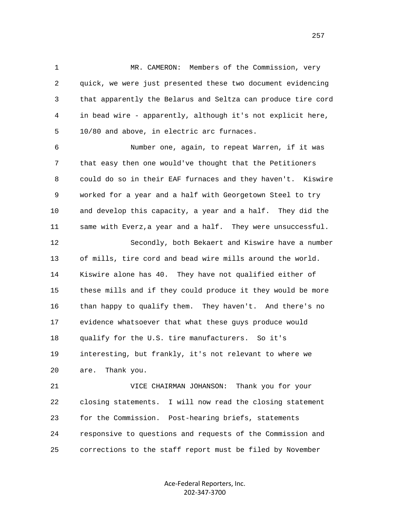1 MR. CAMERON: Members of the Commission, very 2 quick, we were just presented these two document evidencing 3 that apparently the Belarus and Seltza can produce tire cord 4 in bead wire - apparently, although it's not explicit here, 5 10/80 and above, in electric arc furnaces.

 6 Number one, again, to repeat Warren, if it was 7 that easy then one would've thought that the Petitioners 8 could do so in their EAF furnaces and they haven't. Kiswire 9 worked for a year and a half with Georgetown Steel to try 10 and develop this capacity, a year and a half. They did the 11 same with Everz,a year and a half. They were unsuccessful.

 12 Secondly, both Bekaert and Kiswire have a number 13 of mills, tire cord and bead wire mills around the world. 14 Kiswire alone has 40. They have not qualified either of 15 these mills and if they could produce it they would be more 16 than happy to qualify them. They haven't. And there's no 17 evidence whatsoever that what these guys produce would 18 qualify for the U.S. tire manufacturers. So it's 19 interesting, but frankly, it's not relevant to where we 20 are. Thank you.

 21 VICE CHAIRMAN JOHANSON: Thank you for your 22 closing statements. I will now read the closing statement 23 for the Commission. Post-hearing briefs, statements 24 responsive to questions and requests of the Commission and 25 corrections to the staff report must be filed by November

> Ace-Federal Reporters, Inc. 202-347-3700

257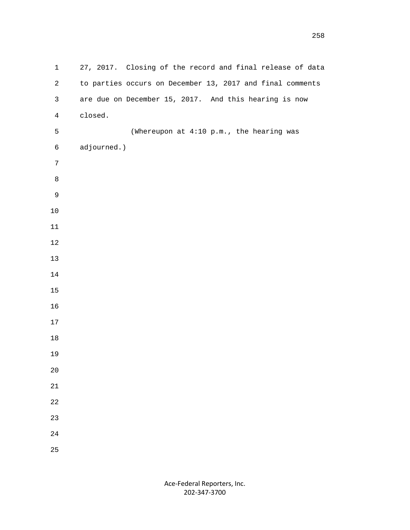| $\mathbf 1$    | 27, 2017. Closing of the record and final release of data |
|----------------|-----------------------------------------------------------|
| $\overline{a}$ | to parties occurs on December 13, 2017 and final comments |
| $\mathsf{3}$   | are due on December 15, 2017. And this hearing is now     |
| $\overline{4}$ | closed.                                                   |
| 5              | (Whereupon at 4:10 p.m., the hearing was                  |
| $\epsilon$     | adjourned.)                                               |
| $\sqrt{ }$     |                                                           |
| $\,8\,$        |                                                           |
| $\mathsf 9$    |                                                           |
| $10\,$         |                                                           |
| $11\,$         |                                                           |
| $1\,2$         |                                                           |
| $13\,$         |                                                           |
| $14\,$         |                                                           |
| $15\,$         |                                                           |
| 16             |                                                           |
| $17\,$         |                                                           |
| $18\,$         |                                                           |
| 19             |                                                           |
| $20\,$         |                                                           |
| 21             |                                                           |
| 22             |                                                           |
| 23             |                                                           |
| 24             |                                                           |
| 25             |                                                           |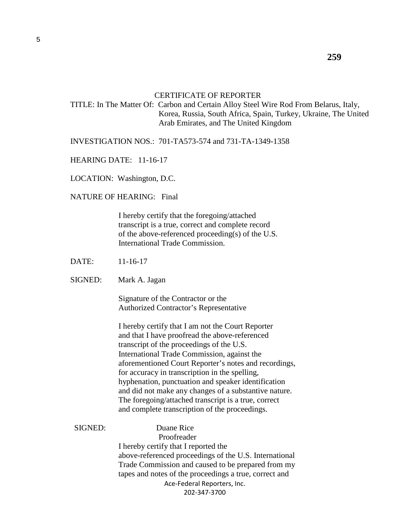## CERTIFICATE OF REPORTER

 TITLE: In The Matter Of: Carbon and Certain Alloy Steel Wire Rod From Belarus, Italy, Korea, Russia, South Africa, Spain, Turkey, Ukraine, The United Arab Emirates, and The United Kingdom

INVESTIGATION NOS.: 701-TA573-574 and 731-TA-1349-1358

HEARING DATE: 11-16-17

LOCATION: Washington, D.C.

NATURE OF HEARING: Final

 I hereby certify that the foregoing/attached transcript is a true, correct and complete record of the above-referenced proceeding(s) of the U.S. International Trade Commission.

- DATE: 11-16-17
- SIGNED: Mark A. Jagan

 Signature of the Contractor or the Authorized Contractor's Representative

 I hereby certify that I am not the Court Reporter and that I have proofread the above-referenced transcript of the proceedings of the U.S. International Trade Commission, against the aforementioned Court Reporter's notes and recordings, for accuracy in transcription in the spelling, hyphenation, punctuation and speaker identification and did not make any changes of a substantive nature. The foregoing/attached transcript is a true, correct and complete transcription of the proceedings.

Ace-Federal Reporters, Inc. 202-347-3700 SIGNED: Duane Rice Proofreader I hereby certify that I reported the above-referenced proceedings of the U.S. International Trade Commission and caused to be prepared from my tapes and notes of the proceedings a true, correct and